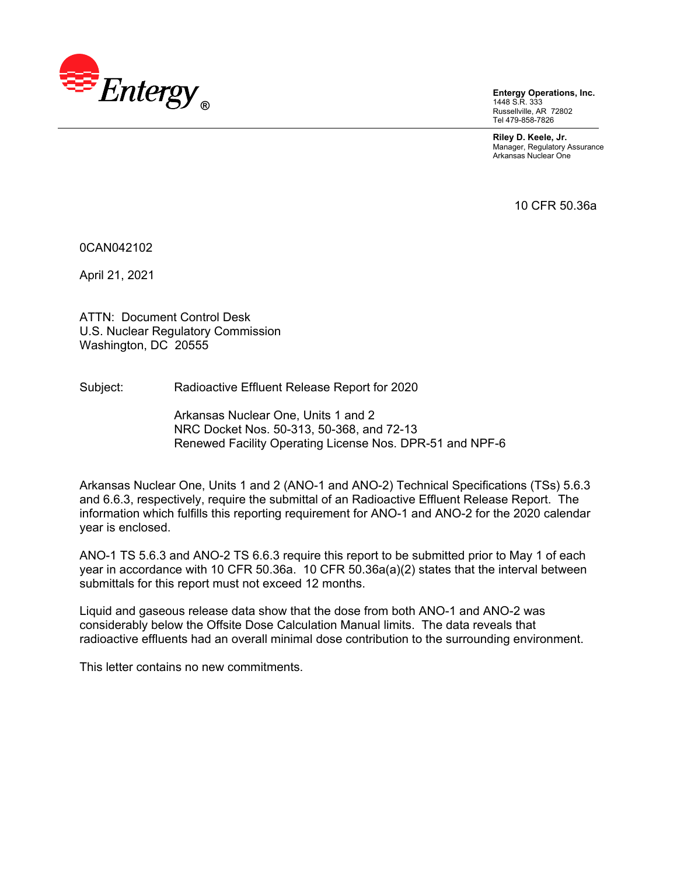

**Entergy Operations, Inc.**  1448 S.R. 333 Russellville, AR 72802 Tel 479-858-7826

**Riley D. Keele, Jr.**  Manager, Regulatory Assurance Arkansas Nuclear One

10 CFR 50.36a

0CAN042102

April 21, 2021

ATTN: Document Control Desk U.S. Nuclear Regulatory Commission Washington, DC 20555

Subject: Radioactive Effluent Release Report for 2020

Arkansas Nuclear One, Units 1 and 2 NRC Docket Nos. 50-313, 50-368, and 72-13 Renewed Facility Operating License Nos. DPR-51 and NPF-6

Arkansas Nuclear One, Units 1 and 2 (ANO-1 and ANO-2) Technical Specifications (TSs) 5.6.3 and 6.6.3, respectively, require the submittal of an Radioactive Effluent Release Report. The information which fulfills this reporting requirement for ANO-1 and ANO-2 for the 2020 calendar year is enclosed.

ANO-1 TS 5.6.3 and ANO-2 TS 6.6.3 require this report to be submitted prior to May 1 of each year in accordance with 10 CFR 50.36a. 10 CFR 50.36a(a)(2) states that the interval between submittals for this report must not exceed 12 months.

Liquid and gaseous release data show that the dose from both ANO-1 and ANO-2 was considerably below the Offsite Dose Calculation Manual limits. The data reveals that radioactive effluents had an overall minimal dose contribution to the surrounding environment.

This letter contains no new commitments.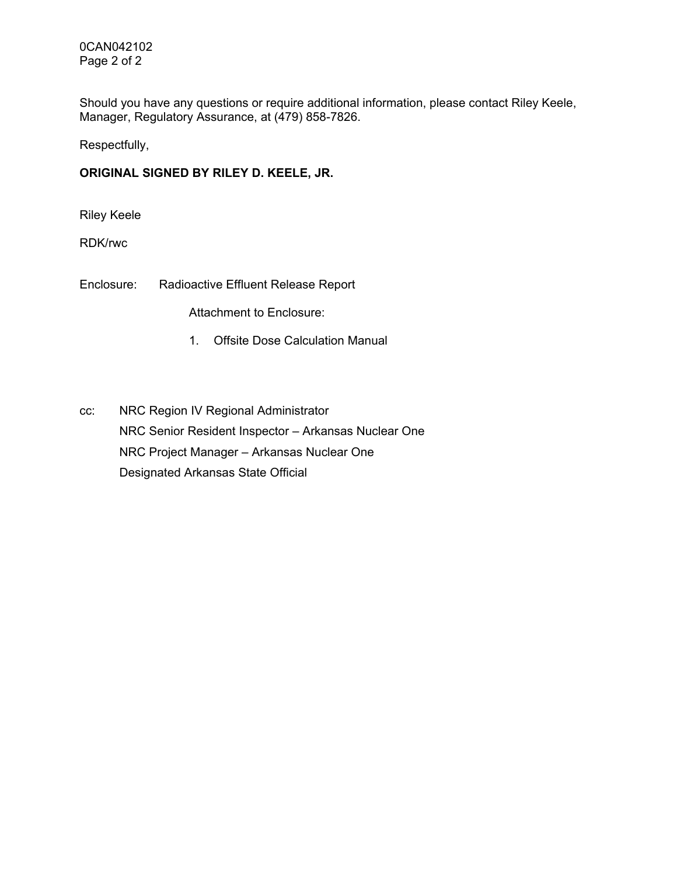0CAN042102 Page 2 of 2

Should you have any questions or require additional information, please contact Riley Keele, Manager, Regulatory Assurance, at (479) 858-7826.

Respectfully,

### **ORIGINAL SIGNED BY RILEY D. KEELE, JR.**

Riley Keele

RDK/rwc

Enclosure: Radioactive Effluent Release Report

Attachment to Enclosure:

- 1. Offsite Dose Calculation Manual
- cc: NRC Region IV Regional Administrator NRC Senior Resident Inspector – Arkansas Nuclear One NRC Project Manager – Arkansas Nuclear One Designated Arkansas State Official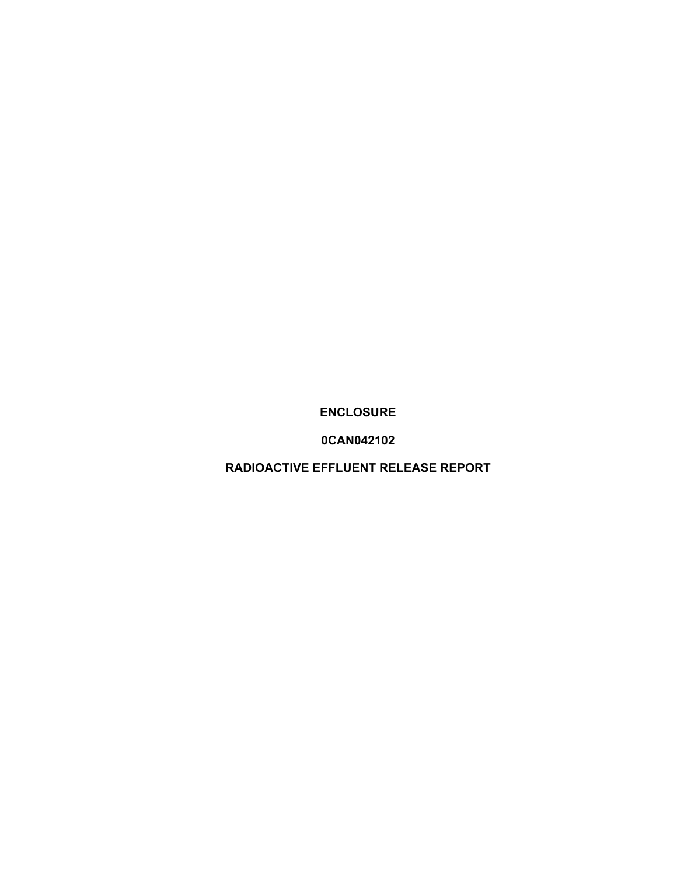**ENCLOSURE** 

**0CAN042102** 

**RADIOACTIVE EFFLUENT RELEASE REPORT**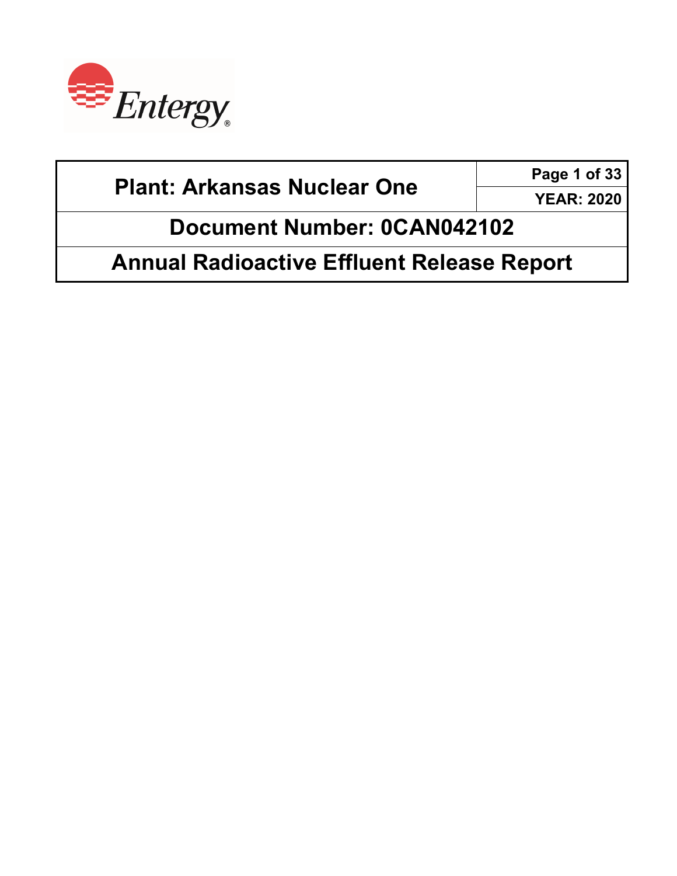

**Page 1 of 33** 

**YEAR: 2020** 

**Document Number: 0CAN042102** 

**Annual Radioactive Effluent Release Report**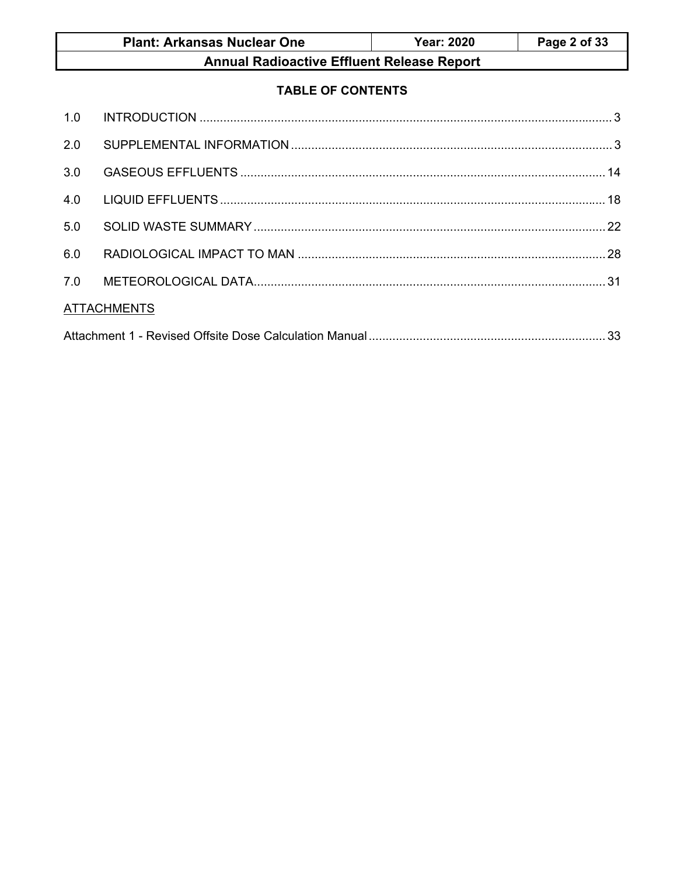| <b>Plant: Arkansas Nuclear One</b>        | <b>Year: 2020</b> | Page 2 of 33 |
|-------------------------------------------|-------------------|--------------|
| August Badianatics FMccaul Balance Baugul |                   |              |

# **TABLE OF CONTENTS**

| 2.0 |                    |  |
|-----|--------------------|--|
| 3.0 |                    |  |
| 4.0 |                    |  |
| 5.0 |                    |  |
| 6.0 |                    |  |
| 7.0 |                    |  |
|     | <b>ATTACHMENTS</b> |  |
|     |                    |  |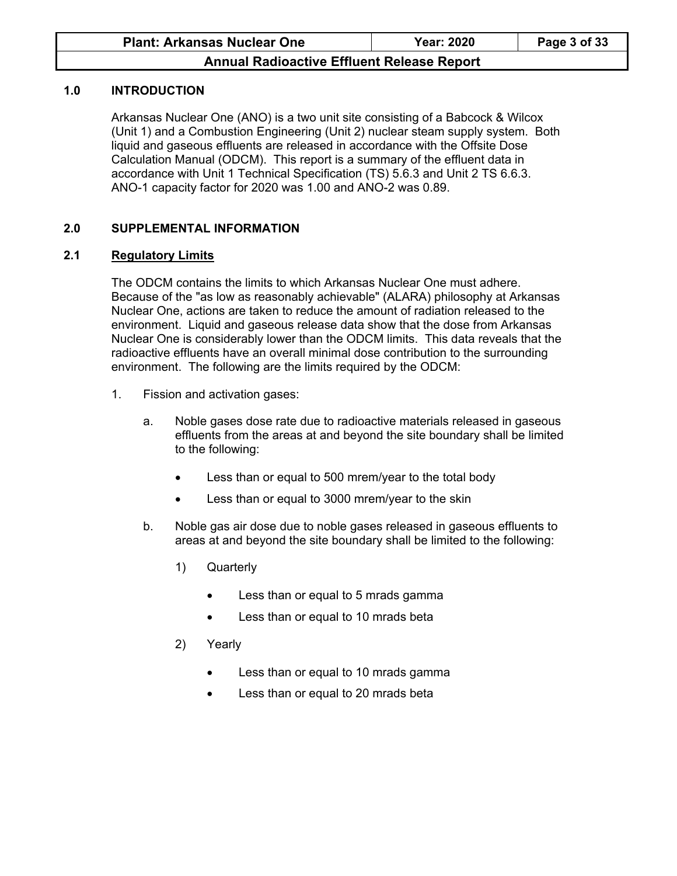### **1.0 INTRODUCTION**

Arkansas Nuclear One (ANO) is a two unit site consisting of a Babcock & Wilcox (Unit 1) and a Combustion Engineering (Unit 2) nuclear steam supply system. Both liquid and gaseous effluents are released in accordance with the Offsite Dose Calculation Manual (ODCM). This report is a summary of the effluent data in accordance with Unit 1 Technical Specification (TS) 5.6.3 and Unit 2 TS 6.6.3. ANO-1 capacity factor for 2020 was 1.00 and ANO-2 was 0.89.

### **2.0 SUPPLEMENTAL INFORMATION**

### **2.1 Regulatory Limits**

The ODCM contains the limits to which Arkansas Nuclear One must adhere. Because of the "as low as reasonably achievable" (ALARA) philosophy at Arkansas Nuclear One, actions are taken to reduce the amount of radiation released to the environment. Liquid and gaseous release data show that the dose from Arkansas Nuclear One is considerably lower than the ODCM limits. This data reveals that the radioactive effluents have an overall minimal dose contribution to the surrounding environment. The following are the limits required by the ODCM:

- 1. Fission and activation gases:
	- a. Noble gases dose rate due to radioactive materials released in gaseous effluents from the areas at and beyond the site boundary shall be limited to the following:
		- Less than or equal to 500 mrem/year to the total body
		- Less than or equal to 3000 mrem/year to the skin
	- b. Noble gas air dose due to noble gases released in gaseous effluents to areas at and beyond the site boundary shall be limited to the following:
		- 1) Quarterly
			- Less than or equal to 5 mrads gamma
			- Less than or equal to 10 mrads beta
		- 2) Yearly
			- Less than or equal to 10 mrads gamma
			- Less than or equal to 20 mrads beta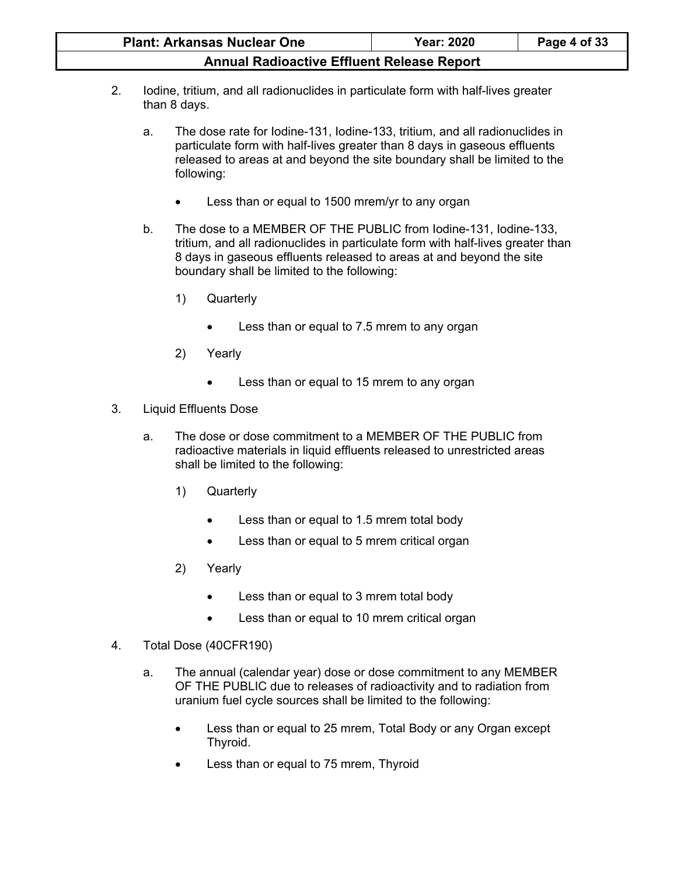| <b>Plant: Arkansas Nuclear One</b>                | <b>Year: 2020</b> | Page 4 of 33 |
|---------------------------------------------------|-------------------|--------------|
| <b>Annual Radioactive Effluent Release Report</b> |                   |              |

- 2. Iodine, tritium, and all radionuclides in particulate form with half-lives greater than 8 days.
	- a. The dose rate for Iodine-131, Iodine-133, tritium, and all radionuclides in particulate form with half-lives greater than 8 days in gaseous effluents released to areas at and beyond the site boundary shall be limited to the following:
		- Less than or equal to 1500 mrem/yr to any organ
	- b. The dose to a MEMBER OF THE PUBLIC from Iodine-131, Iodine-133, tritium, and all radionuclides in particulate form with half-lives greater than 8 days in gaseous effluents released to areas at and beyond the site boundary shall be limited to the following:
		- 1) Quarterly
			- Less than or equal to 7.5 mrem to any organ
		- 2) Yearly
			- Less than or equal to 15 mrem to any organ
- 3. Liquid Effluents Dose
	- a. The dose or dose commitment to a MEMBER OF THE PUBLIC from radioactive materials in liquid effluents released to unrestricted areas shall be limited to the following:
		- 1) Quarterly
			- Less than or equal to 1.5 mrem total body
			- **•** Less than or equal to 5 mrem critical organ
		- 2) Yearly
			- Less than or equal to 3 mrem total body
			- Less than or equal to 10 mrem critical organ
- 4. Total Dose (40CFR190)
	- a. The annual (calendar year) dose or dose commitment to any MEMBER OF THE PUBLIC due to releases of radioactivity and to radiation from uranium fuel cycle sources shall be limited to the following:
		- Less than or equal to 25 mrem, Total Body or any Organ except Thyroid.
		- Less than or equal to 75 mrem, Thyroid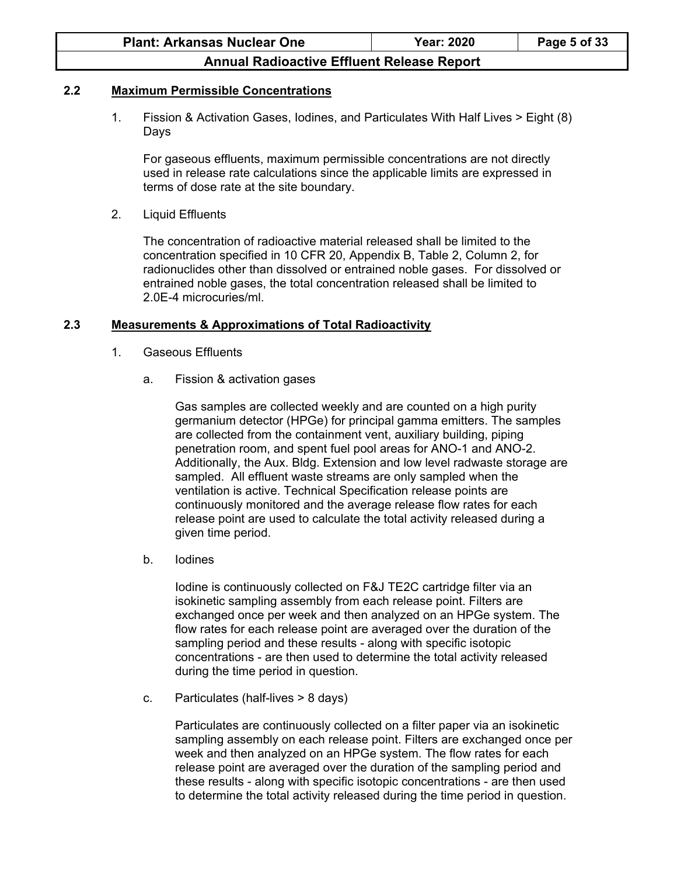#### **2.2 Maximum Permissible Concentrations**

1. Fission & Activation Gases, Iodines, and Particulates With Half Lives > Eight (8) Days

For gaseous effluents, maximum permissible concentrations are not directly used in release rate calculations since the applicable limits are expressed in terms of dose rate at the site boundary.

2. Liquid Effluents

The concentration of radioactive material released shall be limited to the concentration specified in 10 CFR 20, Appendix B, Table 2, Column 2, for radionuclides other than dissolved or entrained noble gases. For dissolved or entrained noble gases, the total concentration released shall be limited to 2.0E-4 microcuries/ml.

#### **2.3 Measurements & Approximations of Total Radioactivity**

- 1. Gaseous Effluents
	- a. Fission & activation gases

Gas samples are collected weekly and are counted on a high purity germanium detector (HPGe) for principal gamma emitters. The samples are collected from the containment vent, auxiliary building, piping penetration room, and spent fuel pool areas for ANO-1 and ANO-2. Additionally, the Aux. Bldg. Extension and low level radwaste storage are sampled. All effluent waste streams are only sampled when the ventilation is active. Technical Specification release points are continuously monitored and the average release flow rates for each release point are used to calculate the total activity released during a given time period.

b. Iodines

Iodine is continuously collected on F&J TE2C cartridge filter via an isokinetic sampling assembly from each release point. Filters are exchanged once per week and then analyzed on an HPGe system. The flow rates for each release point are averaged over the duration of the sampling period and these results - along with specific isotopic concentrations - are then used to determine the total activity released during the time period in question.

c. Particulates (half-lives > 8 days)

Particulates are continuously collected on a filter paper via an isokinetic sampling assembly on each release point. Filters are exchanged once per week and then analyzed on an HPGe system. The flow rates for each release point are averaged over the duration of the sampling period and these results - along with specific isotopic concentrations - are then used to determine the total activity released during the time period in question.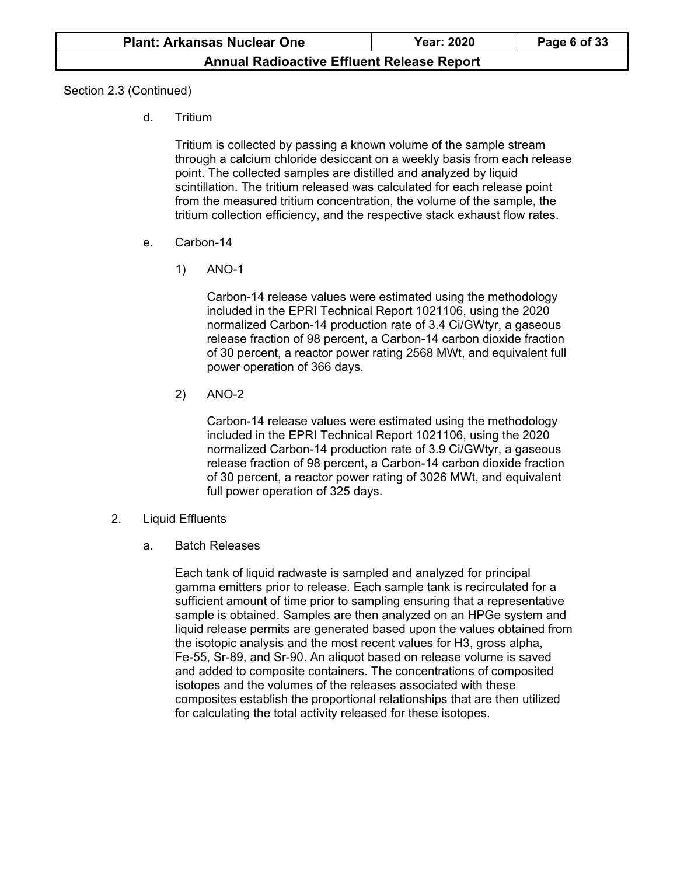Section 2.3 (Continued)

d. Tritium

Tritium is collected by passing a known volume of the sample stream through a calcium chloride desiccant on a weekly basis from each release point. The collected samples are distilled and analyzed by liquid scintillation. The tritium released was calculated for each release point from the measured tritium concentration, the volume of the sample, the tritium collection efficiency, and the respective stack exhaust flow rates.

- e. Carbon-14
	- 1) ANO-1

Carbon-14 release values were estimated using the methodology included in the EPRI Technical Report 1021106, using the 2020 normalized Carbon-14 production rate of 3.4 Ci/GWtyr, a gaseous release fraction of 98 percent, a Carbon-14 carbon dioxide fraction of 30 percent, a reactor power rating 2568 MWt, and equivalent full power operation of 366 days.

2) ANO-2

Carbon-14 release values were estimated using the methodology included in the EPRI Technical Report 1021106, using the 2020 normalized Carbon-14 production rate of 3.9 Ci/GWtyr, a gaseous release fraction of 98 percent, a Carbon-14 carbon dioxide fraction of 30 percent, a reactor power rating of 3026 MWt, and equivalent full power operation of 325 days.

- 2. Liquid Effluents
	- a. Batch Releases

Each tank of liquid radwaste is sampled and analyzed for principal gamma emitters prior to release. Each sample tank is recirculated for a sufficient amount of time prior to sampling ensuring that a representative sample is obtained. Samples are then analyzed on an HPGe system and liquid release permits are generated based upon the values obtained from the isotopic analysis and the most recent values for H3, gross alpha, Fe-55, Sr-89, and Sr-90. An aliquot based on release volume is saved and added to composite containers. The concentrations of composited isotopes and the volumes of the releases associated with these composites establish the proportional relationships that are then utilized for calculating the total activity released for these isotopes.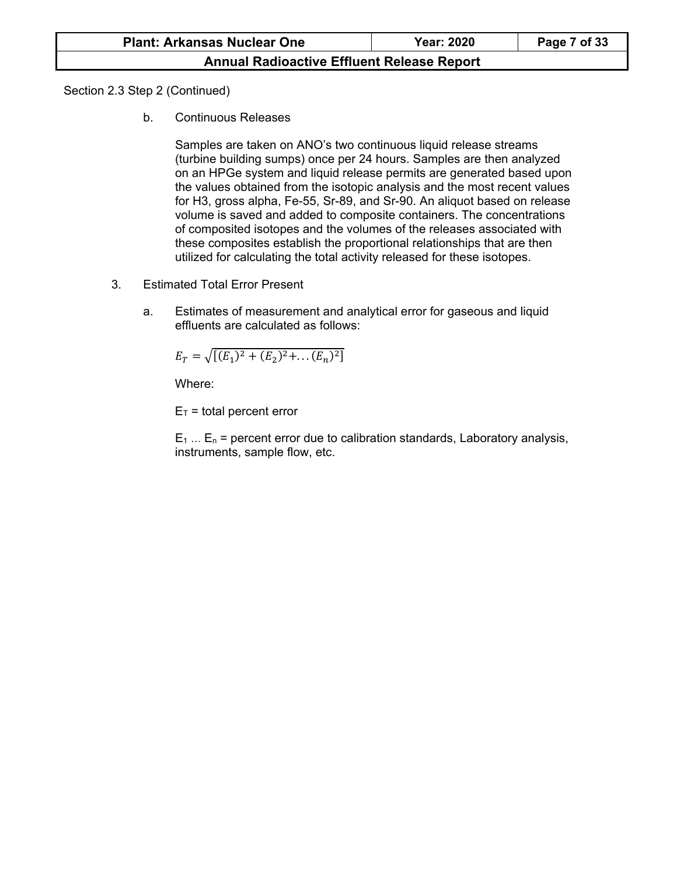Section 2.3 Step 2 (Continued)

b. Continuous Releases

Samples are taken on ANO's two continuous liquid release streams (turbine building sumps) once per 24 hours. Samples are then analyzed on an HPGe system and liquid release permits are generated based upon the values obtained from the isotopic analysis and the most recent values for H3, gross alpha, Fe-55, Sr-89, and Sr-90. An aliquot based on release volume is saved and added to composite containers. The concentrations of composited isotopes and the volumes of the releases associated with these composites establish the proportional relationships that are then utilized for calculating the total activity released for these isotopes.

- 3. Estimated Total Error Present
	- a. Estimates of measurement and analytical error for gaseous and liquid effluents are calculated as follows:

$$
E_T = \sqrt{[(E_1)^2 + (E_2)^2 + \dots + (E_n)^2]}
$$

Where:

 $E_T$  = total percent error

 $E_1$  ...  $E_n$  = percent error due to calibration standards, Laboratory analysis, instruments, sample flow, etc.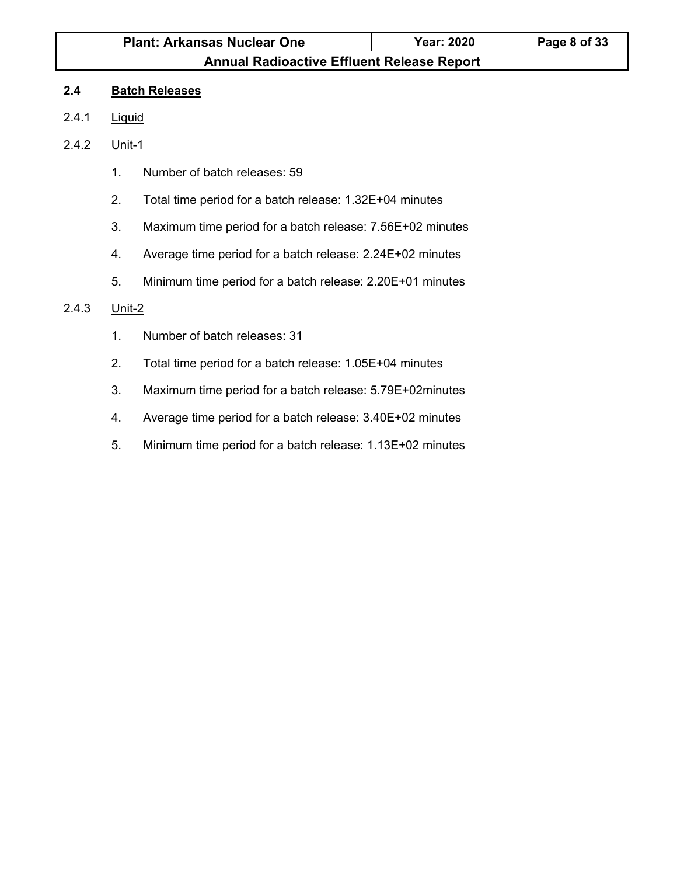# **Plant: Arkansas Nuclear One Year: 2020 Page 8 of 33 Annual Radioactive Effluent Release Report**

### **2.4 Batch Releases**

- 2.4.1 Liquid
- 2.4.2 Unit-1
	- 1. Number of batch releases: 59
	- 2. Total time period for a batch release: 1.32E+04 minutes
	- 3. Maximum time period for a batch release: 7.56E+02 minutes
	- 4. Average time period for a batch release: 2.24E+02 minutes
	- 5. Minimum time period for a batch release: 2.20E+01 minutes

#### 2.4.3 Unit-2

- 1. Number of batch releases: 31
- 2. Total time period for a batch release: 1.05E+04 minutes
- 3. Maximum time period for a batch release: 5.79E+02minutes
- 4. Average time period for a batch release: 3.40E+02 minutes
- 5. Minimum time period for a batch release: 1.13E+02 minutes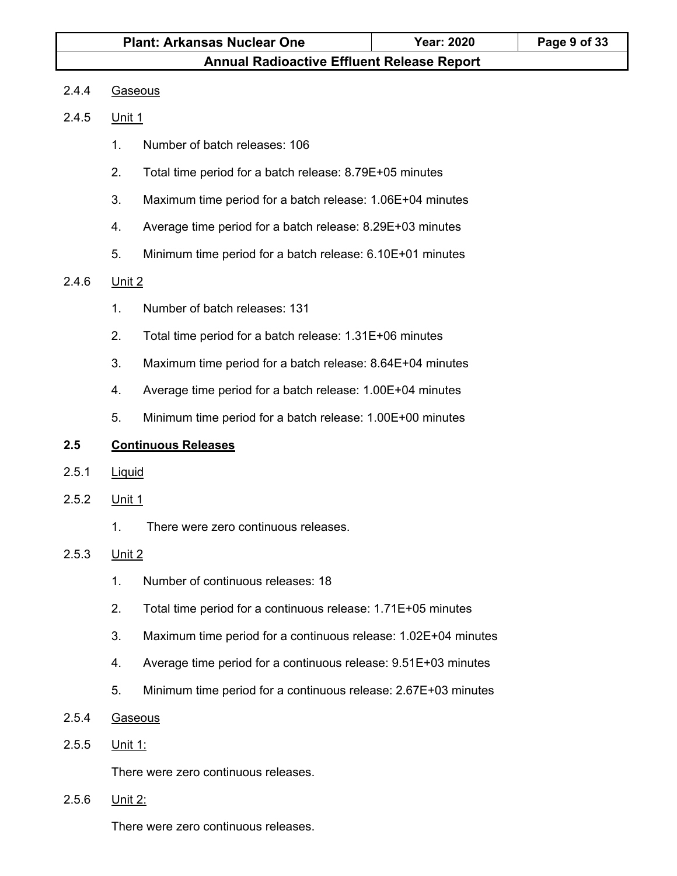#### 2.4.4 Gaseous

#### 2.4.5 Unit 1

- 1. Number of batch releases: 106
- 2. Total time period for a batch release: 8.79E+05 minutes
- 3. Maximum time period for a batch release: 1.06E+04 minutes
- 4. Average time period for a batch release: 8.29E+03 minutes
- 5. Minimum time period for a batch release: 6.10E+01 minutes

#### 2.4.6 Unit 2

- 1. Number of batch releases: 131
- 2. Total time period for a batch release: 1.31E+06 minutes
- 3. Maximum time period for a batch release: 8.64E+04 minutes
- 4. Average time period for a batch release: 1.00E+04 minutes
- 5. Minimum time period for a batch release: 1.00E+00 minutes

#### **2.5 Continuous Releases**

- 2.5.1 Liquid
- 2.5.2 Unit 1
	- 1. There were zero continuous releases.

### 2.5.3 Unit 2

- 1. Number of continuous releases: 18
- 2. Total time period for a continuous release: 1.71E+05 minutes
- 3. Maximum time period for a continuous release: 1.02E+04 minutes
- 4. Average time period for a continuous release: 9.51E+03 minutes
- 5. Minimum time period for a continuous release: 2.67E+03 minutes

### 2.5.4 Gaseous

### 2.5.5 Unit 1:

There were zero continuous releases.

2.5.6 Unit 2:

There were zero continuous releases.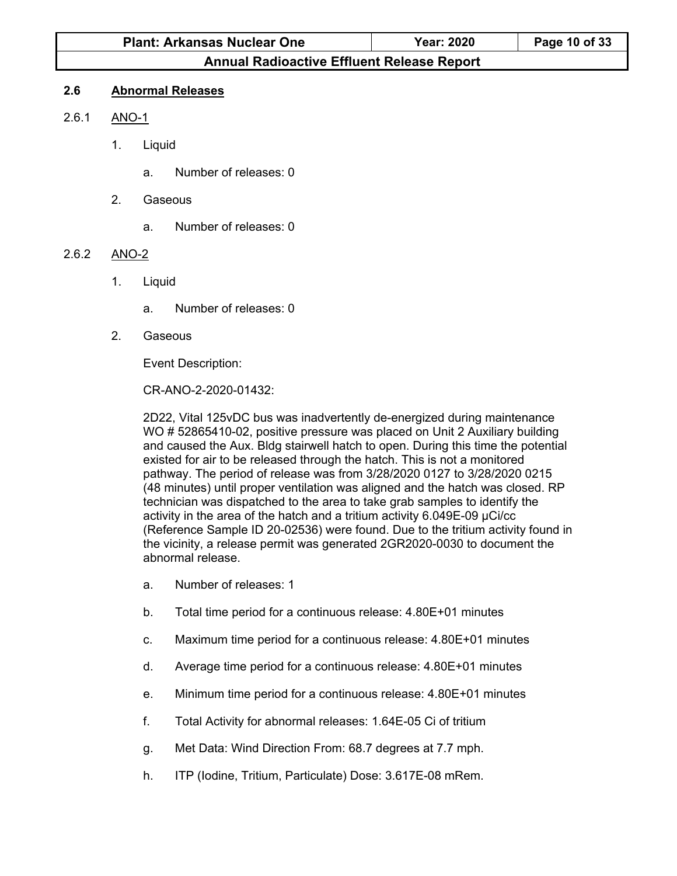| <b>Plant: Arkansas Nuclear One</b>                | <b>Year: 2020</b> | Page 10 of 33 |  |
|---------------------------------------------------|-------------------|---------------|--|
| <b>Annual Radioactive Effluent Release Report</b> |                   |               |  |

#### **2.6 Abnormal Releases**

#### 2.6.1 ANO-1

- 1. Liquid
	- a. Number of releases: 0
- 2. Gaseous
	- a. Number of releases: 0

### 2.6.2 ANO-2

- 1. Liquid
	- a. Number of releases: 0
- 2. Gaseous

Event Description:

CR-ANO-2-2020-01432:

2D22, Vital 125vDC bus was inadvertently de-energized during maintenance WO # 52865410-02, positive pressure was placed on Unit 2 Auxiliary building and caused the Aux. Bldg stairwell hatch to open. During this time the potential existed for air to be released through the hatch. This is not a monitored pathway. The period of release was from 3/28/2020 0127 to 3/28/2020 0215 (48 minutes) until proper ventilation was aligned and the hatch was closed. RP technician was dispatched to the area to take grab samples to identify the activity in the area of the hatch and a tritium activity 6.049E-09 µCi/cc (Reference Sample ID 20-02536) were found. Due to the tritium activity found in the vicinity, a release permit was generated 2GR2020-0030 to document the abnormal release.

- a. Number of releases: 1
- b. Total time period for a continuous release: 4.80E+01 minutes
- c. Maximum time period for a continuous release: 4.80E+01 minutes
- d. Average time period for a continuous release: 4.80E+01 minutes
- e. Minimum time period for a continuous release: 4.80E+01 minutes
- f. Total Activity for abnormal releases: 1.64E-05 Ci of tritium
- g. Met Data: Wind Direction From: 68.7 degrees at 7.7 mph.
- h. ITP (Iodine, Tritium, Particulate) Dose: 3.617E-08 mRem.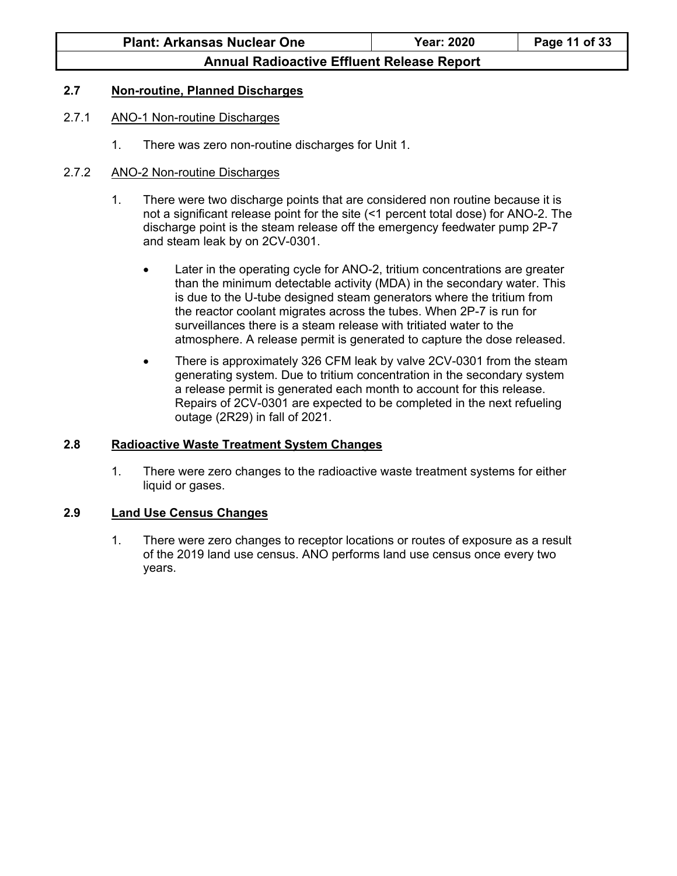#### **2.7 Non-routine, Planned Discharges**

#### 2.7.1 ANO-1 Non-routine Discharges

1. There was zero non-routine discharges for Unit 1.

#### 2.7.2 ANO-2 Non-routine Discharges

- 1. There were two discharge points that are considered non routine because it is not a significant release point for the site (<1 percent total dose) for ANO-2. The discharge point is the steam release off the emergency feedwater pump 2P-7 and steam leak by on 2CV-0301.
	- Later in the operating cycle for ANO-2, tritium concentrations are greater than the minimum detectable activity (MDA) in the secondary water. This is due to the U-tube designed steam generators where the tritium from the reactor coolant migrates across the tubes. When 2P-7 is run for surveillances there is a steam release with tritiated water to the atmosphere. A release permit is generated to capture the dose released.
	- There is approximately 326 CFM leak by valve 2CV-0301 from the steam generating system. Due to tritium concentration in the secondary system a release permit is generated each month to account for this release. Repairs of 2CV-0301 are expected to be completed in the next refueling outage (2R29) in fall of 2021.

#### **2.8 Radioactive Waste Treatment System Changes**

1. There were zero changes to the radioactive waste treatment systems for either liquid or gases.

#### **2.9 Land Use Census Changes**

1. There were zero changes to receptor locations or routes of exposure as a result of the 2019 land use census. ANO performs land use census once every two years.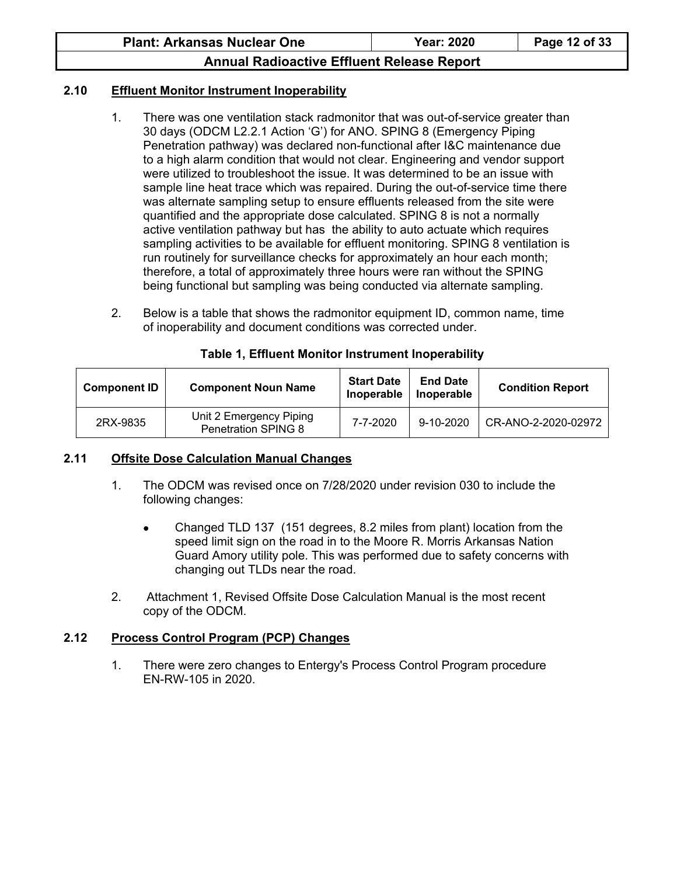### **2.10 Effluent Monitor Instrument Inoperability**

- 1. There was one ventilation stack radmonitor that was out-of-service greater than 30 days (ODCM L2.2.1 Action 'G') for ANO. SPING 8 (Emergency Piping Penetration pathway) was declared non-functional after I&C maintenance due to a high alarm condition that would not clear. Engineering and vendor support were utilized to troubleshoot the issue. It was determined to be an issue with sample line heat trace which was repaired. During the out-of-service time there was alternate sampling setup to ensure effluents released from the site were quantified and the appropriate dose calculated. SPING 8 is not a normally active ventilation pathway but has the ability to auto actuate which requires sampling activities to be available for effluent monitoring. SPING 8 ventilation is run routinely for surveillance checks for approximately an hour each month; therefore, a total of approximately three hours were ran without the SPING being functional but sampling was being conducted via alternate sampling.
- 2. Below is a table that shows the radmonitor equipment ID, common name, time of inoperability and document conditions was corrected under.

| <b>Component ID</b> | <b>Component Noun Name</b>                            | <b>Start Date</b><br>Inoperable | <b>End Date</b><br>Inoperable | <b>Condition Report</b> |
|---------------------|-------------------------------------------------------|---------------------------------|-------------------------------|-------------------------|
| 2RX-9835            | Unit 2 Emergency Piping<br><b>Penetration SPING 8</b> | 7-7-2020                        | $9 - 10 - 2020$               | CR-ANO-2-2020-02972     |

#### **Table 1, Effluent Monitor Instrument Inoperability**

### **2.11 Offsite Dose Calculation Manual Changes**

- 1. The ODCM was revised once on 7/28/2020 under revision 030 to include the following changes:
	- Changed TLD 137 (151 degrees, 8.2 miles from plant) location from the speed limit sign on the road in to the Moore R. Morris Arkansas Nation Guard Amory utility pole. This was performed due to safety concerns with changing out TLDs near the road.
- 2. Attachment 1, Revised Offsite Dose Calculation Manual is the most recent copy of the ODCM.

### **2.12 Process Control Program (PCP) Changes**

1. There were zero changes to Entergy's Process Control Program procedure EN-RW-105 in 2020.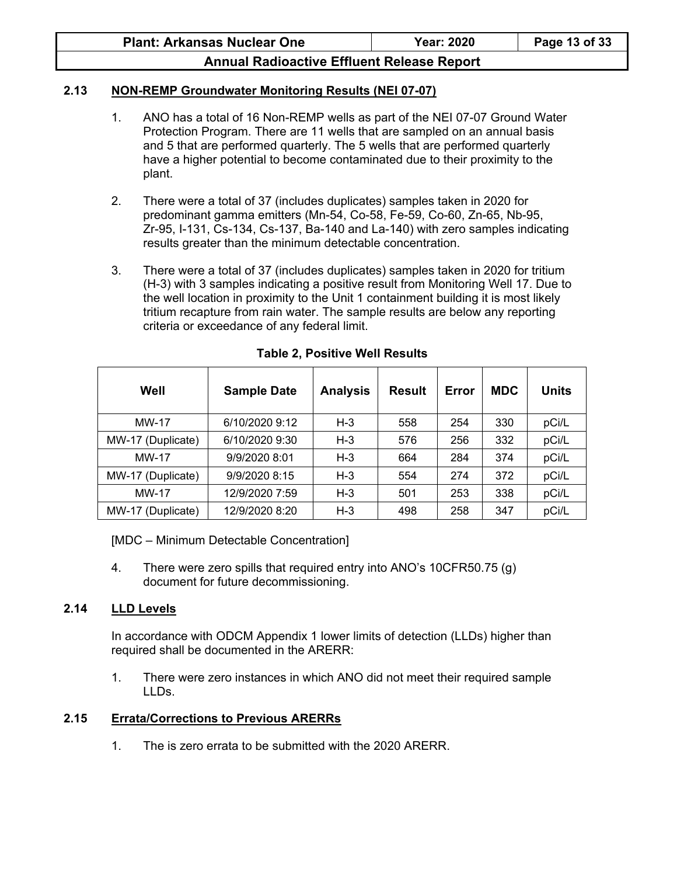#### **2.13 NON-REMP Groundwater Monitoring Results (NEI 07-07)**

- 1. ANO has a total of 16 Non-REMP wells as part of the NEI 07-07 Ground Water Protection Program. There are 11 wells that are sampled on an annual basis and 5 that are performed quarterly. The 5 wells that are performed quarterly have a higher potential to become contaminated due to their proximity to the plant.
- 2. There were a total of 37 (includes duplicates) samples taken in 2020 for predominant gamma emitters (Mn-54, Co-58, Fe-59, Co-60, Zn-65, Nb-95, Zr-95, I-131, Cs-134, Cs-137, Ba-140 and La-140) with zero samples indicating results greater than the minimum detectable concentration.
- 3. There were a total of 37 (includes duplicates) samples taken in 2020 for tritium (H-3) with 3 samples indicating a positive result from Monitoring Well 17. Due to the well location in proximity to the Unit 1 containment building it is most likely tritium recapture from rain water. The sample results are below any reporting criteria or exceedance of any federal limit.

| Well              | <b>Sample Date</b> | <b>Analysis</b> | Result | Error | <b>MDC</b> | Units |
|-------------------|--------------------|-----------------|--------|-------|------------|-------|
| <b>MW-17</b>      | 6/10/2020 9:12     | $H-3$           | 558    | 254   | 330        | pCi/L |
| MW-17 (Duplicate) | 6/10/2020 9:30     | $H-3$           | 576    | 256   | 332        | pCi/L |
| <b>MW-17</b>      | 9/9/2020 8:01      | $H-3$           | 664    | 284   | 374        | pCi/L |
| MW-17 (Duplicate) | 9/9/2020 8:15      | $H-3$           | 554    | 274   | 372        | pCi/L |
| <b>MW-17</b>      | 12/9/2020 7:59     | $H-3$           | 501    | 253   | 338        | pCi/L |
| MW-17 (Duplicate) | 12/9/2020 8:20     | $H-3$           | 498    | 258   | 347        | pCi/L |

#### **Table 2, Positive Well Results**

[MDC – Minimum Detectable Concentration]

4. There were zero spills that required entry into ANO's 10CFR50.75 (g) document for future decommissioning.

### **2.14 LLD Levels**

In accordance with ODCM Appendix 1 lower limits of detection (LLDs) higher than required shall be documented in the ARERR:

1. There were zero instances in which ANO did not meet their required sample LLDs.

### **2.15 Errata/Corrections to Previous ARERRs**

1. The is zero errata to be submitted with the 2020 ARERR.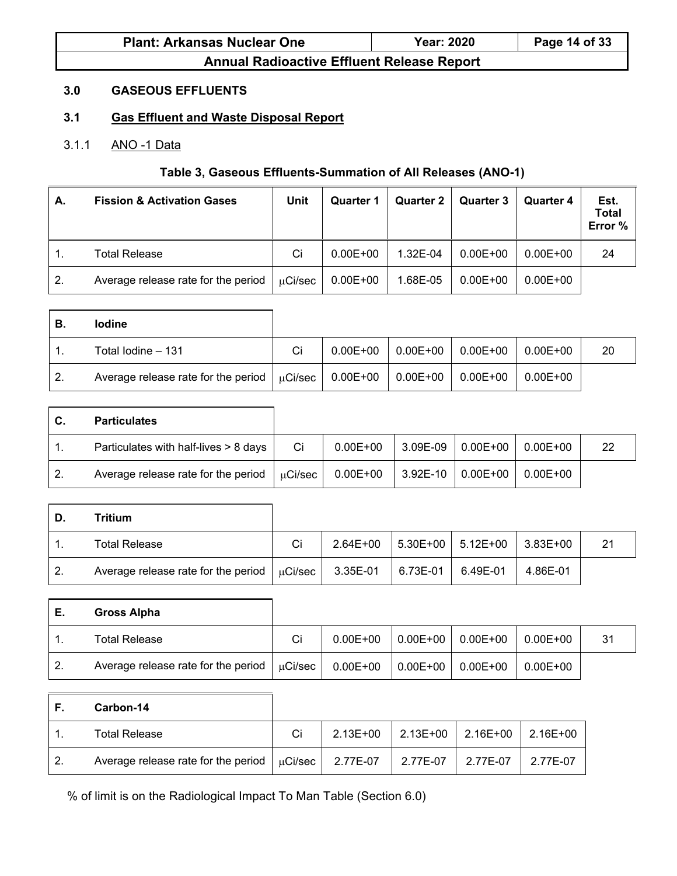| <b>Plant: Arkansas Nuclear One</b> | <b>Year: 2020</b> | Page 14 of 33 |
|------------------------------------|-------------------|---------------|
|                                    |                   |               |

### **3.0 GASEOUS EFFLUENTS**

# **3.1 Gas Effluent and Waste Disposal Report**

### 3.1.1 ANO -1 Data

### **Table 3, Gaseous Effluents-Summation of All Releases (ANO-1)**

| А. | <b>Fission &amp; Activation Gases</b> | <b>Unit</b> | Quarter 1    | Quarter 2 | Quarter 3    | <b>Quarter 4</b> | Est.<br>Total<br>Error % |
|----|---------------------------------------|-------------|--------------|-----------|--------------|------------------|--------------------------|
|    | Total Release                         | Ci          | $0.00E + 00$ | 1.32E-04  | $0.00E + 00$ | $0.00E + 00$     | 24                       |
| 2. | Average release rate for the period   | μCi/sec     | $0.00E + 00$ | 1.68E-05  | $0.00E + 00$ | $0.00E + 00$     |                          |

| В. | <b>lodine</b>                                                                     |    |  |                                      |                 |    |
|----|-----------------------------------------------------------------------------------|----|--|--------------------------------------|-----------------|----|
|    | Total Iodine - 131                                                                | Ci |  | $0.00E+00$   $0.00E+00$   $0.00E+00$ | $\mid$ 0.00E+00 | 20 |
| 2. | Average release rate for the period $\mu$ Ci/sec   0.00E+00   0.00E+00   0.00E+00 |    |  |                                      | l 0.00E+00      |    |

| C.  | <b>Particulates</b>                              |    |              |                       |          |    |
|-----|--------------------------------------------------|----|--------------|-----------------------|----------|----|
|     | Particulates with half-lives > 8 days            | Ci | $0.00E + 00$ | $3.09E-09$ 0.00E+00   | 0.00E+00 | 22 |
| -2. | Average release rate for the period $\mu$ Ci/sec |    | $0.00E + 00$ | $ 3.92E-10 0.00E+00 $ | 0.00E+00 |    |

| D. | Tritium                                          |    |          |                          |                                             |          |    |
|----|--------------------------------------------------|----|----------|--------------------------|---------------------------------------------|----------|----|
|    | <b>Total Release</b>                             | Ci |          |                          | $2.64E+00$   5.30E+00   5.12E+00   3.83E+00 |          | 21 |
| 2. | Average release rate for the period $\mu$ Ci/sec |    | 3.35E-01 | $\mid$ 6.73E-01 6.49E-01 |                                             | 4.86E-01 |    |

| -E. | Gross Alpha                                      |    |              |                  |          |          |    |
|-----|--------------------------------------------------|----|--------------|------------------|----------|----------|----|
|     | Total Release                                    | Ci | $0.00E + 00$ | $  0.00E + 00  $ | 0.00E+00 | 0.00E+00 | 31 |
| 2.  | Average release rate for the period $\mu$ Ci/sec |    | $0.00E + 00$ | $ 0.00E + 00 $   | 0.00E+00 | 0.00E+00 |    |

|    | Carbon-14                                                   |    |              |                   |          |                  |
|----|-------------------------------------------------------------|----|--------------|-------------------|----------|------------------|
|    | <b>Total Release</b>                                        | Ci | $2.13E + 00$ | 2.13E+00 2.16E+00 |          | $\vert$ 2.16E+00 |
| 2. | Average release rate for the period $\mu$ Ci/sec   2.77E-07 |    |              | 2.77E-07          | 2.77E-07 | 2.77E-07         |

% of limit is on the Radiological Impact To Man Table (Section 6.0)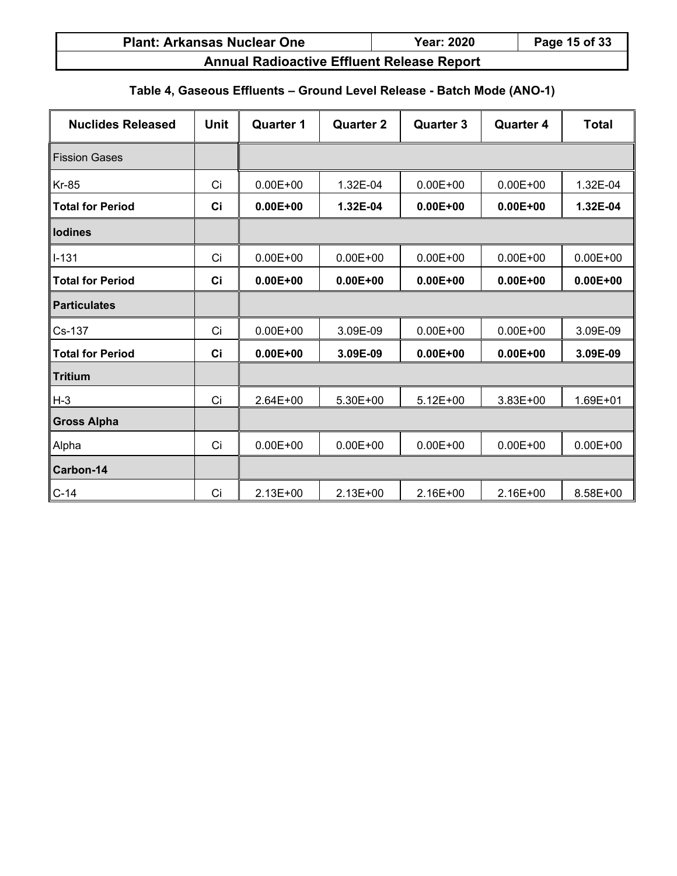| <b>Plant: Arkansas Nuclear One</b>       | <b>Year: 2020</b> | Page 15 of 33 |
|------------------------------------------|-------------------|---------------|
| Apple Dedicative Ffficial Delaces Depart |                   |               |

# **Table 4, Gaseous Effluents – Ground Level Release - Batch Mode (ANO-1)**

| <b>Nuclides Released</b> | <b>Unit</b> | <b>Quarter 1</b> | <b>Quarter 2</b> | <b>Quarter 3</b> | <b>Quarter 4</b> | <b>Total</b> |
|--------------------------|-------------|------------------|------------------|------------------|------------------|--------------|
| <b>Fission Gases</b>     |             |                  |                  |                  |                  |              |
| $Kr-85$                  | Ci          | $0.00E + 00$     | 1.32E-04         | $0.00E + 00$     | $0.00E + 00$     | 1.32E-04     |
| <b>Total for Period</b>  | Ci          | $0.00E + 00$     | 1.32E-04         | $0.00E + 00$     | $0.00E + 00$     | 1.32E-04     |
| lodines                  |             |                  |                  |                  |                  |              |
| $I-131$                  | Ci          | $0.00E + 00$     | $0.00E + 00$     | $0.00E + 00$     | $0.00E + 00$     | $0.00E + 00$ |
| <b>Total for Period</b>  | Ci          | $0.00E + 00$     | $0.00E + 00$     | $0.00E + 00$     | $0.00E + 00$     | $0.00E + 00$ |
| <b>Particulates</b>      |             |                  |                  |                  |                  |              |
| Cs-137                   | Ci          | $0.00E + 00$     | 3.09E-09         | $0.00E + 00$     | $0.00E + 00$     | 3.09E-09     |
| <b>Total for Period</b>  | Ci          | $0.00E + 00$     | 3.09E-09         | $0.00E + 00$     | $0.00E + 00$     | 3.09E-09     |
| <b>Tritium</b>           |             |                  |                  |                  |                  |              |
| $H-3$                    | Ci          | $2.64E + 00$     | 5.30E+00         | $5.12E + 00$     | $3.83E + 00$     | $1.69E + 01$ |
| <b>Gross Alpha</b>       |             |                  |                  |                  |                  |              |
| Alpha                    | Ci          | $0.00E + 00$     | $0.00E + 00$     | $0.00E + 00$     | $0.00E + 00$     | $0.00E + 00$ |
| Carbon-14                |             |                  |                  |                  |                  |              |
| $C-14$                   | Ci          | $2.13E + 00$     | $2.13E+00$       | 2.16E+00         | 2.16E+00         | 8.58E+00     |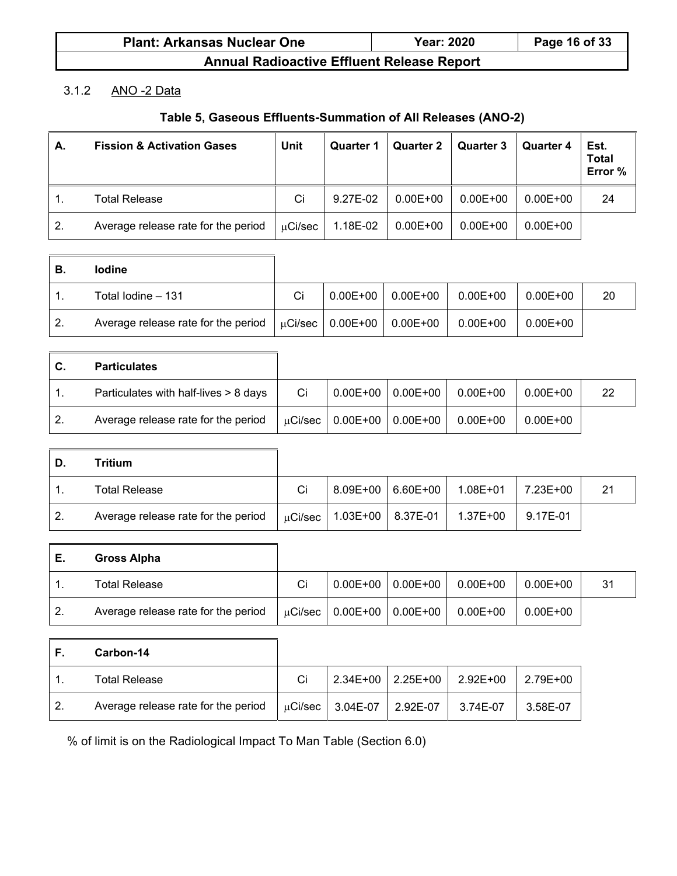| <b>Plant: Arkansas Nuclear One</b>                | <b>Year: 2020</b> | Page 16 of 33 |
|---------------------------------------------------|-------------------|---------------|
| <b>Annual Radioactive Effluent Release Report</b> |                   |               |

### 3.1.2 ANO -2 Data

# **Table 5, Gaseous Effluents-Summation of All Releases (ANO-2)**

| А.               | <b>Fission &amp; Activation Gases</b> | Unit         | Quarter 1 | Quarter 2    | <b>Quarter 3</b> | Quarter 4    | Est.<br><b>Total</b><br>Error % |
|------------------|---------------------------------------|--------------|-----------|--------------|------------------|--------------|---------------------------------|
|                  | <b>Total Release</b>                  | Ci           | 9.27E-02  | $0.00E + 00$ | $0.00E + 00$     | $0.00E + 00$ | 24                              |
| $\overline{2}$ . | Average release rate for the period   | $\mu$ Ci/sec | 1.18E-02  | $0.00E + 00$ | $0.00E + 00$     | $0.00E + 00$ |                                 |

| В. | <b>lodine</b>                                                          |    |                         |              |          |    |
|----|------------------------------------------------------------------------|----|-------------------------|--------------|----------|----|
|    | Total Iodine - 131                                                     | Ci | $0.00E+00$   $0.00E+00$ | $0.00E + 00$ | 0.00E+00 | 20 |
| 2. | Average release rate for the period $\mu$ Ci/sec   0.00E+00   0.00E+00 |    |                         | $0.00E + 00$ | 0.00E+00 |    |

| С. | <b>Particulates</b>                   |    |  |                                                            |              |    |
|----|---------------------------------------|----|--|------------------------------------------------------------|--------------|----|
|    | Particulates with half-lives > 8 days | Ci |  | $\vert 0.00E + 00 \vert 0.00E + 00 \vert 0.00E + 00 \vert$ | l 0.00E+00   | 22 |
|    | Average release rate for the period   |    |  | $\mu$ Ci/sec   0.00E+00   0.00E+00   0.00E+00              | $0.00E + 00$ |    |

| D.  | <b>Tritium</b>                      |  |                                               |                  |    |
|-----|-------------------------------------|--|-----------------------------------------------|------------------|----|
|     | <b>Total Release</b>                |  | 8.09E+00   6.60E+00   1.08E+01                | $17.23E + 00$    | 21 |
| -2. | Average release rate for the period |  | $\mu$ Ci/sec   1.03E+00   8.37E-01   1.37E+00 | $\vert$ 9.17E-01 |    |

| Е.  | Gross Alpha                         |    |                                    |              |              |    |
|-----|-------------------------------------|----|------------------------------------|--------------|--------------|----|
|     | <b>Total Release</b>                | Сi | $0.00E+00$   $0.00E+00$            | $0.00E + 00$ | $0.00E + 00$ | 31 |
| -2. | Average release rate for the period |    | $\mu$ Ci/sec   0.00E+00   0.00E+00 | 0.00E+00     | $0.00E + 00$ |    |

| F. | Carbon-14                           |    |                                    |                                |                      |          |
|----|-------------------------------------|----|------------------------------------|--------------------------------|----------------------|----------|
|    | Total Release                       | Ci |                                    | 2.34E+00   2.25E+00   2.92E+00 |                      | 2.79E+00 |
| 2. | Average release rate for the period |    | $\mu$ Ci/sec   3.04E-07   2.92E-07 |                                | $\parallel$ 3.74E-07 | 3.58E-07 |

% of limit is on the Radiological Impact To Man Table (Section 6.0)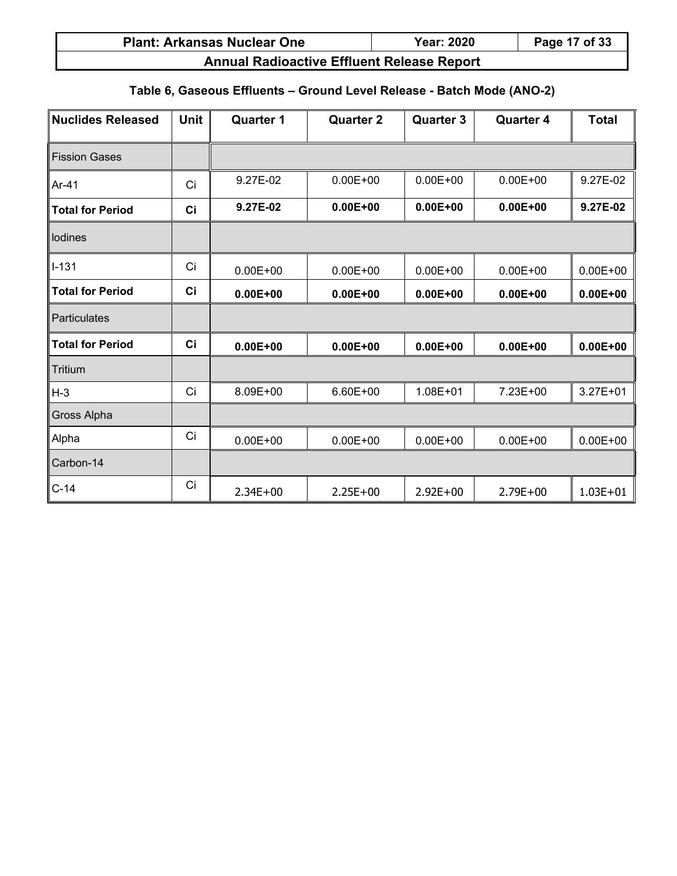| <b>Plant: Arkansas Nuclear One</b>                | <b>Year: 2020</b> | Page 17 of 33 |
|---------------------------------------------------|-------------------|---------------|
| <b>Annual Radioactive Effluent Release Report</b> |                   |               |

# **Table 6, Gaseous Effluents – Ground Level Release - Batch Mode (ANO-2)**

| <b>Nuclides Released</b> | <b>Unit</b> | <b>Quarter 1</b> | <b>Quarter 2</b> | <b>Quarter 3</b> | <b>Quarter 4</b> | <b>Total</b> |
|--------------------------|-------------|------------------|------------------|------------------|------------------|--------------|
| <b>Fission Gases</b>     |             |                  |                  |                  |                  |              |
| Ar-41                    | Ci          | 9.27E-02         | $0.00E + 00$     | $0.00E + 00$     | $0.00E + 00$     | 9.27E-02     |
| <b>Total for Period</b>  | Ci          | 9.27E-02         | $0.00E + 00$     | $0.00E + 00$     | $0.00E + 00$     | 9.27E-02     |
| lodines                  |             |                  |                  |                  |                  |              |
| $I - 131$                | Ci          | $0.00E + 00$     | $0.00E + 00$     | $0.00E + 00$     | $0.00E + 00$     | $0.00E + 00$ |
| <b>Total for Period</b>  | Ci          | $0.00E + 00$     | $0.00E + 00$     | $0.00E + 00$     | $0.00E + 00$     | $0.00E + 00$ |
| Particulates             |             |                  |                  |                  |                  |              |
| <b>Total for Period</b>  | Ci          | $0.00E + 00$     | $0.00E + 00$     | $0.00E + 00$     | $0.00E + 00$     | $0.00E + 00$ |
| <b>Tritium</b>           |             |                  |                  |                  |                  |              |
| $H-3$                    | Ci          | 8.09E+00         | $6.60E + 00$     | 1.08E+01         | 7.23E+00         | $3.27E + 01$ |
| Gross Alpha              |             |                  |                  |                  |                  |              |
| Alpha                    | Ci          | $0.00E + 00$     | $0.00E + 00$     | $0.00E + 00$     | $0.00E + 00$     | $0.00E + 00$ |
| Carbon-14                |             |                  |                  |                  |                  |              |
| $C-14$                   | Ci          | $2.34E + 00$     | $2.25E+00$       | $2.92E+00$       | $2.79E + 00$     | $1.03E + 01$ |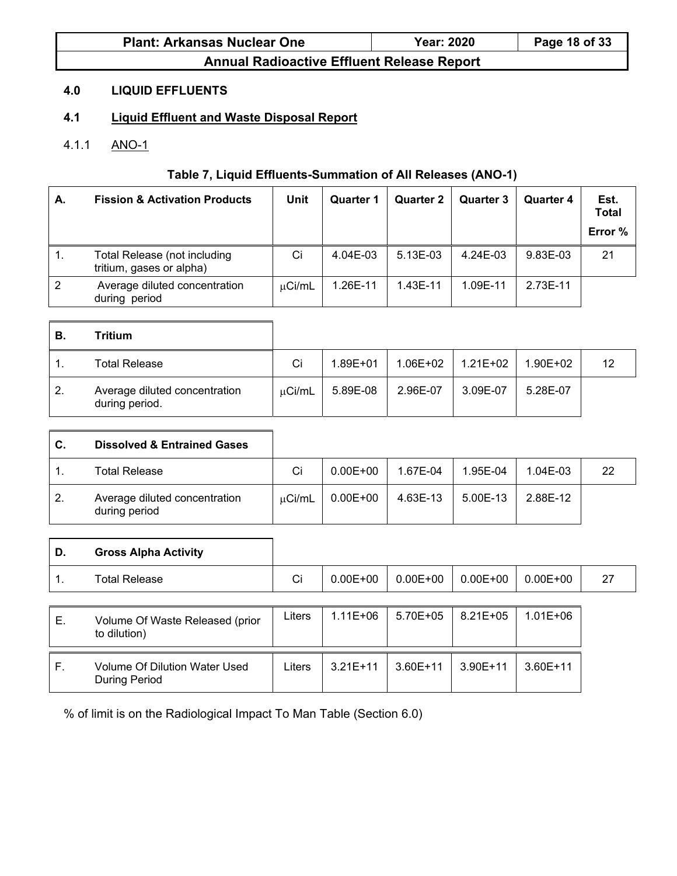| <b>Plant: Arkansas Nuclear One</b> | <b>Year: 2020</b> | Page 18 of 33 |
|------------------------------------|-------------------|---------------|
|                                    |                   |               |

# **4.0 LIQUID EFFLUENTS**

# **4.1 Liquid Effluent and Waste Disposal Report**

# 4.1.1 ANO-1

### **Table 7, Liquid Effluents-Summation of All Releases (ANO-1)**

| А. | <b>Fission &amp; Activation Products</b>                 | Unit        | Quarter 1 | <b>Quarter 2</b> | Quarter 3 | <b>Quarter 4</b> | Est.<br><b>Total</b><br>Error % |
|----|----------------------------------------------------------|-------------|-----------|------------------|-----------|------------------|---------------------------------|
|    | Total Release (not including<br>tritium, gases or alpha) | Ci          | 4.04E-03  | $5.13E-03$       | 4.24E-03  | 9.83E-03         | 21                              |
| 2  | Average diluted concentration<br>during period           | $\mu$ Ci/mL | 1.26E-11  | 1.43E-11         | 1.09E-11  | 2.73E-11         |                                 |

| В.  | Tritium                                         |             |              |          |          |          |    |
|-----|-------------------------------------------------|-------------|--------------|----------|----------|----------|----|
|     | Total Release                                   | Ci          | $1.89E + 01$ | 1.06E+02 | 1.21E+02 | 1.90E+02 | 12 |
| -2. | Average diluted concentration<br>during period. | $\mu$ Ci/mL | 5.89E-08     | 2.96E-07 | 3.09E-07 | 5.28E-07 |    |

| C.           | <b>Dissolved &amp; Entrained Gases</b>         |        |              |          |          |          |    |
|--------------|------------------------------------------------|--------|--------------|----------|----------|----------|----|
|              | Total Release                                  | Ci     | $0.00E + 00$ | 1.67E-04 | 1.95E-04 | 1.04E-03 | 22 |
| $\mathbf{2}$ | Average diluted concentration<br>during period | µCi/mL | $0.00E + 00$ | 4.63E-13 | 5.00E-13 | 2.88E-12 |    |

| D. | <b>Gross Alpha Activity</b>                           |        |              |               |              |              |    |
|----|-------------------------------------------------------|--------|--------------|---------------|--------------|--------------|----|
| 1. | <b>Total Release</b>                                  | Ci     | $0.00E + 00$ | $0.00E + 00$  | $0.00E + 00$ | $0.00E + 00$ | 27 |
|    |                                                       |        |              |               |              |              |    |
| Е. | Volume Of Waste Released (prior<br>to dilution)       | Liters | $1.11E + 06$ | $5.70E + 0.5$ | $8.21E + 05$ | $1.01E + 06$ |    |
| F. | Volume Of Dilution Water Used<br><b>During Period</b> | Liters | $3.21E+11$   | $3.60E+11$    | $3.90E+11$   | $3.60E+11$   |    |

% of limit is on the Radiological Impact To Man Table (Section 6.0)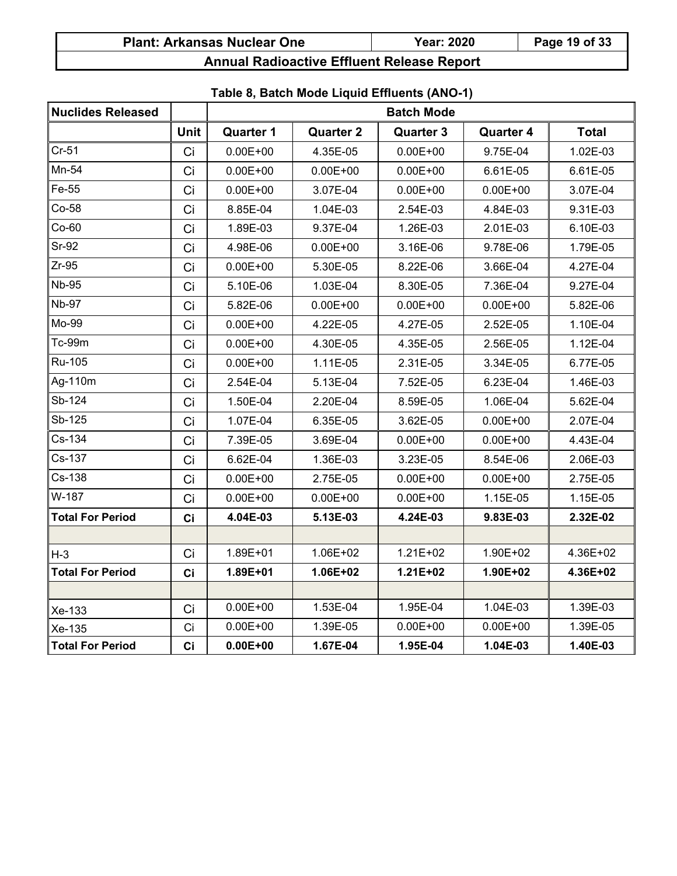| <b>Plant: Arkansas Nuclear One</b> | <b>Year: 2020</b> | Page 19 of 33 |
|------------------------------------|-------------------|---------------|
|------------------------------------|-------------------|---------------|

| <b>Nuclides Released</b> |      |                  |                  | <b>Batch Mode</b> |                  |              |
|--------------------------|------|------------------|------------------|-------------------|------------------|--------------|
|                          | Unit | <b>Quarter 1</b> | <b>Quarter 2</b> | <b>Quarter 3</b>  | <b>Quarter 4</b> | <b>Total</b> |
| $Cr-51$                  | Ci   | $0.00E + 00$     | 4.35E-05         | $0.00E + 00$      | 9.75E-04         | 1.02E-03     |
| Mn-54                    | Ci   | $0.00E + 00$     | $0.00E + 00$     | $0.00E + 00$      | 6.61E-05         | 6.61E-05     |
| Fe-55                    | Ci   | $0.00E + 00$     | 3.07E-04         | $0.00E + 00$      | $0.00E + 00$     | 3.07E-04     |
| Co-58                    | Ci   | 8.85E-04         | 1.04E-03         | 2.54E-03          | 4.84E-03         | 9.31E-03     |
| $Co-60$                  | Ci   | 1.89E-03         | 9.37E-04         | 1.26E-03          | 2.01E-03         | 6.10E-03     |
| $Sr-92$                  | Ci   | 4.98E-06         | $0.00E + 00$     | 3.16E-06          | 9.78E-06         | 1.79E-05     |
| $Zr-95$                  | Ci   | $0.00E + 00$     | 5.30E-05         | 8.22E-06          | 3.66E-04         | 4.27E-04     |
| <b>Nb-95</b>             | Ci   | 5.10E-06         | 1.03E-04         | 8.30E-05          | 7.36E-04         | 9.27E-04     |
| <b>Nb-97</b>             | Ci   | 5.82E-06         | $0.00E + 00$     | $0.00E + 00$      | $0.00E + 00$     | 5.82E-06     |
| Mo-99                    | Ci   | $0.00E + 00$     | 4.22E-05         | 4.27E-05          | 2.52E-05         | 1.10E-04     |
| Tc-99m                   | Ci   | $0.00E + 00$     | 4.30E-05         | 4.35E-05          | 2.56E-05         | 1.12E-04     |
| Ru-105                   | Ci   | $0.00E + 00$     | 1.11E-05         | 2.31E-05          | 3.34E-05         | 6.77E-05     |
| Ag-110m                  | Ci   | 2.54E-04         | 5.13E-04         | 7.52E-05          | 6.23E-04         | 1.46E-03     |
| Sb-124                   | Ci   | 1.50E-04         | 2.20E-04         | 8.59E-05          | 1.06E-04         | 5.62E-04     |
| Sb-125                   | Ci   | 1.07E-04         | 6.35E-05         | 3.62E-05          | $0.00E + 00$     | 2.07E-04     |
| Cs-134                   | Ci   | 7.39E-05         | 3.69E-04         | $0.00E + 00$      | $0.00E + 00$     | 4.43E-04     |
| Cs-137                   | Ci   | 6.62E-04         | 1.36E-03         | 3.23E-05          | 8.54E-06         | 2.06E-03     |
| Cs-138                   | Ci   | $0.00E + 00$     | 2.75E-05         | $0.00E + 00$      | $0.00E + 00$     | 2.75E-05     |
| W-187                    | Ci   | $0.00E + 00$     | $0.00E + 00$     | $0.00E + 00$      | 1.15E-05         | 1.15E-05     |
| <b>Total For Period</b>  | Ci   | 4.04E-03         | 5.13E-03         | 4.24E-03          | 9.83E-03         | 2.32E-02     |
|                          |      |                  |                  |                   |                  |              |
| $H-3$                    | Ci   | 1.89E+01         | 1.06E+02         | $1.21E + 02$      | 1.90E+02         | 4.36E+02     |
| <b>Total For Period</b>  | Ci   | 1.89E+01         | 1.06E+02         | $1.21E + 02$      | 1.90E+02         | 4.36E+02     |
|                          |      |                  |                  |                   |                  |              |
| Xe-133                   | Ci   | $0.00E + 00$     | 1.53E-04         | 1.95E-04          | 1.04E-03         | 1.39E-03     |
| Xe-135                   | Ci   | $0.00E + 00$     | 1.39E-05         | $0.00E + 00$      | $0.00E + 00$     | 1.39E-05     |
| <b>Total For Period</b>  | Ci   | $0.00E + 00$     | 1.67E-04         | 1.95E-04          | 1.04E-03         | 1.40E-03     |

# **Table 8, Batch Mode Liquid Effluents (ANO-1)**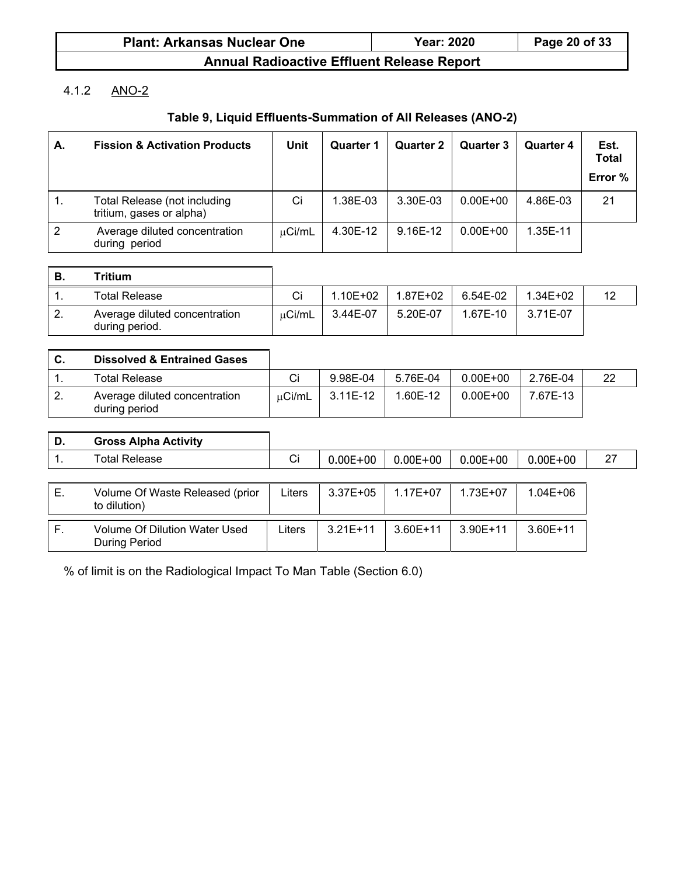| <b>Plant: Arkansas Nuclear One</b>                   | <b>Year: 2020</b> | Page 20 of 33 |
|------------------------------------------------------|-------------------|---------------|
| Americal Basilian office Fifteenat Balances, Barrant |                   |               |

# 4.1.2 ANO-2

# **Table 9, Liquid Effluents-Summation of All Releases (ANO-2)**

| А. | <b>Fission &amp; Activation Products</b>                        | Unit        | <b>Quarter 1</b> | <b>Quarter 2</b> | <b>Quarter 3</b> | Quarter 4 | Est.<br><b>Total</b><br>Error % |
|----|-----------------------------------------------------------------|-------------|------------------|------------------|------------------|-----------|---------------------------------|
|    | <b>Total Release (not including</b><br>tritium, gases or alpha) | Ci          | 1.38E-03         | 3.30E-03         | $0.00E + 00$     | 4.86E-03  | 21                              |
| 2  | Average diluted concentration<br>during period                  | $\mu$ Ci/mL | 4.30E-12         | 9.16E-12         | $0.00E + 00$     | 1.35E-11  |                                 |

| В. | <b>Tritium</b>                                  |        |             |          |          |              |  |
|----|-------------------------------------------------|--------|-------------|----------|----------|--------------|--|
|    | <b>Total Release</b>                            | Ci     | $.10E + 02$ | 1.87E+02 | 6.54E-02 | $1.34E + 02$ |  |
| 2. | Average diluted concentration<br>during period. | μCi/mL | 3.44E-07    | 5.20E-07 | 1.67E-10 | 3.71E-07     |  |

| C. | <b>Dissolved &amp; Entrained Gases</b>         |        |          |          |              |          |  |
|----|------------------------------------------------|--------|----------|----------|--------------|----------|--|
|    | Total Release                                  |        | 9.98E-04 | 5.76E-04 | $0.00E + 00$ | 2.76E-04 |  |
|    | Average diluted concentration<br>during period | uCi/mL | 3.11E-12 | 1.60E-12 | $0.00E + 00$ | 7.67E-13 |  |

| D. | <b>Gross Alpha Activity</b>                           |        |              |              |              |              |    |
|----|-------------------------------------------------------|--------|--------------|--------------|--------------|--------------|----|
|    | <b>Total Release</b>                                  | Ci     | $0.00E + 00$ | $0.00E + 00$ | $0.00E + 00$ | $0.00E + 00$ | 27 |
|    |                                                       |        |              |              |              |              |    |
| Е. | Volume Of Waste Released (prior<br>to dilution)       | Liters | $3.37E + 05$ | $1.17E + 07$ | $1.73E + 07$ | 1.04E+06     |    |
|    |                                                       |        |              |              |              |              |    |
| F. | Volume Of Dilution Water Used<br><b>During Period</b> | Liters | $3.21E+11$   | $3.60E + 11$ | $3.90E+11$   | $3.60E+11$   |    |

% of limit is on the Radiological Impact To Man Table (Section 6.0)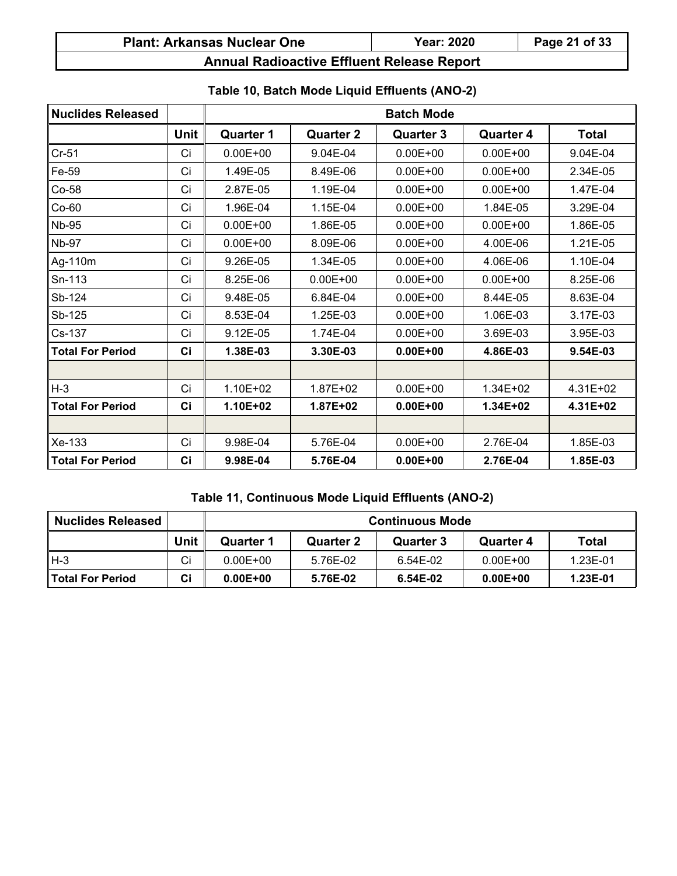| <b>Plant: Arkansas Nuclear One</b> | <b>Year: 2020</b> | Page 21 of 33 |
|------------------------------------|-------------------|---------------|
|------------------------------------|-------------------|---------------|

| <b>Nuclides Released</b> |             | <b>Batch Mode</b> |                  |                  |                  |              |
|--------------------------|-------------|-------------------|------------------|------------------|------------------|--------------|
|                          | <b>Unit</b> | <b>Quarter 1</b>  | <b>Quarter 2</b> | <b>Quarter 3</b> | <b>Quarter 4</b> | <b>Total</b> |
| $Cr-51$                  | Ci          | $0.00E + 00$      | 9.04E-04         | $0.00E + 00$     | $0.00E + 00$     | 9.04E-04     |
| Fe-59                    | Ci          | 1.49E-05          | 8.49E-06         | $0.00E + 00$     | $0.00E + 00$     | 2.34E-05     |
| $Co-58$                  | Ci          | 2.87E-05          | 1.19E-04         | $0.00E + 00$     | $0.00E + 00$     | 1.47E-04     |
| $Co-60$                  | Ci          | 1.96E-04          | 1.15E-04         | $0.00E + 00$     | 1.84E-05         | 3.29E-04     |
| <b>Nb-95</b>             | Ci          | $0.00E + 00$      | 1.86E-05         | $0.00E + 00$     | $0.00E + 00$     | 1.86E-05     |
| <b>Nb-97</b>             | Ci          | $0.00E + 00$      | 8.09E-06         | $0.00E + 00$     | 4.00E-06         | 1.21E-05     |
| Ag-110m                  | Ci          | 9.26E-05          | 1.34E-05         | $0.00E + 00$     | 4.06E-06         | 1.10E-04     |
| Sn-113                   | Ci          | 8.25E-06          | $0.00E + 00$     | $0.00E + 00$     | $0.00E + 00$     | 8.25E-06     |
| Sb-124                   | Ci          | 9.48E-05          | 6.84E-04         | $0.00E + 00$     | 8.44E-05         | 8.63E-04     |
| Sb-125                   | Ci          | 8.53E-04          | 1.25E-03         | $0.00E + 00$     | 1.06E-03         | 3.17E-03     |
| Cs-137                   | Ci          | 9.12E-05          | 1.74E-04         | $0.00E + 00$     | 3.69E-03         | 3.95E-03     |
| <b>Total For Period</b>  | Ci          | 1.38E-03          | 3.30E-03         | $0.00E + 00$     | 4.86E-03         | 9.54E-03     |
|                          |             |                   |                  |                  |                  |              |
| $H-3$                    | Ci          | $1.10E + 02$      | 1.87E+02         | $0.00E + 00$     | $1.34E + 02$     | $4.31E + 02$ |
| <b>Total For Period</b>  | Ci          | $1.10E + 02$      | 1.87E+02         | $0.00E + 00$     | 1.34E+02         | 4.31E+02     |
|                          |             |                   |                  |                  |                  |              |
| Xe-133                   | Ci          | 9.98E-04          | 5.76E-04         | $0.00E + 00$     | 2.76E-04         | 1.85E-03     |
| <b>Total For Period</b>  | Ci          | 9.98E-04          | 5.76E-04         | $0.00E + 00$     | 2.76E-04         | 1.85E-03     |

# **Table 10, Batch Mode Liquid Effluents (ANO-2)**

### **Table 11, Continuous Mode Liquid Effluents (ANO-2)**

| <b>Nuclides Released</b> |      | <b>Continuous Mode</b> |           |           |              |          |  |
|--------------------------|------|------------------------|-----------|-----------|--------------|----------|--|
|                          | Unit | Quarter 1              | Quarter 2 | Quarter 3 | Quarter 4    | Total    |  |
| H-3                      | Сi   | $0.00E + 00$           | 5.76E-02  | 6.54E-02  | $0.00E + 00$ | 1.23E-01 |  |
| l Total For Period       | Сi   | $0.00E + 00$           | 5.76E-02  | 6.54E-02  | $0.00E + 00$ | 1.23E-01 |  |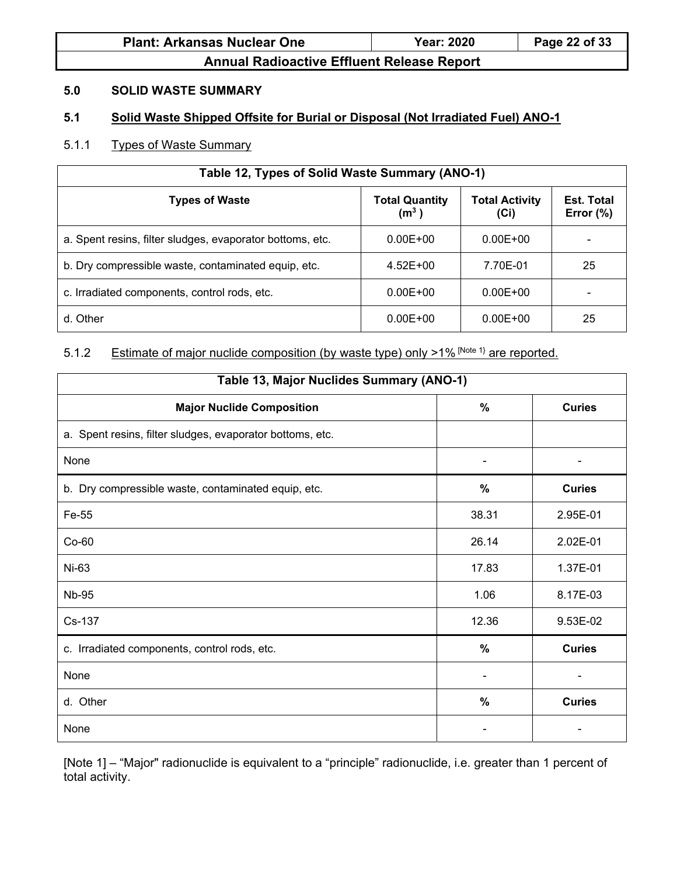| <b>Plant: Arkansas Nuclear One</b>                | <b>Year: 2020</b> | Page 22 of 33 |
|---------------------------------------------------|-------------------|---------------|
| <b>Annual Radioactive Effluent Release Report</b> |                   |               |

#### **5.0 SOLID WASTE SUMMARY**

### **5.1 Solid Waste Shipped Offsite for Burial or Disposal (Not Irradiated Fuel) ANO-1**

# 5.1.1 Types of Waste Summary

| Table 12, Types of Solid Waste Summary (ANO-1)                                                                                            |              |              |    |  |  |  |
|-------------------------------------------------------------------------------------------------------------------------------------------|--------------|--------------|----|--|--|--|
| <b>Total Activity</b><br><b>Types of Waste</b><br><b>Total Quantity</b><br><b>Est. Total</b><br>(m <sup>3</sup> )<br>Error $(\%)$<br>(Ci) |              |              |    |  |  |  |
| a. Spent resins, filter sludges, evaporator bottoms, etc.                                                                                 | $0.00E + 00$ | $0.00E + 00$ |    |  |  |  |
| b. Dry compressible waste, contaminated equip, etc.                                                                                       | $4.52E + 00$ | 7.70E-01     | 25 |  |  |  |
| c. Irradiated components, control rods, etc.                                                                                              | $0.00E + 00$ | $0.00E + 00$ |    |  |  |  |
| d. Other                                                                                                                                  | $0.00E + 00$ | $0.00E + 00$ | 25 |  |  |  |

# 5.1.2 Estimate of major nuclide composition (by waste type) only >1% [Note 1} are reported.

| Table 13, Major Nuclides Summary (ANO-1)                  |               |                |  |  |  |  |
|-----------------------------------------------------------|---------------|----------------|--|--|--|--|
| <b>Major Nuclide Composition</b>                          | %             | <b>Curies</b>  |  |  |  |  |
| a. Spent resins, filter sludges, evaporator bottoms, etc. |               |                |  |  |  |  |
| None                                                      |               |                |  |  |  |  |
| b. Dry compressible waste, contaminated equip, etc.       | $\%$          | <b>Curies</b>  |  |  |  |  |
| Fe-55                                                     | 38.31         | 2.95E-01       |  |  |  |  |
| $Co-60$                                                   | 26.14         | 2.02E-01       |  |  |  |  |
| Ni-63                                                     | 17.83         | 1.37E-01       |  |  |  |  |
| <b>Nb-95</b>                                              | 1.06          | 8.17E-03       |  |  |  |  |
| Cs-137                                                    | 12.36         | 9.53E-02       |  |  |  |  |
| c. Irradiated components, control rods, etc.              | %             | <b>Curies</b>  |  |  |  |  |
| None                                                      |               | $\blacksquare$ |  |  |  |  |
| d. Other                                                  | $\frac{0}{0}$ | <b>Curies</b>  |  |  |  |  |
| None                                                      |               |                |  |  |  |  |

[Note 1] – "Major" radionuclide is equivalent to a "principle" radionuclide, i.e. greater than 1 percent of total activity.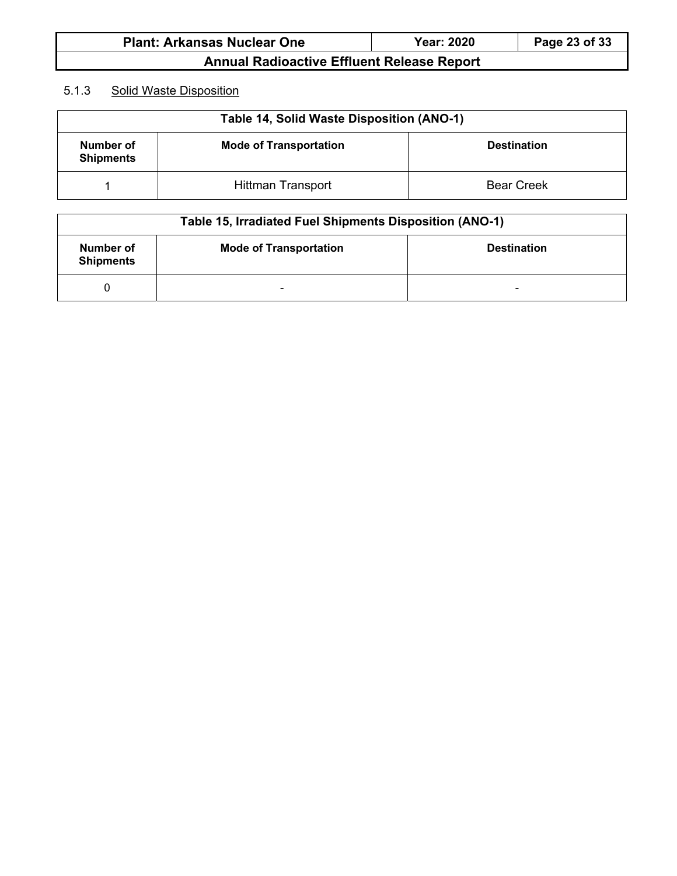| <b>Plant: Arkansas Nuclear One</b>                | <b>Year: 2020</b> | Page 23 of 33 |
|---------------------------------------------------|-------------------|---------------|
| <b>Annual Radioactive Effluent Release Report</b> |                   |               |

### 5.1.3 Solid Waste Disposition

| Table 14, Solid Waste Disposition (ANO-1) |                               |                    |  |  |  |  |
|-------------------------------------------|-------------------------------|--------------------|--|--|--|--|
| Number of<br><b>Shipments</b>             | <b>Mode of Transportation</b> | <b>Destination</b> |  |  |  |  |
|                                           | <b>Hittman Transport</b>      | <b>Bear Creek</b>  |  |  |  |  |

| Table 15, Irradiated Fuel Shipments Disposition (ANO-1) |                               |                    |  |  |  |  |
|---------------------------------------------------------|-------------------------------|--------------------|--|--|--|--|
| Number of<br><b>Shipments</b>                           | <b>Mode of Transportation</b> | <b>Destination</b> |  |  |  |  |
|                                                         | $\overline{\phantom{0}}$      | $\blacksquare$     |  |  |  |  |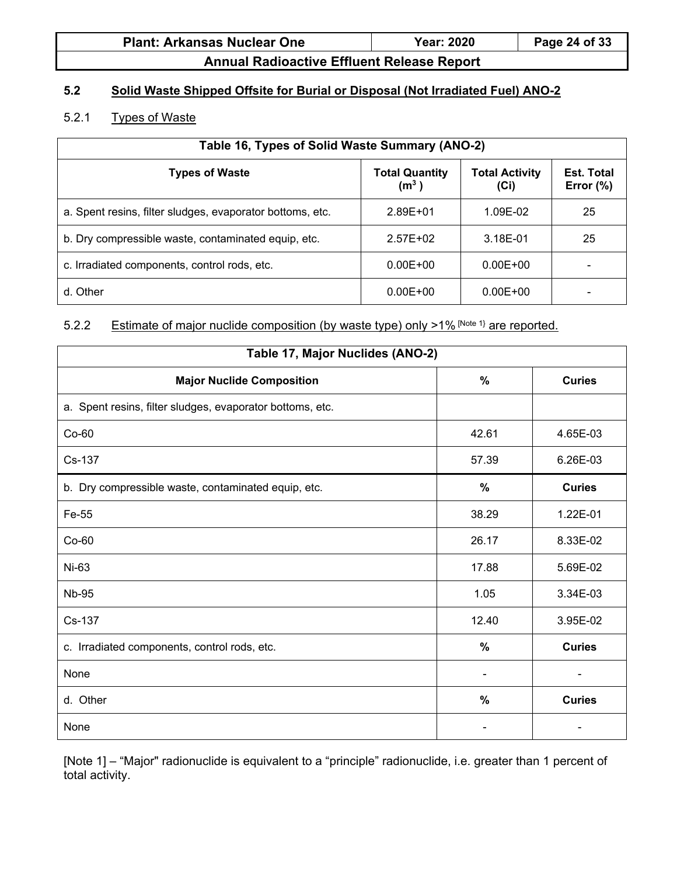| <b>Plant: Arkansas Nuclear One</b> | <b>Year: 2020</b> | Page 24 of 33 |
|------------------------------------|-------------------|---------------|
|------------------------------------|-------------------|---------------|

# **5.2 Solid Waste Shipped Offsite for Burial or Disposal (Not Irradiated Fuel) ANO-2**

### 5.2.1 Types of Waste

| Table 16, Types of Solid Waste Summary (ANO-2)            |                                            |                               |                                   |  |  |  |
|-----------------------------------------------------------|--------------------------------------------|-------------------------------|-----------------------------------|--|--|--|
| <b>Types of Waste</b>                                     | <b>Total Quantity</b><br>(m <sup>3</sup> ) | <b>Total Activity</b><br>(Ci) | <b>Est. Total</b><br>Error $(\%)$ |  |  |  |
| a. Spent resins, filter sludges, evaporator bottoms, etc. | $2.89E + 01$                               | 1.09E-02                      | 25                                |  |  |  |
| b. Dry compressible waste, contaminated equip, etc.       | $2.57E+02$                                 | 3.18E-01                      | 25                                |  |  |  |
| c. Irradiated components, control rods, etc.              | $0.00E + 00$                               | $0.00E + 00$                  |                                   |  |  |  |
| d. Other                                                  | $0.00E + 00$                               | $0.00E + 00$                  |                                   |  |  |  |

# 5.2.2 Estimate of major nuclide composition (by waste type) only >1% [Note 1} are reported.

| Table 17, Major Nuclides (ANO-2)                          |       |               |  |
|-----------------------------------------------------------|-------|---------------|--|
| <b>Major Nuclide Composition</b>                          | $\%$  | <b>Curies</b> |  |
| a. Spent resins, filter sludges, evaporator bottoms, etc. |       |               |  |
| $Co-60$                                                   | 42.61 | 4.65E-03      |  |
| Cs-137                                                    | 57.39 | 6.26E-03      |  |
| b. Dry compressible waste, contaminated equip, etc.       | $\%$  | <b>Curies</b> |  |
| Fe-55                                                     | 38.29 | 1.22E-01      |  |
| $Co-60$                                                   | 26.17 | 8.33E-02      |  |
| Ni-63                                                     | 17.88 | 5.69E-02      |  |
| <b>Nb-95</b>                                              | 1.05  | 3.34E-03      |  |
| Cs-137                                                    | 12.40 | 3.95E-02      |  |
| c. Irradiated components, control rods, etc.              | $\%$  | <b>Curies</b> |  |
| None                                                      |       |               |  |
| d. Other                                                  | $\%$  | <b>Curies</b> |  |
| None                                                      |       |               |  |

[Note 1] – "Major" radionuclide is equivalent to a "principle" radionuclide, i.e. greater than 1 percent of total activity.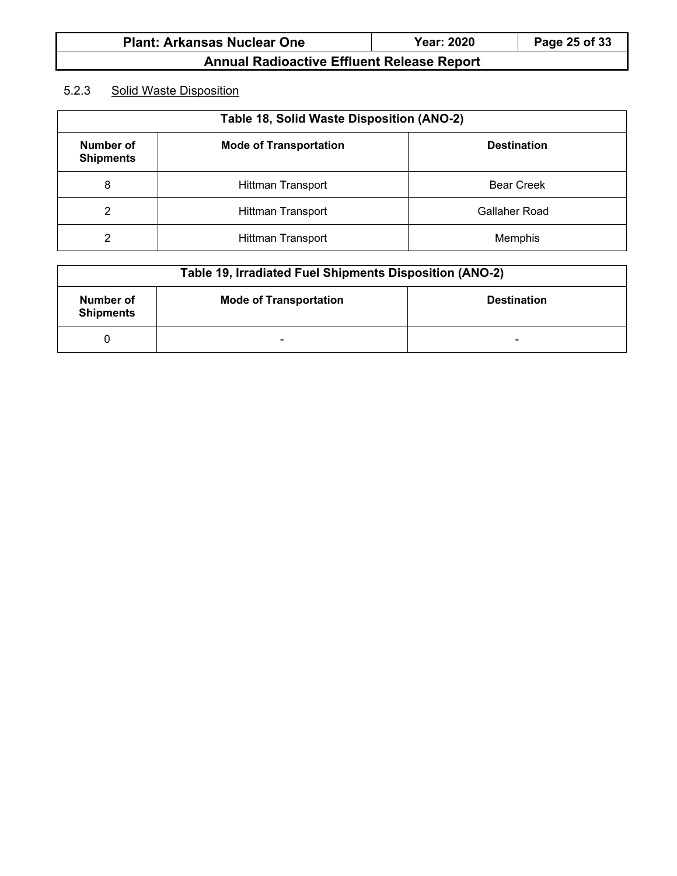| <b>Plant: Arkansas Nuclear One</b> | <b>Year: 2020</b> | Page 25 of 33 |
|------------------------------------|-------------------|---------------|
|                                    |                   |               |

# 5.2.3 Solid Waste Disposition

| Table 18, Solid Waste Disposition (ANO-2)                                                   |                          |                   |  |
|---------------------------------------------------------------------------------------------|--------------------------|-------------------|--|
| <b>Number of</b><br><b>Mode of Transportation</b><br><b>Destination</b><br><b>Shipments</b> |                          |                   |  |
| 8                                                                                           | <b>Hittman Transport</b> | <b>Bear Creek</b> |  |
| 2                                                                                           | Hittman Transport        | Gallaher Road     |  |
| $\overline{2}$                                                                              | <b>Hittman Transport</b> | Memphis           |  |

| Table 19, Irradiated Fuel Shipments Disposition (ANO-2) |                               |                          |  |
|---------------------------------------------------------|-------------------------------|--------------------------|--|
| Number of<br><b>Shipments</b>                           | <b>Mode of Transportation</b> | <b>Destination</b>       |  |
|                                                         | $\overline{\phantom{a}}$      | $\overline{\phantom{0}}$ |  |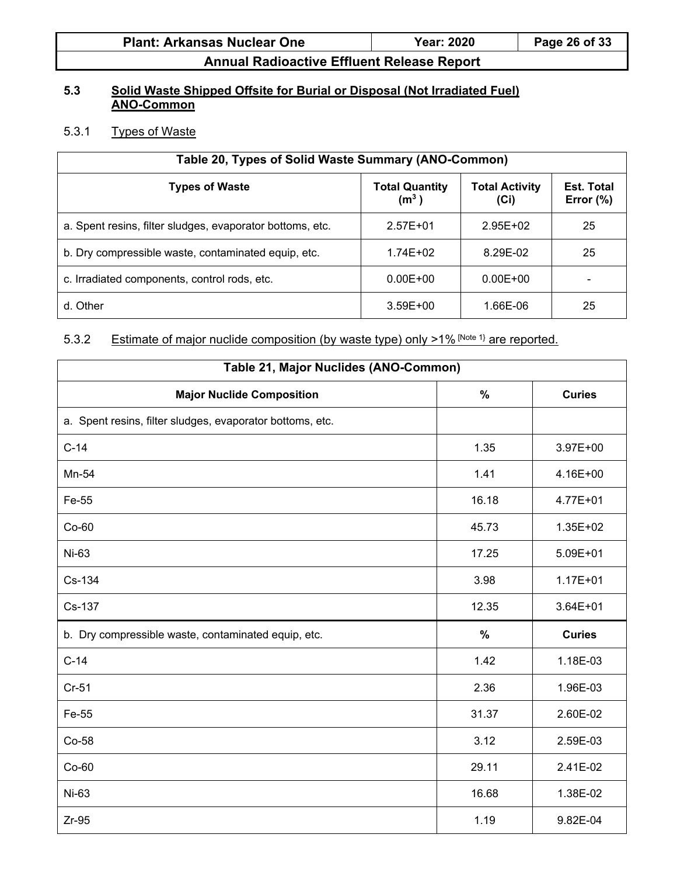| <b>Plant: Arkansas Nuclear One</b> | <b>Year: 2020</b> | Page 26 of 33 |
|------------------------------------|-------------------|---------------|
|------------------------------------|-------------------|---------------|

### **5.3 Solid Waste Shipped Offsite for Burial or Disposal (Not Irradiated Fuel) ANO-Common**

# 5.3.1 Types of Waste

| Table 20, Types of Solid Waste Summary (ANO-Common)                                                                                |              |              |    |  |  |
|------------------------------------------------------------------------------------------------------------------------------------|--------------|--------------|----|--|--|
| <b>Types of Waste</b><br><b>Total Quantity</b><br><b>Total Activity</b><br>Est. Total<br>(m <sup>3</sup> )<br>Error $(\%)$<br>(Ci) |              |              |    |  |  |
| a. Spent resins, filter sludges, evaporator bottoms, etc.                                                                          | $2.57E + 01$ | $2.95E + 02$ | 25 |  |  |
| b. Dry compressible waste, contaminated equip, etc.                                                                                | $1.74E + 02$ | 8.29E-02     | 25 |  |  |
| c. Irradiated components, control rods, etc.                                                                                       | $0.00E + 00$ | $0.00E + 00$ |    |  |  |
| d. Other                                                                                                                           | $3.59E + 00$ | 1.66E-06     | 25 |  |  |

### 5.3.2 Estimate of major nuclide composition (by waste type) only >1% [Note 1} are reported.

| Table 21, Major Nuclides (ANO-Common)                     |       |               |  |
|-----------------------------------------------------------|-------|---------------|--|
| <b>Major Nuclide Composition</b>                          | $\%$  | <b>Curies</b> |  |
| a. Spent resins, filter sludges, evaporator bottoms, etc. |       |               |  |
| $C-14$                                                    | 1.35  | 3.97E+00      |  |
| Mn-54                                                     | 1.41  | 4.16E+00      |  |
| Fe-55                                                     | 16.18 | 4.77E+01      |  |
| $Co-60$                                                   | 45.73 | 1.35E+02      |  |
| Ni-63                                                     | 17.25 | 5.09E+01      |  |
| Cs-134                                                    | 3.98  | $1.17E + 01$  |  |
| Cs-137                                                    | 12.35 | $3.64E + 01$  |  |
| b. Dry compressible waste, contaminated equip, etc.       | $\%$  | <b>Curies</b> |  |
| $C-14$                                                    | 1.42  | 1.18E-03      |  |
| $Cr-51$                                                   | 2.36  | 1.96E-03      |  |
| Fe-55                                                     | 31.37 | 2.60E-02      |  |
| Co-58                                                     | 3.12  | 2.59E-03      |  |
| $Co-60$                                                   | 29.11 | 2.41E-02      |  |
| Ni-63                                                     | 16.68 | 1.38E-02      |  |
| $Zr-95$                                                   | 1.19  | 9.82E-04      |  |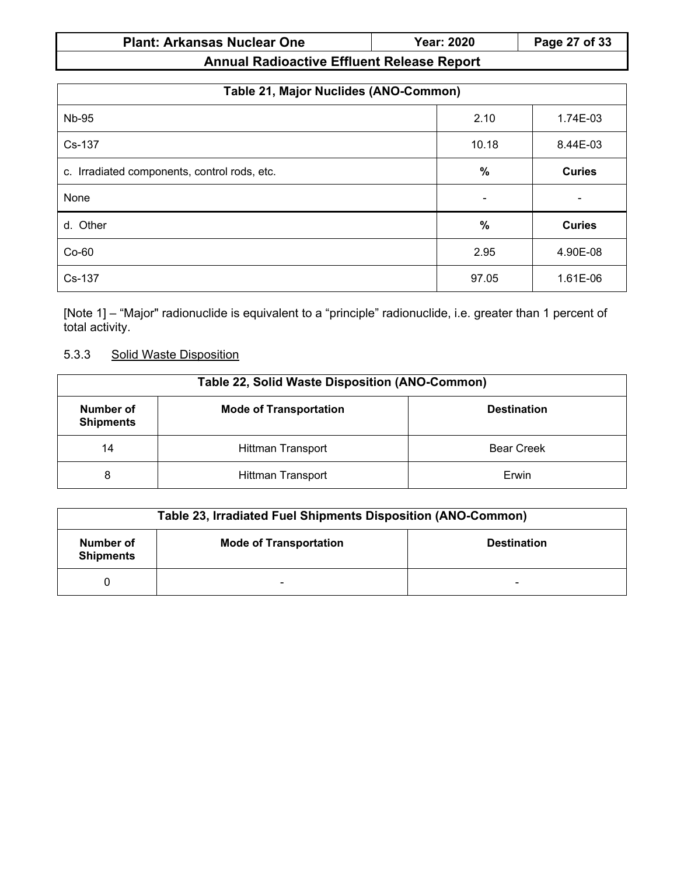# **Plant: Arkansas Nuclear One Year: 2020 Page 27 of 33**

**Annual Radioactive Effluent Release Report**

| Table 21, Major Nuclides (ANO-Common)        |                          |               |  |
|----------------------------------------------|--------------------------|---------------|--|
| <b>Nb-95</b>                                 | 2.10                     | 1.74E-03      |  |
| Cs-137                                       | 10.18                    | 8.44E-03      |  |
| c. Irradiated components, control rods, etc. | $\%$                     | <b>Curies</b> |  |
| None                                         | $\overline{\phantom{0}}$ |               |  |
| d. Other                                     | %                        | <b>Curies</b> |  |
| $Co-60$                                      | 2.95                     | 4.90E-08      |  |
| Cs-137                                       | 97.05                    | 1.61E-06      |  |

[Note 1] – "Major" radionuclide is equivalent to a "principle" radionuclide, i.e. greater than 1 percent of total activity.

### 5.3.3 Solid Waste Disposition

| <b>Table 22, Solid Waste Disposition (ANO-Common)</b>                                |                          |                   |  |  |
|--------------------------------------------------------------------------------------|--------------------------|-------------------|--|--|
| Number of<br><b>Mode of Transportation</b><br><b>Destination</b><br><b>Shipments</b> |                          |                   |  |  |
| 14                                                                                   | <b>Hittman Transport</b> | <b>Bear Creek</b> |  |  |
| 8                                                                                    | Hittman Transport        | Erwin             |  |  |

| Table 23, Irradiated Fuel Shipments Disposition (ANO-Common) |                               |                          |  |
|--------------------------------------------------------------|-------------------------------|--------------------------|--|
| Number of<br><b>Shipments</b>                                | <b>Mode of Transportation</b> | <b>Destination</b>       |  |
|                                                              | -                             | $\overline{\phantom{0}}$ |  |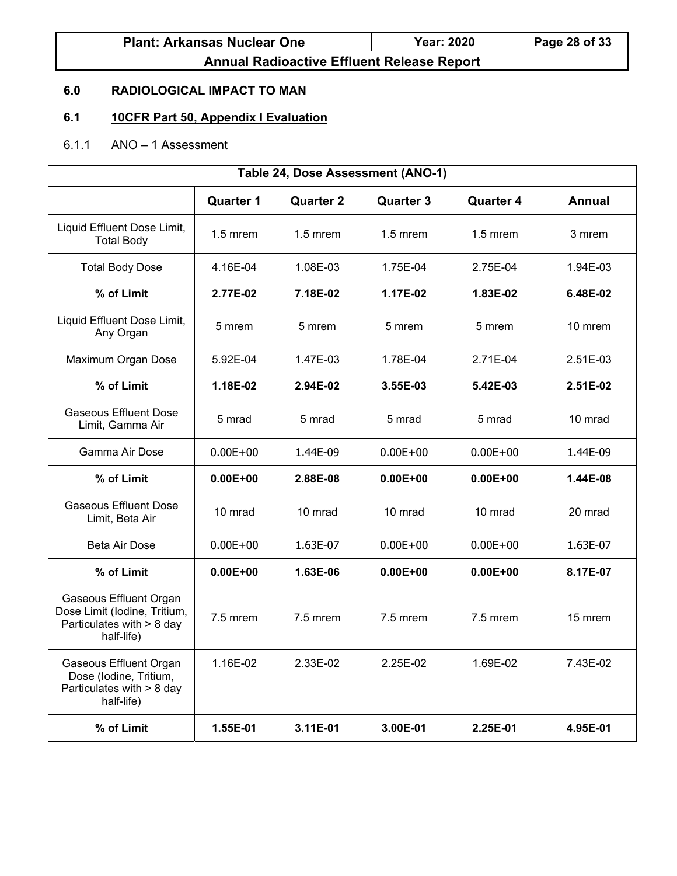| <b>Plant: Arkansas Nuclear One</b> | <b>Year: 2020</b> | Page 28 of 33 |
|------------------------------------|-------------------|---------------|
|------------------------------------|-------------------|---------------|

# **6.0 RADIOLOGICAL IMPACT TO MAN**

# **6.1 10CFR Part 50, Appendix I Evaluation**

# 6.1.1  $ANO - 1$  Assessment

| Table 24, Dose Assessment (ANO-1)                                                                        |                  |                  |                  |                  |               |
|----------------------------------------------------------------------------------------------------------|------------------|------------------|------------------|------------------|---------------|
|                                                                                                          | <b>Quarter 1</b> | <b>Quarter 2</b> | <b>Quarter 3</b> | <b>Quarter 4</b> | <b>Annual</b> |
| Liquid Effluent Dose Limit,<br><b>Total Body</b>                                                         | $1.5$ mrem       | $1.5$ mrem       | $1.5$ mrem       | $1.5$ mrem       | 3 mrem        |
| <b>Total Body Dose</b>                                                                                   | 4.16E-04         | 1.08E-03         | 1.75E-04         | 2.75E-04         | 1.94E-03      |
| % of Limit                                                                                               | 2.77E-02         | 7.18E-02         | 1.17E-02         | 1.83E-02         | 6.48E-02      |
| Liquid Effluent Dose Limit,<br>Any Organ                                                                 | 5 mrem           | 5 mrem           | 5 mrem           | 5 mrem           | 10 mrem       |
| Maximum Organ Dose                                                                                       | 5.92E-04         | 1.47E-03         | 1.78E-04         | 2.71E-04         | 2.51E-03      |
| % of Limit                                                                                               | 1.18E-02         | 2.94E-02         | 3.55E-03         | 5.42E-03         | 2.51E-02      |
| <b>Gaseous Effluent Dose</b><br>Limit, Gamma Air                                                         | 5 mrad           | 5 mrad           | 5 mrad           | 5 mrad           | 10 mrad       |
| Gamma Air Dose                                                                                           | $0.00E + 00$     | 1.44E-09         | $0.00E + 00$     | $0.00E + 00$     | 1.44E-09      |
| % of Limit                                                                                               | $0.00E + 00$     | 2.88E-08         | $0.00E + 00$     | $0.00E + 00$     | 1.44E-08      |
| <b>Gaseous Effluent Dose</b><br>Limit, Beta Air                                                          | 10 mrad          | 10 mrad          | 10 mrad          | 10 mrad          | 20 mrad       |
| <b>Beta Air Dose</b>                                                                                     | $0.00E + 00$     | 1.63E-07         | $0.00E + 00$     | $0.00E + 00$     | 1.63E-07      |
| % of Limit                                                                                               | $0.00E + 00$     | 1.63E-06         | $0.00E + 00$     | $0.00E + 00$     | 8.17E-07      |
| <b>Gaseous Effluent Organ</b><br>Dose Limit (Iodine, Tritium,<br>Particulates with > 8 day<br>half-life) | 7.5 mrem         | 7.5 mrem         | 7.5 mrem         | 7.5 mrem         | 15 mrem       |
| Gaseous Effluent Organ<br>Dose (Iodine, Tritium,<br>Particulates with > 8 day<br>half-life)              | 1.16E-02         | 2.33E-02         | 2.25E-02         | 1.69E-02         | 7.43E-02      |
| % of Limit                                                                                               | 1.55E-01         | 3.11E-01         | 3.00E-01         | 2.25E-01         | 4.95E-01      |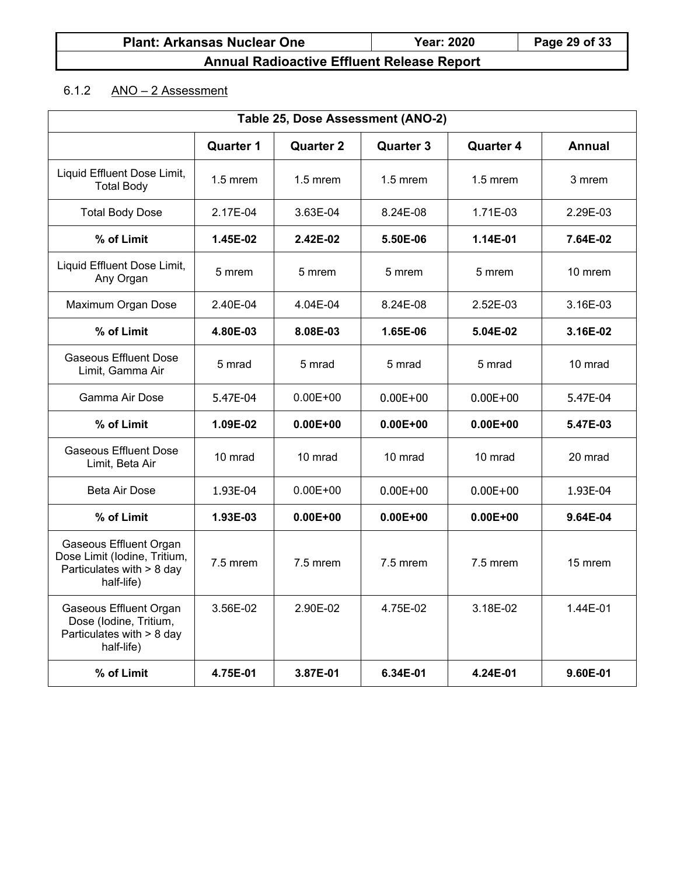# $6.1.2$  ANO – 2 Assessment

| Table 25, Dose Assessment (ANO-2)                                                                  |                                                                                               |              |              |              |          |  |  |  |
|----------------------------------------------------------------------------------------------------|-----------------------------------------------------------------------------------------------|--------------|--------------|--------------|----------|--|--|--|
|                                                                                                    | <b>Quarter 1</b><br><b>Quarter 2</b><br><b>Quarter 3</b><br><b>Quarter 4</b><br><b>Annual</b> |              |              |              |          |  |  |  |
| Liquid Effluent Dose Limit,<br><b>Total Body</b>                                                   | $1.5$ mrem                                                                                    | $1.5$ mrem   | $1.5$ mrem   | $1.5$ mrem   | 3 mrem   |  |  |  |
| <b>Total Body Dose</b>                                                                             | 2.17E-04                                                                                      | 3.63E-04     | 8.24E-08     | $1.71E-03$   | 2.29E-03 |  |  |  |
| % of Limit                                                                                         | 1.45E-02                                                                                      | 2.42E-02     | 5.50E-06     | 1.14E-01     | 7.64E-02 |  |  |  |
| Liquid Effluent Dose Limit,<br>Any Organ                                                           | 5 mrem                                                                                        | 5 mrem       | 5 mrem       | 5 mrem       | 10 mrem  |  |  |  |
| Maximum Organ Dose                                                                                 | 2.40E-04                                                                                      | 4.04E-04     | 8.24E-08     | 2.52E-03     | 3.16E-03 |  |  |  |
| % of Limit                                                                                         | 4.80E-03                                                                                      | 8.08E-03     | 1.65E-06     | 5.04E-02     | 3.16E-02 |  |  |  |
| <b>Gaseous Effluent Dose</b><br>Limit, Gamma Air                                                   | 5 mrad                                                                                        | 5 mrad       | 5 mrad       | 5 mrad       | 10 mrad  |  |  |  |
| Gamma Air Dose                                                                                     | 5.47E-04                                                                                      | $0.00E + 00$ | $0.00E + 00$ | $0.00E + 00$ | 5.47E-04 |  |  |  |
| % of Limit                                                                                         | 1.09E-02                                                                                      | $0.00E + 00$ | $0.00E + 00$ | $0.00E + 00$ | 5.47E-03 |  |  |  |
| <b>Gaseous Effluent Dose</b><br>Limit, Beta Air                                                    | 10 mrad                                                                                       | 10 mrad      | 10 mrad      | 10 mrad      | 20 mrad  |  |  |  |
| Beta Air Dose                                                                                      | 1.93E-04                                                                                      | $0.00E + 00$ | $0.00E + 00$ | $0.00E + 00$ | 1.93E-04 |  |  |  |
| % of Limit                                                                                         | 1.93E-03                                                                                      | $0.00E + 00$ | $0.00E + 00$ | $0.00E + 00$ | 9.64E-04 |  |  |  |
| Gaseous Effluent Organ<br>Dose Limit (Iodine, Tritium,<br>Particulates with > 8 day<br>half-life)  | 7.5 mrem                                                                                      | 7.5 mrem     | 7.5 mrem     | 7.5 mrem     | 15 mrem  |  |  |  |
| <b>Gaseous Effluent Organ</b><br>Dose (Iodine, Tritium,<br>Particulates with > 8 day<br>half-life) | 3.56E-02                                                                                      | 2.90E-02     | 4.75E-02     | 3.18E-02     | 1.44E-01 |  |  |  |
| % of Limit                                                                                         | 4.75E-01                                                                                      | 3.87E-01     | 6.34E-01     | 4.24E-01     | 9.60E-01 |  |  |  |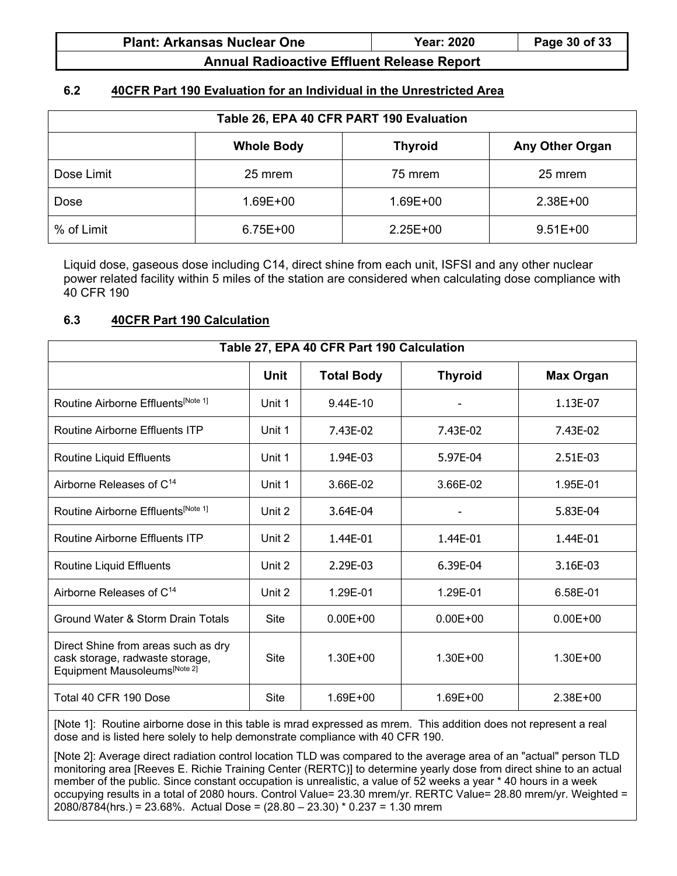| <b>Plant: Arkansas Nuclear One</b> | <b>Year: 2020</b> | Page 30 of 33 |
|------------------------------------|-------------------|---------------|
|------------------------------------|-------------------|---------------|

### **6.2 40CFR Part 190 Evaluation for an Individual in the Unrestricted Area**

| Table 26, EPA 40 CFR PART 190 Evaluation |                   |                |                        |  |  |  |
|------------------------------------------|-------------------|----------------|------------------------|--|--|--|
|                                          | <b>Whole Body</b> | <b>Thyroid</b> | <b>Any Other Organ</b> |  |  |  |
| Dose Limit                               | 25 mrem           | 75 mrem        | 25 mrem                |  |  |  |
| Dose                                     | $1.69E + 00$      | 1.69E+00       | $2.38E+00$             |  |  |  |
| % of Limit                               | $6.75E+00$        | $2.25E+00$     | $9.51E+00$             |  |  |  |

Liquid dose, gaseous dose including C14, direct shine from each unit, ISFSI and any other nuclear power related facility within 5 miles of the station are considered when calculating dose compliance with 40 CFR 190

#### **6.3 40CFR Part 190 Calculation**

| Table 27, EPA 40 CFR Part 190 Calculation                                                              |             |                   |                |                  |  |  |  |
|--------------------------------------------------------------------------------------------------------|-------------|-------------------|----------------|------------------|--|--|--|
|                                                                                                        | Unit        | <b>Total Body</b> | <b>Thyroid</b> | <b>Max Organ</b> |  |  |  |
| Routine Airborne Effluents[Note 1]                                                                     | Unit 1      | 9.44E-10          |                | 1.13E-07         |  |  |  |
| Routine Airborne Effluents ITP                                                                         | Unit 1      | 7.43E-02          | 7.43E-02       | 7.43E-02         |  |  |  |
| Routine Liquid Effluents                                                                               | Unit 1      | 1.94E-03          | 5.97E-04       | 2.51E-03         |  |  |  |
| Airborne Releases of C <sup>14</sup>                                                                   | Unit 1      | 3.66E-02          | 3.66E-02       | 1.95E-01         |  |  |  |
| Routine Airborne Effluents <sup>[Note 1]</sup>                                                         | Unit 2      | 3.64E-04          |                | 5.83E-04         |  |  |  |
| Routine Airborne Effluents ITP                                                                         | Unit 2      | 1.44E-01          | 1.44E-01       | 1.44E-01         |  |  |  |
| Routine Liquid Effluents                                                                               | Unit 2      | 2.29E-03          | 6.39E-04       | 3.16E-03         |  |  |  |
| Airborne Releases of C <sup>14</sup>                                                                   | Unit 2      | 1.29E-01          | 1.29E-01       | 6.58E-01         |  |  |  |
| Ground Water & Storm Drain Totals                                                                      | Site        | $0.00E + 00$      | $0.00E + 00$   | $0.00E + 00$     |  |  |  |
| Direct Shine from areas such as dry<br>cask storage, radwaste storage,<br>Equipment Mausoleums[Note 2] | <b>Site</b> | $1.30E + 00$      | $1.30E + 00$   | $1.30E + 00$     |  |  |  |
| Total 40 CFR 190 Dose                                                                                  | Site        | 1.69E+00          | 1.69E+00       | $2.38E + 00$     |  |  |  |

[Note 1]: Routine airborne dose in this table is mrad expressed as mrem. This addition does not represent a real dose and is listed here solely to help demonstrate compliance with 40 CFR 190.

[Note 2]: Average direct radiation control location TLD was compared to the average area of an "actual" person TLD monitoring area [Reeves E. Richie Training Center (RERTC)] to determine yearly dose from direct shine to an actual member of the public. Since constant occupation is unrealistic, a value of 52 weeks a year \* 40 hours in a week occupying results in a total of 2080 hours. Control Value= 23.30 mrem/yr. RERTC Value= 28.80 mrem/yr. Weighted = 2080/8784(hrs.) = 23.68%. Actual Dose = (28.80 – 23.30) \* 0.237 = 1.30 mrem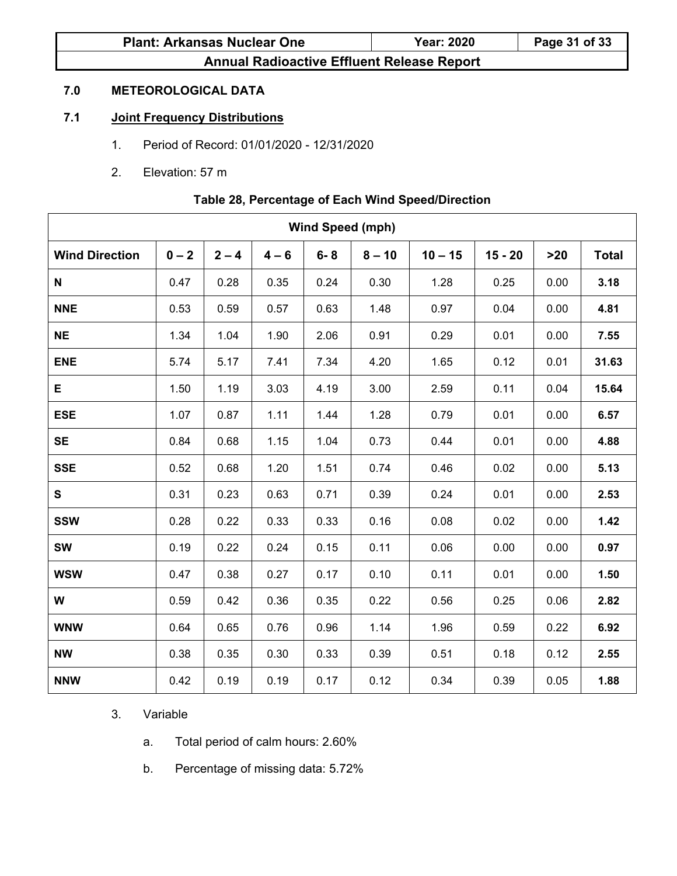| <b>Plant: Arkansas Nuclear One</b>                | <b>Year: 2020</b> | Page 31 of 33 |
|---------------------------------------------------|-------------------|---------------|
| <b>Annual Radioactive Effluent Release Report</b> |                   |               |

### **7.0 METEOROLOGICAL DATA**

### **7.1 Joint Frequency Distributions**

- 1. Period of Record: 01/01/2020 12/31/2020
- 2. Elevation: 57 m

### **Table 28, Percentage of Each Wind Speed/Direction**

| <b>Wind Speed (mph)</b> |         |         |         |         |          |           |           |      |              |
|-------------------------|---------|---------|---------|---------|----------|-----------|-----------|------|--------------|
| <b>Wind Direction</b>   | $0 - 2$ | $2 - 4$ | $4 - 6$ | $6 - 8$ | $8 - 10$ | $10 - 15$ | $15 - 20$ | >20  | <b>Total</b> |
| N                       | 0.47    | 0.28    | 0.35    | 0.24    | 0.30     | 1.28      | 0.25      | 0.00 | 3.18         |
| <b>NNE</b>              | 0.53    | 0.59    | 0.57    | 0.63    | 1.48     | 0.97      | 0.04      | 0.00 | 4.81         |
| <b>NE</b>               | 1.34    | 1.04    | 1.90    | 2.06    | 0.91     | 0.29      | 0.01      | 0.00 | 7.55         |
| <b>ENE</b>              | 5.74    | 5.17    | 7.41    | 7.34    | 4.20     | 1.65      | 0.12      | 0.01 | 31.63        |
| E                       | 1.50    | 1.19    | 3.03    | 4.19    | 3.00     | 2.59      | 0.11      | 0.04 | 15.64        |
| <b>ESE</b>              | 1.07    | 0.87    | 1.11    | 1.44    | 1.28     | 0.79      | 0.01      | 0.00 | 6.57         |
| <b>SE</b>               | 0.84    | 0.68    | 1.15    | 1.04    | 0.73     | 0.44      | 0.01      | 0.00 | 4.88         |
| <b>SSE</b>              | 0.52    | 0.68    | 1.20    | 1.51    | 0.74     | 0.46      | 0.02      | 0.00 | 5.13         |
| S                       | 0.31    | 0.23    | 0.63    | 0.71    | 0.39     | 0.24      | 0.01      | 0.00 | 2.53         |
| <b>SSW</b>              | 0.28    | 0.22    | 0.33    | 0.33    | 0.16     | 0.08      | 0.02      | 0.00 | 1.42         |
| <b>SW</b>               | 0.19    | 0.22    | 0.24    | 0.15    | 0.11     | 0.06      | 0.00      | 0.00 | 0.97         |
| <b>WSW</b>              | 0.47    | 0.38    | 0.27    | 0.17    | 0.10     | 0.11      | 0.01      | 0.00 | 1.50         |
| W                       | 0.59    | 0.42    | 0.36    | 0.35    | 0.22     | 0.56      | 0.25      | 0.06 | 2.82         |
| <b>WNW</b>              | 0.64    | 0.65    | 0.76    | 0.96    | 1.14     | 1.96      | 0.59      | 0.22 | 6.92         |
| <b>NW</b>               | 0.38    | 0.35    | 0.30    | 0.33    | 0.39     | 0.51      | 0.18      | 0.12 | 2.55         |
| <b>NNW</b>              | 0.42    | 0.19    | 0.19    | 0.17    | 0.12     | 0.34      | 0.39      | 0.05 | 1.88         |

### 3. Variable

- a. Total period of calm hours: 2.60%
- b. Percentage of missing data: 5.72%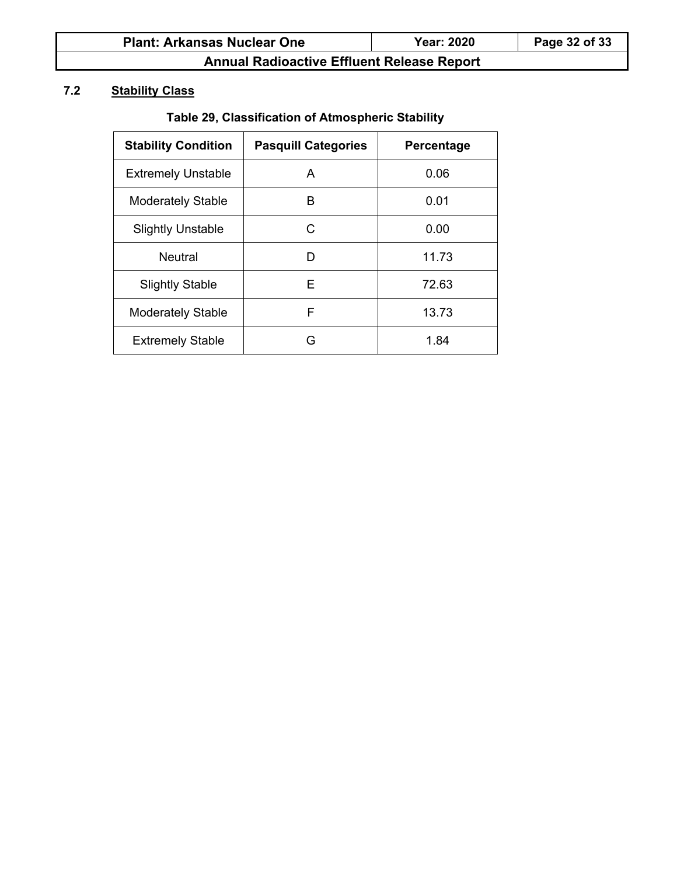# **7.2 Stability Class**

# **Table 29, Classification of Atmospheric Stability**

| <b>Stability Condition</b> | <b>Pasquill Categories</b> | Percentage |
|----------------------------|----------------------------|------------|
| <b>Extremely Unstable</b>  | A                          | 0.06       |
| <b>Moderately Stable</b>   | в                          | 0.01       |
| <b>Slightly Unstable</b>   | C                          | 0.00       |
| <b>Neutral</b>             | D                          | 11.73      |
| <b>Slightly Stable</b>     | Е                          | 72.63      |
| <b>Moderately Stable</b>   | F                          | 13.73      |
| <b>Extremely Stable</b>    | G                          | 1.84       |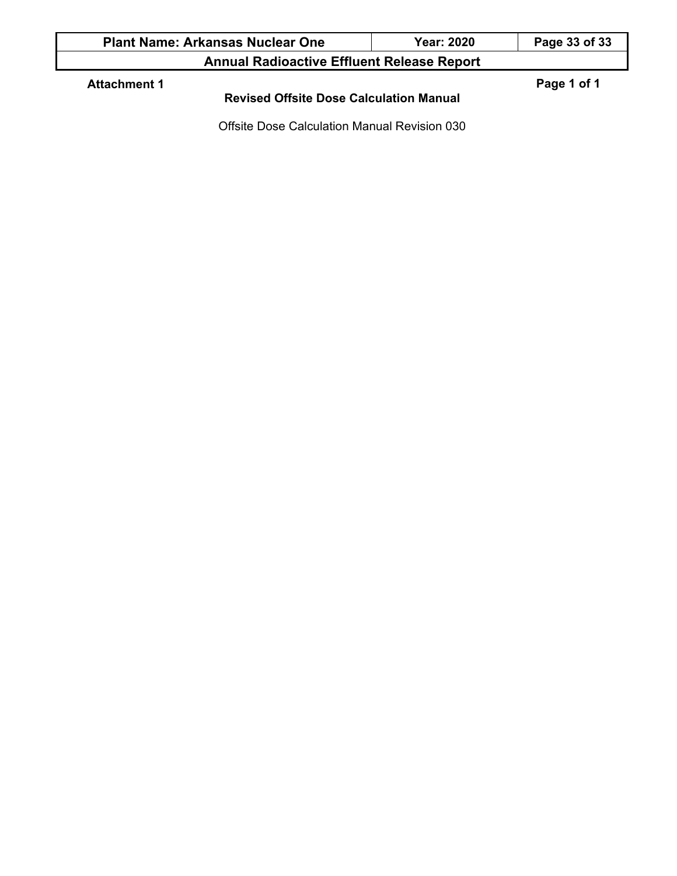| <b>Plant Name: Arkansas Nuclear One</b>                               | <b>Year: 2020</b> | Page 33 of 33 |  |  |  |
|-----------------------------------------------------------------------|-------------------|---------------|--|--|--|
| <b>Annual Radioactive Effluent Release Report</b>                     |                   |               |  |  |  |
| <b>Attachment 1</b><br><b>Revised Offsite Dose Calculation Manual</b> |                   | Page 1 of 1   |  |  |  |

Offsite Dose Calculation Manual Revision 030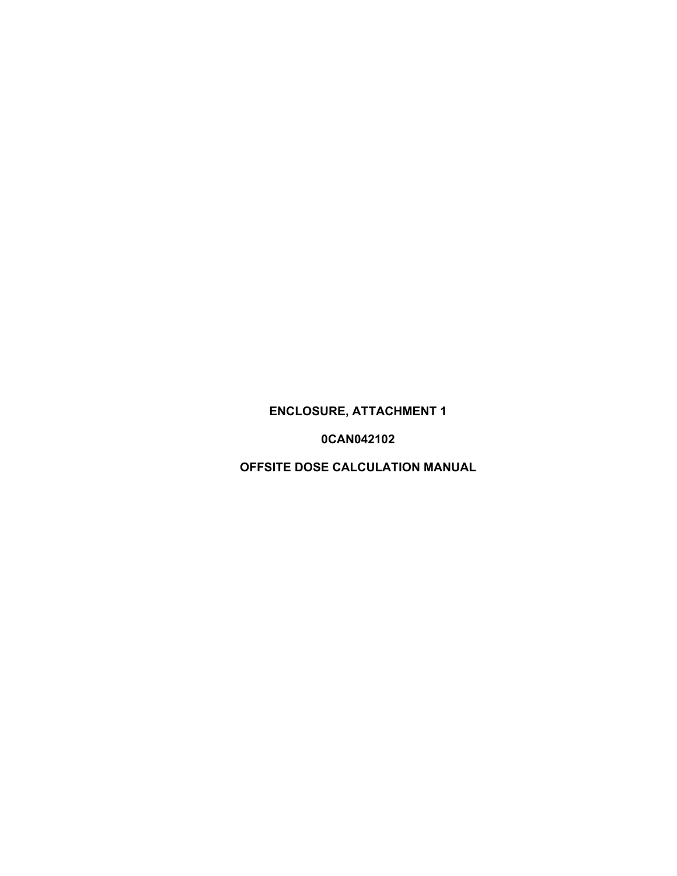# **ENCLOSURE, ATTACHMENT 1**

**0CAN042102** 

**OFFSITE DOSE CALCULATION MANUAL**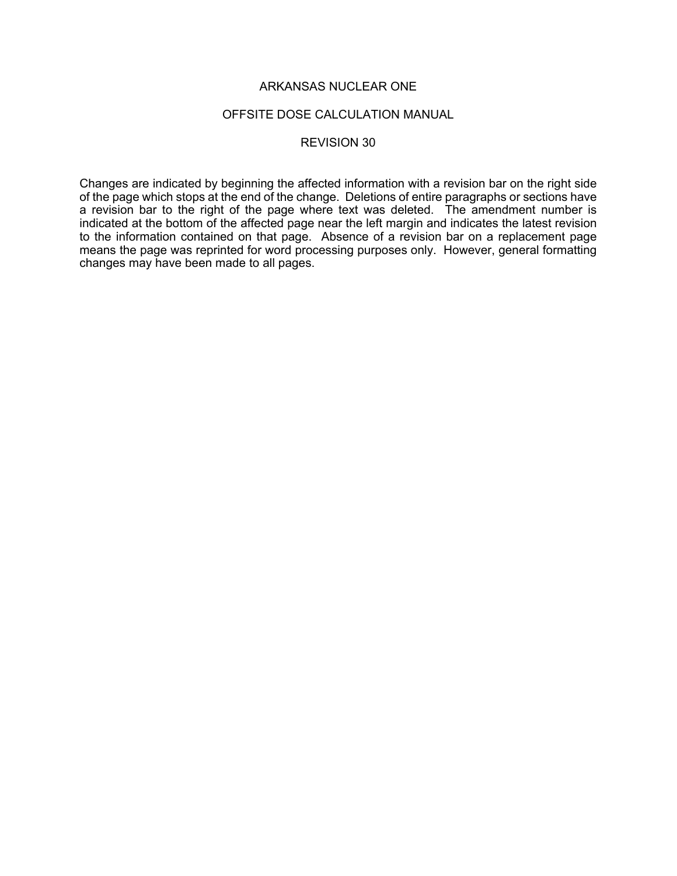#### OFFSITE DOSE CALCULATION MANUAL

#### REVISION 30

Changes are indicated by beginning the affected information with a revision bar on the right side of the page which stops at the end of the change. Deletions of entire paragraphs or sections have a revision bar to the right of the page where text was deleted. The amendment number is indicated at the bottom of the affected page near the left margin and indicates the latest revision to the information contained on that page. Absence of a revision bar on a replacement page means the page was reprinted for word processing purposes only. However, general formatting changes may have been made to all pages.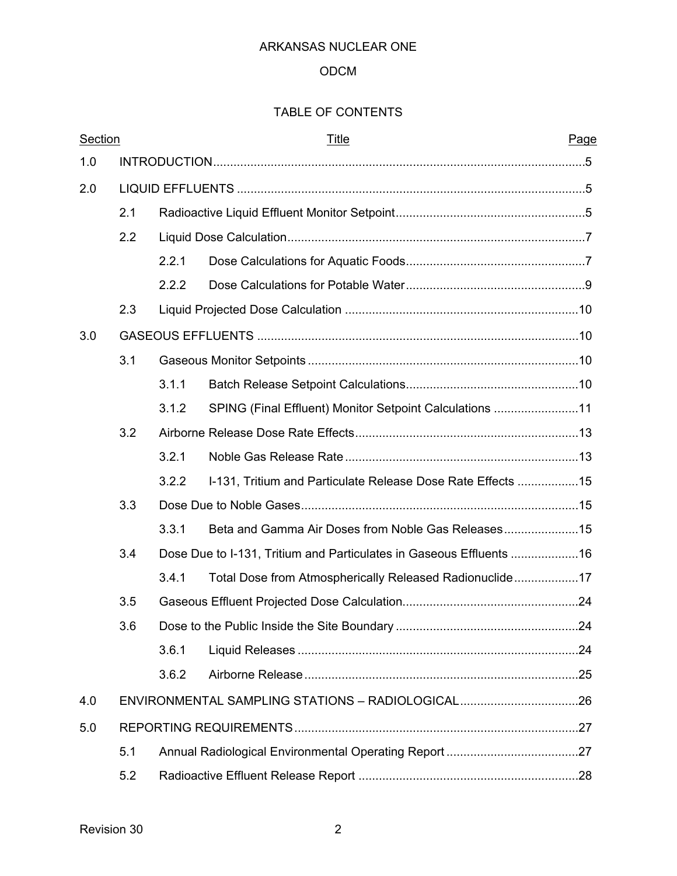## ODCM

# TABLE OF CONTENTS

| Section |     |       | <u>Title</u>                                                        | Page |  |
|---------|-----|-------|---------------------------------------------------------------------|------|--|
| 1.0     |     |       |                                                                     |      |  |
| 2.0     |     |       |                                                                     |      |  |
|         | 2.1 |       |                                                                     |      |  |
|         | 2.2 |       |                                                                     |      |  |
|         |     | 2.2.1 |                                                                     |      |  |
|         |     | 2.2.2 |                                                                     |      |  |
|         | 2.3 |       |                                                                     |      |  |
| 3.0     |     |       |                                                                     |      |  |
|         | 3.1 |       |                                                                     |      |  |
|         |     | 3.1.1 |                                                                     |      |  |
|         |     | 3.1.2 | SPING (Final Effluent) Monitor Setpoint Calculations 11             |      |  |
|         | 3.2 |       |                                                                     |      |  |
|         |     | 3.2.1 |                                                                     |      |  |
|         |     | 3.2.2 | I-131, Tritium and Particulate Release Dose Rate Effects 15         |      |  |
|         | 3.3 |       |                                                                     |      |  |
|         |     | 3.3.1 |                                                                     |      |  |
|         | 3.4 |       | Dose Due to I-131, Tritium and Particulates in Gaseous Effluents 16 |      |  |
|         |     | 3.4.1 | Total Dose from Atmospherically Released Radionuclide17             |      |  |
|         | 3.5 |       |                                                                     |      |  |
|         | 3.6 |       |                                                                     |      |  |
|         |     | 3.6.1 |                                                                     |      |  |
|         |     | 3.6.2 |                                                                     |      |  |
| 4.0     |     |       | ENVIRONMENTAL SAMPLING STATIONS - RADIOLOGICAL26                    |      |  |
| 5.0     |     |       |                                                                     |      |  |
|         | 5.1 |       |                                                                     |      |  |
|         | 5.2 |       |                                                                     |      |  |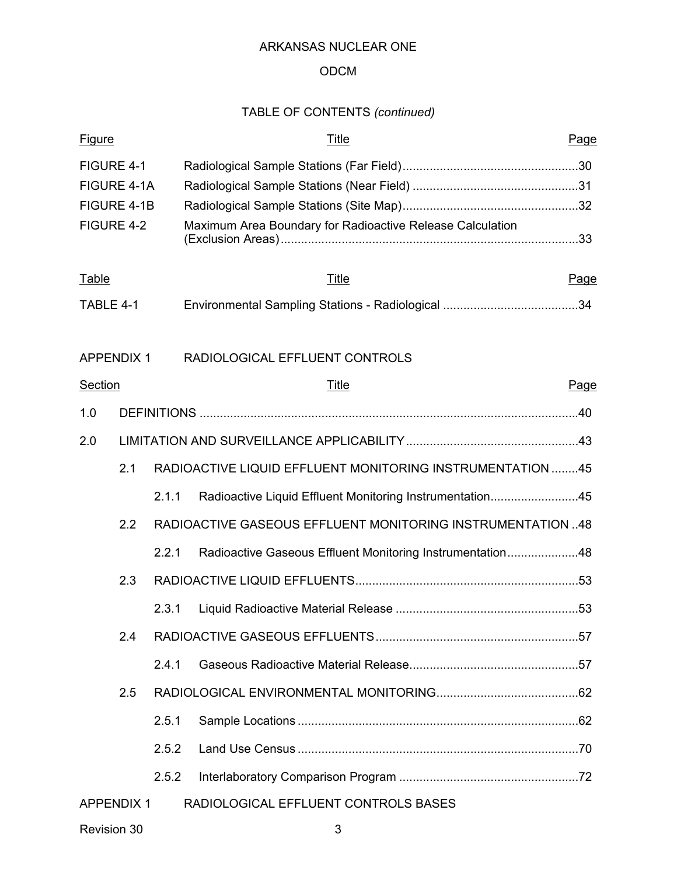## ODCM

# TABLE OF CONTENTS *(continued)*

| <b>Figure</b>     |     |       | <b>Title</b>                                               | Page |  |
|-------------------|-----|-------|------------------------------------------------------------|------|--|
| FIGURE 4-1        |     |       |                                                            |      |  |
| FIGURE 4-1A       |     |       |                                                            |      |  |
| FIGURE 4-1B       |     |       |                                                            |      |  |
| FIGURE 4-2        |     |       | Maximum Area Boundary for Radioactive Release Calculation  |      |  |
| <b>Table</b>      |     |       | Title                                                      | Page |  |
| TABLE 4-1         |     |       |                                                            |      |  |
| <b>APPENDIX 1</b> |     |       | RADIOLOGICAL EFFLUENT CONTROLS                             |      |  |
| <b>Section</b>    |     |       | Title                                                      | Page |  |
| 1.0               |     |       |                                                            |      |  |
| 2.0               |     |       |                                                            |      |  |
|                   | 2.1 |       | RADIOACTIVE LIQUID EFFLUENT MONITORING INSTRUMENTATION 45  |      |  |
|                   |     | 2.1.1 | Radioactive Liquid Effluent Monitoring Instrumentation45   |      |  |
|                   | 2.2 |       | RADIOACTIVE GASEOUS EFFLUENT MONITORING INSTRUMENTATION 48 |      |  |
|                   |     | 2.2.1 | Radioactive Gaseous Effluent Monitoring Instrumentation48  |      |  |
|                   | 2.3 |       |                                                            |      |  |
|                   |     | 2.3.1 |                                                            |      |  |
|                   | 2.4 |       |                                                            |      |  |
|                   |     | 2.4.1 |                                                            |      |  |
|                   | 2.5 |       |                                                            |      |  |
|                   |     | 2.5.1 |                                                            |      |  |
|                   |     | 2.5.2 |                                                            |      |  |
|                   |     | 2.5.2 |                                                            |      |  |
| <b>APPENDIX 1</b> |     |       | RADIOLOGICAL EFFLUENT CONTROLS BASES                       |      |  |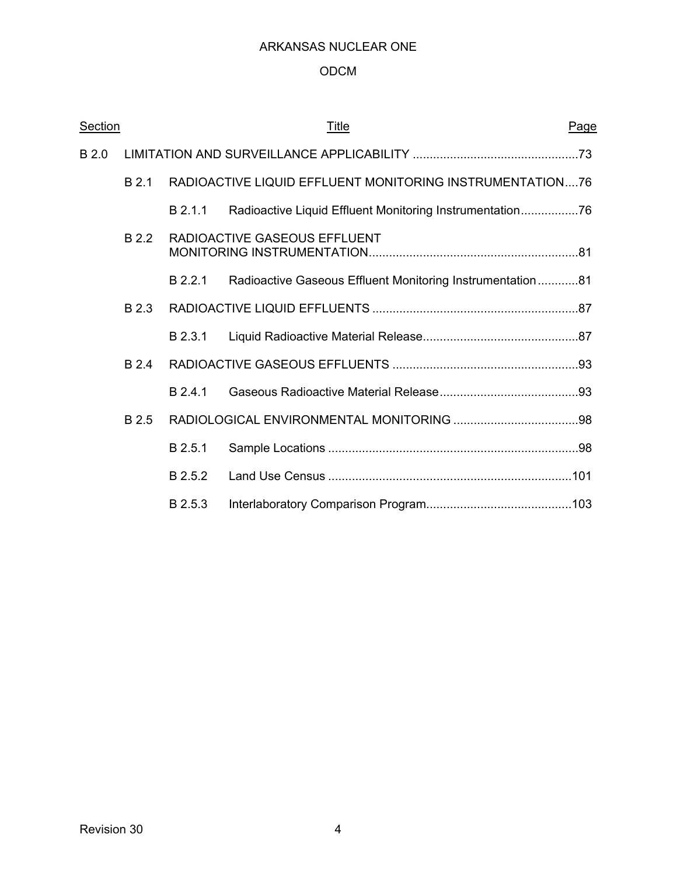## ODCM

| Section |       |         | <u>Title</u>                                              | Page |
|---------|-------|---------|-----------------------------------------------------------|------|
| B 2.0   |       |         |                                                           |      |
|         | B 2.1 |         | RADIOACTIVE LIQUID EFFLUENT MONITORING INSTRUMENTATION76  |      |
|         |       | B 2.1.1 | Radioactive Liquid Effluent Monitoring Instrumentation76  |      |
|         | B 2.2 |         | RADIOACTIVE GASEOUS EFFLUENT                              |      |
|         |       | B 2.2.1 | Radioactive Gaseous Effluent Monitoring Instrumentation81 |      |
|         | B 2.3 |         |                                                           |      |
|         |       | B 2.3.1 |                                                           |      |
|         | B 2.4 |         |                                                           |      |
|         |       | B 2.4.1 |                                                           |      |
|         | B 2.5 |         |                                                           |      |
|         |       | B 2.5.1 |                                                           |      |
|         |       | B 2.5.2 |                                                           |      |
|         |       | B 2.5.3 |                                                           |      |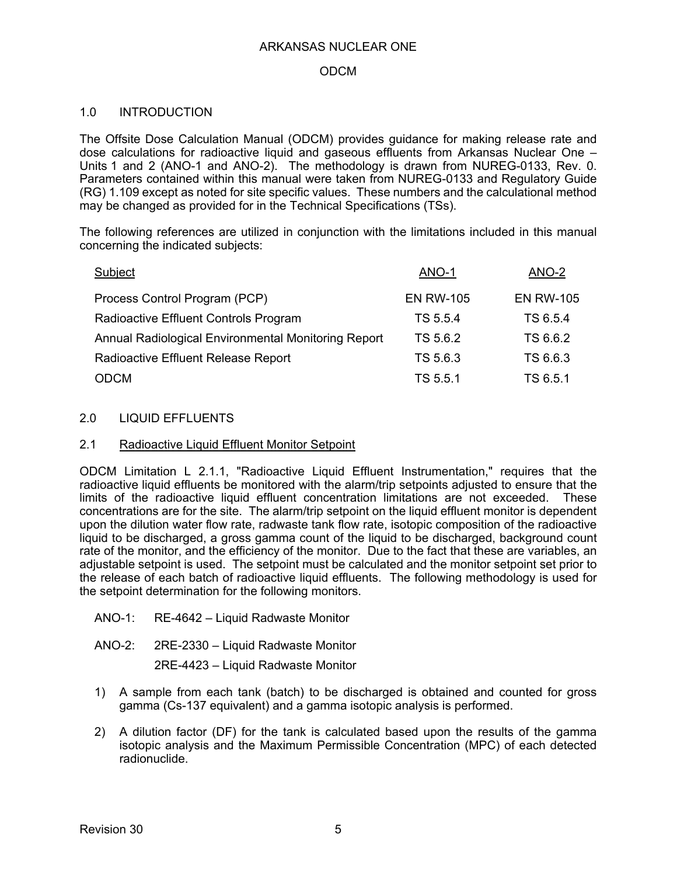## ODCM

## 1.0 INTRODUCTION

The Offsite Dose Calculation Manual (ODCM) provides guidance for making release rate and dose calculations for radioactive liquid and gaseous effluents from Arkansas Nuclear One – Units 1 and 2 (ANO-1 and ANO-2). The methodology is drawn from NUREG-0133, Rev. 0. Parameters contained within this manual were taken from NUREG-0133 and Regulatory Guide (RG) 1.109 except as noted for site specific values. These numbers and the calculational method may be changed as provided for in the Technical Specifications (TSs).

The following references are utilized in conjunction with the limitations included in this manual concerning the indicated subjects:

| Subject                                             | ANO-1            | ANO-2            |
|-----------------------------------------------------|------------------|------------------|
| Process Control Program (PCP)                       | <b>EN RW-105</b> | <b>EN RW-105</b> |
| Radioactive Effluent Controls Program               | TS 5.5.4         | TS 6.5.4         |
| Annual Radiological Environmental Monitoring Report | TS 5.6.2         | TS 6.6.2         |
| Radioactive Effluent Release Report                 | TS 5.6.3         | TS 6.6.3         |
| <b>ODCM</b>                                         | TS 5.5.1         | TS 6.5.1         |

#### 2.0 LIQUID EFFLUENTS

#### 2.1 Radioactive Liquid Effluent Monitor Setpoint

ODCM Limitation L 2.1.1, "Radioactive Liquid Effluent Instrumentation," requires that the radioactive liquid effluents be monitored with the alarm/trip setpoints adjusted to ensure that the limits of the radioactive liquid effluent concentration limitations are not exceeded. These concentrations are for the site. The alarm/trip setpoint on the liquid effluent monitor is dependent upon the dilution water flow rate, radwaste tank flow rate, isotopic composition of the radioactive liquid to be discharged, a gross gamma count of the liquid to be discharged, background count rate of the monitor, and the efficiency of the monitor. Due to the fact that these are variables, an adjustable setpoint is used. The setpoint must be calculated and the monitor setpoint set prior to the release of each batch of radioactive liquid effluents. The following methodology is used for the setpoint determination for the following monitors.

ANO-1: RE-4642 – Liquid Radwaste Monitor

ANO-2: 2RE-2330 – Liquid Radwaste Monitor

2RE-4423 – Liquid Radwaste Monitor

- 1) A sample from each tank (batch) to be discharged is obtained and counted for gross gamma (Cs-137 equivalent) and a gamma isotopic analysis is performed.
- 2) A dilution factor (DF) for the tank is calculated based upon the results of the gamma isotopic analysis and the Maximum Permissible Concentration (MPC) of each detected radionuclide.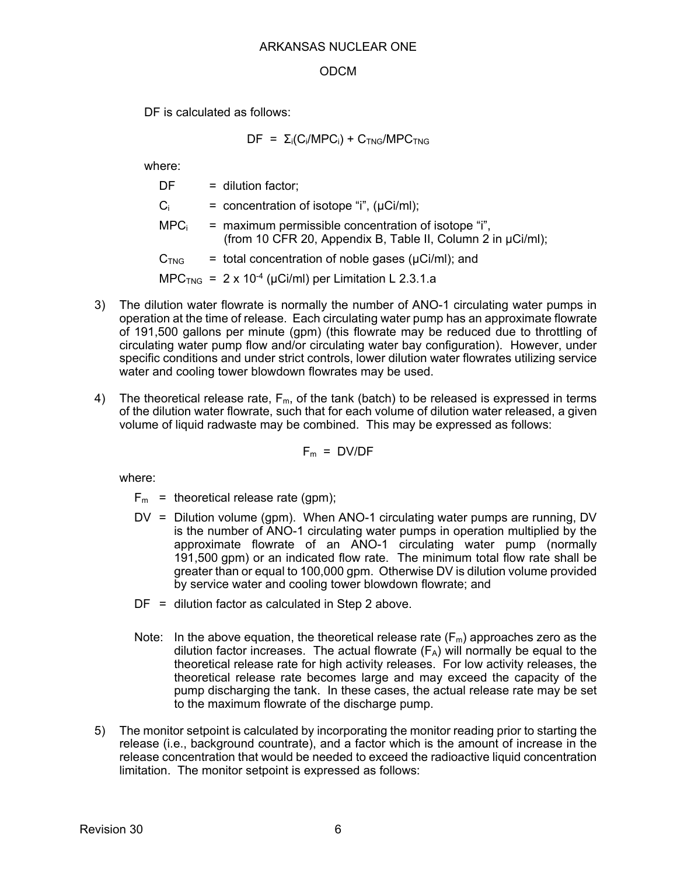## ODCM

DF is calculated as follows:

 $DF = \Sigma_i(C_i/MPC_i) + C_{TNG}/MPC_{TNG}$ 

where:

| DF               | $=$ dilution factor;                                                                                               |
|------------------|--------------------------------------------------------------------------------------------------------------------|
| $C_i$            | $=$ concentration of isotope "i", ( $\mu$ Ci/ml);                                                                  |
| MPC <sub>i</sub> | = maximum permissible concentration of isotope "i",<br>(from 10 CFR 20, Appendix B, Table II, Column 2 in µCi/ml); |
| C <sub>TNG</sub> | $=$ total concentration of noble gases ( $\mu$ Ci/ml); and                                                         |
|                  | MPC <sub>TNG</sub> = $2 \times 10^{-4}$ (µCi/ml) per Limitation L 2.3.1.a                                          |

- 3) The dilution water flowrate is normally the number of ANO-1 circulating water pumps in operation at the time of release. Each circulating water pump has an approximate flowrate of 191,500 gallons per minute (gpm) (this flowrate may be reduced due to throttling of circulating water pump flow and/or circulating water bay configuration). However, under specific conditions and under strict controls, lower dilution water flowrates utilizing service water and cooling tower blowdown flowrates may be used.
- 4) The theoretical release rate,  $F_m$ , of the tank (batch) to be released is expressed in terms of the dilution water flowrate, such that for each volume of dilution water released, a given volume of liquid radwaste may be combined. This may be expressed as follows:

$$
F_m = DV/DF
$$

- $F_m$  = theoretical release rate (gpm);
- DV = Dilution volume (gpm). When ANO-1 circulating water pumps are running, DV is the number of ANO-1 circulating water pumps in operation multiplied by the approximate flowrate of an ANO-1 circulating water pump (normally 191,500 gpm) or an indicated flow rate. The minimum total flow rate shall be greater than or equal to 100,000 gpm. Otherwise DV is dilution volume provided by service water and cooling tower blowdown flowrate; and
- $DF =$  dilution factor as calculated in Step 2 above.
- Note: In the above equation, the theoretical release rate  $(F_m)$  approaches zero as the dilution factor increases. The actual flowrate  $(F_A)$  will normally be equal to the theoretical release rate for high activity releases. For low activity releases, the theoretical release rate becomes large and may exceed the capacity of the pump discharging the tank. In these cases, the actual release rate may be set to the maximum flowrate of the discharge pump.
- 5) The monitor setpoint is calculated by incorporating the monitor reading prior to starting the release (i.e., background countrate), and a factor which is the amount of increase in the release concentration that would be needed to exceed the radioactive liquid concentration limitation. The monitor setpoint is expressed as follows: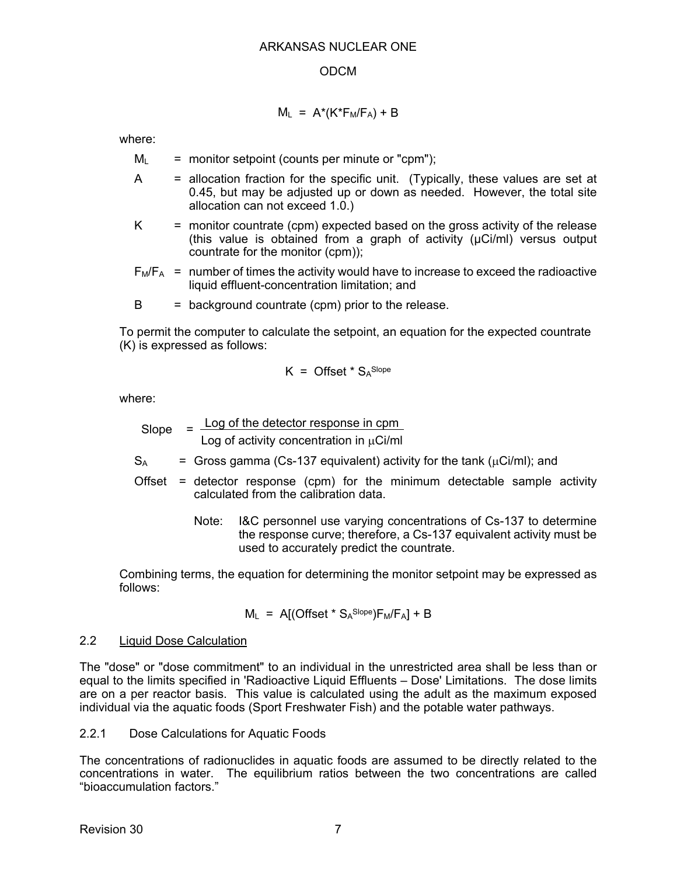## $M_L$  =  $A^*(K^*F_M/F_A) + B$

where:

- $M_L$  = monitor setpoint (counts per minute or "cpm");
- $A =$  allocation fraction for the specific unit. (Typically, these values are set at 0.45, but may be adjusted up or down as needed. However, the total site allocation can not exceed 1.0.)
- $K =$  monitor countrate (cpm) expected based on the gross activity of the release (this value is obtained from a graph of activity (µCi/ml) versus output countrate for the monitor (cpm));
- $F_M/F_A$  = number of times the activity would have to increase to exceed the radioactive liquid effluent-concentration limitation; and
- $B =$  background countrate (cpm) prior to the release.

To permit the computer to calculate the setpoint, an equation for the expected countrate (K) is expressed as follows:

$$
K = \text{Offset} \cdot S_A^{\text{Slope}}
$$

where:

 $Slope = Log of the detector response in  $cpm$$ Log of activity concentration in  $\mu$ Ci/ml

 $S_A$  = Gross gamma (Cs-137 equivalent) activity for the tank ( $\mu$ Ci/ml); and

- Offset = detector response (cpm) for the minimum detectable sample activity calculated from the calibration data.
	- Note: I&C personnel use varying concentrations of Cs-137 to determine the response curve; therefore, a Cs-137 equivalent activity must be used to accurately predict the countrate.

Combining terms, the equation for determining the monitor setpoint may be expressed as follows:

$$
M_L
$$
 = A[(Offset \* S<sub>A</sub><sup>Slope</sup>) $F_M/F_A$ ] + B

## 2.2 Liquid Dose Calculation

The "dose" or "dose commitment" to an individual in the unrestricted area shall be less than or equal to the limits specified in 'Radioactive Liquid Effluents – Dose' Limitations. The dose limits are on a per reactor basis. This value is calculated using the adult as the maximum exposed individual via the aquatic foods (Sport Freshwater Fish) and the potable water pathways.

2.2.1 Dose Calculations for Aquatic Foods

The concentrations of radionuclides in aquatic foods are assumed to be directly related to the concentrations in water. The equilibrium ratios between the two concentrations are called "bioaccumulation factors."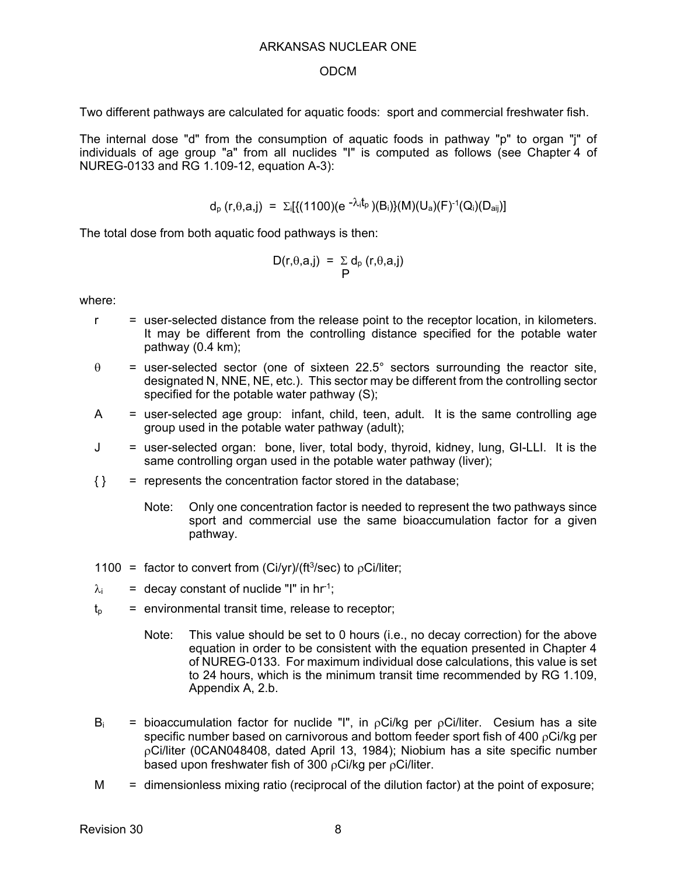#### ODCM

Two different pathways are calculated for aquatic foods: sport and commercial freshwater fish.

The internal dose "d" from the consumption of aquatic foods in pathway "p" to organ "j" of individuals of age group "a" from all nuclides "I" is computed as follows (see Chapter 4 of NUREG-0133 and RG 1.109-12, equation A-3):

$$
d_p(r,\theta,a,j) = \Sigma_i[{(1100)(e^{-\lambda_i t_p})(B_i)}(M)(U_a)(F)^{-1}(Q_i)(D_{aij})]
$$

The total dose from both aquatic food pathways is then:

$$
D(r,\theta,a,j) = \sum_{P} d_{p} (r,\theta,a,j)
$$

- $r =$  user-selected distance from the release point to the receptor location, in kilometers. It may be different from the controlling distance specified for the potable water pathway (0.4 km);
- $\theta$  = user-selected sector (one of sixteen 22.5° sectors surrounding the reactor site, designated N, NNE, NE, etc.). This sector may be different from the controlling sector specified for the potable water pathway (S);
- $A =$  user-selected age group: infant, child, teen, adult. It is the same controlling age group used in the potable water pathway (adult);
- J = user-selected organ: bone, liver, total body, thyroid, kidney, lung, GI-LLI. It is the same controlling organ used in the potable water pathway (liver);
- $\{\}$  = represents the concentration factor stored in the database;
	- Note: Only one concentration factor is needed to represent the two pathways since sport and commercial use the same bioaccumulation factor for a given pathway.
- 1100 = factor to convert from  $\frac{C_i}{y}$  (ft<sup>3</sup>/sec) to  $\frac{\rho}{c}$  Ci/liter;
- $\lambda_i$  = decay constant of nuclide "I" in hr<sup>-1</sup>;
- $t<sub>p</sub>$  = environmental transit time, release to receptor;
	- Note: This value should be set to 0 hours (i.e., no decay correction) for the above equation in order to be consistent with the equation presented in Chapter 4 of NUREG-0133. For maximum individual dose calculations, this value is set to 24 hours, which is the minimum transit time recommended by RG 1.109, Appendix A, 2.b.
- $B_i$  = bioaccumulation factor for nuclide "I", in  $\rho Ci/kg$  per  $\rho Ci/l$ iter. Cesium has a site specific number based on carnivorous and bottom feeder sport fish of 400 pCi/kg per Ci/liter (0CAN048408, dated April 13, 1984); Niobium has a site specific number based upon freshwater fish of 300  $p$ Ci/kg per  $p$ Ci/liter.
- $M =$  dimensionless mixing ratio (reciprocal of the dilution factor) at the point of exposure;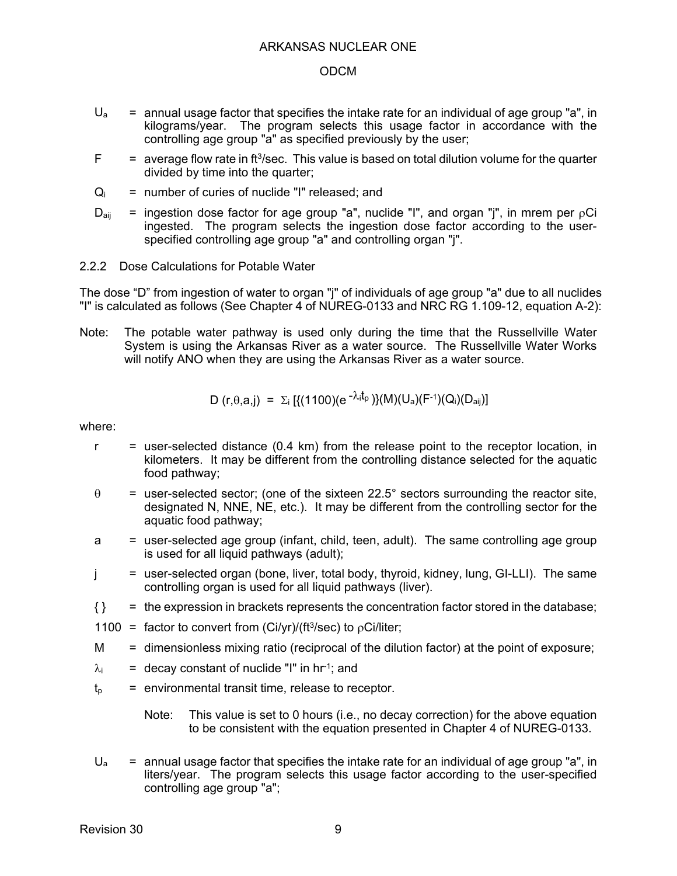- $U_a$  = annual usage factor that specifies the intake rate for an individual of age group "a", in kilograms/year. The program selects this usage factor in accordance with the controlling age group "a" as specified previously by the user;
- $F =$  average flow rate in ft<sup>3</sup>/sec. This value is based on total dilution volume for the quarter divided by time into the quarter;
- $Q_i$  = number of curies of nuclide "I" released: and
- $D_{\text{air}}$  = ingestion dose factor for age group "a", nuclide "I", and organ "j", in mrem per  $pCi$ ingested. The program selects the ingestion dose factor according to the userspecified controlling age group "a" and controlling organ "j".
- 2.2.2 Dose Calculations for Potable Water

The dose "D" from ingestion of water to organ "j" of individuals of age group "a" due to all nuclides "I" is calculated as follows (See Chapter 4 of NUREG-0133 and NRC RG 1.109-12, equation A-2):

Note: The potable water pathway is used only during the time that the Russellville Water System is using the Arkansas River as a water source. The Russellville Water Works will notify ANO when they are using the Arkansas River as a water source.

D 
$$
(r, \theta, a, j) = \sum_i \left[ \{(1100)(e^{-\lambda_i t_p})\}(M)(U_a)(F^{-1})(Q_i)(D_{aij}) \right]
$$

where:

- $r =$  user-selected distance (0.4 km) from the release point to the receptor location, in kilometers. It may be different from the controlling distance selected for the aquatic food pathway;
- $\theta$  = user-selected sector; (one of the sixteen 22.5° sectors surrounding the reactor site, designated N, NNE, NE, etc.). It may be different from the controlling sector for the aquatic food pathway;
- a = user-selected age group (infant, child, teen, adult). The same controlling age group is used for all liquid pathways (adult);
- $j =$  user-selected organ (bone, liver, total body, thyroid, kidney, lung, GI-LLI). The same controlling organ is used for all liquid pathways (liver).
- $\{\}$  = the expression in brackets represents the concentration factor stored in the database;
- 1100 = factor to convert from (Ci/yr)/(ft<sup>3</sup>/sec) to  $p$ Ci/liter;
- $M =$  dimensionless mixing ratio (reciprocal of the dilution factor) at the point of exposure;
- $\lambda_i$  = decay constant of nuclide "I" in hr<sup>-1</sup>; and
- $t<sub>p</sub>$  = environmental transit time, release to receptor.

Note: This value is set to 0 hours (i.e., no decay correction) for the above equation to be consistent with the equation presented in Chapter 4 of NUREG-0133.

 $U_a$  = annual usage factor that specifies the intake rate for an individual of age group "a", in liters/year. The program selects this usage factor according to the user-specified controlling age group "a";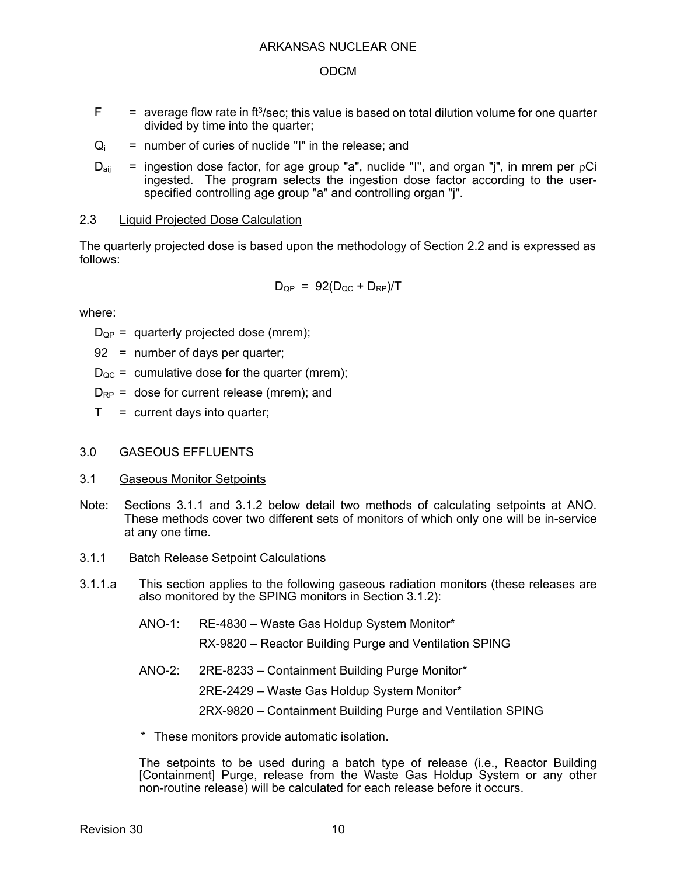- $F =$  average flow rate in ft<sup>3</sup>/sec; this value is based on total dilution volume for one quarter divided by time into the quarter;
- $Q_i$  = number of curies of nuclide "I" in the release; and
- $D_{\text{ai}}$  = ingestion dose factor, for age group "a", nuclide "I", and organ "j", in mrem per  $\rho$ Ci ingested. The program selects the ingestion dose factor according to the userspecified controlling age group "a" and controlling organ "j".

## 2.3 Liquid Projected Dose Calculation

The quarterly projected dose is based upon the methodology of Section 2.2 and is expressed as follows:

$$
D_{QP} = 92(D_{QC} + D_{RP})/T
$$

where:

- $D_{QP}$  = quarterly projected dose (mrem);
- 92 = number of days per quarter;
- $D_{\text{OC}}$  = cumulative dose for the quarter (mrem);
- $D_{RP}$  = dose for current release (mrem); and
- $T =$  current days into quarter;

## 3.0 GASEOUS EFFLUENTS

- 3.1 Gaseous Monitor Setpoints
- Note: Sections 3.1.1 and 3.1.2 below detail two methods of calculating setpoints at ANO. These methods cover two different sets of monitors of which only one will be in-service at any one time.
- 3.1.1 Batch Release Setpoint Calculations
- 3.1.1.a This section applies to the following gaseous radiation monitors (these releases are also monitored by the SPING monitors in Section 3.1.2):
	- ANO-1: RE-4830 Waste Gas Holdup System Monitor\*

RX-9820 – Reactor Building Purge and Ventilation SPING

ANO-2: 2RE-8233 – Containment Building Purge Monitor\*

2RE-2429 – Waste Gas Holdup System Monitor\*

2RX-9820 – Containment Building Purge and Ventilation SPING

\* These monitors provide automatic isolation.

The setpoints to be used during a batch type of release (i.e., Reactor Building [Containment] Purge, release from the Waste Gas Holdup System or any other non-routine release) will be calculated for each release before it occurs.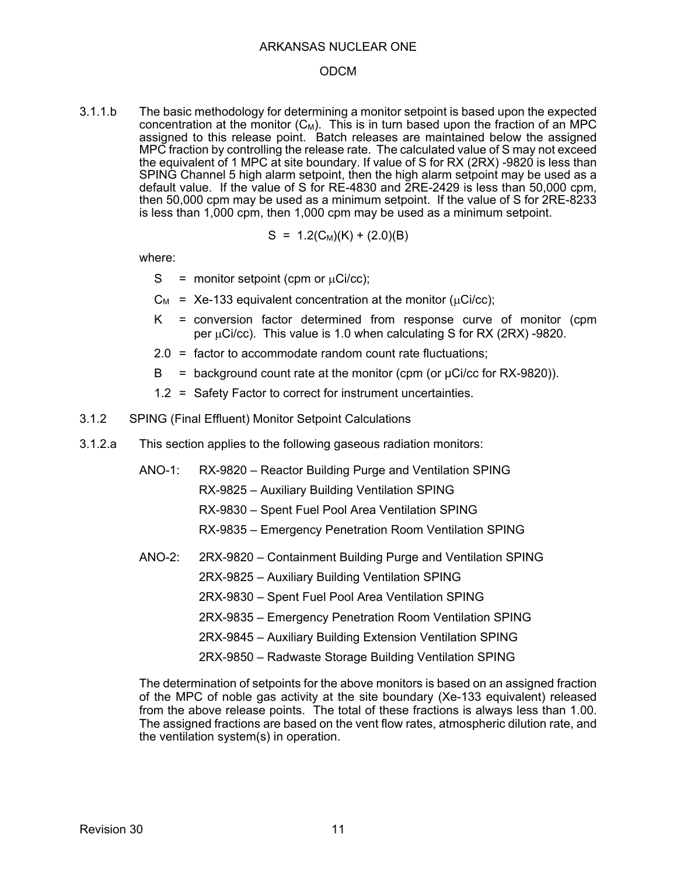#### ODCM

3.1.1.b The basic methodology for determining a monitor setpoint is based upon the expected concentration at the monitor  $(C_M)$ . This is in turn based upon the fraction of an MPC assigned to this release point. Batch releases are maintained below the assigned MPC fraction by controlling the release rate. The calculated value of S may not exceed the equivalent of 1 MPC at site boundary. If value of S for RX (2RX) -9820 is less than SPING Channel 5 high alarm setpoint, then the high alarm setpoint may be used as a default value. If the value of S for RE-4830 and 2RE-2429 is less than 50,000 cpm, then 50,000 cpm may be used as a minimum setpoint. If the value of S for 2RE-8233 is less than 1,000 cpm, then 1,000 cpm may be used as a minimum setpoint.

$$
S = 1.2(C_M)(K) + (2.0)(B)
$$

where:

- S = monitor setpoint (cpm or  $\mu$ Ci/cc);
- $C_M$  = Xe-133 equivalent concentration at the monitor ( $\mu$ Ci/cc);
- K = conversion factor determined from response curve of monitor (cpm per  $\mu$ Ci/cc). This value is 1.0 when calculating S for RX (2RX) -9820.
- 2.0 = factor to accommodate random count rate fluctuations;
- $B =$  background count rate at the monitor (cpm (or  $\mu$ Ci/cc for RX-9820)).
- 1.2 = Safety Factor to correct for instrument uncertainties.
- 3.1.2 SPING (Final Effluent) Monitor Setpoint Calculations
- 3.1.2.a This section applies to the following gaseous radiation monitors:
	- ANO-1: RX-9820 Reactor Building Purge and Ventilation SPING
		- RX-9825 Auxiliary Building Ventilation SPING
		- RX-9830 Spent Fuel Pool Area Ventilation SPING
		- RX-9835 Emergency Penetration Room Ventilation SPING
	- ANO-2: 2RX-9820 Containment Building Purge and Ventilation SPING
		- 2RX-9825 Auxiliary Building Ventilation SPING
		- 2RX-9830 Spent Fuel Pool Area Ventilation SPING
		- 2RX-9835 Emergency Penetration Room Ventilation SPING
		- 2RX-9845 Auxiliary Building Extension Ventilation SPING
		- 2RX-9850 Radwaste Storage Building Ventilation SPING

The determination of setpoints for the above monitors is based on an assigned fraction of the MPC of noble gas activity at the site boundary (Xe-133 equivalent) released from the above release points. The total of these fractions is always less than 1.00. The assigned fractions are based on the vent flow rates, atmospheric dilution rate, and the ventilation system(s) in operation.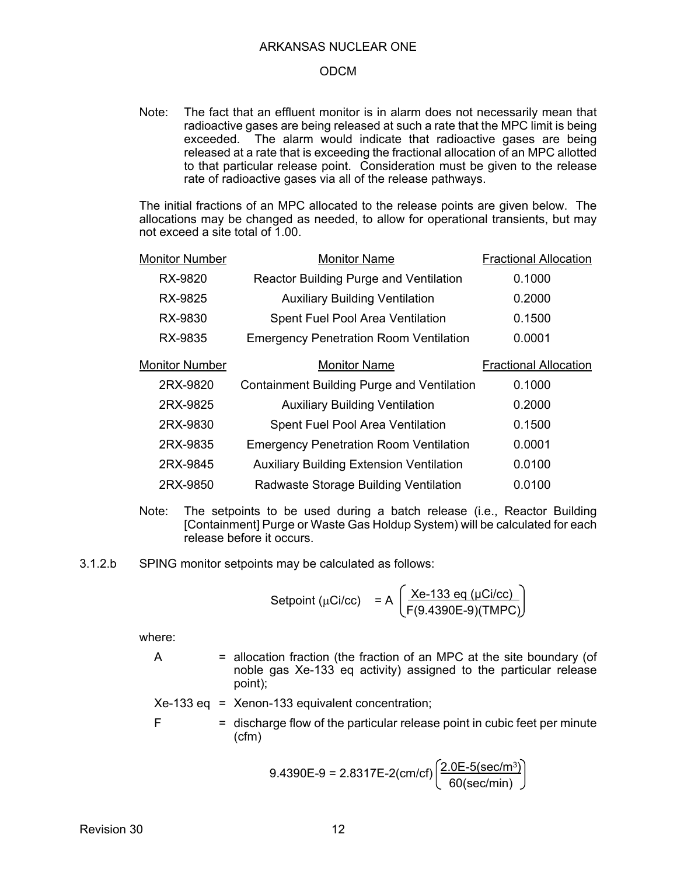#### ODCM

Note: The fact that an effluent monitor is in alarm does not necessarily mean that radioactive gases are being released at such a rate that the MPC limit is being exceeded. The alarm would indicate that radioactive gases are being released at a rate that is exceeding the fractional allocation of an MPC allotted to that particular release point. Consideration must be given to the release rate of radioactive gases via all of the release pathways.

The initial fractions of an MPC allocated to the release points are given below. The allocations may be changed as needed, to allow for operational transients, but may not exceed a site total of 1.00.

| <b>Monitor Number</b> | <b>Monitor Name</b>                               | <b>Fractional Allocation</b> |
|-----------------------|---------------------------------------------------|------------------------------|
| RX-9820               | <b>Reactor Building Purge and Ventilation</b>     | 0.1000                       |
| RX-9825               | <b>Auxiliary Building Ventilation</b>             | 0.2000                       |
| RX-9830               | <b>Spent Fuel Pool Area Ventilation</b>           | 0.1500                       |
| RX-9835               | <b>Emergency Penetration Room Ventilation</b>     | 0.0001                       |
| <b>Monitor Number</b> | <b>Monitor Name</b>                               | <b>Fractional Allocation</b> |
| 2RX-9820              | <b>Containment Building Purge and Ventilation</b> | 0.1000                       |
| 2RX-9825              | <b>Auxiliary Building Ventilation</b>             | 0.2000                       |
| 2RX-9830              | <b>Spent Fuel Pool Area Ventilation</b>           | 0.1500                       |
| 2RX-9835              | <b>Emergency Penetration Room Ventilation</b>     | 0.0001                       |
| 2RX-9845              | <b>Auxiliary Building Extension Ventilation</b>   | 0.0100                       |
| 2RX-9850              | Radwaste Storage Building Ventilation             | 0.0100                       |
|                       |                                                   |                              |

- Note: The setpoints to be used during a batch release (i.e., Reactor Building [Containment] Purge or Waste Gas Holdup System) will be calculated for each release before it occurs.
- 3.1.2.b SPING monitor setpoints may be calculated as follows:

$$
Setpoint (\mu Ci/cc) = A \left( \frac{Xe-133 \text{ eq } (\mu Ci/cc)}{F(9.4390E-9)(TMPC)} \right)
$$

- $A =$  allocation fraction (the fraction of an MPC at the site boundary (of noble gas Xe-133 eq activity) assigned to the particular release point);
- $Xe-133$  eq = Xenon-133 equivalent concentration;
- $F =$  discharge flow of the particular release point in cubic feet per minute (cfm)

$$
9.4390E-9 = 2.8317E-2(cm/cf) \left(\frac{2.0E-5(\text{sec/m}^3)}{60(\text{sec/min})}\right)
$$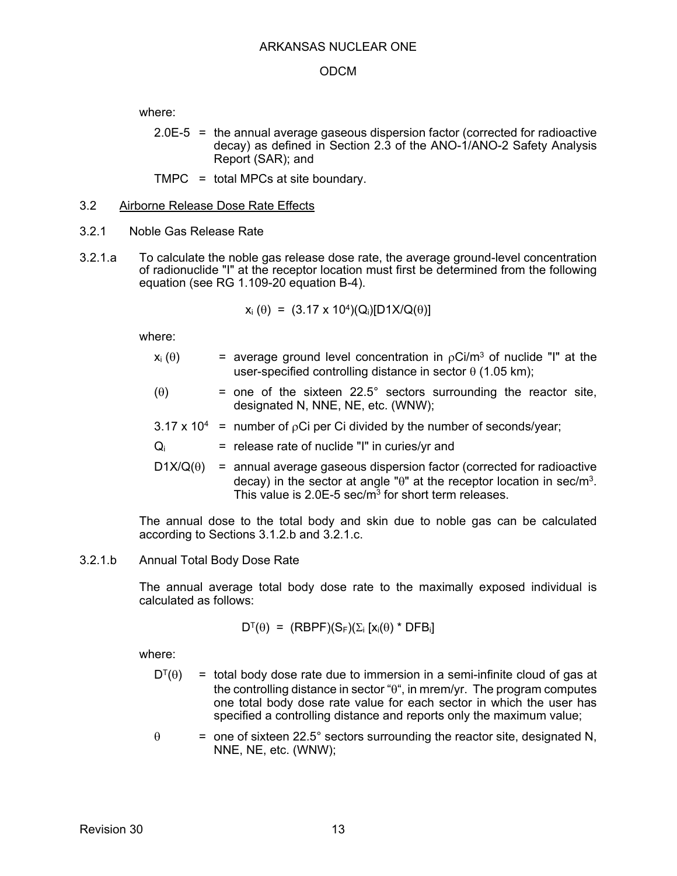where:

2.0E-5 = the annual average gaseous dispersion factor (corrected for radioactive decay) as defined in Section 2.3 of the ANO-1/ANO-2 Safety Analysis Report (SAR); and

TMPC = total MPCs at site boundary.

### 3.2 Airborne Release Dose Rate Effects

- 3.2.1 Noble Gas Release Rate
- 3.2.1.a To calculate the noble gas release dose rate, the average ground-level concentration of radionuclide "I" at the receptor location must first be determined from the following equation (see RG 1.109-20 equation B-4).

$$
x_i (\theta) = (3.17 \times 10^4)(Q_i)[D1X/Q(\theta)]
$$

where:

- $x_i(\theta)$  = average ground level concentration in  $\rho Ci/m^3$  of nuclide "I" at the user-specified controlling distance in sector  $\theta$  (1.05 km);
- $(0)$  = one of the sixteen 22.5° sectors surrounding the reactor site, designated N, NNE, NE, etc. (WNW);
- $3.17 \times 10^4$  = number of  $\rho$ Ci per Ci divided by the number of seconds/year;
- $Q_i$  = release rate of nuclide "I" in curies/yr and
- $D1X/Q(\theta)$  = annual average gaseous dispersion factor (corrected for radioactive decay) in the sector at angle " $\theta$ " at the receptor location in sec/m<sup>3</sup>. This value is 2.0E-5 sec/m<sup>3</sup> for short term releases.

The annual dose to the total body and skin due to noble gas can be calculated according to Sections 3.1.2.b and 3.2.1.c.

## 3.2.1.b Annual Total Body Dose Rate

The annual average total body dose rate to the maximally exposed individual is calculated as follows:

$$
D^{T}(\theta) = (RBPF)(S_F)(\Sigma_i [x_i(\theta) * DFB_i])
$$

- $D^{T}(\theta)$  = total body dose rate due to immersion in a semi-infinite cloud of gas at the controlling distance in sector " $\theta$ ", in mrem/yr. The program computes one total body dose rate value for each sector in which the user has specified a controlling distance and reports only the maximum value;
- $\theta$  = one of sixteen 22.5° sectors surrounding the reactor site, designated N, NNE, NE, etc. (WNW);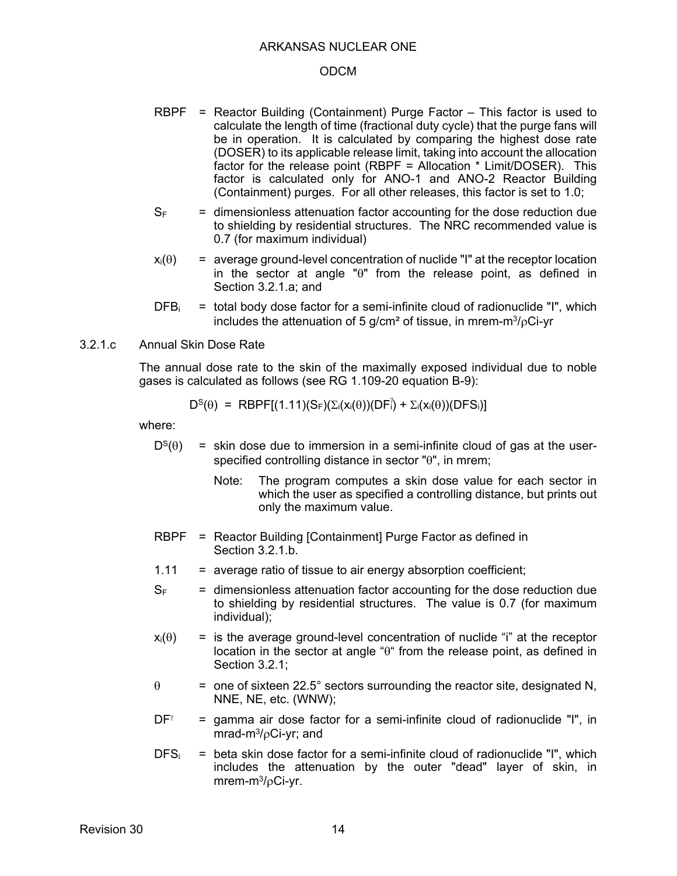#### ODCM

- RBPF = Reactor Building (Containment) Purge Factor This factor is used to calculate the length of time (fractional duty cycle) that the purge fans will be in operation. It is calculated by comparing the highest dose rate (DOSER) to its applicable release limit, taking into account the allocation factor for the release point (RBPF = Allocation \* Limit/DOSER). This factor is calculated only for ANO-1 and ANO-2 Reactor Building (Containment) purges. For all other releases, this factor is set to 1.0;
- $S<sub>F</sub>$  = dimensionless attenuation factor accounting for the dose reduction due to shielding by residential structures. The NRC recommended value is 0.7 (for maximum individual)
- $x_i(\theta)$  = average ground-level concentration of nuclide "I" at the receptor location in the sector at angle " $\theta$ " from the release point, as defined in Section 3.2.1.a; and
- $DFB_i$  = total body dose factor for a semi-infinite cloud of radionuclide "I", which includes the attenuation of 5 g/cm<sup>2</sup> of tissue, in mrem-m $\frac{3}{6}$ Ci-yr
- 3.2.1.c Annual Skin Dose Rate

The annual dose rate to the skin of the maximally exposed individual due to noble gases is calculated as follows (see RG 1.109-20 equation B-9):

$$
D^{S}(\theta) = RBPF[(1.11)(S_F)(\Sigma_i(x_i(\theta))(DF_i^{\gamma}) + \Sigma_i(x_i(\theta))(DFS_i)]
$$

- $D^{S}(\theta)$  = skin dose due to immersion in a semi-infinite cloud of gas at the userspecified controlling distance in sector " $\theta$ ", in mrem;
	- Note: The program computes a skin dose value for each sector in which the user as specified a controlling distance, but prints out only the maximum value.
- RBPF = Reactor Building [Containment] Purge Factor as defined in Section 3.2.1.b.
- $1.11$  = average ratio of tissue to air energy absorption coefficient;
- $S<sub>F</sub>$  = dimensionless attenuation factor accounting for the dose reduction due to shielding by residential structures. The value is 0.7 (for maximum individual);
- $x_i(\theta)$  = is the average ground-level concentration of nuclide "i" at the receptor location in the sector at angle " $\theta$ " from the release point, as defined in Section 3.2.1;
- $\theta$  = one of sixteen 22.5° sectors surrounding the reactor site, designated N, NNE, NE, etc. (WNW);
- $DF^{\gamma}$  = gamma air dose factor for a semi-infinite cloud of radionuclide "I", in mrad-m $\frac{3}{6}$ Ci-yr; and
- $DFS_i$  = beta skin dose factor for a semi-infinite cloud of radionuclide "I", which includes the attenuation by the outer "dead" layer of skin, in mrem-m $\frac{3}{6}$ Ci-yr.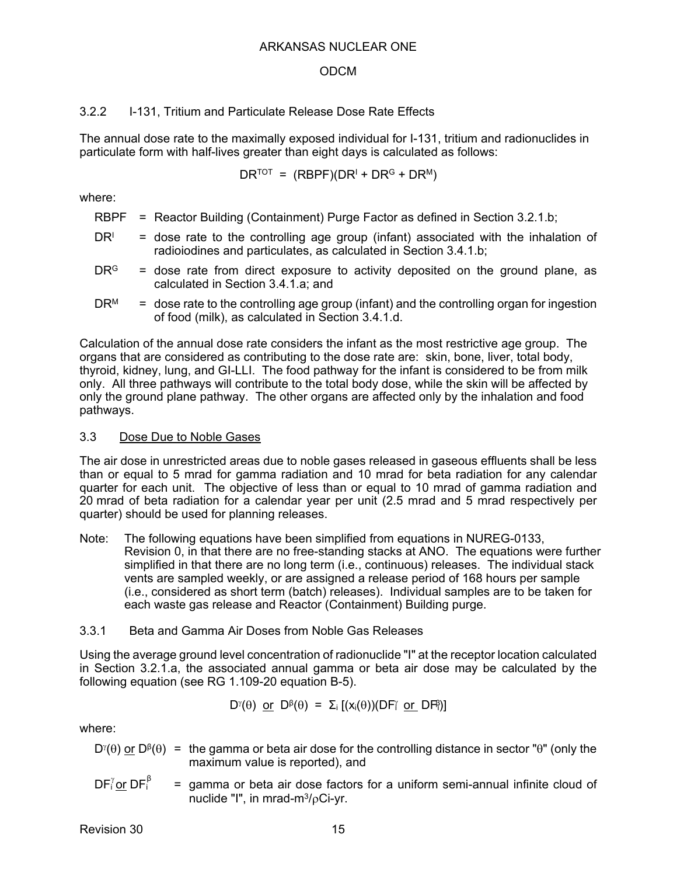## ODCM

## 3.2.2 I-131, Tritium and Particulate Release Dose Rate Effects

The annual dose rate to the maximally exposed individual for I-131, tritium and radionuclides in particulate form with half-lives greater than eight days is calculated as follows:

 $\mathsf{DR}^{\mathsf{TOT}} = (\mathsf{RBPF})(\mathsf{DR}^{\mathsf{I}} + \mathsf{DR}^{\mathsf{G}} + \mathsf{DR}^{\mathsf{M}})$ 

where:

- RBPF = Reactor Building (Containment) Purge Factor as defined in Section 3.2.1.b;
- DR<sup>I</sup> = dose rate to the controlling age group (infant) associated with the inhalation of radioiodines and particulates, as calculated in Section 3.4.1.b;
- $DR<sup>G</sup>$  = dose rate from direct exposure to activity deposited on the ground plane, as calculated in Section 3.4.1.a; and
- $DR<sup>M</sup>$  = dose rate to the controlling age group (infant) and the controlling organ for ingestion of food (milk), as calculated in Section 3.4.1.d.

Calculation of the annual dose rate considers the infant as the most restrictive age group. The organs that are considered as contributing to the dose rate are: skin, bone, liver, total body, thyroid, kidney, lung, and GI-LLI. The food pathway for the infant is considered to be from milk only. All three pathways will contribute to the total body dose, while the skin will be affected by only the ground plane pathway. The other organs are affected only by the inhalation and food pathways.

### 3.3 Dose Due to Noble Gases

The air dose in unrestricted areas due to noble gases released in gaseous effluents shall be less than or equal to 5 mrad for gamma radiation and 10 mrad for beta radiation for any calendar quarter for each unit. The objective of less than or equal to 10 mrad of gamma radiation and 20 mrad of beta radiation for a calendar year per unit (2.5 mrad and 5 mrad respectively per quarter) should be used for planning releases.

Note: The following equations have been simplified from equations in NUREG-0133, Revision 0, in that there are no free-standing stacks at ANO. The equations were further simplified in that there are no long term (i.e., continuous) releases. The individual stack vents are sampled weekly, or are assigned a release period of 168 hours per sample (i.e., considered as short term (batch) releases). Individual samples are to be taken for each waste gas release and Reactor (Containment) Building purge.

## 3.3.1 Beta and Gamma Air Doses from Noble Gas Releases

Using the average ground level concentration of radionuclide "I" at the receptor location calculated in Section 3.2.1.a, the associated annual gamma or beta air dose may be calculated by the following equation (see RG 1.109-20 equation B-5).

$$
D^{\gamma}(\theta) \text{ or } D^{\beta}(\theta) = \Sigma_i [(x_i(\theta))(DF^{\gamma} \text{ or } DF^{\beta})]
$$

where:

- D<sup>*i*</sup>( $\theta$ ) or D<sup>β</sup>( $\theta$ ) = the gamma or beta air dose for the controlling distance in sector " $\theta$ " (only the maximum value is reported), and
- $=$  gamma or beta air dose factors for a uniform semi-annual infinite cloud of nuclide  $"I"$ , in mrad-m $3/6$ Ci-vr.  $DF_i^{\gamma}$ or DF $_i^{\beta}$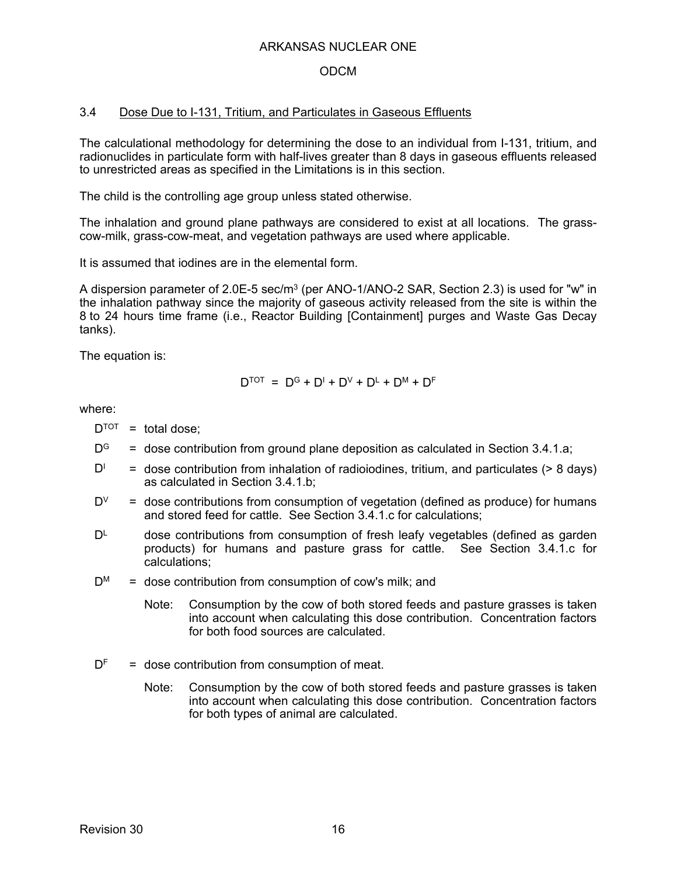## ODCM

## 3.4 Dose Due to I-131, Tritium, and Particulates in Gaseous Effluents

The calculational methodology for determining the dose to an individual from I-131, tritium, and radionuclides in particulate form with half-lives greater than 8 days in gaseous effluents released to unrestricted areas as specified in the Limitations is in this section.

The child is the controlling age group unless stated otherwise.

The inhalation and ground plane pathways are considered to exist at all locations. The grasscow-milk, grass-cow-meat, and vegetation pathways are used where applicable.

It is assumed that iodines are in the elemental form.

A dispersion parameter of  $2.0E-5$  sec/m<sup>3</sup> (per ANO-1/ANO-2 SAR, Section 2.3) is used for "w" in the inhalation pathway since the majority of gaseous activity released from the site is within the 8 to 24 hours time frame (i.e., Reactor Building [Containment] purges and Waste Gas Decay tanks).

The equation is:

$$
\mathsf{D}^\text{TOT}~=~\mathsf{D}^\text{G} + \mathsf{D}^\text{l} + \mathsf{D}^\text{V} + \mathsf{D}^\text{L} + \mathsf{D}^\text{M} + \mathsf{D}^\text{F}
$$

- $D^{TOT}$  = total dose:
- $D^G$  = dose contribution from ground plane deposition as calculated in Section 3.4.1.a;
- DI = dose contribution from inhalation of radioiodines, tritium, and particulates (> 8 days) as calculated in Section 3.4.1.b;
- $D^V$  = dose contributions from consumption of vegetation (defined as produce) for humans and stored feed for cattle. See Section 3.4.1.c for calculations;
- $D<sup>L</sup>$  dose contributions from consumption of fresh leafy vegetables (defined as garden products) for humans and pasture grass for cattle. See Section 3.4.1.c for calculations;
- $D^M$  = dose contribution from consumption of cow's milk; and
	- Note: Consumption by the cow of both stored feeds and pasture grasses is taken into account when calculating this dose contribution. Concentration factors for both food sources are calculated.
- $D<sup>F</sup>$  = dose contribution from consumption of meat.
	- Note: Consumption by the cow of both stored feeds and pasture grasses is taken into account when calculating this dose contribution. Concentration factors for both types of animal are calculated.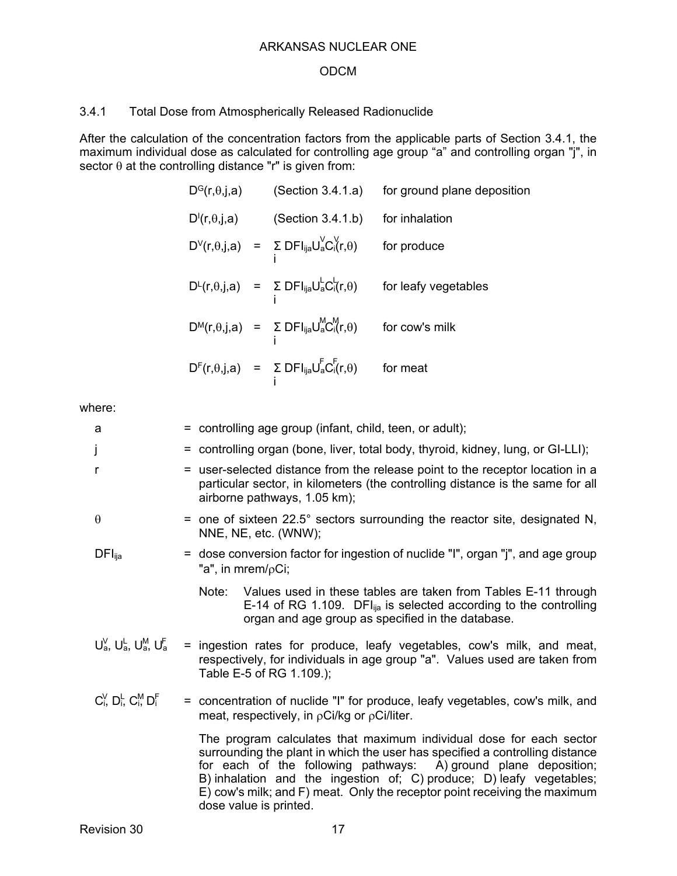## 3.4.1 Total Dose from Atmospherically Released Radionuclide

After the calculation of the concentration factors from the applicable parts of Section 3.4.1, the maximum individual dose as calculated for controlling age group "a" and controlling organ "j", in sector  $\theta$  at the controlling distance "r" is given from:

| $\mathsf{D}^\mathsf{G}(\mathsf{r},\theta,\mathsf{j},\mathsf{a})$   | (Section 3.4.1.a)                                                                  | for ground plane deposition |
|--------------------------------------------------------------------|------------------------------------------------------------------------------------|-----------------------------|
| $\mathsf{D}^{\mathsf{I}}(\mathsf{r},\theta,\mathsf{j},\mathsf{a})$ | (Section 3.4.1.b)                                                                  | for inhalation              |
|                                                                    | $D^{V}(r,\theta,j,a) = \sum_{i} DFI_{ija}U_{a}^{V}C_{i}^{V}(r,\theta)$             | for produce                 |
|                                                                    | $D^{\perp}(r,\theta,j,a) = \sum_{i} DFI_{ija}U_{a}^{\perp}C_{i}^{\perp}(r,\theta)$ | for leafy vegetables        |
|                                                                    | $D^{M}(r, \theta, j, a) = \sum_{i} DFI_{ija}U_{a}^{M}C_{i}^{M}(r, \theta)$         | for cow's milk              |
|                                                                    | $D^{F}(r, \theta, j, a)$ = $\sum_{i} DFI_{ija}U_{a}^{F}C_{i}^{F}(r, \theta)$       | for meat                    |

| a                                     | = controlling age group (infant, child, teen, or adult);                                                                                                                                                                                                                                                                                                                                              |  |  |
|---------------------------------------|-------------------------------------------------------------------------------------------------------------------------------------------------------------------------------------------------------------------------------------------------------------------------------------------------------------------------------------------------------------------------------------------------------|--|--|
| j                                     | = controlling organ (bone, liver, total body, thyroid, kidney, lung, or GI-LLI);                                                                                                                                                                                                                                                                                                                      |  |  |
| r                                     | = user-selected distance from the release point to the receptor location in a<br>particular sector, in kilometers (the controlling distance is the same for all<br>airborne pathways, 1.05 km);                                                                                                                                                                                                       |  |  |
| $\theta$                              | = one of sixteen $22.5^{\circ}$ sectors surrounding the reactor site, designated N,<br>NNE, NE, etc. (WNW);                                                                                                                                                                                                                                                                                           |  |  |
| $DFI_{\text{ija}}$                    | = dose conversion factor for ingestion of nuclide "I", organ "j", and age group<br>"a", in mrem/ $\rho$ Ci;                                                                                                                                                                                                                                                                                           |  |  |
|                                       | Note:<br>Values used in these tables are taken from Tables E-11 through<br>E-14 of RG 1.109. DFI $_{\text{lia}}$ is selected according to the controlling<br>organ and age group as specified in the database.                                                                                                                                                                                        |  |  |
| $U_a^V$ , $U_a^L$ , $U_a^M$ , $U_a^F$ | = ingestion rates for produce, leafy vegetables, cow's milk, and meat,<br>respectively, for individuals in age group "a". Values used are taken from<br>Table E-5 of RG 1.109.);                                                                                                                                                                                                                      |  |  |
| $C_i^V$ , $D_i^L$ , $C_i^M$ , $D_i^F$ | = concentration of nuclide "I" for produce, leafy vegetables, cow's milk, and<br>meat, respectively, in $\rho Ci/kg$ or $\rho Ci/liter$ .                                                                                                                                                                                                                                                             |  |  |
|                                       | The program calculates that maximum individual dose for each sector<br>surrounding the plant in which the user has specified a controlling distance<br>for each of the following pathways: A) ground plane deposition;<br>B) inhalation and the ingestion of; C) produce; D) leafy vegetables;<br>E) cow's milk; and F) meat. Only the receptor point receiving the maximum<br>dose value is printed. |  |  |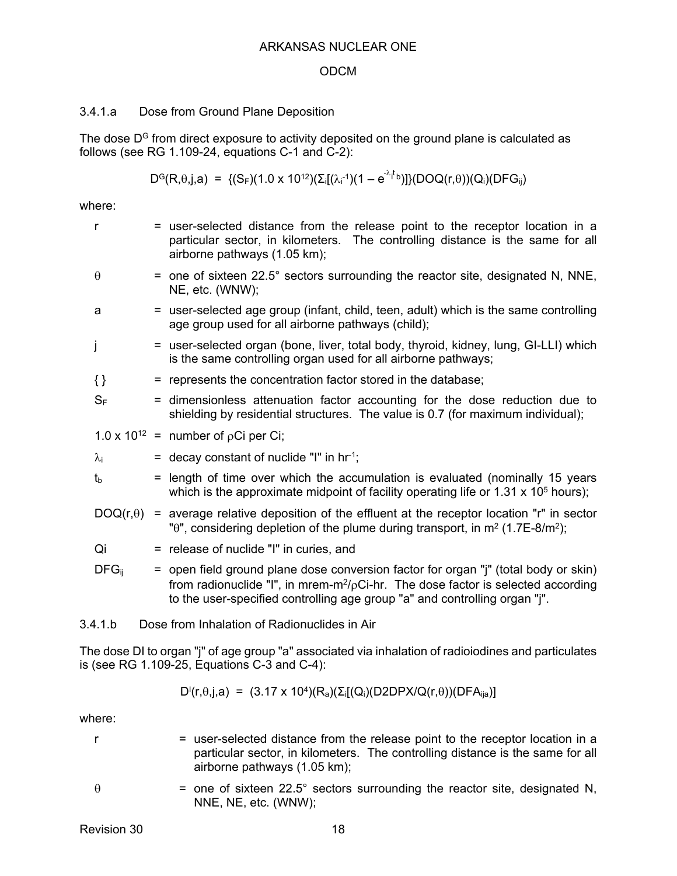#### ODCM

### 3.4.1.a Dose from Ground Plane Deposition

The dose  $D<sup>G</sup>$  from direct exposure to activity deposited on the ground plane is calculated as follows (see RG 1.109-24, equations C-1 and C-2):

$$
D^{G}(R,\theta,j,a) = \{(S_{F})(1.0 \times 10^{12})(\Sigma_{i}[(\lambda_{i}^{-1})(1 - e^{-\lambda_{i}^{+}b})]\}(DOQ(r,\theta))(Q_{i})(DFG_{ij})
$$

where:

| r                | = user-selected distance from the release point to the receptor location in a<br>particular sector, in kilometers. The controlling distance is the same for all<br>airborne pathways (1.05 km);                                                                          |
|------------------|--------------------------------------------------------------------------------------------------------------------------------------------------------------------------------------------------------------------------------------------------------------------------|
| $\theta$         | = one of sixteen 22.5° sectors surrounding the reactor site, designated N, NNE,<br>NE, etc. (WNW);                                                                                                                                                                       |
| a                | = user-selected age group (infant, child, teen, adult) which is the same controlling<br>age group used for all airborne pathways (child);                                                                                                                                |
| J                | = user-selected organ (bone, liver, total body, thyroid, kidney, lung, GI-LLI) which<br>is the same controlling organ used for all airborne pathways;                                                                                                                    |
| $\{\}$           | = represents the concentration factor stored in the database;                                                                                                                                                                                                            |
| $S_F$            | = dimensionless attenuation factor accounting for the dose reduction due to<br>shielding by residential structures. The value is 0.7 (for maximum individual);                                                                                                           |
|                  | 1.0 x 10 <sup>12</sup> = number of $pCi$ per Ci;                                                                                                                                                                                                                         |
| $\lambda_i$      | $=$ decay constant of nuclide "I" in hr <sup>-1</sup> ;                                                                                                                                                                                                                  |
| $t_{\rm b}$      | = length of time over which the accumulation is evaluated (nominally 15 years<br>which is the approximate midpoint of facility operating life or $1.31 \times 10^5$ hours);                                                                                              |
| $DOQ(r, \theta)$ | = average relative deposition of the effluent at the receptor location "r" in sector<br>" $\theta$ ", considering depletion of the plume during transport, in m <sup>2</sup> (1.7E-8/m <sup>2</sup> );                                                                   |
| Qi               | = release of nuclide "I" in curies, and                                                                                                                                                                                                                                  |
| $DFG_{ii}$       | = open field ground plane dose conversion factor for organ "j" (total body or skin)<br>from radionuclide "I", in mrem-m <sup>2</sup> / $\rho$ Ci-hr. The dose factor is selected according<br>to the user-specified controlling age group "a" and controlling organ "j". |
| 3.4.1.b          | Dose from Inhalation of Radionuclides in Air                                                                                                                                                                                                                             |

The dose DI to organ "j" of age group "a" associated via inhalation of radioiodines and particulates is (see RG 1.109-25, Equations C-3 and C-4):

$$
D^i(r, \theta, j, a) = (3.17 \times 10^4)(R_a)(\Sigma_i[(Q_i)(D2DPX/Q(r, \theta))(DFA_{ija})]
$$

where:

- r = user-selected distance from the release point to the receptor location in a particular sector, in kilometers. The controlling distance is the same for all airborne pathways (1.05 km);
- $\theta$  = one of sixteen 22.5° sectors surrounding the reactor site, designated N,
	-

NNE, NE, etc. (WNW);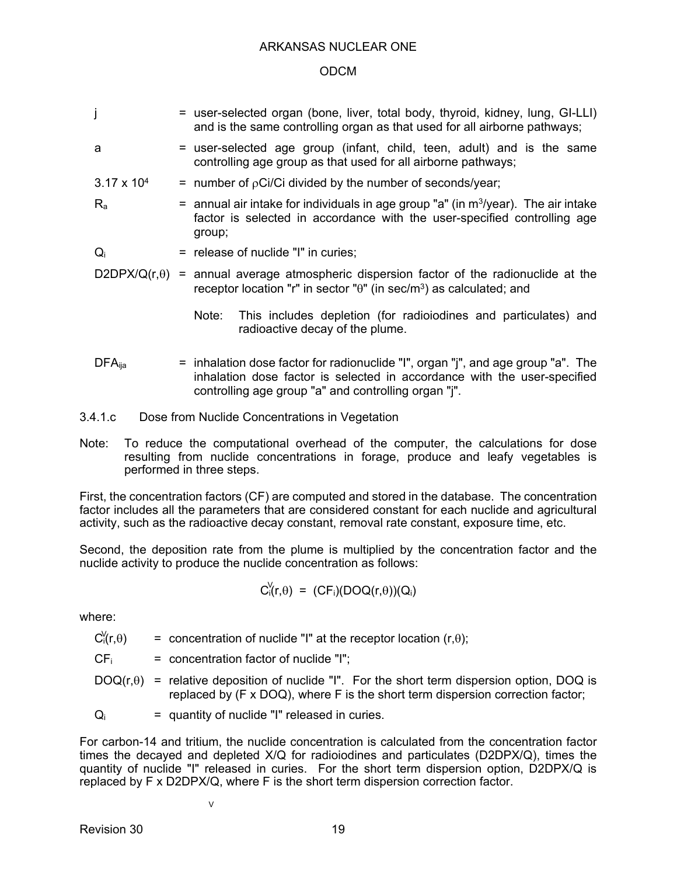### ODCM

- j = user-selected organ (bone, liver, total body, thyroid, kidney, lung, GI-LLI) and is the same controlling organ as that used for all airborne pathways;
- 
- a = user-selected age group (infant, child, teen, adult) and is the same controlling age group as that used for all airborne pathways;
- $3.17 \times 10^4$  = number of  $p$ Ci/Ci divided by the number of seconds/year;
- $R_a$  = annual air intake for individuals in age group "a" (in m<sup>3</sup>/year). The air intake factor is selected in accordance with the user-specified controlling age group;
- $Q_i$  = release of nuclide "I" in curies;
- $D2DPX/Q(r,\theta)$  = annual average atmospheric dispersion factor of the radionuclide at the receptor location "r" in sector " $\theta$ " (in sec/m<sup>3</sup>) as calculated; and
	- Note: This includes depletion (for radioiodines and particulates) and radioactive decay of the plume.
- $DFA_{\text{lia}}$  = inhalation dose factor for radionuclide "I", organ "j", and age group "a". The inhalation dose factor is selected in accordance with the user-specified controlling age group "a" and controlling organ "j".
- 3.4.1.c Dose from Nuclide Concentrations in Vegetation
- Note: To reduce the computational overhead of the computer, the calculations for dose resulting from nuclide concentrations in forage, produce and leafy vegetables is performed in three steps.

First, the concentration factors (CF) are computed and stored in the database. The concentration factor includes all the parameters that are considered constant for each nuclide and agricultural activity, such as the radioactive decay constant, removal rate constant, exposure time, etc.

Second, the deposition rate from the plume is multiplied by the concentration factor and the nuclide activity to produce the nuclide concentration as follows:

$$
C_{i}^{V}(r,\theta) = (CF_{i})(DOQ(r,\theta))(Q_{i})
$$

where:

= concentration of nuclide "I" at the receptor location  $(r,\theta)$ ;  $C_i(r, \theta)$ 

 $CF_i$  = concentration factor of nuclide "I";

V

 $DOQ(r, \theta)$  = relative deposition of nuclide "I". For the short term dispersion option, DOQ is replaced by (F x DOQ), where F is the short term dispersion correction factor;

$$
Q_i
$$
 = quantity of nuclide "I" released in curies.

For carbon-14 and tritium, the nuclide concentration is calculated from the concentration factor times the decayed and depleted X/Q for radioiodines and particulates (D2DPX/Q), times the quantity of nuclide "I" released in curies. For the short term dispersion option, D2DPX/Q is replaced by F x D2DPX/Q, where F is the short term dispersion correction factor.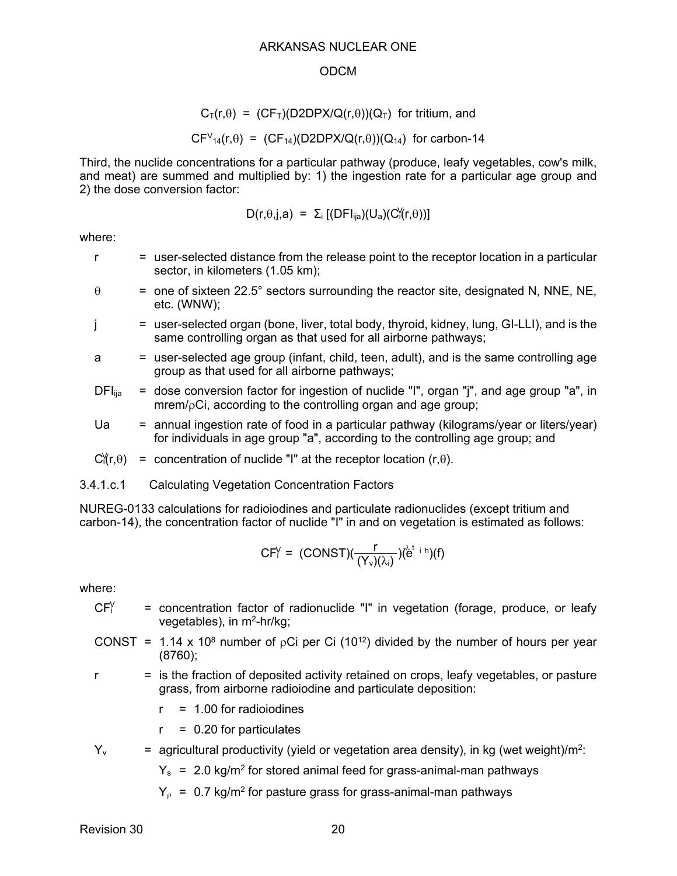#### ODCM

$$
C_T(r,\theta) = (CF_T)(D2DPX/Q(r,\theta))(Q_T) \text{ for tritium, and}
$$

 $CFV_{14}(r,\theta) = (CF_{14})(D2DPX/Q(r,\theta))(Q_{14})$  for carbon-14

Third, the nuclide concentrations for a particular pathway (produce, leafy vegetables, cow's milk, and meat) are summed and multiplied by: 1) the ingestion rate for a particular age group and 2) the dose conversion factor:

$$
D(r,\theta,j,a) = \Sigma_i [(DFI_{ija})(U_a)(C'(r,\theta))]
$$

where:

- r = user-selected distance from the release point to the receptor location in a particular sector, in kilometers (1.05 km);
- $\theta$  = one of sixteen 22.5° sectors surrounding the reactor site, designated N, NNE, NE, etc. (WNW);

j = user-selected organ (bone, liver, total body, thyroid, kidney, lung, GI-LLI), and is the same controlling organ as that used for all airborne pathways;

a = user-selected age group (infant, child, teen, adult), and is the same controlling age group as that used for all airborne pathways;

- $DFI<sub>lia</sub>$  = dose conversion factor for ingestion of nuclide "I", organ "j", and age group "a", in mrem/oCi, according to the controlling organ and age group;
- Ua  $=$  annual ingestion rate of food in a particular pathway (kilograms/year or liters/year) for individuals in age group "a", according to the controlling age group; and
- $C''_1(r,\theta)$  = concentration of nuclide "I" at the receptor location (r, $\theta$ ).
- 3.4.1.c.1 Calculating Vegetation Concentration Factors

NUREG-0133 calculations for radioiodines and particulate radionuclides (except tritium and carbon-14), the concentration factor of nuclide "I" in and on vegetation is estimated as follows:

$$
CF_i^V = (CONST)(\frac{r}{(Y_v)(\lambda_i)}) (\overset{\lambda_i}{e}^{t + h})(f)
$$

where:

- = concentration factor of radionuclide "I" in vegetation (forage, produce, or leafy vegetables), in m2-hr/kg;  $CFY$
- CONST = 1.14 x 10<sup>8</sup> number of <sub>p</sub>Ci per Ci (10<sup>12</sup>) divided by the number of hours per year (8760);
- $r =$  is the fraction of deposited activity retained on crops, leafy vegetables, or pasture grass, from airborne radioiodine and particulate deposition:

 $r = 1.00$  for radioiodines

 $r = 0.20$  for particulates

 $Y_v$  = agricultural productivity (yield or vegetation area density), in kg (wet weight)/m<sup>2</sup>:

 $Y_s$  = 2.0 kg/m<sup>2</sup> for stored animal feed for grass-animal-man pathways

 $Y_{o}$  = 0.7 kg/m<sup>2</sup> for pasture grass for grass-animal-man pathways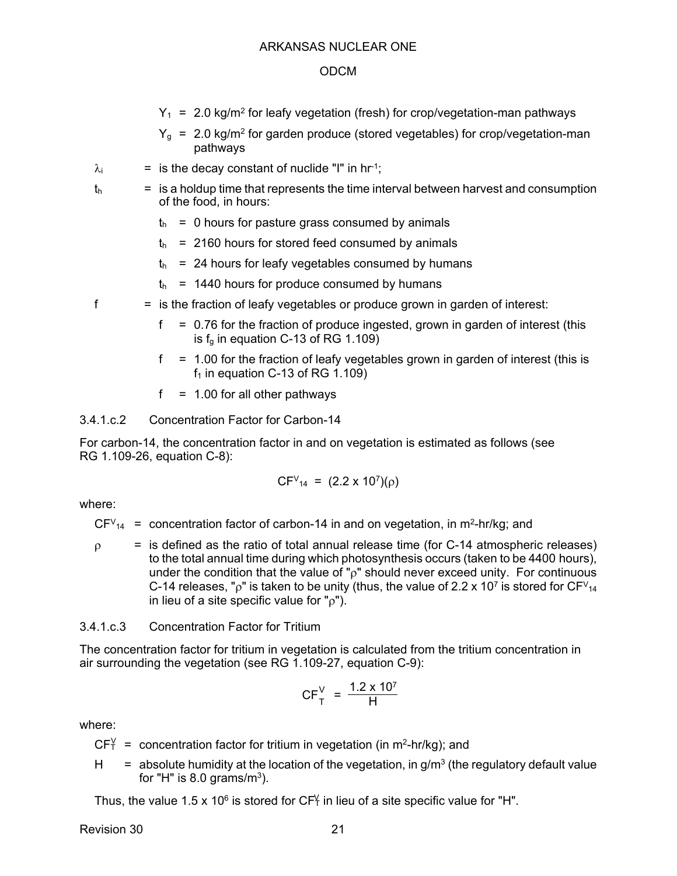- $Y_1$  = 2.0 kg/m<sup>2</sup> for leafy vegetation (fresh) for crop/vegetation-man pathways
- $Y<sub>q</sub> = 2.0$  kg/m<sup>2</sup> for garden produce (stored vegetables) for crop/vegetation-man pathways
- $\lambda_i$  = is the decay constant of nuclide "I" in hr<sup>-1</sup>;
- $t<sub>h</sub>$  = is a holdup time that represents the time interval between harvest and consumption of the food, in hours:
	- $t<sub>h</sub> = 0$  hours for pasture grass consumed by animals
	- $t<sub>h</sub>$  = 2160 hours for stored feed consumed by animals
	- $t<sub>h</sub>$  = 24 hours for leafy vegetables consumed by humans
	- $t<sub>h</sub>$  = 1440 hours for produce consumed by humans
- $f =$  is the fraction of leafy vegetables or produce grown in garden of interest:
	- $f = 0.76$  for the fraction of produce ingested, grown in garden of interest (this is  $f<sub>q</sub>$  in equation C-13 of RG 1.109)
	- $f = 1.00$  for the fraction of leafy vegetables grown in garden of interest (this is  $f_1$  in equation C-13 of RG 1.109)
	- $f = 1.00$  for all other pathways

3.4.1.c.2 Concentration Factor for Carbon-14

For carbon-14, the concentration factor in and on vegetation is estimated as follows (see RG 1.109-26, equation C-8):

$$
CFV_{14} = (2.2 \times 10^7)(\rho)
$$

where:

- $CFV_{14}$  = concentration factor of carbon-14 in and on vegetation, in m<sup>2</sup>-hr/kg; and
- $\rho$  = is defined as the ratio of total annual release time (for C-14 atmospheric releases) to the total annual time during which photosynthesis occurs (taken to be 4400 hours), under the condition that the value of " $\rho$ " should never exceed unity. For continuous C-14 releases, " $p$ " is taken to be unity (thus, the value of 2.2 x 10<sup>7</sup> is stored for CF $v_{14}$ in lieu of a site specific value for " $\rho$ ").

## 3.4.1.c.3 Concentration Factor for Tritium

The concentration factor for tritium in vegetation is calculated from the tritium concentration in air surrounding the vegetation (see RG 1.109-27, equation C-9):

$$
CF_{T}^{V} = \frac{1.2 \times 10^{7}}{H}
$$

where:

- $CF_{T}^{\vee}$  = concentration factor for tritium in vegetation (in m<sup>2</sup>-hr/kg); and
- H  $=$  absolute humidity at the location of the vegetation, in g/m<sup>3</sup> (the regulatory default value for "H" is  $8.0$  grams/m<sup>3</sup>).

Thus, the value 1.5 x 10<sup>6</sup> is stored for CF $_Y^V$  in lieu of a site specific value for "H".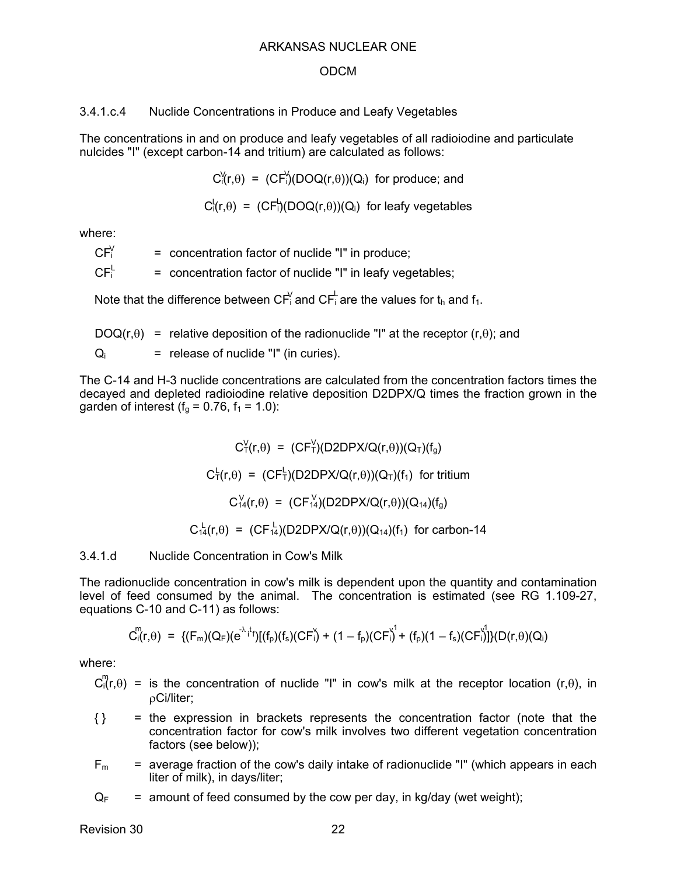#### ODCM

#### 3.4.1.c.4 Nuclide Concentrations in Produce and Leafy Vegetables

The concentrations in and on produce and leafy vegetables of all radioiodine and particulate nulcides "I" (except carbon-14 and tritium) are calculated as follows:

 $C_1^{\vee}(r,\theta) = (CF_1^{\vee})(DOQ(r,\theta))(Q_i)$  for produce; and

 $C_1^L(r,\theta) = (CF_1^L)(DOQ(r,\theta))(Q_i)$  for leafy vegetables

where:

= concentration factor of nuclide "I" in produce;  $CF<sup>V</sup>$ 

= concentration factor of nuclide "I" in leafy vegetables;  $CF<sup>L</sup>$ 

Note that the difference between CF $_1^\prime$  and CF $_1^\prime$  are the values for t $_\text{h}$  and f $_\text{1.}$ 

 $DOQ(r,\theta)$  = relative deposition of the radionuclide "I" at the receptor  $(r,\theta)$ ; and  $Q_i$  = release of nuclide "I" (in curies).

The C-14 and H-3 nuclide concentrations are calculated from the concentration factors times the decayed and depleted radioiodine relative deposition D2DPX/Q times the fraction grown in the garden of interest ( $f_g = 0.76$ ,  $f_1 = 1.0$ ):

> $C_T^V(r,\theta) = (CF_T^V)(D2DPX/Q(r,\theta))(Q_T)(f_g)$  $C^{\perp}_{\tau}(r,\theta) = (CF^{\perp}_{\tau})(D2DPX/Q(r,\theta))(Q_{\tau})(f_{1})$  for tritium  $C_{14}^{V}(r,\theta) = (CF_{14}^{V}(D2DPX/Q(r,\theta))(Q_{14})(f_g)$  $C_{14}^{L}(r,\theta) = (CF_{14}^{L})(D2DPX/Q(r,\theta))(Q_{14})(f_{1})$  for carbon-14

3.4.1.d Nuclide Concentration in Cow's Milk

The radionuclide concentration in cow's milk is dependent upon the quantity and contamination level of feed consumed by the animal. The concentration is estimated (see RG 1.109-27, equations C-10 and C-11) as follows:

$$
C_{i}^{m}(r,\theta) \; = \; \{ (F_{m})(Q_{F})(e^{ - \lambda_{i} t_{f}})[(f_{p})(f_{s})(CF^{V}_{i}) + (1 - f_{p})(CF^{V}_{i}) + (f_{p})(1 - f_{s})(CF^{V}_{i}) ] \} (D(r,\theta)(Q_{i})
$$

where:

 $C_0^m(r,\theta)$  = is the concentration of nuclide "I" in cow's milk at the receptor location (r, $\theta$ ), in Ci/liter;

- $\{\}$  = the expression in brackets represents the concentration factor (note that the concentration factor for cow's milk involves two different vegetation concentration factors (see below));
- $F_m$  = average fraction of the cow's daily intake of radionuclide "I" (which appears in each liter of milk), in days/liter;

 $Q_F$  = amount of feed consumed by the cow per day, in kg/day (wet weight);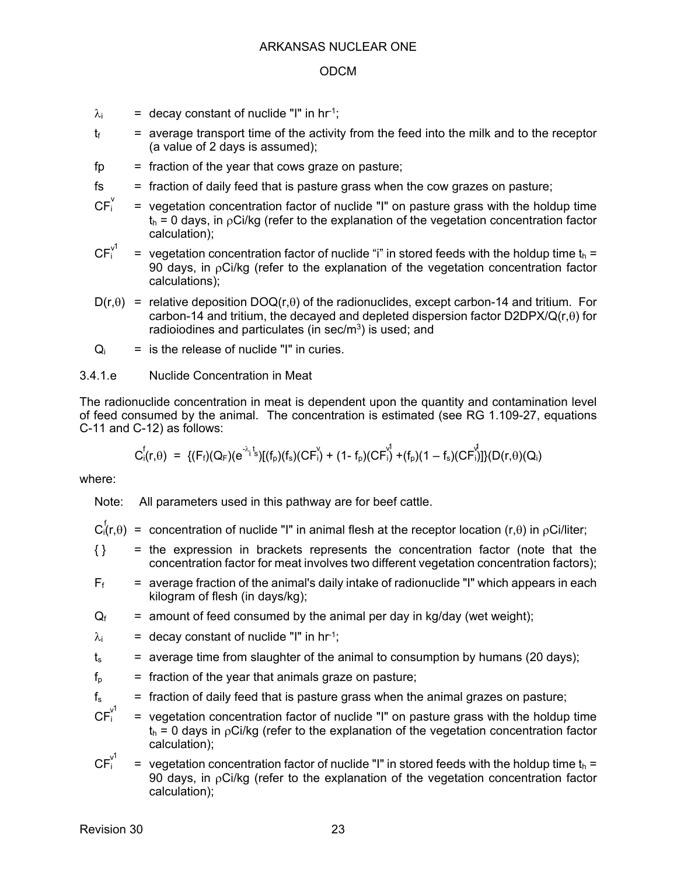- $\lambda_i$  = decay constant of nuclide "I" in hr<sup>-1</sup>;
- $t_f$  = average transport time of the activity from the feed into the milk and to the receptor (a value of 2 days is assumed);
- $fp = fraction of the year that cows graze on pasture;$
- $f<sub>s</sub>$  = fraction of daily feed that is pasture grass when the cow grazes on pasture;
- $=$  vegetation concentration factor of nuclide "I" on pasture grass with the holdup time  $t<sub>h</sub> = 0$  days, in  $\rho Ci/kg$  (refer to the explanation of the vegetation concentration factor calculation);  $CF_i^v$
- = vegetation concentration factor of nuclide "i" in stored feeds with the holdup time  $t_h$  = 90 days, in  $pCi/kg$  (refer to the explanation of the vegetation concentration factor calculations);  $CF_i^{\vee 1}$
- $D(r,\theta)$  = relative deposition DOQ(r, $\theta$ ) of the radionuclides, except carbon-14 and tritium. For carbon-14 and tritium, the decayed and depleted dispersion factor  $D2DPX/Q(r,\theta)$  for radioiodines and particulates (in sec/m<sup>3</sup>) is used; and
- $Q_i$  = is the release of nuclide "I" in curies.

## 3.4.1.e Nuclide Concentration in Meat

The radionuclide concentration in meat is dependent upon the quantity and contamination level of feed consumed by the animal. The concentration is estimated (see RG 1.109-27, equations C-11 and C-12) as follows:

$$
C_i^f(r,\theta) \; = \; \{(F_f)(Q_F)(e^{-\lambda_i t}s)[(f_p)(f_s)(CF_i^{\vee}) + (1-f_p)(CF_i^{\vee}) + (f_p)(1-f_s)(CF_i^{\vee})]\}(D(r,\theta)(Q_i)
$$

where:

Note: All parameters used in this pathway are for beef cattle.

- $C_i^f(r,\theta)$  = concentration of nuclide "I" in animal flesh at the receptor location (r, $\theta$ ) in  $\rho$ Ci/liter;
- $\{\}$  = the expression in brackets represents the concentration factor (note that the concentration factor for meat involves two different vegetation concentration factors);
- $F_f$  = average fraction of the animal's daily intake of radionuclide "I" which appears in each kilogram of flesh (in days/kg);
- $Q_f$  = amount of feed consumed by the animal per day in kg/day (wet weight);
- $\lambda_i$  = decay constant of nuclide "I" in hr<sup>-1</sup>;
- $t_s$  = average time from slaughter of the animal to consumption by humans (20 days);
- $f<sub>p</sub>$  = fraction of the year that animals graze on pasture;
- $f_s$  = fraction of daily feed that is pasture grass when the animal grazes on pasture;
- $=$  vegetation concentration factor of nuclide "I" on pasture grass with the holdup time  $t<sub>h</sub> = 0$  days in  $pCi/kg$  (refer to the explanation of the vegetation concentration factor calculation); v 1
- = vegetation concentration factor of nuclide "I" in stored feeds with the holdup time  $t_h$  = 90 days, in  $pCi/kg$  (refer to the explanation of the vegetation concentration factor calculation); v 1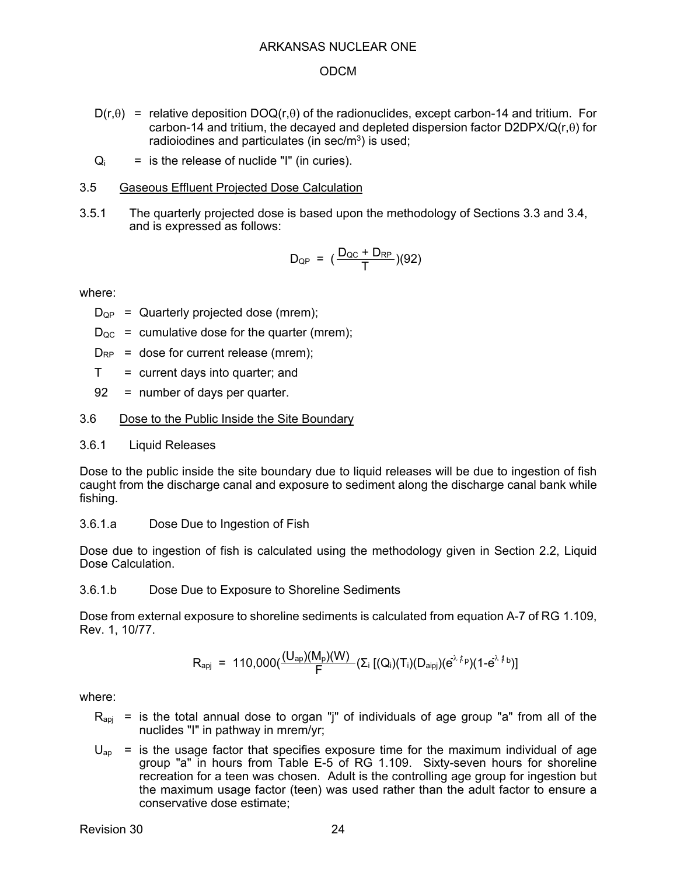### ODCM

- $D(r,\theta)$  = relative deposition DOQ(r, $\theta$ ) of the radionuclides, except carbon-14 and tritium. For carbon-14 and tritium, the decayed and depleted dispersion factor  $D2DPX/Q(r,\theta)$  for radioiodines and particulates (in sec/ $m<sup>3</sup>$ ) is used;
- $Q_i$  = is the release of nuclide "I" (in curies).

### 3.5 Gaseous Effluent Projected Dose Calculation

3.5.1 The quarterly projected dose is based upon the methodology of Sections 3.3 and 3.4, and is expressed as follows:

$$
D_{\text{QP}} = (\frac{D_{\text{QC}} + D_{\text{RP}}}{T})(92)
$$

where:

 $D_{\text{OP}}$  = Quarterly projected dose (mrem);

- $D_{\text{OC}}$  = cumulative dose for the quarter (mrem);
- $D_{RP}$  = dose for current release (mrem);
- $T =$  current days into quarter; and
- 92 = number of days per quarter.

## 3.6 Dose to the Public Inside the Site Boundary

3.6.1 Liquid Releases

Dose to the public inside the site boundary due to liquid releases will be due to ingestion of fish caught from the discharge canal and exposure to sediment along the discharge canal bank while fishing.

3.6.1.a Dose Due to Ingestion of Fish

Dose due to ingestion of fish is calculated using the methodology given in Section 2.2, Liquid Dose Calculation.

3.6.1.b Dose Due to Exposure to Shoreline Sediments

Dose from external exposure to shoreline sediments is calculated from equation A-7 of RG 1.109, Rev. 1, 10/77.

$$
R_{\text{apj}} = 110,000 \big( \frac{(U_{\text{ap}})(M_{\text{p}})(W)}{F} (\Sigma_{i} [(Q_{i})(T_{i})(D_{\text{aipj}})(e^{\lambda_{i}t_{p}})(1-e^{\lambda_{i}t_{b}})]
$$

- $R_{\text{api}}$  = is the total annual dose to organ "j" of individuals of age group "a" from all of the nuclides "I" in pathway in mrem/yr;
- $U_{\text{an}}$  = is the usage factor that specifies exposure time for the maximum individual of age group "a" in hours from Table E-5 of RG 1.109. Sixty-seven hours for shoreline recreation for a teen was chosen. Adult is the controlling age group for ingestion but the maximum usage factor (teen) was used rather than the adult factor to ensure a conservative dose estimate;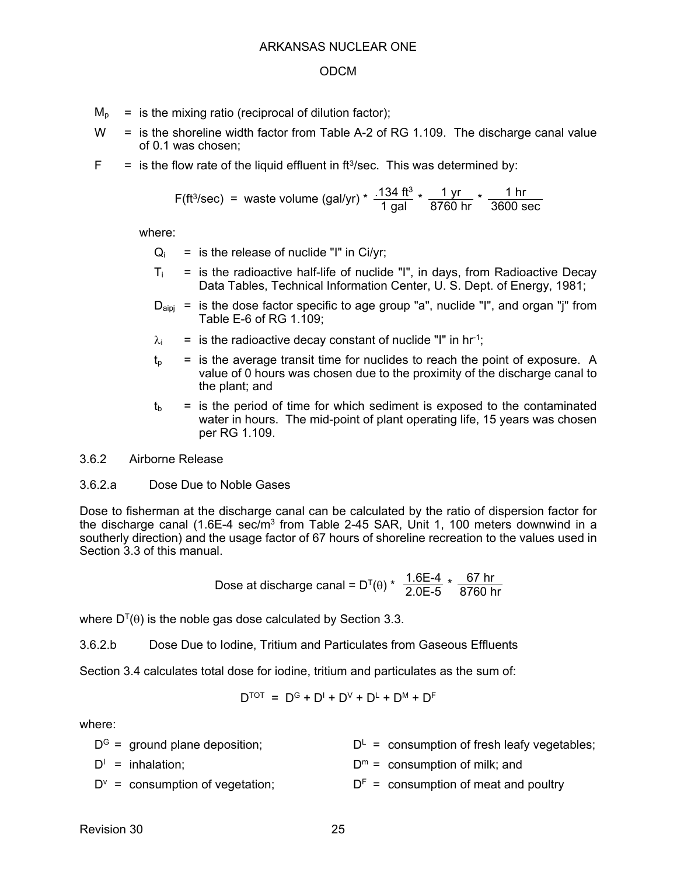- $M<sub>p</sub>$  = is the mixing ratio (reciprocal of dilution factor);
- $W =$  is the shoreline width factor from Table A-2 of RG 1.109. The discharge canal value of 0.1 was chosen;
- $F =$  is the flow rate of the liquid effluent in ft<sup>3</sup>/sec. This was determined by:

F(ft<sup>3</sup>/sec) = waste volume (gal/yr) \* 
$$
\frac{.134 \text{ ft}^3}{1 \text{ gal}} \times \frac{1 \text{ yr}}{8760 \text{ hr}} \times \frac{1 \text{ hr}}{3600 \text{ sec}}
$$

where:

- $Q_i$  = is the release of nuclide "I" in Ci/yr;
- $T_i$  = is the radioactive half-life of nuclide "I", in days, from Radioactive Decay Data Tables, Technical Information Center, U. S. Dept. of Energy, 1981;
- $D_{\text{aini}}$  = is the dose factor specific to age group "a", nuclide "I", and organ "j" from Table E-6 of RG 1.109;
- $\lambda_i$  = is the radioactive decay constant of nuclide "I" in hr<sup>-1</sup>;
- $t<sub>p</sub>$  = is the average transit time for nuclides to reach the point of exposure. A value of 0 hours was chosen due to the proximity of the discharge canal to the plant; and
- $t<sub>b</sub>$  = is the period of time for which sediment is exposed to the contaminated water in hours. The mid-point of plant operating life, 15 years was chosen per RG 1.109.
- 3.6.2 Airborne Release

#### 3.6.2.a Dose Due to Noble Gases

Dose to fisherman at the discharge canal can be calculated by the ratio of dispersion factor for the discharge canal (1.6E-4 sec/ $\overline{m}^3$  from Table 2-45 SAR, Unit 1, 100 meters downwind in a southerly direction) and the usage factor of 67 hours of shoreline recreation to the values used in Section 3.3 of this manual.

Dose at discharge canal = D<sup>T</sup>(θ) \* 
$$
\frac{1.6E-4}{2.0E-5}
$$
 \*  $\frac{67hr}{8760 hr}$ 

where  $D^{T}(\theta)$  is the noble gas dose calculated by Section 3.3.

3.6.2.b Dose Due to Iodine, Tritium and Particulates from Gaseous Effluents

Section 3.4 calculates total dose for iodine, tritium and particulates as the sum of:

$$
D^{\text{TOT}} = D^{\text{G}} + D^{\text{I}} + D^{\text{V}} + D^{\text{L}} + D^{\text{M}} + D^{\text{F}}
$$

| $DG$ = ground plane deposition;         | $D^L$ = consumption of fresh leafy vegetables; |
|-----------------------------------------|------------------------------------------------|
| $D^1$ = inhalation;                     | $Dm$ = consumption of milk; and                |
| $D^{\vee}$ = consumption of vegetation; | $DF$ = consumption of meat and poultry         |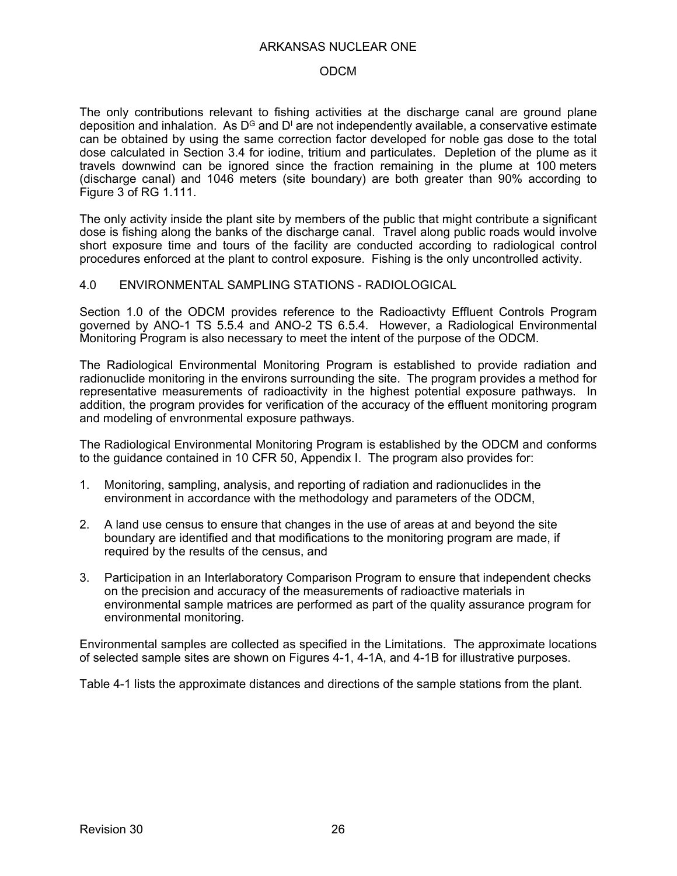#### ODCM

The only contributions relevant to fishing activities at the discharge canal are ground plane deposition and inhalation. As D $^{\text{\tiny{\text{G}}}}$  and D<sup>i</sup> are not independently available, a conservative estimate can be obtained by using the same correction factor developed for noble gas dose to the total dose calculated in Section 3.4 for iodine, tritium and particulates. Depletion of the plume as it travels downwind can be ignored since the fraction remaining in the plume at 100 meters (discharge canal) and 1046 meters (site boundary) are both greater than 90% according to Figure 3 of RG 1.111.

The only activity inside the plant site by members of the public that might contribute a significant dose is fishing along the banks of the discharge canal. Travel along public roads would involve short exposure time and tours of the facility are conducted according to radiological control procedures enforced at the plant to control exposure. Fishing is the only uncontrolled activity.

#### 4.0 ENVIRONMENTAL SAMPLING STATIONS - RADIOLOGICAL

Section 1.0 of the ODCM provides reference to the Radioactivty Effluent Controls Program governed by ANO-1 TS 5.5.4 and ANO-2 TS 6.5.4. However, a Radiological Environmental Monitoring Program is also necessary to meet the intent of the purpose of the ODCM.

The Radiological Environmental Monitoring Program is established to provide radiation and radionuclide monitoring in the environs surrounding the site. The program provides a method for representative measurements of radioactivity in the highest potential exposure pathways. In addition, the program provides for verification of the accuracy of the effluent monitoring program and modeling of envronmental exposure pathways.

The Radiological Environmental Monitoring Program is established by the ODCM and conforms to the guidance contained in 10 CFR 50, Appendix I. The program also provides for:

- 1. Monitoring, sampling, analysis, and reporting of radiation and radionuclides in the environment in accordance with the methodology and parameters of the ODCM,
- 2. A land use census to ensure that changes in the use of areas at and beyond the site boundary are identified and that modifications to the monitoring program are made, if required by the results of the census, and
- 3. Participation in an Interlaboratory Comparison Program to ensure that independent checks on the precision and accuracy of the measurements of radioactive materials in environmental sample matrices are performed as part of the quality assurance program for environmental monitoring.

Environmental samples are collected as specified in the Limitations. The approximate locations of selected sample sites are shown on Figures 4-1, 4-1A, and 4-1B for illustrative purposes.

Table 4-1 lists the approximate distances and directions of the sample stations from the plant.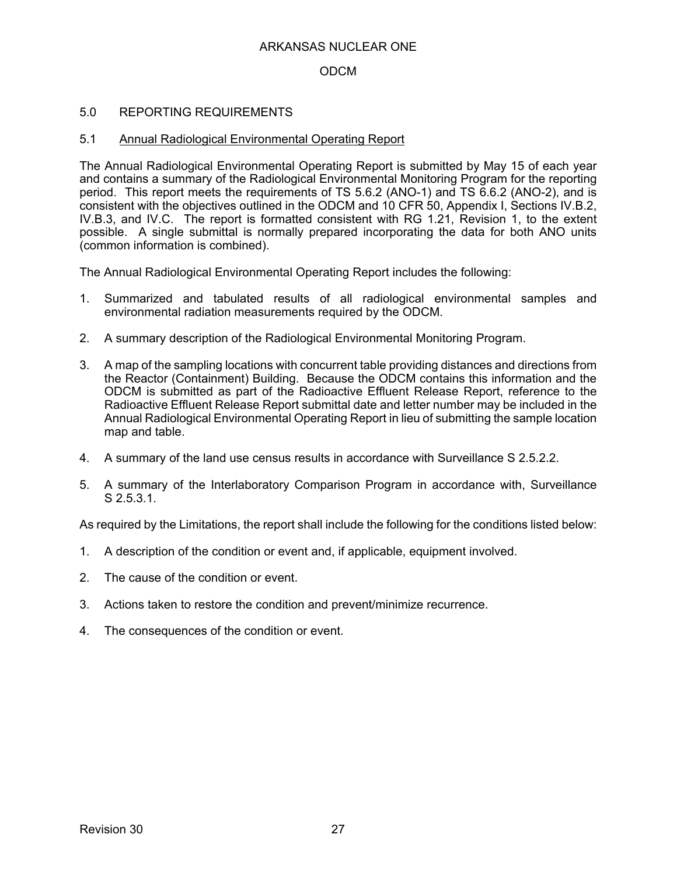## ODCM

### 5.0 REPORTING REQUIREMENTS

#### 5.1 Annual Radiological Environmental Operating Report

The Annual Radiological Environmental Operating Report is submitted by May 15 of each year and contains a summary of the Radiological Environmental Monitoring Program for the reporting period. This report meets the requirements of TS 5.6.2 (ANO-1) and TS 6.6.2 (ANO-2), and is consistent with the objectives outlined in the ODCM and 10 CFR 50, Appendix I, Sections IV.B.2, IV.B.3, and IV.C. The report is formatted consistent with RG 1.21, Revision 1, to the extent possible. A single submittal is normally prepared incorporating the data for both ANO units (common information is combined).

The Annual Radiological Environmental Operating Report includes the following:

- 1. Summarized and tabulated results of all radiological environmental samples and environmental radiation measurements required by the ODCM.
- 2. A summary description of the Radiological Environmental Monitoring Program.
- 3. A map of the sampling locations with concurrent table providing distances and directions from the Reactor (Containment) Building. Because the ODCM contains this information and the ODCM is submitted as part of the Radioactive Effluent Release Report, reference to the Radioactive Effluent Release Report submittal date and letter number may be included in the Annual Radiological Environmental Operating Report in lieu of submitting the sample location map and table.
- 4. A summary of the land use census results in accordance with Surveillance S 2.5.2.2.
- 5. A summary of the Interlaboratory Comparison Program in accordance with, Surveillance S 2.5.3.1.

As required by the Limitations, the report shall include the following for the conditions listed below:

- 1. A description of the condition or event and, if applicable, equipment involved.
- 2. The cause of the condition or event.
- 3. Actions taken to restore the condition and prevent/minimize recurrence.
- 4. The consequences of the condition or event.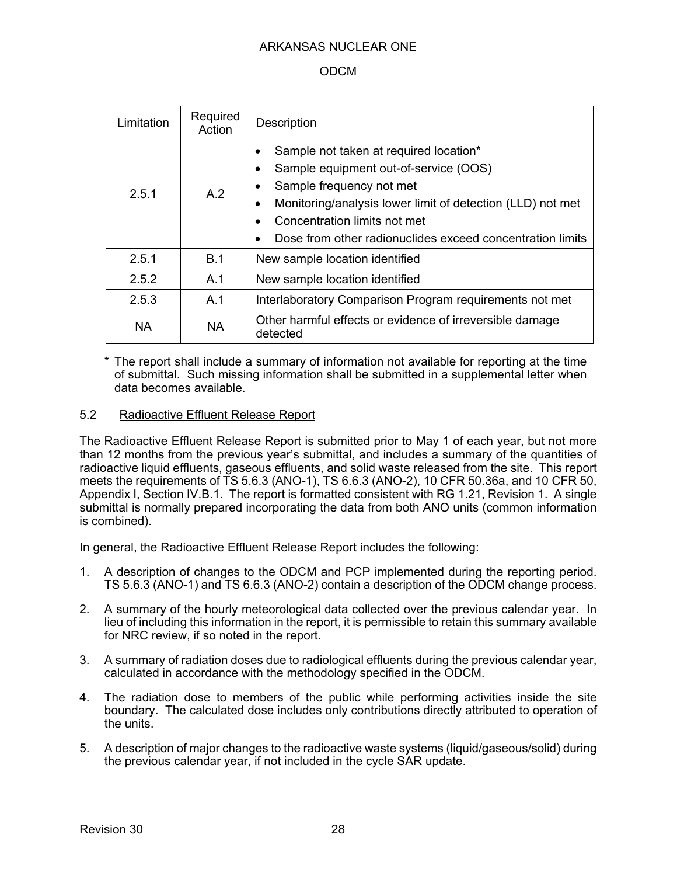## ODCM

| Limitation                         | Required<br>Action | <b>Description</b>                                                                                                                                                                                                                                                                  |  |
|------------------------------------|--------------------|-------------------------------------------------------------------------------------------------------------------------------------------------------------------------------------------------------------------------------------------------------------------------------------|--|
| 251                                | A.2                | Sample not taken at required location*<br>$\bullet$<br>Sample equipment out-of-service (OOS)<br>Sample frequency not met<br>Monitoring/analysis lower limit of detection (LLD) not met<br>Concentration limits not met<br>Dose from other radionuclides exceed concentration limits |  |
| 2.5.1                              | B.1                | New sample location identified                                                                                                                                                                                                                                                      |  |
| 2.5.2                              | A.1                | New sample location identified                                                                                                                                                                                                                                                      |  |
| 2.5.3                              | A.1                | Interlaboratory Comparison Program requirements not met                                                                                                                                                                                                                             |  |
| <b>NA</b><br><b>NA</b><br>detected |                    | Other harmful effects or evidence of irreversible damage                                                                                                                                                                                                                            |  |

The report shall include a summary of information not available for reporting at the time of submittal. Such missing information shall be submitted in a supplemental letter when data becomes available.

## 5.2 Radioactive Effluent Release Report

The Radioactive Effluent Release Report is submitted prior to May 1 of each year, but not more than 12 months from the previous year's submittal, and includes a summary of the quantities of radioactive liquid effluents, gaseous effluents, and solid waste released from the site. This report meets the requirements of TS 5.6.3 (ANO-1), TS 6.6.3 (ANO-2), 10 CFR 50.36a, and 10 CFR 50, Appendix I, Section IV.B.1. The report is formatted consistent with RG 1.21, Revision 1. A single submittal is normally prepared incorporating the data from both ANO units (common information is combined).

In general, the Radioactive Effluent Release Report includes the following:

- 1. A description of changes to the ODCM and PCP implemented during the reporting period. TS 5.6.3 (ANO-1) and TS 6.6.3 (ANO-2) contain a description of the ODCM change process.
- 2. A summary of the hourly meteorological data collected over the previous calendar year. In lieu of including this information in the report, it is permissible to retain this summary available for NRC review, if so noted in the report.
- 3. A summary of radiation doses due to radiological effluents during the previous calendar year, calculated in accordance with the methodology specified in the ODCM.
- 4. The radiation dose to members of the public while performing activities inside the site boundary. The calculated dose includes only contributions directly attributed to operation of the units.
- 5. A description of major changes to the radioactive waste systems (liquid/gaseous/solid) during the previous calendar year, if not included in the cycle SAR update.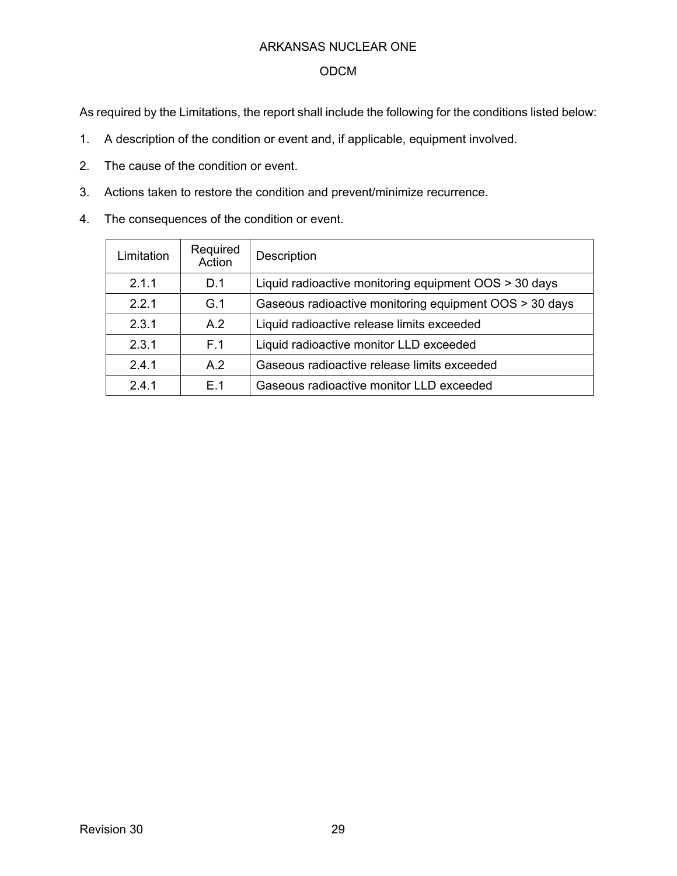## ODCM

As required by the Limitations, the report shall include the following for the conditions listed below:

- 1. A description of the condition or event and, if applicable, equipment involved.
- 2. The cause of the condition or event.
- 3. Actions taken to restore the condition and prevent/minimize recurrence.
- 4. The consequences of the condition or event.

| Limitation | Required<br>Action | <b>Description</b>                                     |
|------------|--------------------|--------------------------------------------------------|
| 2.1.1      | D.1                | Liquid radioactive monitoring equipment OOS > 30 days  |
| 221        | G.1                | Gaseous radioactive monitoring equipment OOS > 30 days |
| 2.3.1      | A.2                | Liquid radioactive release limits exceeded             |
| 2.3.1      | F 1                | Liquid radioactive monitor LLD exceeded                |
| 241        | A.2                | Gaseous radioactive release limits exceeded            |
| 2.4.1      | F 1                | Gaseous radioactive monitor LLD exceeded               |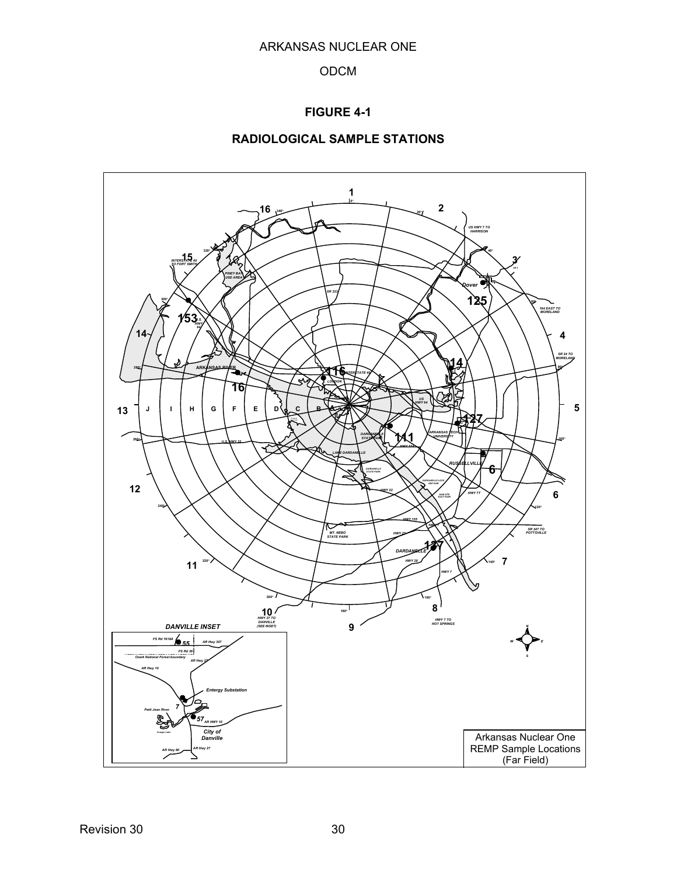## **FIGURE 4-1**

## **RADIOLOGICAL SAMPLE STATIONS**

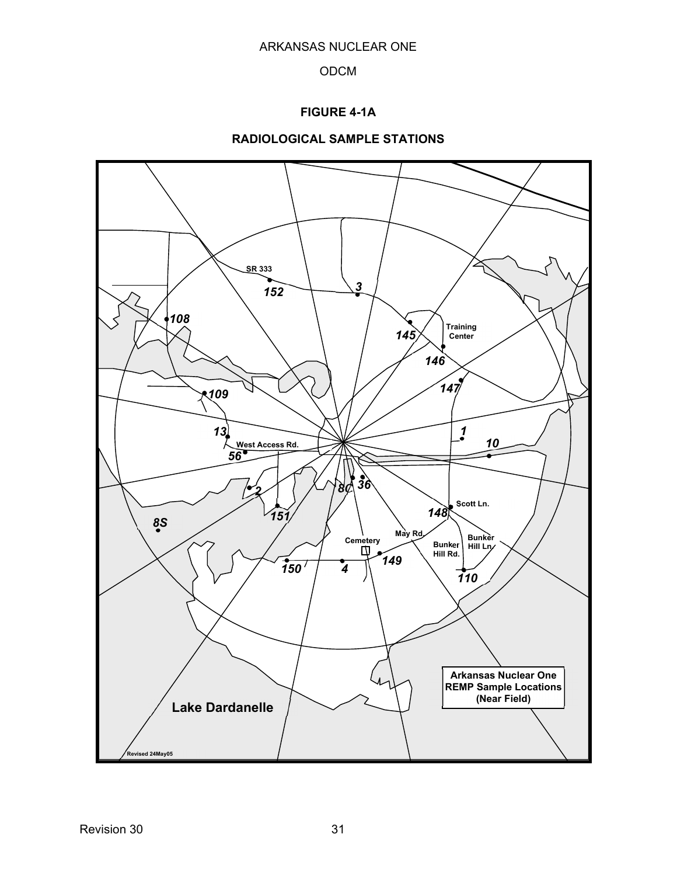## **FIGURE 4-1A**

# **RADIOLOGICAL SAMPLE STATIONS**

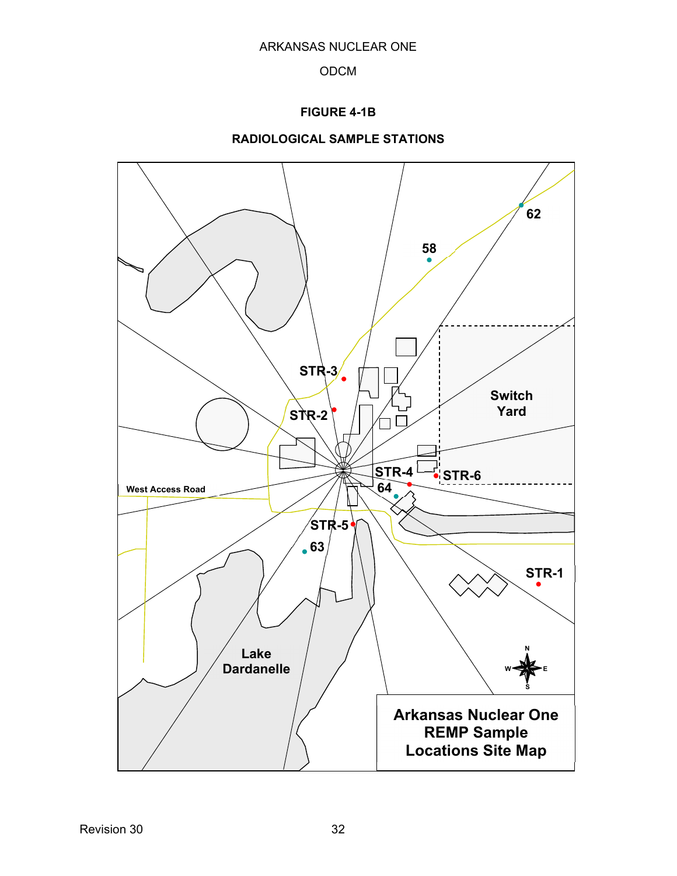## **FIGURE 4-1B**



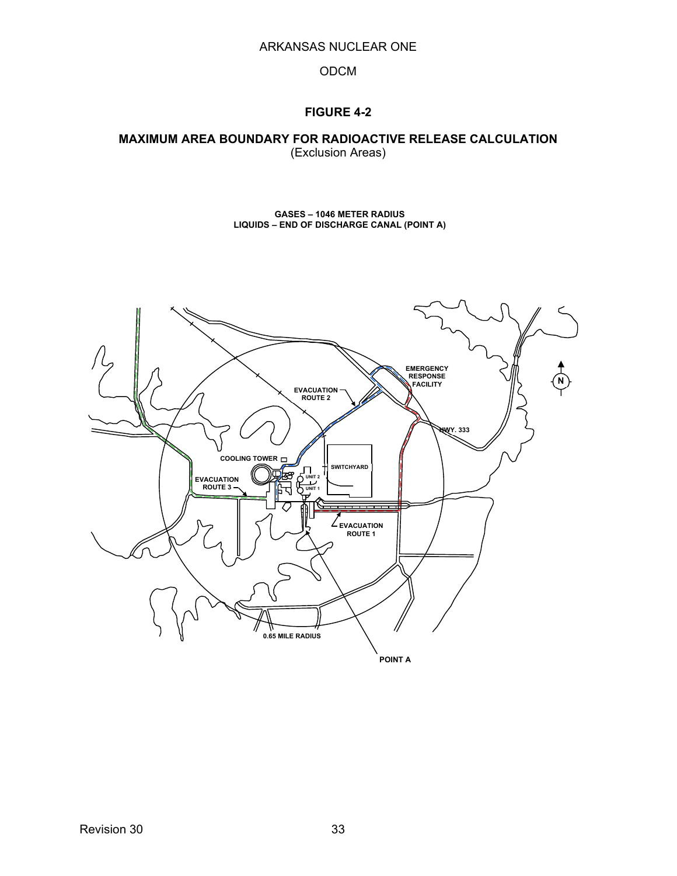#### ODCM

## **FIGURE 4-2**

#### **MAXIMUM AREA BOUNDARY FOR RADIOACTIVE RELEASE CALCULATION**  (Exclusion Areas)

**GASES – 1046 METER RADIUS LIQUIDS – END OF DISCHARGE CANAL (POINT A)** 

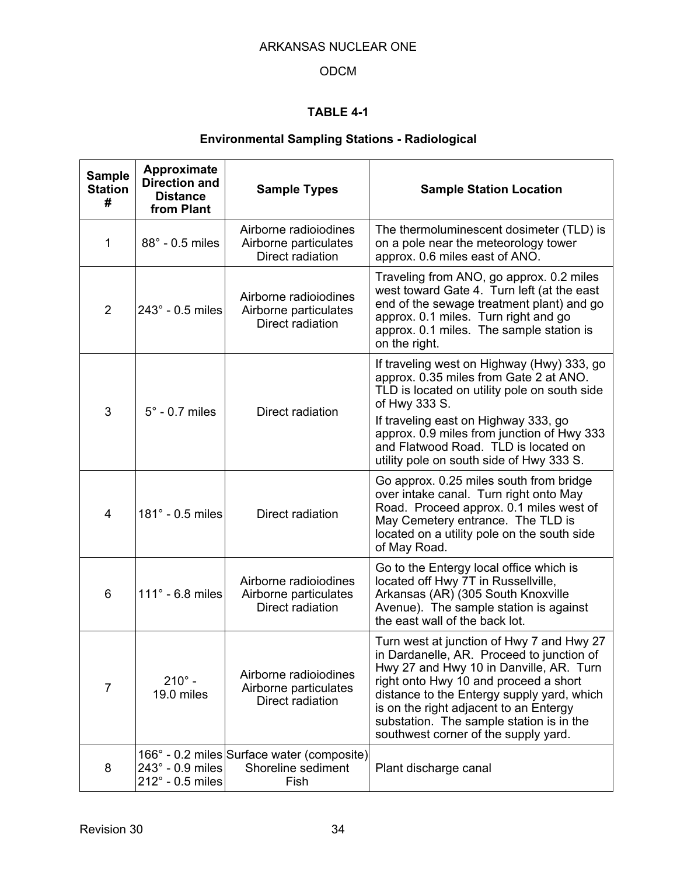# ODCM

# **TABLE 4-1**

# **Environmental Sampling Stations - Radiological**

| <b>Sample</b><br><b>Station</b><br># | Approximate<br><b>Direction and</b><br><b>Distance</b><br>from Plant | <b>Sample Types</b>                                                      | <b>Sample Station Location</b>                                                                                                                                                                                                                                                                                                                         |
|--------------------------------------|----------------------------------------------------------------------|--------------------------------------------------------------------------|--------------------------------------------------------------------------------------------------------------------------------------------------------------------------------------------------------------------------------------------------------------------------------------------------------------------------------------------------------|
| 1                                    | $88^\circ$ - 0.5 miles                                               | Airborne radioiodines<br>Airborne particulates<br>Direct radiation       | The thermoluminescent dosimeter (TLD) is<br>on a pole near the meteorology tower<br>approx. 0.6 miles east of ANO.                                                                                                                                                                                                                                     |
| 2                                    | 243° - 0.5 miles                                                     | Airborne radioiodines<br>Airborne particulates<br>Direct radiation       | Traveling from ANO, go approx. 0.2 miles<br>west toward Gate 4. Turn left (at the east<br>end of the sewage treatment plant) and go<br>approx. 0.1 miles. Turn right and go<br>approx. 0.1 miles. The sample station is<br>on the right.                                                                                                               |
| 3                                    | $5^\circ$ - 0.7 miles                                                | Direct radiation                                                         | If traveling west on Highway (Hwy) 333, go<br>approx. 0.35 miles from Gate 2 at ANO.<br>TLD is located on utility pole on south side<br>of Hwy 333 S.<br>If traveling east on Highway 333, go<br>approx. 0.9 miles from junction of Hwy 333<br>and Flatwood Road. TLD is located on<br>utility pole on south side of Hwy 333 S.                        |
| 4                                    | 181° - 0.5 miles                                                     | Direct radiation                                                         | Go approx. 0.25 miles south from bridge<br>over intake canal. Turn right onto May<br>Road. Proceed approx. 0.1 miles west of<br>May Cemetery entrance. The TLD is<br>located on a utility pole on the south side<br>of May Road.                                                                                                                       |
| 6                                    | $111^\circ$ - 6.8 miles                                              | Airborne radioiodines<br>Airborne particulates<br>Direct radiation       | Go to the Entergy local office which is<br>located off Hwy 7T in Russellville,<br>Arkansas (AR) (305 South Knoxville<br>Avenue). The sample station is against<br>the east wall of the back lot.                                                                                                                                                       |
| $\overline{7}$                       | $210^{\circ}$ -<br>19.0 miles                                        | Airborne radioiodines<br>Airborne particulates<br>Direct radiation       | Turn west at junction of Hwy 7 and Hwy 27<br>in Dardanelle, AR. Proceed to junction of<br>Hwy 27 and Hwy 10 in Danville, AR. Turn<br>right onto Hwy 10 and proceed a short<br>distance to the Entergy supply yard, which<br>is on the right adjacent to an Entergy<br>substation. The sample station is in the<br>southwest corner of the supply yard. |
| 8                                    | $243^\circ$ - 0.9 miles<br>212° - 0.5 miles                          | 166° - 0.2 miles Surface water (composite)<br>Shoreline sediment<br>Fish | Plant discharge canal                                                                                                                                                                                                                                                                                                                                  |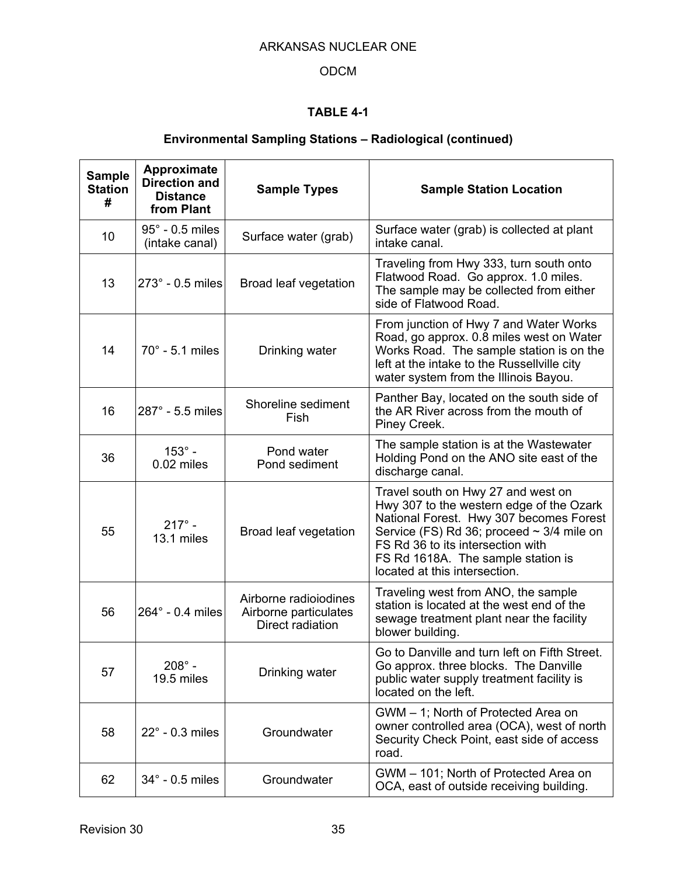# ODCM

# **TABLE 4-1**

# **Environmental Sampling Stations – Radiological (continued)**

| <b>Sample</b><br><b>Station</b><br># | Approximate<br><b>Direction and</b><br><b>Distance</b><br>from Plant | <b>Sample Types</b>                                                | <b>Sample Station Location</b>                                                                                                                                                                                                                                                          |
|--------------------------------------|----------------------------------------------------------------------|--------------------------------------------------------------------|-----------------------------------------------------------------------------------------------------------------------------------------------------------------------------------------------------------------------------------------------------------------------------------------|
| 10                                   | $95^\circ$ - 0.5 miles<br>(intake canal)                             | Surface water (grab)                                               | Surface water (grab) is collected at plant<br>intake canal.                                                                                                                                                                                                                             |
| 13                                   | 273° - 0.5 miles                                                     | Broad leaf vegetation                                              | Traveling from Hwy 333, turn south onto<br>Flatwood Road. Go approx. 1.0 miles.<br>The sample may be collected from either<br>side of Flatwood Road.                                                                                                                                    |
| 14                                   | $70^\circ$ - 5.1 miles                                               | Drinking water                                                     | From junction of Hwy 7 and Water Works<br>Road, go approx. 0.8 miles west on Water<br>Works Road. The sample station is on the<br>left at the intake to the Russellville city<br>water system from the Illinois Bayou.                                                                  |
| 16                                   | 287° - 5.5 miles                                                     | Shoreline sediment<br>Fish                                         | Panther Bay, located on the south side of<br>the AR River across from the mouth of<br>Piney Creek.                                                                                                                                                                                      |
| 36                                   | $153^\circ$ -<br>0.02 miles                                          | Pond water<br>Pond sediment                                        | The sample station is at the Wastewater<br>Holding Pond on the ANO site east of the<br>discharge canal.                                                                                                                                                                                 |
| 55                                   | $217^{\circ}$ -<br>13.1 miles                                        | Broad leaf vegetation                                              | Travel south on Hwy 27 and west on<br>Hwy 307 to the western edge of the Ozark<br>National Forest. Hwy 307 becomes Forest<br>Service (FS) Rd 36; proceed $\sim$ 3/4 mile on<br>FS Rd 36 to its intersection with<br>FS Rd 1618A. The sample station is<br>located at this intersection. |
| 56                                   | 264° - 0.4 miles                                                     | Airborne radioiodines<br>Airborne particulates<br>Direct radiation | Traveling west from ANO, the sample<br>station is located at the west end of the<br>sewage treatment plant near the facility<br>blower building.                                                                                                                                        |
| 57                                   | $208^\circ$ -<br>19.5 miles                                          | Drinking water                                                     | Go to Danville and turn left on Fifth Street.<br>Go approx. three blocks. The Danville<br>public water supply treatment facility is<br>located on the left.                                                                                                                             |
| 58                                   | $22^\circ$ - 0.3 miles                                               | Groundwater                                                        | GWM - 1; North of Protected Area on<br>owner controlled area (OCA), west of north<br>Security Check Point, east side of access<br>road.                                                                                                                                                 |
| 62                                   | 34° - 0.5 miles                                                      | Groundwater                                                        | GWM - 101; North of Protected Area on<br>OCA, east of outside receiving building.                                                                                                                                                                                                       |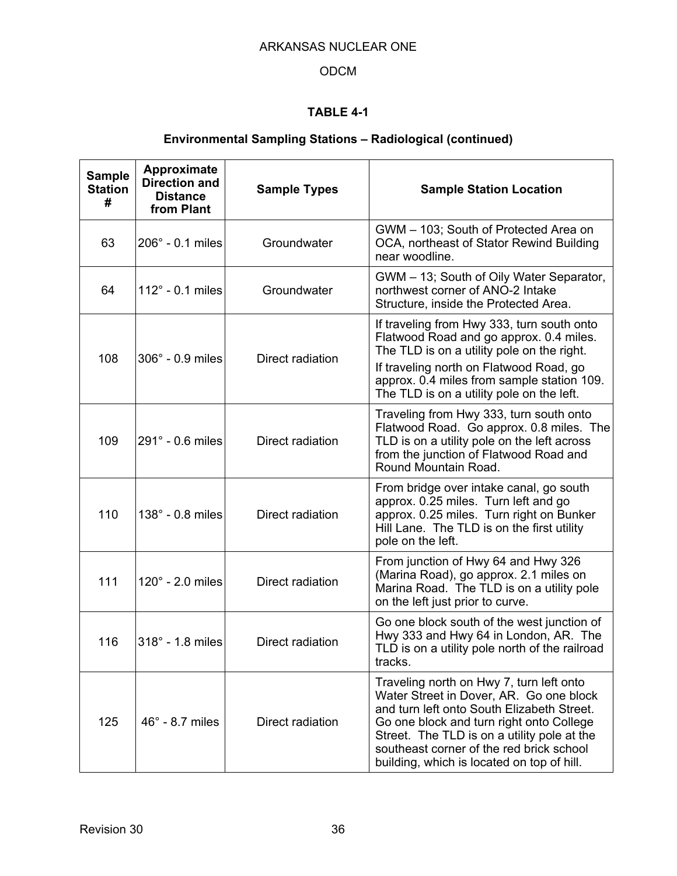# ODCM

# **TABLE 4-1**

# **Environmental Sampling Stations – Radiological (continued)**

| <b>Sample</b><br><b>Station</b><br># | Approximate<br><b>Direction and</b><br><b>Distance</b><br>from Plant | <b>Sample Types</b><br><b>Sample Station Location</b> |                                                                                                                                                                                                                                                                                                                        |
|--------------------------------------|----------------------------------------------------------------------|-------------------------------------------------------|------------------------------------------------------------------------------------------------------------------------------------------------------------------------------------------------------------------------------------------------------------------------------------------------------------------------|
| 63                                   | $206^\circ$ - 0.1 miles                                              | Groundwater                                           | GWM - 103; South of Protected Area on<br>OCA, northeast of Stator Rewind Building<br>near woodline.                                                                                                                                                                                                                    |
| 64                                   | $112^\circ$ - 0.1 miles                                              | Groundwater                                           | GWM - 13; South of Oily Water Separator,<br>northwest corner of ANO-2 Intake<br>Structure, inside the Protected Area.                                                                                                                                                                                                  |
| 108                                  | $306^\circ$ - 0.9 miles                                              | Direct radiation                                      | If traveling from Hwy 333, turn south onto<br>Flatwood Road and go approx. 0.4 miles.<br>The TLD is on a utility pole on the right.                                                                                                                                                                                    |
|                                      |                                                                      |                                                       | If traveling north on Flatwood Road, go<br>approx. 0.4 miles from sample station 109.<br>The TLD is on a utility pole on the left.                                                                                                                                                                                     |
| 109                                  | 291° - 0.6 miles                                                     | Direct radiation                                      | Traveling from Hwy 333, turn south onto<br>Flatwood Road. Go approx. 0.8 miles. The<br>TLD is on a utility pole on the left across<br>from the junction of Flatwood Road and<br>Round Mountain Road.                                                                                                                   |
| 110                                  | $138^\circ$ - 0.8 miles                                              | Direct radiation                                      | From bridge over intake canal, go south<br>approx. 0.25 miles. Turn left and go<br>approx. 0.25 miles. Turn right on Bunker<br>Hill Lane. The TLD is on the first utility<br>pole on the left.                                                                                                                         |
| 111                                  | $120^\circ$ - 2.0 miles                                              | Direct radiation                                      | From junction of Hwy 64 and Hwy 326<br>(Marina Road), go approx. 2.1 miles on<br>Marina Road. The TLD is on a utility pole<br>on the left just prior to curve.                                                                                                                                                         |
| 116                                  | 318° - 1.8 miles                                                     | Direct radiation                                      | Go one block south of the west junction of<br>Hwy 333 and Hwy 64 in London, AR. The<br>TLD is on a utility pole north of the railroad<br>tracks.                                                                                                                                                                       |
| 125                                  | $46^\circ$ - 8.7 miles                                               | Direct radiation                                      | Traveling north on Hwy 7, turn left onto<br>Water Street in Dover, AR. Go one block<br>and turn left onto South Elizabeth Street.<br>Go one block and turn right onto College<br>Street. The TLD is on a utility pole at the<br>southeast corner of the red brick school<br>building, which is located on top of hill. |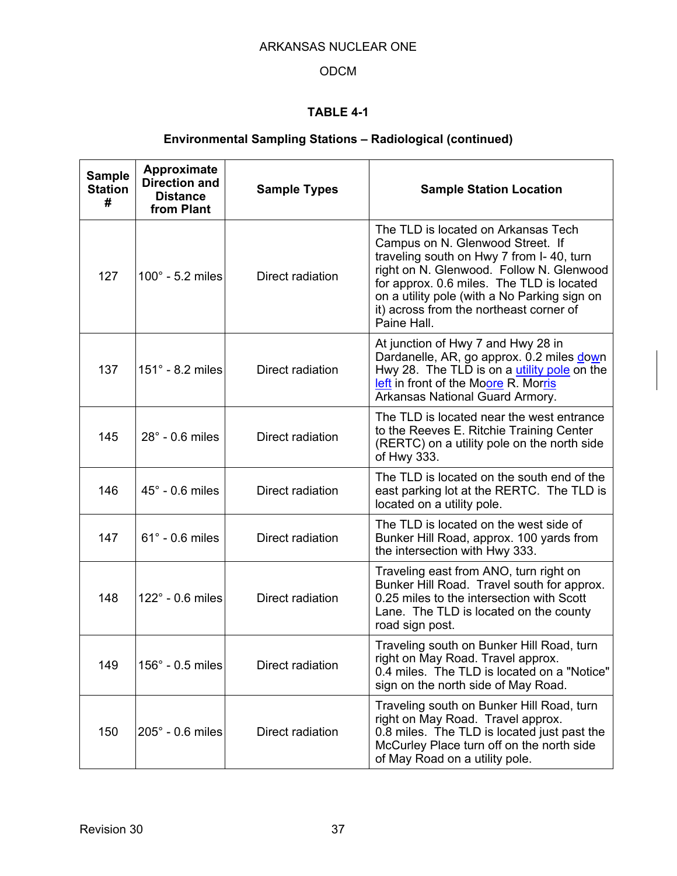# ODCM

# **TABLE 4-1**

# **Environmental Sampling Stations – Radiological (continued)**

| <b>Sample</b><br><b>Station</b><br># | Approximate<br><b>Direction and</b><br><b>Distance</b><br>from Plant | <b>Sample Types</b> | <b>Sample Station Location</b>                                                                                                                                                                                                                                                                                         |
|--------------------------------------|----------------------------------------------------------------------|---------------------|------------------------------------------------------------------------------------------------------------------------------------------------------------------------------------------------------------------------------------------------------------------------------------------------------------------------|
| 127                                  | $100^\circ$ - 5.2 miles                                              | Direct radiation    | The TLD is located on Arkansas Tech<br>Campus on N. Glenwood Street. If<br>traveling south on Hwy 7 from I-40, turn<br>right on N. Glenwood. Follow N. Glenwood<br>for approx. 0.6 miles. The TLD is located<br>on a utility pole (with a No Parking sign on<br>it) across from the northeast corner of<br>Paine Hall. |
| 137                                  | 151° - 8.2 miles                                                     | Direct radiation    | At junction of Hwy 7 and Hwy 28 in<br>Dardanelle, AR, go approx. 0.2 miles down<br>Hwy 28. The TLD is on a utility pole on the<br>left in front of the Moore R. Morris<br>Arkansas National Guard Armory.                                                                                                              |
| 145                                  | $28^\circ$ - 0.6 miles                                               | Direct radiation    | The TLD is located near the west entrance<br>to the Reeves E. Ritchie Training Center<br>(RERTC) on a utility pole on the north side<br>of Hwy 333.                                                                                                                                                                    |
| 146                                  | $45^\circ$ - 0.6 miles                                               | Direct radiation    | The TLD is located on the south end of the<br>east parking lot at the RERTC. The TLD is<br>located on a utility pole.                                                                                                                                                                                                  |
| 147                                  | $61^\circ$ - 0.6 miles                                               | Direct radiation    | The TLD is located on the west side of<br>Bunker Hill Road, approx. 100 yards from<br>the intersection with Hwy 333.                                                                                                                                                                                                   |
| 148                                  | $122^\circ$ - 0.6 miles                                              | Direct radiation    | Traveling east from ANO, turn right on<br>Bunker Hill Road. Travel south for approx.<br>0.25 miles to the intersection with Scott<br>Lane. The TLD is located on the county<br>road sign post.                                                                                                                         |
| 149                                  | $156^\circ$ - 0.5 miles                                              | Direct radiation    | Traveling south on Bunker Hill Road, turn<br>right on May Road. Travel approx.<br>0.4 miles. The TLD is located on a "Notice"<br>sign on the north side of May Road.                                                                                                                                                   |
| 150                                  | $205^\circ$ - 0.6 miles                                              | Direct radiation    | Traveling south on Bunker Hill Road, turn<br>right on May Road. Travel approx.<br>0.8 miles. The TLD is located just past the<br>McCurley Place turn off on the north side<br>of May Road on a utility pole.                                                                                                           |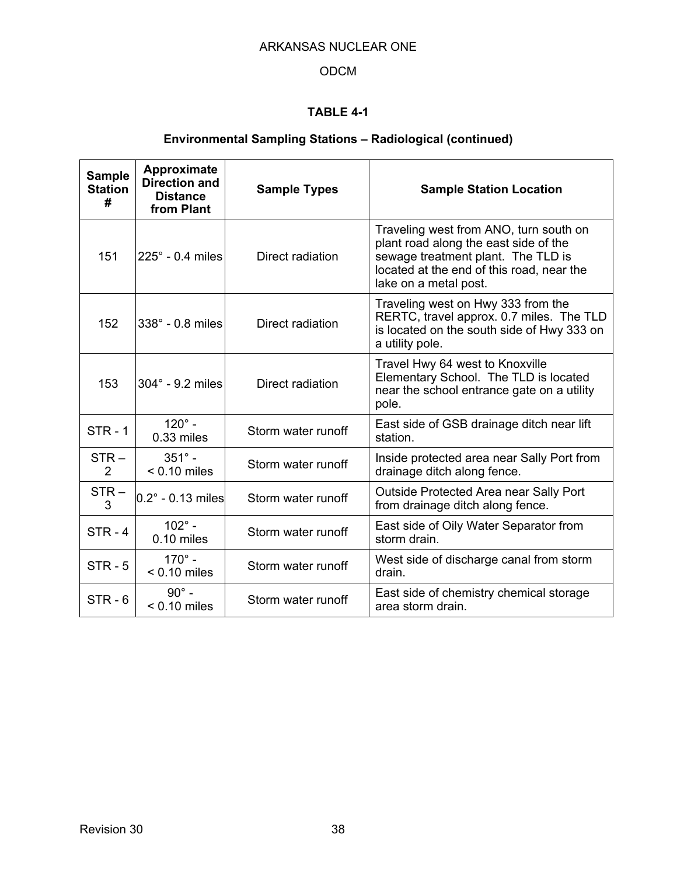# ODCM

# **TABLE 4-1**

# **Environmental Sampling Stations – Radiological (continued)**

| <b>Sample</b><br><b>Station</b><br># | Approximate<br><b>Direction and</b><br><b>Distance</b><br>from Plant | <b>Sample Types</b> | <b>Sample Station Location</b>                                                                                                                                                              |  |
|--------------------------------------|----------------------------------------------------------------------|---------------------|---------------------------------------------------------------------------------------------------------------------------------------------------------------------------------------------|--|
| 151                                  | $225^\circ$ - 0.4 miles                                              | Direct radiation    | Traveling west from ANO, turn south on<br>plant road along the east side of the<br>sewage treatment plant. The TLD is<br>located at the end of this road, near the<br>lake on a metal post. |  |
| 152                                  | 338° - 0.8 miles                                                     | Direct radiation    | Traveling west on Hwy 333 from the<br>RERTC, travel approx. 0.7 miles. The TLD<br>is located on the south side of Hwy 333 on<br>a utility pole.                                             |  |
| 153                                  | $304^\circ$ - 9.2 miles                                              | Direct radiation    | Travel Hwy 64 west to Knoxville<br>Elementary School. The TLD is located<br>near the school entrance gate on a utility<br>pole.                                                             |  |
| $STR - 1$                            | $120^\circ$ -<br>$0.33$ miles                                        | Storm water runoff  | East side of GSB drainage ditch near lift<br>station.                                                                                                                                       |  |
| $STR -$<br>$\overline{2}$            | $351^{\circ}$ -<br>$< 0.10$ miles                                    | Storm water runoff  | Inside protected area near Sally Port from<br>drainage ditch along fence.                                                                                                                   |  |
| $STR -$<br>3                         | $0.2^{\circ}$ - 0.13 miles                                           | Storm water runoff  | Outside Protected Area near Sally Port<br>from drainage ditch along fence.                                                                                                                  |  |
| $STR - 4$                            | $102^{\circ}$ -<br>$0.10$ miles                                      | Storm water runoff  | East side of Oily Water Separator from<br>storm drain.                                                                                                                                      |  |
| $STR - 5$                            | $170^{\circ}$ -<br>$< 0.10$ miles                                    | Storm water runoff  | West side of discharge canal from storm<br>drain.                                                                                                                                           |  |
| $STR - 6$                            | $90^\circ$ -<br>$< 0.10$ miles                                       | Storm water runoff  | East side of chemistry chemical storage<br>area storm drain.                                                                                                                                |  |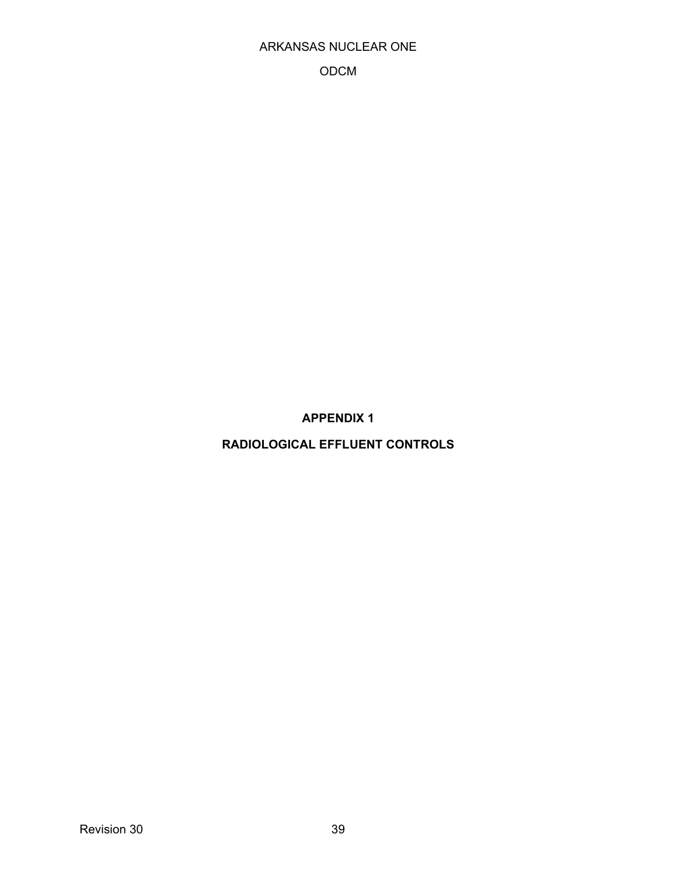### ODCM

**APPENDIX 1** 

**RADIOLOGICAL EFFLUENT CONTROLS**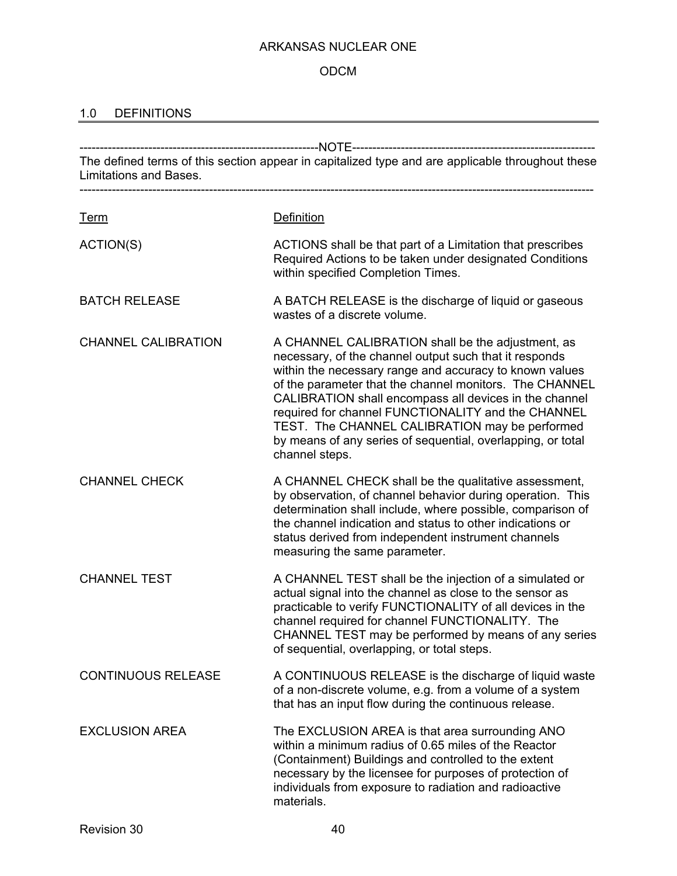# ODCM

# 1.0 DEFINITIONS

| The defined terms of this section appear in capitalized type and are applicable throughout these<br>Limitations and Bases. |                                                                                                                                                                                                                                                                                                                                                                                                                                                                                      |  |  |
|----------------------------------------------------------------------------------------------------------------------------|--------------------------------------------------------------------------------------------------------------------------------------------------------------------------------------------------------------------------------------------------------------------------------------------------------------------------------------------------------------------------------------------------------------------------------------------------------------------------------------|--|--|
| <u>Term</u>                                                                                                                | <b>Definition</b>                                                                                                                                                                                                                                                                                                                                                                                                                                                                    |  |  |
| ACTION(S)                                                                                                                  | ACTIONS shall be that part of a Limitation that prescribes<br>Required Actions to be taken under designated Conditions<br>within specified Completion Times.                                                                                                                                                                                                                                                                                                                         |  |  |
| <b>BATCH RELEASE</b>                                                                                                       | A BATCH RELEASE is the discharge of liquid or gaseous<br>wastes of a discrete volume.                                                                                                                                                                                                                                                                                                                                                                                                |  |  |
| <b>CHANNEL CALIBRATION</b>                                                                                                 | A CHANNEL CALIBRATION shall be the adjustment, as<br>necessary, of the channel output such that it responds<br>within the necessary range and accuracy to known values<br>of the parameter that the channel monitors. The CHANNEL<br>CALIBRATION shall encompass all devices in the channel<br>required for channel FUNCTIONALITY and the CHANNEL<br>TEST. The CHANNEL CALIBRATION may be performed<br>by means of any series of sequential, overlapping, or total<br>channel steps. |  |  |
| <b>CHANNEL CHECK</b>                                                                                                       | A CHANNEL CHECK shall be the qualitative assessment,<br>by observation, of channel behavior during operation. This<br>determination shall include, where possible, comparison of<br>the channel indication and status to other indications or<br>status derived from independent instrument channels<br>measuring the same parameter.                                                                                                                                                |  |  |
| <b>CHANNEL TEST</b>                                                                                                        | A CHANNEL TEST shall be the injection of a simulated or<br>actual signal into the channel as close to the sensor as<br>practicable to verify FUNCTIONALITY of all devices in the<br>channel required for channel FUNCTIONALITY. The<br>CHANNEL TEST may be performed by means of any series<br>of sequential, overlapping, or total steps.                                                                                                                                           |  |  |
| <b>CONTINUOUS RELEASE</b>                                                                                                  | A CONTINUOUS RELEASE is the discharge of liquid waste<br>of a non-discrete volume, e.g. from a volume of a system<br>that has an input flow during the continuous release.                                                                                                                                                                                                                                                                                                           |  |  |
| <b>EXCLUSION AREA</b>                                                                                                      | The EXCLUSION AREA is that area surrounding ANO<br>within a minimum radius of 0.65 miles of the Reactor<br>(Containment) Buildings and controlled to the extent<br>necessary by the licensee for purposes of protection of<br>individuals from exposure to radiation and radioactive<br>materials.                                                                                                                                                                                   |  |  |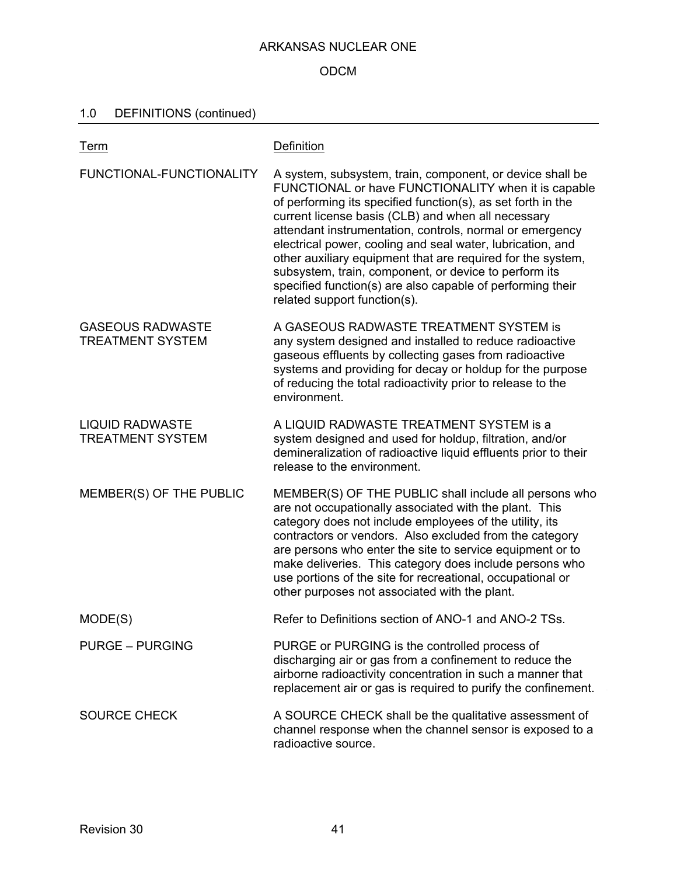### ODCM

# 1.0 DEFINITIONS (continued)

| <u>Term</u>                                        | Definition                                                                                                                                                                                                                                                                                                                                                                                                                                                                                                                                                                             |
|----------------------------------------------------|----------------------------------------------------------------------------------------------------------------------------------------------------------------------------------------------------------------------------------------------------------------------------------------------------------------------------------------------------------------------------------------------------------------------------------------------------------------------------------------------------------------------------------------------------------------------------------------|
| FUNCTIONAL-FUNCTIONALITY                           | A system, subsystem, train, component, or device shall be<br>FUNCTIONAL or have FUNCTIONALITY when it is capable<br>of performing its specified function(s), as set forth in the<br>current license basis (CLB) and when all necessary<br>attendant instrumentation, controls, normal or emergency<br>electrical power, cooling and seal water, lubrication, and<br>other auxiliary equipment that are required for the system,<br>subsystem, train, component, or device to perform its<br>specified function(s) are also capable of performing their<br>related support function(s). |
| <b>GASEOUS RADWASTE</b><br><b>TREATMENT SYSTEM</b> | A GASEOUS RADWASTE TREATMENT SYSTEM is<br>any system designed and installed to reduce radioactive<br>gaseous effluents by collecting gases from radioactive<br>systems and providing for decay or holdup for the purpose<br>of reducing the total radioactivity prior to release to the<br>environment.                                                                                                                                                                                                                                                                                |
| <b>LIQUID RADWASTE</b><br><b>TREATMENT SYSTEM</b>  | A LIQUID RADWASTE TREATMENT SYSTEM is a<br>system designed and used for holdup, filtration, and/or<br>demineralization of radioactive liquid effluents prior to their<br>release to the environment.                                                                                                                                                                                                                                                                                                                                                                                   |
| MEMBER(S) OF THE PUBLIC                            | MEMBER(S) OF THE PUBLIC shall include all persons who<br>are not occupationally associated with the plant. This<br>category does not include employees of the utility, its<br>contractors or vendors. Also excluded from the category<br>are persons who enter the site to service equipment or to<br>make deliveries. This category does include persons who<br>use portions of the site for recreational, occupational or<br>other purposes not associated with the plant.                                                                                                           |
| MODE(S)                                            | Refer to Definitions section of ANO-1 and ANO-2 TSs.                                                                                                                                                                                                                                                                                                                                                                                                                                                                                                                                   |
| <b>PURGE – PURGING</b>                             | PURGE or PURGING is the controlled process of<br>discharging air or gas from a confinement to reduce the<br>airborne radioactivity concentration in such a manner that<br>replacement air or gas is required to purify the confinement.                                                                                                                                                                                                                                                                                                                                                |
| <b>SOURCE CHECK</b>                                | A SOURCE CHECK shall be the qualitative assessment of<br>channel response when the channel sensor is exposed to a<br>radioactive source.                                                                                                                                                                                                                                                                                                                                                                                                                                               |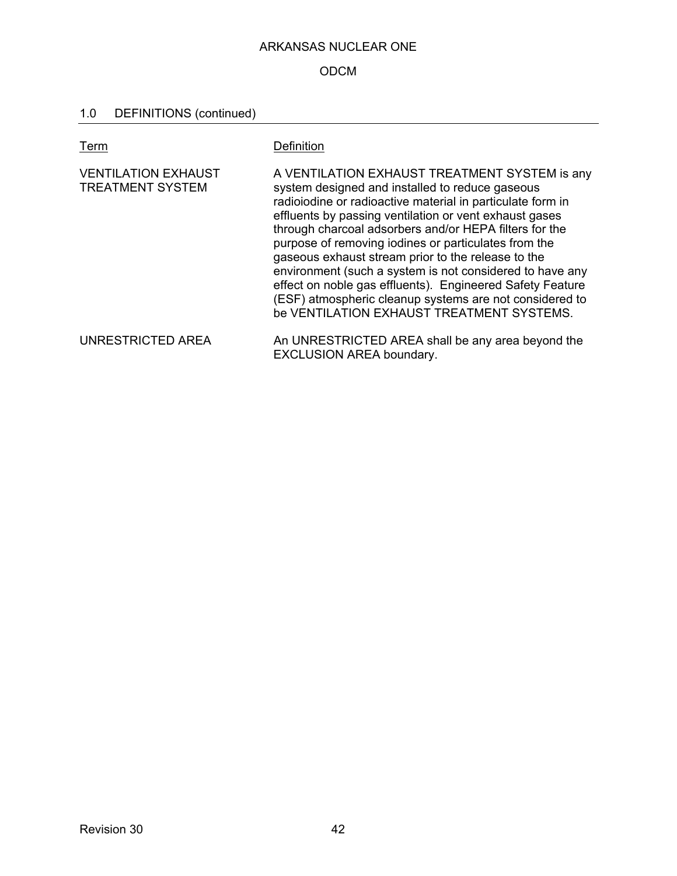# ODCM

# 1.0 DEFINITIONS (continued)

| Term                                                  | Definition                                                                                                                                                                                                                                                                                                                                                                                                                                                                                                                                                                                                                        |
|-------------------------------------------------------|-----------------------------------------------------------------------------------------------------------------------------------------------------------------------------------------------------------------------------------------------------------------------------------------------------------------------------------------------------------------------------------------------------------------------------------------------------------------------------------------------------------------------------------------------------------------------------------------------------------------------------------|
| <b>VENTILATION EXHAUST</b><br><b>TREATMENT SYSTEM</b> | A VENTILATION EXHAUST TREATMENT SYSTEM is any<br>system designed and installed to reduce gaseous<br>radioiodine or radioactive material in particulate form in<br>effluents by passing ventilation or vent exhaust gases<br>through charcoal adsorbers and/or HEPA filters for the<br>purpose of removing iodines or particulates from the<br>gaseous exhaust stream prior to the release to the<br>environment (such a system is not considered to have any<br>effect on noble gas effluents). Engineered Safety Feature<br>(ESF) atmospheric cleanup systems are not considered to<br>be VENTILATION EXHAUST TREATMENT SYSTEMS. |
| UNRESTRICTED AREA                                     | An UNRESTRICTED AREA shall be any area beyond the<br><b>EXCLUSION AREA boundary.</b>                                                                                                                                                                                                                                                                                                                                                                                                                                                                                                                                              |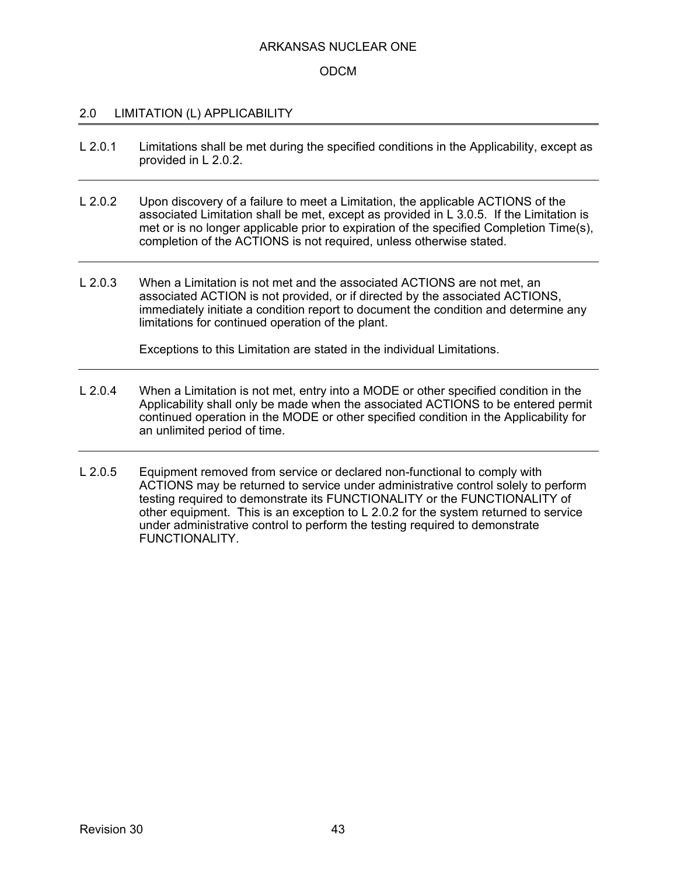### ODCM

### 2.0 LIMITATION (L) APPLICABILITY

- L 2.0.1 Limitations shall be met during the specified conditions in the Applicability, except as provided in L 2.0.2.
- L 2.0.2 Upon discovery of a failure to meet a Limitation, the applicable ACTIONS of the associated Limitation shall be met, except as provided in L 3.0.5. If the Limitation is met or is no longer applicable prior to expiration of the specified Completion Time(s), completion of the ACTIONS is not required, unless otherwise stated.
- L 2.0.3 When a Limitation is not met and the associated ACTIONS are not met, an associated ACTION is not provided, or if directed by the associated ACTIONS, immediately initiate a condition report to document the condition and determine any limitations for continued operation of the plant.

Exceptions to this Limitation are stated in the individual Limitations.

- L 2.0.4 When a Limitation is not met, entry into a MODE or other specified condition in the Applicability shall only be made when the associated ACTIONS to be entered permit continued operation in the MODE or other specified condition in the Applicability for an unlimited period of time.
- L 2.0.5 Equipment removed from service or declared non-functional to comply with ACTIONS may be returned to service under administrative control solely to perform testing required to demonstrate its FUNCTIONALITY or the FUNCTIONALITY of other equipment. This is an exception to L 2.0.2 for the system returned to service under administrative control to perform the testing required to demonstrate FUNCTIONALITY.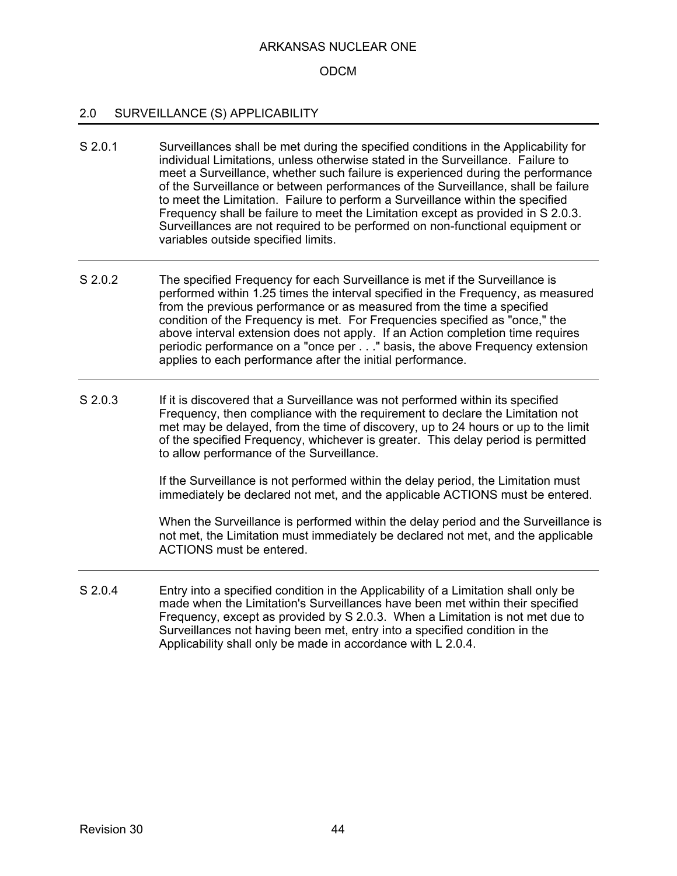### ODCM

### 2.0 SURVEILLANCE (S) APPLICABILITY

- S 2.0.1 Surveillances shall be met during the specified conditions in the Applicability for individual Limitations, unless otherwise stated in the Surveillance. Failure to meet a Surveillance, whether such failure is experienced during the performance of the Surveillance or between performances of the Surveillance, shall be failure to meet the Limitation. Failure to perform a Surveillance within the specified Frequency shall be failure to meet the Limitation except as provided in S 2.0.3. Surveillances are not required to be performed on non-functional equipment or variables outside specified limits.
- S 2.0.2 The specified Frequency for each Surveillance is met if the Surveillance is performed within 1.25 times the interval specified in the Frequency, as measured from the previous performance or as measured from the time a specified condition of the Frequency is met. For Frequencies specified as "once," the above interval extension does not apply. If an Action completion time requires periodic performance on a "once per . . ." basis, the above Frequency extension applies to each performance after the initial performance.
- S 2.0.3 If it is discovered that a Surveillance was not performed within its specified Frequency, then compliance with the requirement to declare the Limitation not met may be delayed, from the time of discovery, up to 24 hours or up to the limit of the specified Frequency, whichever is greater. This delay period is permitted to allow performance of the Surveillance.

If the Surveillance is not performed within the delay period, the Limitation must immediately be declared not met, and the applicable ACTIONS must be entered.

When the Surveillance is performed within the delay period and the Surveillance is not met, the Limitation must immediately be declared not met, and the applicable ACTIONS must be entered.

S 2.0.4 Entry into a specified condition in the Applicability of a Limitation shall only be made when the Limitation's Surveillances have been met within their specified Frequency, except as provided by S 2.0.3. When a Limitation is not met due to Surveillances not having been met, entry into a specified condition in the Applicability shall only be made in accordance with L 2.0.4.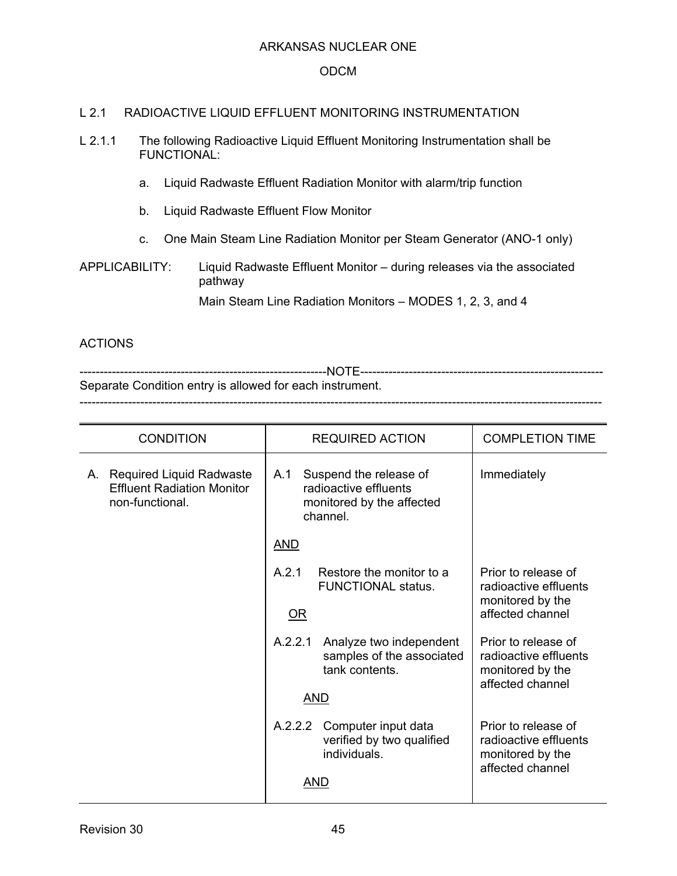### ODCM

### L 2.1 RADIOACTIVE LIQUID EFFLUENT MONITORING INSTRUMENTATION

- L 2.1.1 The following Radioactive Liquid Effluent Monitoring Instrumentation shall be FUNCTIONAL:
	- a. Liquid Radwaste Effluent Radiation Monitor with alarm/trip function
	- b. Liquid Radwaste Effluent Flow Monitor
	- c. One Main Steam Line Radiation Monitor per Steam Generator (ANO-1 only)
- APPLICABILITY: Liquid Radwaste Effluent Monitor during releases via the associated pathway

Main Steam Line Radiation Monitors – MODES 1, 2, 3, and 4

### ACTIONS

-------------------------------------------------------------NOTE------------------------------------------------------------ Separate Condition entry is allowed for each instrument. ---------------------------------------------------------------------------------------------------------------------------------

| <b>CONDITION</b>                                                                    | <b>REQUIRED ACTION</b>                                                                          | <b>COMPLETION TIME</b>                                                               |
|-------------------------------------------------------------------------------------|-------------------------------------------------------------------------------------------------|--------------------------------------------------------------------------------------|
| A. Required Liquid Radwaste<br><b>Effluent Radiation Monitor</b><br>non-functional. | Suspend the release of<br>A.1<br>radioactive effluents<br>monitored by the affected<br>channel. | Immediately                                                                          |
|                                                                                     | <u>AND</u>                                                                                      |                                                                                      |
|                                                                                     | A.2.1<br>Restore the monitor to a<br><b>FUNCTIONAL status.</b><br>OR                            | Prior to release of<br>radioactive effluents<br>monitored by the<br>affected channel |
|                                                                                     | A.2.2.1<br>Analyze two independent<br>samples of the associated<br>tank contents.               | Prior to release of<br>radioactive effluents<br>monitored by the<br>affected channel |
|                                                                                     | AND                                                                                             |                                                                                      |
|                                                                                     | A.2.2.2<br>Computer input data<br>verified by two qualified<br>individuals.                     | Prior to release of<br>radioactive effluents<br>monitored by the<br>affected channel |
|                                                                                     | AND                                                                                             |                                                                                      |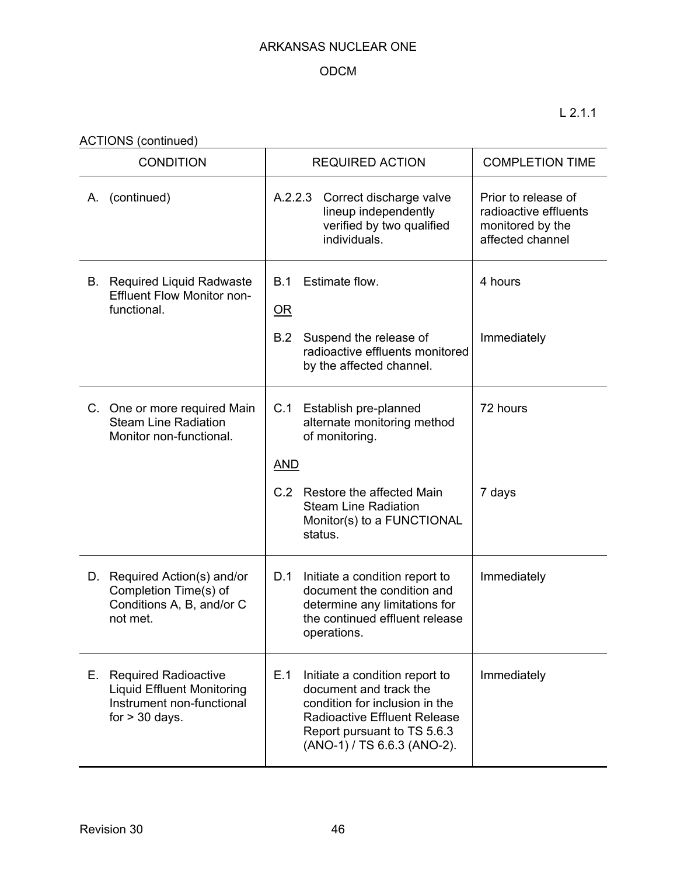# ODCM

L 2.1.1

ACTIONS (continued)

| <b>CONDITION</b>                                                                                                        | <b>REQUIRED ACTION</b>                                                                                                                                                                                 | <b>COMPLETION TIME</b>                                                               |
|-------------------------------------------------------------------------------------------------------------------------|--------------------------------------------------------------------------------------------------------------------------------------------------------------------------------------------------------|--------------------------------------------------------------------------------------|
| (continued)<br>А.                                                                                                       | A.2.2.3<br>Correct discharge valve<br>lineup independently<br>verified by two qualified<br>individuals.                                                                                                | Prior to release of<br>radioactive effluents<br>monitored by the<br>affected channel |
| <b>B.</b> Required Liquid Radwaste<br><b>Effluent Flow Monitor non-</b><br>functional.                                  | Estimate flow.<br>B.1<br>$\overline{\text{OR}}$                                                                                                                                                        | 4 hours                                                                              |
|                                                                                                                         | Suspend the release of<br>B.2<br>radioactive effluents monitored<br>by the affected channel.                                                                                                           | Immediately                                                                          |
| C. One or more required Main<br><b>Steam Line Radiation</b><br>Monitor non-functional.                                  | C.1<br>Establish pre-planned<br>alternate monitoring method<br>of monitoring.                                                                                                                          | 72 hours                                                                             |
|                                                                                                                         | <b>AND</b>                                                                                                                                                                                             |                                                                                      |
|                                                                                                                         | C.2 Restore the affected Main<br><b>Steam Line Radiation</b><br>Monitor(s) to a FUNCTIONAL<br>status.                                                                                                  | 7 days                                                                               |
| D. Required Action(s) and/or<br>Completion Time(s) of<br>Conditions A, B, and/or C<br>not met.                          | D.1<br>Initiate a condition report to<br>document the condition and<br>determine any limitations for<br>the continued effluent release<br>operations.                                                  | Immediately                                                                          |
| Е.<br><b>Required Radioactive</b><br><b>Liquid Effluent Monitoring</b><br>Instrument non-functional<br>for $> 30$ days. | E.1<br>Initiate a condition report to<br>document and track the<br>condition for inclusion in the<br><b>Radioactive Effluent Release</b><br>Report pursuant to TS 5.6.3<br>(ANO-1) / TS 6.6.3 (ANO-2). | Immediately                                                                          |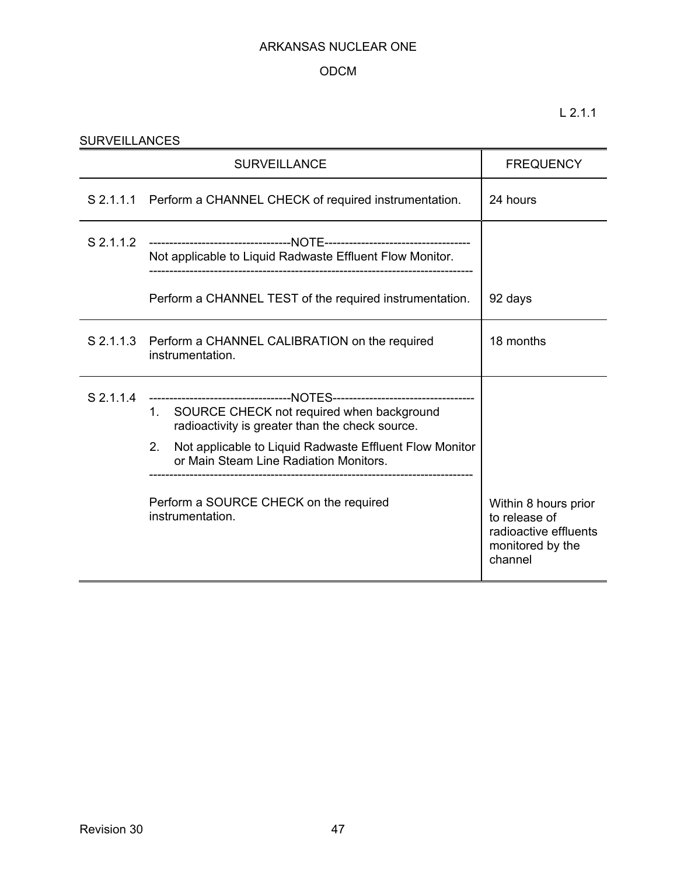# ODCM

| <b>SURVEILLANCES</b>                                                                                                                                                                                                                                                                                                                                                    |                                                                                                   |                                                                                               |  |  |
|-------------------------------------------------------------------------------------------------------------------------------------------------------------------------------------------------------------------------------------------------------------------------------------------------------------------------------------------------------------------------|---------------------------------------------------------------------------------------------------|-----------------------------------------------------------------------------------------------|--|--|
|                                                                                                                                                                                                                                                                                                                                                                         | <b>FREQUENCY</b>                                                                                  |                                                                                               |  |  |
|                                                                                                                                                                                                                                                                                                                                                                         | S 2.1.1.1 Perform a CHANNEL CHECK of required instrumentation.                                    | 24 hours                                                                                      |  |  |
|                                                                                                                                                                                                                                                                                                                                                                         | Not applicable to Liquid Radwaste Effluent Flow Monitor.<br>------------------------------------- |                                                                                               |  |  |
|                                                                                                                                                                                                                                                                                                                                                                         | Perform a CHANNEL TEST of the required instrumentation.                                           | 92 days                                                                                       |  |  |
|                                                                                                                                                                                                                                                                                                                                                                         | S 2.1.1.3 Perform a CHANNEL CALIBRATION on the required<br>instrumentation.                       | 18 months                                                                                     |  |  |
| S 2.1.1.4<br>-----------------------------------NOTES-----------------------------------<br>SOURCE CHECK not required when background<br>1.<br>radioactivity is greater than the check source.<br>Not applicable to Liquid Radwaste Effluent Flow Monitor<br>2.<br>or Main Steam Line Radiation Monitors.<br>Perform a SOURCE CHECK on the required<br>instrumentation. |                                                                                                   | Within 8 hours prior<br>to release of<br>radioactive effluents<br>monitored by the<br>channel |  |  |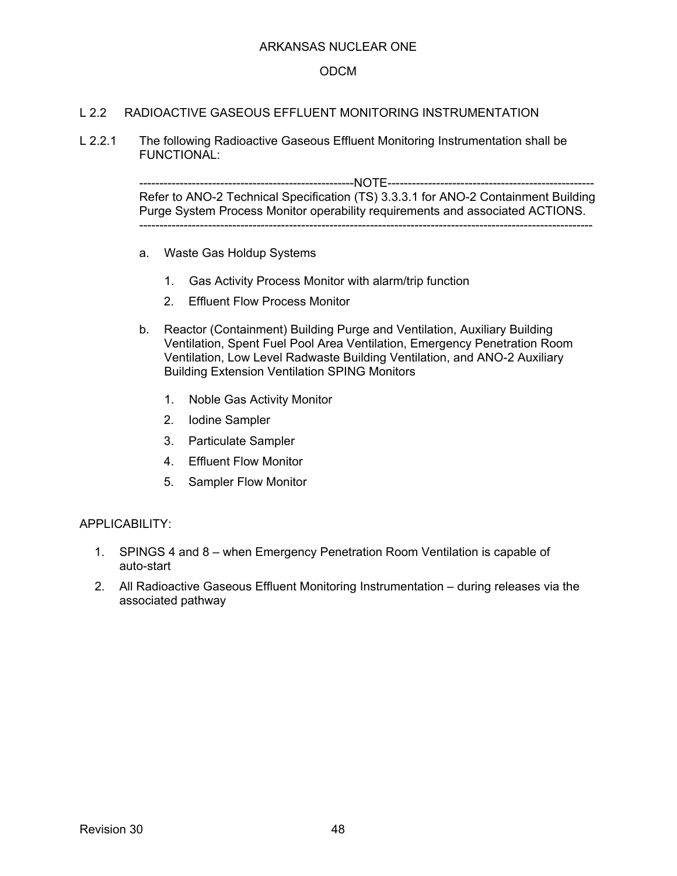### ODCM

### L 2.2 RADIOACTIVE GASEOUS EFFLUENT MONITORING INSTRUMENTATION

L 2.2.1 The following Radioactive Gaseous Effluent Monitoring Instrumentation shall be FUNCTIONAL:

> ----------------NOTE-----------------Refer to ANO-2 Technical Specification (TS) 3.3.3.1 for ANO-2 Containment Building Purge System Process Monitor operability requirements and associated ACTIONS. ----------------------------------------------------------------------------------------------------------------

- a. Waste Gas Holdup Systems
	- 1. Gas Activity Process Monitor with alarm/trip function
	- 2. Effluent Flow Process Monitor
- b. Reactor (Containment) Building Purge and Ventilation, Auxiliary Building Ventilation, Spent Fuel Pool Area Ventilation, Emergency Penetration Room Ventilation, Low Level Radwaste Building Ventilation, and ANO-2 Auxiliary Building Extension Ventilation SPING Monitors
	- 1. Noble Gas Activity Monitor
	- 2. Iodine Sampler
	- 3. Particulate Sampler
	- 4. Effluent Flow Monitor
	- 5. Sampler Flow Monitor

#### APPLICABILITY:

- 1. SPINGS 4 and 8 when Emergency Penetration Room Ventilation is capable of auto-start
- 2. All Radioactive Gaseous Effluent Monitoring Instrumentation during releases via the associated pathway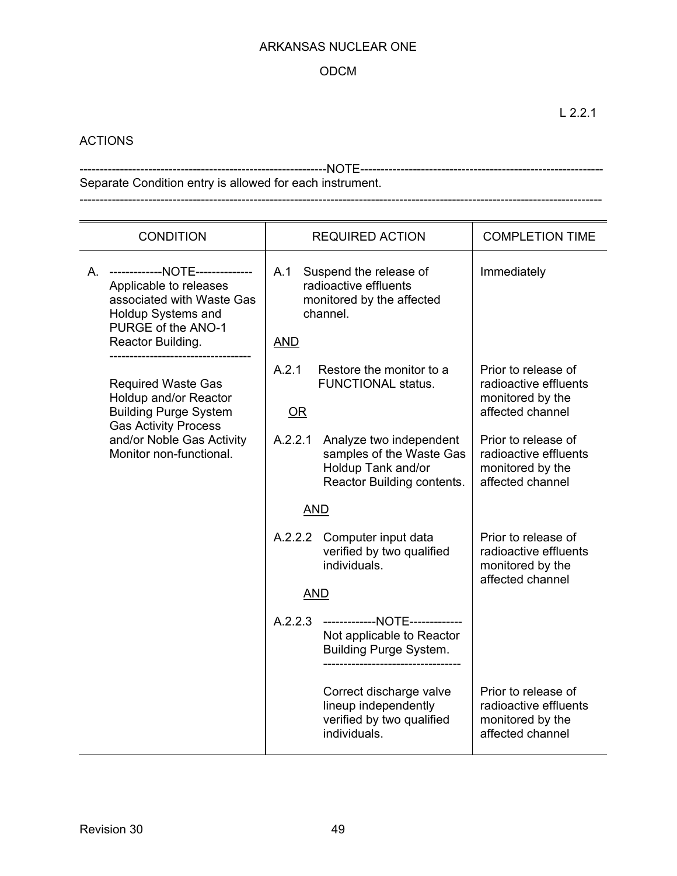### ODCM

# ACTIONS

-------------------------------------------------------------NOTE------------------------------------------------------------ Separate Condition entry is allowed for each instrument. ---------------------------------------------------------------------------------------------------------------------------------

| <b>CONDITION</b>                                                                                                                                                  | <b>REQUIRED ACTION</b>                                                                                             | <b>COMPLETION TIME</b>                                                               |
|-------------------------------------------------------------------------------------------------------------------------------------------------------------------|--------------------------------------------------------------------------------------------------------------------|--------------------------------------------------------------------------------------|
| A. -------------NOTE--------------<br>Applicable to releases<br>associated with Waste Gas<br><b>Holdup Systems and</b><br>PURGE of the ANO-1<br>Reactor Building. | A.1<br>Suspend the release of<br>radioactive effluents<br>monitored by the affected<br>channel.<br><b>AND</b>      | Immediately                                                                          |
| <b>Required Waste Gas</b><br>Holdup and/or Reactor<br><b>Building Purge System</b><br><b>Gas Activity Process</b>                                                 | A.2.1<br>Restore the monitor to a<br><b>FUNCTIONAL status.</b><br>OR                                               | Prior to release of<br>radioactive effluents<br>monitored by the<br>affected channel |
| and/or Noble Gas Activity<br>Monitor non-functional.                                                                                                              | A.2.2.1<br>Analyze two independent<br>samples of the Waste Gas<br>Holdup Tank and/or<br>Reactor Building contents. | Prior to release of<br>radioactive effluents<br>monitored by the<br>affected channel |
|                                                                                                                                                                   | <b>AND</b>                                                                                                         |                                                                                      |
|                                                                                                                                                                   | A.2.2.2<br>Computer input data<br>verified by two qualified<br>individuals.                                        | Prior to release of<br>radioactive effluents<br>monitored by the<br>affected channel |
|                                                                                                                                                                   | <b>AND</b>                                                                                                         |                                                                                      |
|                                                                                                                                                                   | A.2.2.3 -------------NOTE-------------<br>Not applicable to Reactor<br><b>Building Purge System.</b>               |                                                                                      |
|                                                                                                                                                                   | Correct discharge valve<br>lineup independently<br>verified by two qualified<br>individuals.                       | Prior to release of<br>radioactive effluents<br>monitored by the<br>affected channel |

L 2.2.1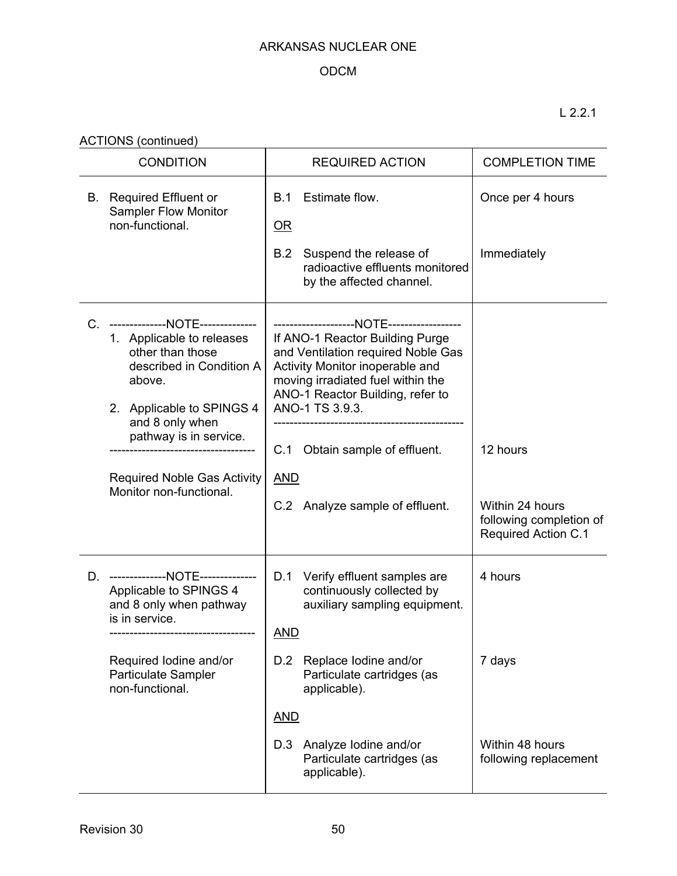# ODCM

L 2.2.1

ACTIONS (continued)

| <b>CONDITION</b> |                                                                                                                                                                                                   | <b>REQUIRED ACTION</b>                                                                                                                                                                                                                    | <b>COMPLETION TIME</b>                                                   |
|------------------|---------------------------------------------------------------------------------------------------------------------------------------------------------------------------------------------------|-------------------------------------------------------------------------------------------------------------------------------------------------------------------------------------------------------------------------------------------|--------------------------------------------------------------------------|
| В.               | <b>Required Effluent or</b><br><b>Sampler Flow Monitor</b><br>non-functional.                                                                                                                     | Estimate flow.<br>B.1<br>$OR$<br>Suspend the release of<br>B.2                                                                                                                                                                            | Once per 4 hours<br>Immediately                                          |
|                  |                                                                                                                                                                                                   | radioactive effluents monitored<br>by the affected channel.                                                                                                                                                                               |                                                                          |
| $C_{n}$          | --------------NOTE--------------<br>1. Applicable to releases<br>other than those<br>described in Condition A<br>above.<br>2. Applicable to SPINGS 4<br>and 8 only when<br>pathway is in service. | If ANO-1 Reactor Building Purge<br>and Ventilation required Noble Gas<br>Activity Monitor inoperable and<br>moving irradiated fuel within the<br>ANO-1 Reactor Building, refer to<br>ANO-1 TS 3.9.3.<br>Obtain sample of effluent.<br>C.1 | 12 hours                                                                 |
|                  | <b>Required Noble Gas Activity</b><br>Monitor non-functional.                                                                                                                                     | <b>AND</b><br>C.2 Analyze sample of effluent.                                                                                                                                                                                             | Within 24 hours<br>following completion of<br><b>Required Action C.1</b> |
|                  | D. --------------NOTE--------------<br>Applicable to SPINGS 4<br>and 8 only when pathway<br>is in service.                                                                                        | D.1 Verify effluent samples are<br>continuously collected by<br>auxiliary sampling equipment.<br><b>AND</b><br>Replace lodine and/or<br>D.2                                                                                               | 4 hours                                                                  |
|                  | Required Iodine and/or<br><b>Particulate Sampler</b><br>non-functional.                                                                                                                           | Particulate cartridges (as<br>applicable).<br><b>AND</b>                                                                                                                                                                                  | 7 days                                                                   |
|                  |                                                                                                                                                                                                   | Analyze lodine and/or<br>D.3<br>Particulate cartridges (as<br>applicable).                                                                                                                                                                | Within 48 hours<br>following replacement                                 |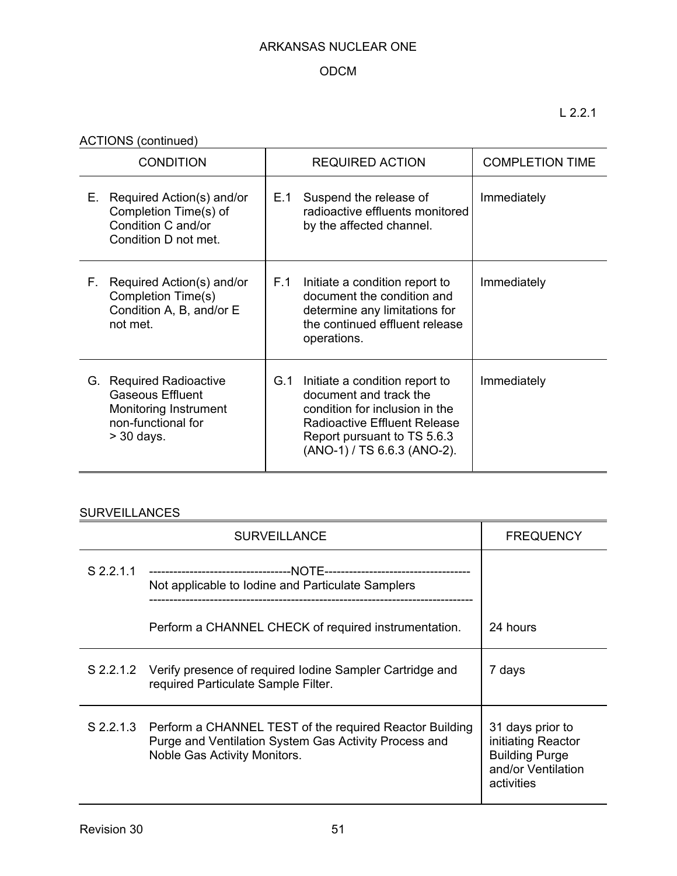# ODCM

L 2.2.1

ACTIONS (continued)

| <b>CONDITION</b> |                                                                                                                   | <b>REQUIRED ACTION</b> |                                                                                                                                                                                                 | <b>COMPLETION TIME</b> |
|------------------|-------------------------------------------------------------------------------------------------------------------|------------------------|-------------------------------------------------------------------------------------------------------------------------------------------------------------------------------------------------|------------------------|
| Е.               | Required Action(s) and/or<br>Completion Time(s) of<br>Condition C and/or<br>Condition D not met.                  | E.1                    | Suspend the release of<br>radioactive effluents monitored<br>by the affected channel.                                                                                                           | Immediately            |
| Е.               | Required Action(s) and/or<br>Completion Time(s)<br>Condition A, B, and/or E<br>not met.                           | F.1                    | Initiate a condition report to<br>document the condition and<br>determine any limitations for<br>the continued effluent release<br>operations.                                                  | Immediately            |
|                  | G. Required Radioactive<br><b>Gaseous Effluent</b><br>Monitoring Instrument<br>non-functional for<br>$>$ 30 days. | G.1                    | Initiate a condition report to<br>document and track the<br>condition for inclusion in the<br><b>Radioactive Effluent Release</b><br>Report pursuant to TS 5.6.3<br>(ANO-1) / TS 6.6.3 (ANO-2). | Immediately            |

# **SURVEILLANCES**

|           | <b>SURVEILLANCE</b>                                                                                                                                        | <b>FREQUENCY</b>                                                                                    |
|-----------|------------------------------------------------------------------------------------------------------------------------------------------------------------|-----------------------------------------------------------------------------------------------------|
| S 2.2.1.1 | Not applicable to Iodine and Particulate Samplers                                                                                                          |                                                                                                     |
|           | Perform a CHANNEL CHECK of required instrumentation.                                                                                                       | 24 hours                                                                                            |
|           | S 2.2.1.2 Verify presence of required lodine Sampler Cartridge and<br>required Particulate Sample Filter.                                                  | 7 days                                                                                              |
|           | S 2.2.1.3 Perform a CHANNEL TEST of the required Reactor Building<br>Purge and Ventilation System Gas Activity Process and<br>Noble Gas Activity Monitors. | 31 days prior to<br>initiating Reactor<br><b>Building Purge</b><br>and/or Ventilation<br>activities |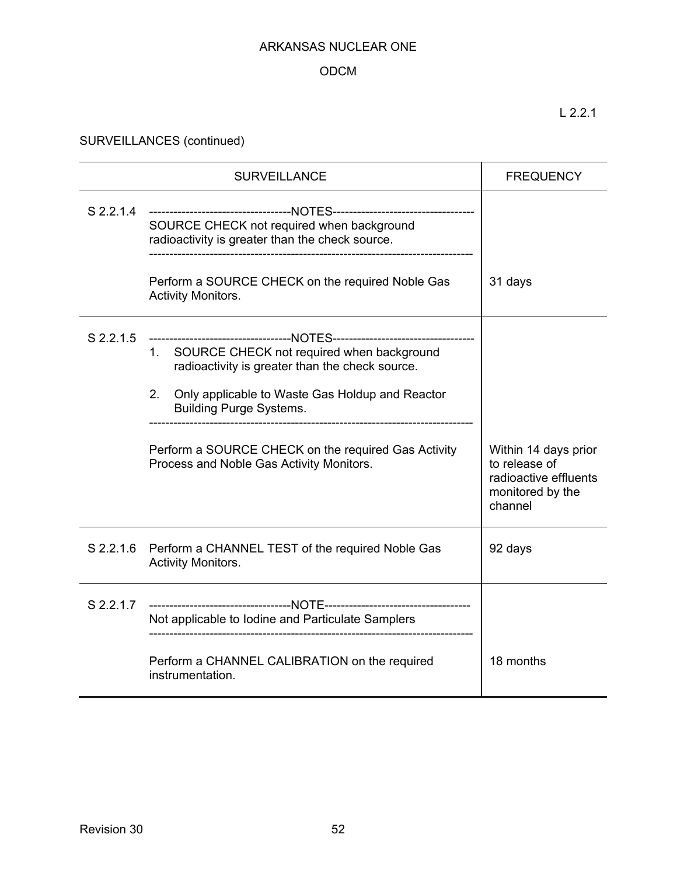# ODCM

L 2.2.1

SURVEILLANCES (continued)

|           | <b>SURVEILLANCE</b>                                                                                                                                                                                                                                                                                                                                                | <b>FREQUENCY</b>                                                                              |
|-----------|--------------------------------------------------------------------------------------------------------------------------------------------------------------------------------------------------------------------------------------------------------------------------------------------------------------------------------------------------------------------|-----------------------------------------------------------------------------------------------|
| S 2.2.1.4 | -----------------------------------NOTES-----------------------------<br>SOURCE CHECK not required when background<br>radioactivity is greater than the check source.                                                                                                                                                                                              |                                                                                               |
|           | Perform a SOURCE CHECK on the required Noble Gas<br><b>Activity Monitors.</b>                                                                                                                                                                                                                                                                                      | 31 days                                                                                       |
| S 2.2.1.5 | -----------------------------------NOTES-------------------------<br>1. SOURCE CHECK not required when background<br>radioactivity is greater than the check source.<br>2.<br>Only applicable to Waste Gas Holdup and Reactor<br><b>Building Purge Systems.</b><br>Perform a SOURCE CHECK on the required Gas Activity<br>Process and Noble Gas Activity Monitors. | Within 14 days prior<br>to release of<br>radioactive effluents<br>monitored by the<br>channel |
| S 2.2.1.6 | Perform a CHANNEL TEST of the required Noble Gas<br><b>Activity Monitors.</b>                                                                                                                                                                                                                                                                                      | 92 days                                                                                       |
| S 2.2.1.7 | Not applicable to Iodine and Particulate Samplers                                                                                                                                                                                                                                                                                                                  |                                                                                               |
|           | Perform a CHANNEL CALIBRATION on the required<br>instrumentation.                                                                                                                                                                                                                                                                                                  | 18 months                                                                                     |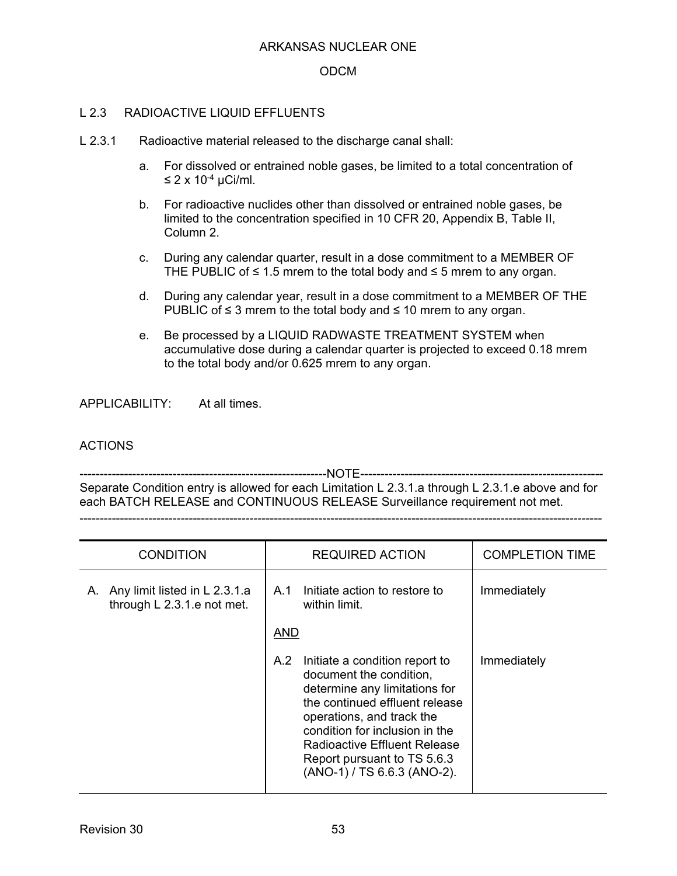### ODCM

### L 2.3 RADIOACTIVE LIQUID EFFLUENTS

- L 2.3.1 Radioactive material released to the discharge canal shall:
	- a. For dissolved or entrained noble gases, be limited to a total concentration of ≤ 2 x 10-4 µCi/ml.
	- b. For radioactive nuclides other than dissolved or entrained noble gases, be limited to the concentration specified in 10 CFR 20, Appendix B, Table II, Column 2.
	- c. During any calendar quarter, result in a dose commitment to a MEMBER OF THE PUBLIC of  $\leq 1.5$  mrem to the total body and  $\leq 5$  mrem to any organ.
	- d. During any calendar year, result in a dose commitment to a MEMBER OF THE PUBLIC of  $\leq$  3 mrem to the total body and  $\leq$  10 mrem to any organ.
	- e. Be processed by a LIQUID RADWASTE TREATMENT SYSTEM when accumulative dose during a calendar quarter is projected to exceed 0.18 mrem to the total body and/or 0.625 mrem to any organ.

APPLICABILITY: At all times.

#### ACTIONS

-------------------------------------------------------------NOTE------------------------------------------------------------ Separate Condition entry is allowed for each Limitation L 2.3.1.a through L 2.3.1.e above and for each BATCH RELEASE and CONTINUOUS RELEASE Surveillance requirement not met.

---------------------------------------------------------------------------------------------------------------------------------

| <b>CONDITION</b>                                                  | <b>REQUIRED ACTION</b>                                                                                                                                                                                                                                                                                  | <b>COMPLETION TIME</b> |
|-------------------------------------------------------------------|---------------------------------------------------------------------------------------------------------------------------------------------------------------------------------------------------------------------------------------------------------------------------------------------------------|------------------------|
| Any limit listed in L 2.3.1.a<br>Α.<br>through L 2.3.1.e not met. | Initiate action to restore to<br>A.1<br>within limit.                                                                                                                                                                                                                                                   | Immediately            |
|                                                                   | <b>AND</b>                                                                                                                                                                                                                                                                                              |                        |
|                                                                   | A.2<br>Initiate a condition report to<br>document the condition,<br>determine any limitations for<br>the continued effluent release<br>operations, and track the<br>condition for inclusion in the<br><b>Radioactive Effluent Release</b><br>Report pursuant to TS 5.6.3<br>(ANO-1) / TS 6.6.3 (ANO-2). | Immediately            |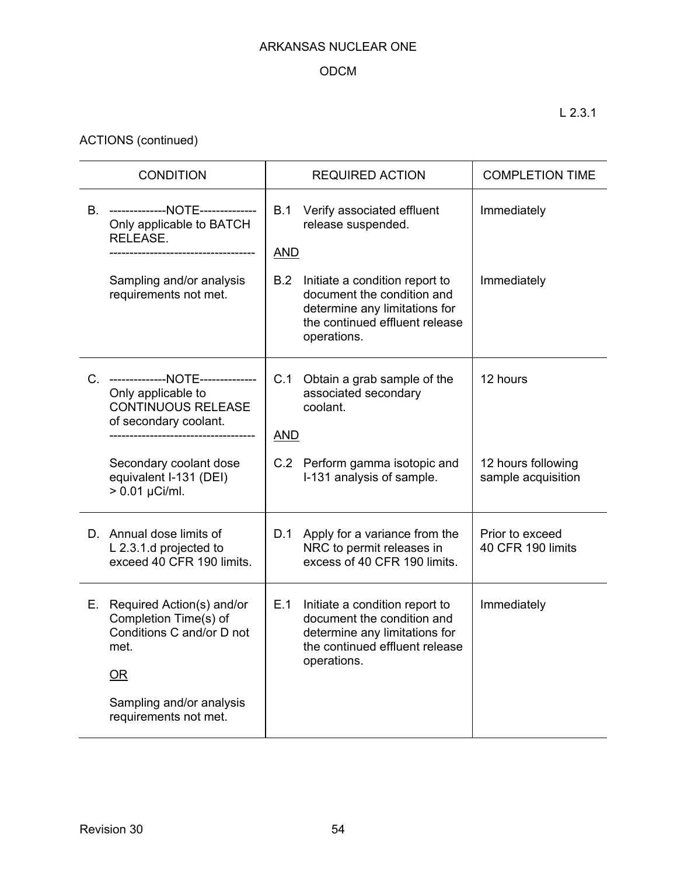# ODCM

ACTIONS (continued)

| <b>CONDITION</b> |                                                                                                                 |                   | <b>REQUIRED ACTION</b>                                                                                                                         | <b>COMPLETION TIME</b>                   |
|------------------|-----------------------------------------------------------------------------------------------------------------|-------------------|------------------------------------------------------------------------------------------------------------------------------------------------|------------------------------------------|
|                  | B. --------------NOTE--------------<br>Only applicable to BATCH<br>RELEASE.                                     | B.1<br><b>AND</b> | Verify associated effluent<br>release suspended.                                                                                               | Immediately                              |
|                  | Sampling and/or analysis<br>requirements not met.                                                               | B.2               | Initiate a condition report to<br>document the condition and<br>determine any limitations for<br>the continued effluent release<br>operations. | Immediately                              |
|                  | C. --------------NOTE--------------<br>Only applicable to<br><b>CONTINUOUS RELEASE</b><br>of secondary coolant. | C.1<br><b>AND</b> | Obtain a grab sample of the<br>associated secondary<br>coolant.                                                                                | 12 hours                                 |
|                  | Secondary coolant dose<br>equivalent I-131 (DEI)<br>$> 0.01 \mu$ Ci/ml.                                         |                   | C.2 Perform gamma isotopic and<br>I-131 analysis of sample.                                                                                    | 12 hours following<br>sample acquisition |
|                  | D. Annual dose limits of<br>L 2.3.1.d projected to<br>exceed 40 CFR 190 limits.                                 |                   | D.1 Apply for a variance from the<br>NRC to permit releases in<br>excess of 40 CFR 190 limits.                                                 | Prior to exceed<br>40 CFR 190 limits     |
|                  | E. Required Action(s) and/or<br>Completion Time(s) of<br>Conditions C and/or D not<br>met.<br>OR                | E.1               | Initiate a condition report to<br>document the condition and<br>determine any limitations for<br>the continued effluent release<br>operations. | Immediately                              |
|                  | Sampling and/or analysis<br>requirements not met.                                                               |                   |                                                                                                                                                |                                          |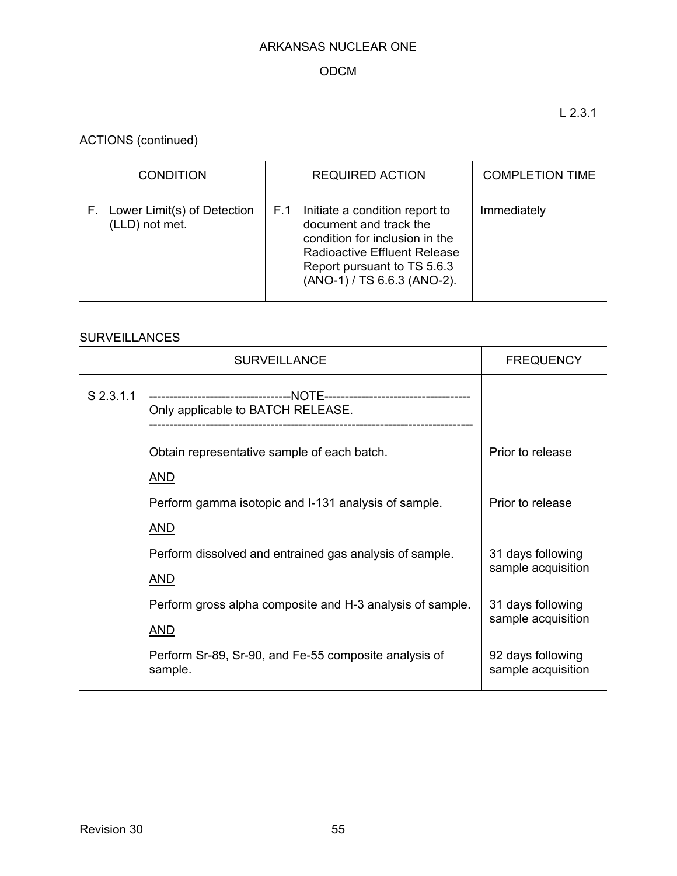# ODCM

L 2.3.1

ACTIONS (continued)

| <b>CONDITION</b>                                    | <b>REQUIRED ACTION</b>                                                                                                                                                                                 | <b>COMPLETION TIME</b> |
|-----------------------------------------------------|--------------------------------------------------------------------------------------------------------------------------------------------------------------------------------------------------------|------------------------|
| Lower Limit(s) of Detection<br>F.<br>(LLD) not met. | Initiate a condition report to<br>F.1<br>document and track the<br>condition for inclusion in the<br><b>Radioactive Effluent Release</b><br>Report pursuant to TS 5.6.3<br>(ANO-1) / TS 6.6.3 (ANO-2). | Immediately            |

# **SURVEILLANCES**

|             | <b>SURVEILLANCE</b>                                              | <b>FREQUENCY</b>                        |
|-------------|------------------------------------------------------------------|-----------------------------------------|
| $S$ 2.3.1.1 | Only applicable to BATCH RELEASE.                                |                                         |
|             | Obtain representative sample of each batch.                      | Prior to release                        |
|             | <u>AND</u>                                                       |                                         |
|             | Perform gamma isotopic and I-131 analysis of sample.             | Prior to release                        |
|             | <u>AND</u>                                                       |                                         |
|             | Perform dissolved and entrained gas analysis of sample.          | 31 days following                       |
|             | <u>AND</u>                                                       | sample acquisition                      |
|             | Perform gross alpha composite and H-3 analysis of sample.        | 31 days following                       |
|             | <b>AND</b>                                                       | sample acquisition                      |
|             | Perform Sr-89, Sr-90, and Fe-55 composite analysis of<br>sample. | 92 days following<br>sample acquisition |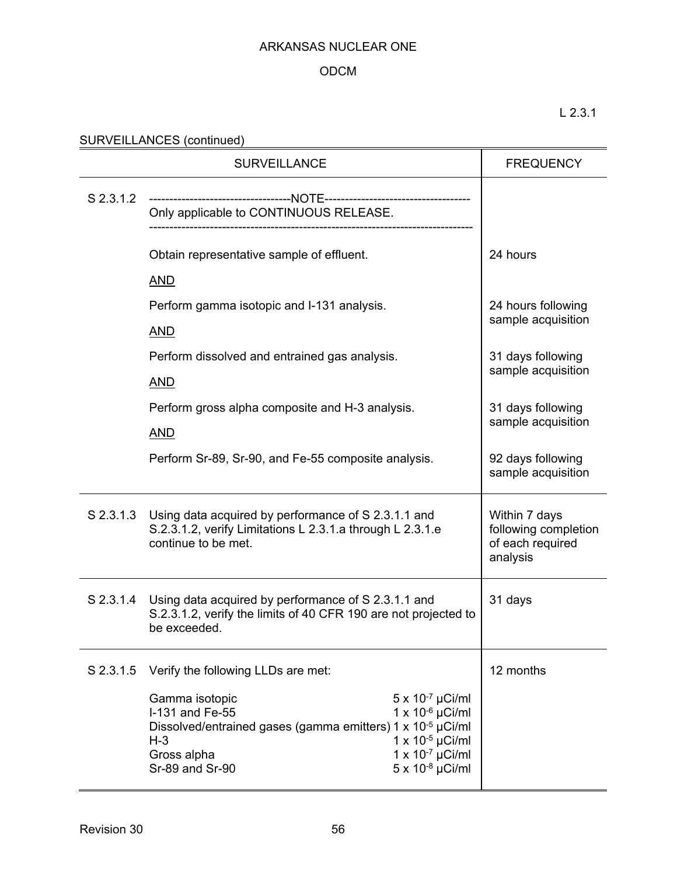### ODCM

L 2.3.1

| SURVEILLANCES (continued) |  |
|---------------------------|--|
|                           |  |

|           | <b>SURVEILLANCE</b>                                                                                                                                                                                                                                                                      | <b>FREQUENCY</b>                                                      |
|-----------|------------------------------------------------------------------------------------------------------------------------------------------------------------------------------------------------------------------------------------------------------------------------------------------|-----------------------------------------------------------------------|
| S 2.3.1.2 | Only applicable to CONTINUOUS RELEASE.                                                                                                                                                                                                                                                   |                                                                       |
|           | Obtain representative sample of effluent.<br><b>AND</b>                                                                                                                                                                                                                                  | 24 hours                                                              |
|           | Perform gamma isotopic and I-131 analysis.<br><b>AND</b>                                                                                                                                                                                                                                 | 24 hours following<br>sample acquisition                              |
|           | Perform dissolved and entrained gas analysis.<br><b>AND</b>                                                                                                                                                                                                                              | 31 days following<br>sample acquisition                               |
|           | Perform gross alpha composite and H-3 analysis.<br><b>AND</b>                                                                                                                                                                                                                            | 31 days following<br>sample acquisition                               |
|           | Perform Sr-89, Sr-90, and Fe-55 composite analysis.                                                                                                                                                                                                                                      | 92 days following<br>sample acquisition                               |
| S 2.3.1.3 | Using data acquired by performance of S 2.3.1.1 and<br>S.2.3.1.2, verify Limitations L 2.3.1.a through L 2.3.1.e<br>continue to be met.                                                                                                                                                  | Within 7 days<br>following completion<br>of each required<br>analysis |
|           | S 2.3.1.4 Using data acquired by performance of S 2.3.1.1 and<br>S.2.3.1.2, verify the limits of 40 CFR 190 are not projected to<br>be exceeded.                                                                                                                                         | 31 days                                                               |
| S 2.3.1.5 | Verify the following LLDs are met:                                                                                                                                                                                                                                                       | 12 months                                                             |
|           | $5 \times 10^{-7}$ µCi/ml<br>Gamma isotopic<br>$1 x 10^{-6} \mu C i/ml$<br>I-131 and Fe-55<br>Dissolved/entrained gases (gamma emitters) 1 x 10-5 µCi/ml<br>1 x $10^{-5}$ µCi/ml<br>$H-3$<br>$1 \times 10^{-7}$ µCi/ml<br>Gross alpha<br>$5 \times 10^{-8} \mu$ Ci/ml<br>Sr-89 and Sr-90 |                                                                       |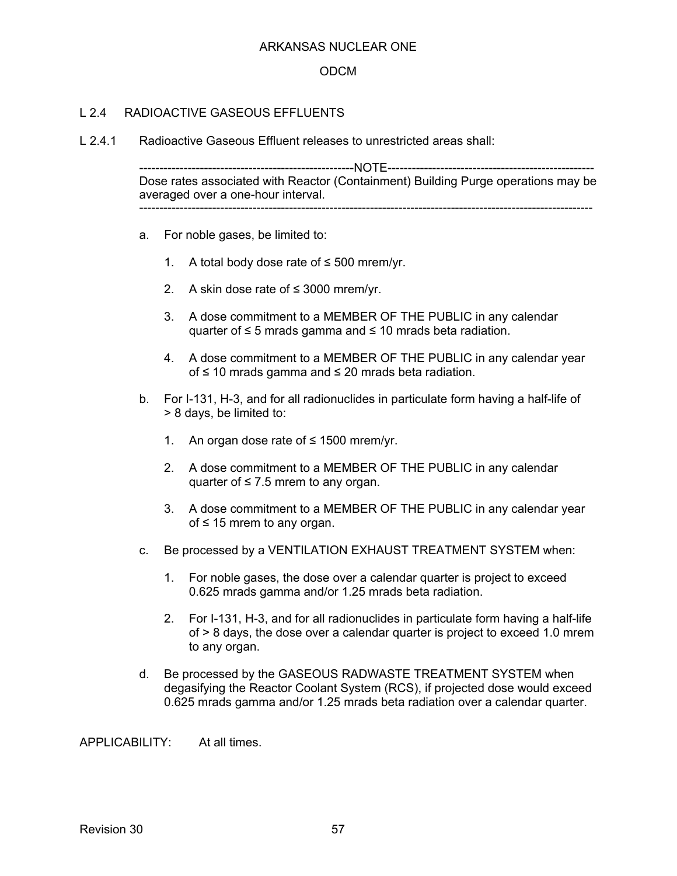#### ODCM

### L 2.4 RADIOACTIVE GASEOUS FEELUENTS

L 2.4.1 Radioactive Gaseous Effluent releases to unrestricted areas shall:

-----------------------------------------------------NOTE--------------------------------------------------- Dose rates associated with Reactor (Containment) Building Purge operations may be averaged over a one-hour interval. ----------------------------------------------------------------------------------------------------------------

- a. For noble gases, be limited to:
	- 1. A total body dose rate of ≤ 500 mrem/yr.
	- 2. A skin dose rate of ≤ 3000 mrem/yr.
	- 3. A dose commitment to a MEMBER OF THE PUBLIC in any calendar quarter of ≤ 5 mrads gamma and ≤ 10 mrads beta radiation.
	- 4. A dose commitment to a MEMBER OF THE PUBLIC in any calendar year of ≤ 10 mrads gamma and ≤ 20 mrads beta radiation.
- b. For I-131, H-3, and for all radionuclides in particulate form having a half-life of > 8 days, be limited to:
	- 1. An organ dose rate of ≤ 1500 mrem/yr.
	- 2. A dose commitment to a MEMBER OF THE PUBLIC in any calendar quarter of  $\leq 7.5$  mrem to any organ.
	- 3. A dose commitment to a MEMBER OF THE PUBLIC in any calendar year of ≤ 15 mrem to any organ.
- c. Be processed by a VENTILATION EXHAUST TREATMENT SYSTEM when:
	- 1. For noble gases, the dose over a calendar quarter is project to exceed 0.625 mrads gamma and/or 1.25 mrads beta radiation.
	- 2. For I-131, H-3, and for all radionuclides in particulate form having a half-life of > 8 days, the dose over a calendar quarter is project to exceed 1.0 mrem to any organ.
- d. Be processed by the GASEOUS RADWASTE TREATMENT SYSTEM when degasifying the Reactor Coolant System (RCS), if projected dose would exceed 0.625 mrads gamma and/or 1.25 mrads beta radiation over a calendar quarter.

APPLICABILITY: At all times.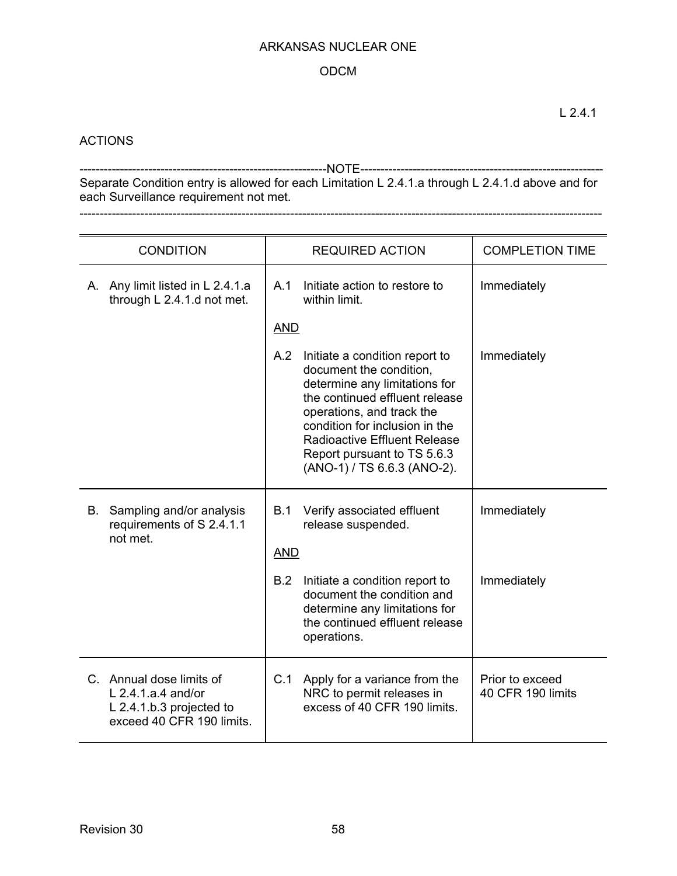### ODCM

### **ACTIONS**

-------------------------------------------------------------NOTE------------------------------------------------------------ Separate Condition entry is allowed for each Limitation L 2.4.1.a through L 2.4.1.d above and for each Surveillance requirement not met. ---------------------------------------------------------------------------------------------------------------------------------

|    | <b>CONDITION</b>                                                                                          |            | <b>REQUIRED ACTION</b>                                                                                                                                                                                                                                                                           | <b>COMPLETION TIME</b>               |
|----|-----------------------------------------------------------------------------------------------------------|------------|--------------------------------------------------------------------------------------------------------------------------------------------------------------------------------------------------------------------------------------------------------------------------------------------------|--------------------------------------|
|    | A. Any limit listed in L 2.4.1.a<br>through L 2.4.1.d not met.                                            | A.1        | Initiate action to restore to<br>within limit.                                                                                                                                                                                                                                                   | Immediately                          |
|    |                                                                                                           | <b>AND</b> |                                                                                                                                                                                                                                                                                                  |                                      |
|    |                                                                                                           | A.2        | Initiate a condition report to<br>document the condition,<br>determine any limitations for<br>the continued effluent release<br>operations, and track the<br>condition for inclusion in the<br><b>Radioactive Effluent Release</b><br>Report pursuant to TS 5.6.3<br>(ANO-1) / TS 6.6.3 (ANO-2). | Immediately                          |
| В. | Sampling and/or analysis<br>requirements of S 2.4.1.1<br>not met.                                         | B.1        | Verify associated effluent<br>release suspended.                                                                                                                                                                                                                                                 | Immediately                          |
|    |                                                                                                           | <b>AND</b> |                                                                                                                                                                                                                                                                                                  |                                      |
|    |                                                                                                           | B.2        | Initiate a condition report to<br>document the condition and<br>determine any limitations for<br>the continued effluent release<br>operations.                                                                                                                                                   | Immediately                          |
|    | C. Annual dose limits of<br>$L$ 2.4.1.a.4 and/or<br>L 2.4.1.b.3 projected to<br>exceed 40 CFR 190 limits. | C.1        | Apply for a variance from the<br>NRC to permit releases in<br>excess of 40 CFR 190 limits.                                                                                                                                                                                                       | Prior to exceed<br>40 CFR 190 limits |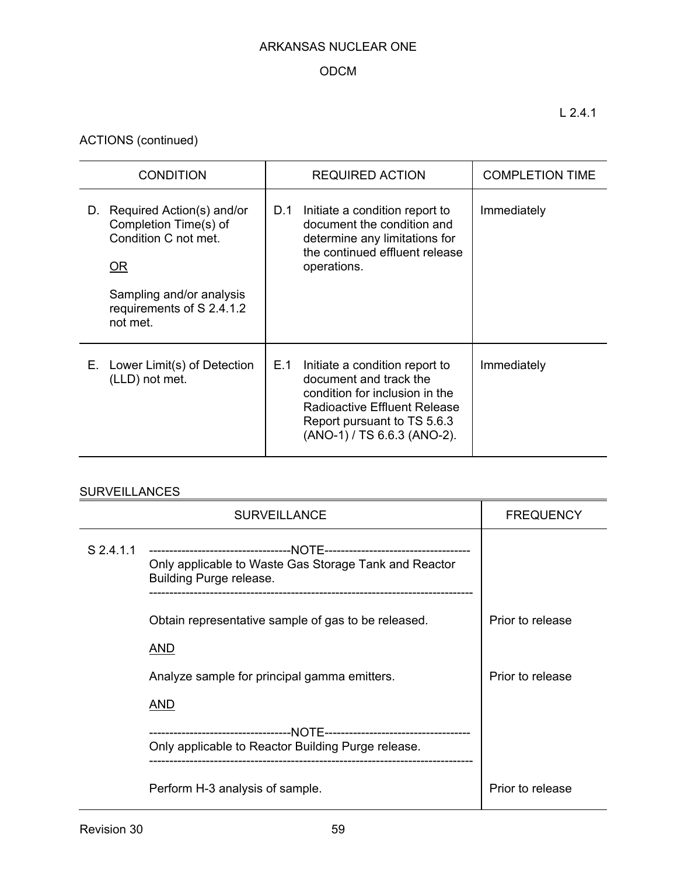# ODCM

ACTIONS (continued)

| <b>CONDITION</b>                                                                                                                                            | <b>REQUIRED ACTION</b>                                                                                                                                                                                 | <b>COMPLETION TIME</b> |
|-------------------------------------------------------------------------------------------------------------------------------------------------------------|--------------------------------------------------------------------------------------------------------------------------------------------------------------------------------------------------------|------------------------|
| Required Action(s) and/or<br>D.<br>Completion Time(s) of<br>Condition C not met.<br>0R<br>Sampling and/or analysis<br>requirements of S 2.4.1.2<br>not met. | D.1<br>Initiate a condition report to<br>document the condition and<br>determine any limitations for<br>the continued effluent release<br>operations.                                                  | Immediately            |
| E. Lower Limit(s) of Detection<br>(LLD) not met.                                                                                                            | E.1<br>Initiate a condition report to<br>document and track the<br>condition for inclusion in the<br><b>Radioactive Effluent Release</b><br>Report pursuant to TS 5.6.3<br>(ANO-1) / TS 6.6.3 (ANO-2). | Immediately            |

# **SURVEILLANCES**

|           | <b>SURVEILLANCE</b>                                                              | <b>FREQUENCY</b> |  |
|-----------|----------------------------------------------------------------------------------|------------------|--|
| S 2.4.1.1 | Only applicable to Waste Gas Storage Tank and Reactor<br>Building Purge release. |                  |  |
|           | Obtain representative sample of gas to be released.<br>AND                       | Prior to release |  |
|           | Analyze sample for principal gamma emitters.                                     |                  |  |
|           | AND                                                                              |                  |  |
|           | Only applicable to Reactor Building Purge release.                               |                  |  |
|           | Perform H-3 analysis of sample.                                                  | Prior to release |  |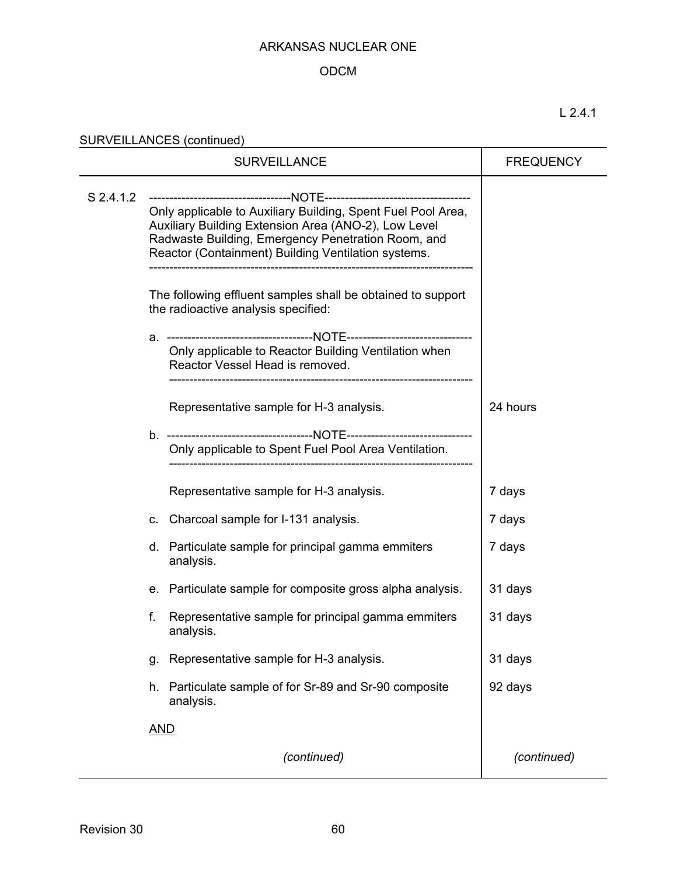# ODCM

L 2.4.1

SURVEILLANCES (continued)

|           | <b>FREQUENCY</b>                                                                                                                                                                                                                  |                                                                                         |             |
|-----------|-----------------------------------------------------------------------------------------------------------------------------------------------------------------------------------------------------------------------------------|-----------------------------------------------------------------------------------------|-------------|
| S 2.4.1.2 | Only applicable to Auxiliary Building, Spent Fuel Pool Area,<br>Auxiliary Building Extension Area (ANO-2), Low Level<br>Radwaste Building, Emergency Penetration Room, and<br>Reactor (Containment) Building Ventilation systems. |                                                                                         |             |
|           | The following effluent samples shall be obtained to support<br>the radioactive analysis specified:                                                                                                                                |                                                                                         |             |
|           |                                                                                                                                                                                                                                   | Only applicable to Reactor Building Ventilation when<br>Reactor Vessel Head is removed. |             |
|           |                                                                                                                                                                                                                                   | Representative sample for H-3 analysis.                                                 | 24 hours    |
|           |                                                                                                                                                                                                                                   | Only applicable to Spent Fuel Pool Area Ventilation.                                    |             |
|           |                                                                                                                                                                                                                                   | Representative sample for H-3 analysis.                                                 | 7 days      |
|           | C.                                                                                                                                                                                                                                | Charcoal sample for I-131 analysis.                                                     | 7 days      |
|           |                                                                                                                                                                                                                                   | d. Particulate sample for principal gamma emmiters<br>analysis.                         | 7 days      |
|           | е.                                                                                                                                                                                                                                | Particulate sample for composite gross alpha analysis.                                  | 31 days     |
|           | f.                                                                                                                                                                                                                                | Representative sample for principal gamma emmiters<br>analysis.                         | 31 days     |
|           | g.                                                                                                                                                                                                                                | Representative sample for H-3 analysis.                                                 | 31 days     |
|           | h.                                                                                                                                                                                                                                | Particulate sample of for Sr-89 and Sr-90 composite<br>analysis.                        | 92 days     |
|           | <u>AND</u>                                                                                                                                                                                                                        |                                                                                         |             |
|           |                                                                                                                                                                                                                                   | (continued)                                                                             | (continued) |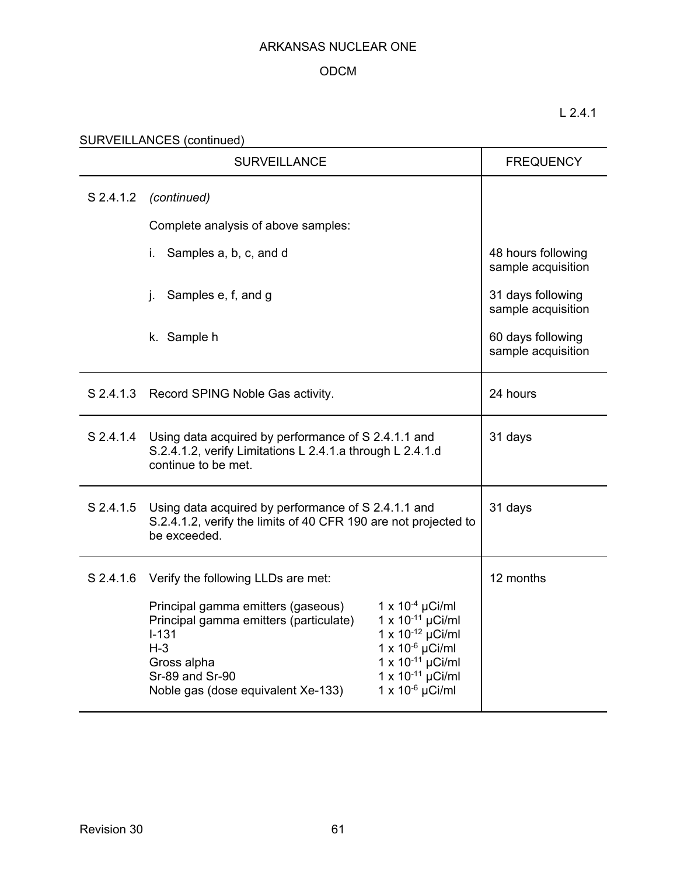# ODCM

# L 2.4.1

SURVEILLANCES (continued)<br>
SURVEILLANCES (continued)

|           | <b>SURVEILLANCE</b>                                                                                                                                                                                                        | <b>FREQUENCY</b>                                                                                                                                                            |                                          |
|-----------|----------------------------------------------------------------------------------------------------------------------------------------------------------------------------------------------------------------------------|-----------------------------------------------------------------------------------------------------------------------------------------------------------------------------|------------------------------------------|
| S 2.4.1.2 | (continued)                                                                                                                                                                                                                |                                                                                                                                                                             |                                          |
|           | Complete analysis of above samples:                                                                                                                                                                                        |                                                                                                                                                                             |                                          |
|           | Samples a, b, c, and d<br>İ.                                                                                                                                                                                               |                                                                                                                                                                             | 48 hours following<br>sample acquisition |
|           | Samples e, f, and g<br>j.                                                                                                                                                                                                  |                                                                                                                                                                             | 31 days following<br>sample acquisition  |
|           | k. Sample h                                                                                                                                                                                                                |                                                                                                                                                                             | 60 days following<br>sample acquisition  |
|           | S 2.4.1.3 Record SPING Noble Gas activity.                                                                                                                                                                                 | 24 hours                                                                                                                                                                    |                                          |
| S 2.4.1.4 | Using data acquired by performance of S 2.4.1.1 and<br>S.2.4.1.2, verify Limitations L 2.4.1.a through L 2.4.1.d<br>continue to be met.                                                                                    | 31 days                                                                                                                                                                     |                                          |
|           | S 2.4.1.5 Using data acquired by performance of S 2.4.1.1 and<br>S.2.4.1.2, verify the limits of 40 CFR 190 are not projected to<br>be exceeded.                                                                           | 31 days                                                                                                                                                                     |                                          |
|           | S 2.4.1.6 Verify the following LLDs are met:<br>Principal gamma emitters (gaseous)<br>Principal gamma emitters (particulate)<br>$I - 131$<br>$H-3$<br>Gross alpha<br>Sr-89 and Sr-90<br>Noble gas (dose equivalent Xe-133) | $1 \times 10^{-4} \mu$ Ci/ml<br>1 x 10-11 µCi/ml<br>1 x 10-12 $\mu$ Ci/ml<br>$1 \times 10^{-6}$ µCi/ml<br>1 x 10-11 µCi/ml<br>1 x 10-11 µCi/ml<br>$1 \times 10^{-6}$ µCi/ml | 12 months                                |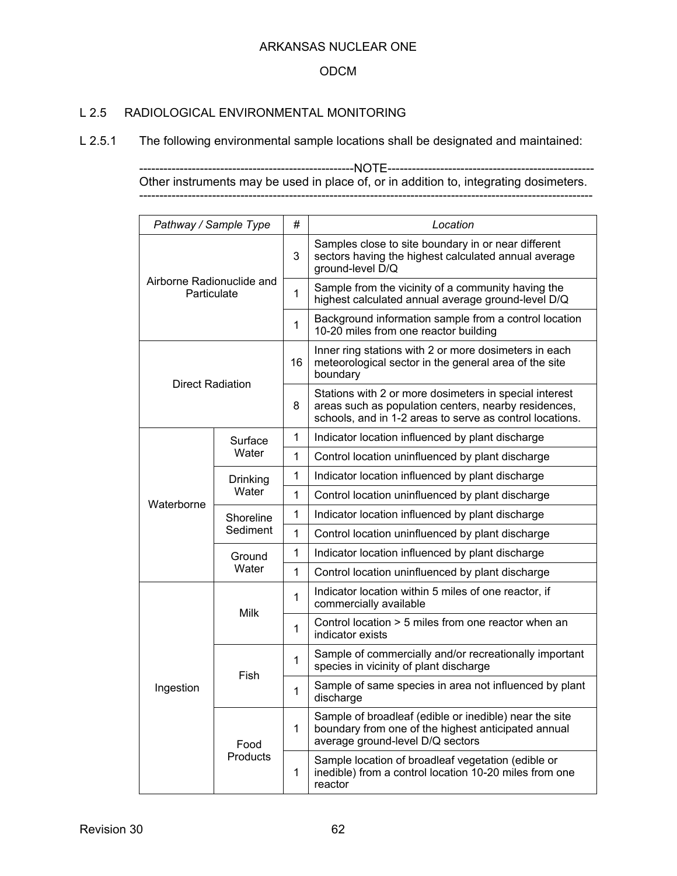### ODCM

### L 2.5 RADIOLOGICAL ENVIRONMENTAL MONITORING

L 2.5.1 The following environmental sample locations shall be designated and maintained:

-----------------------------------------------------NOTE--------------------------------------------------- Other instruments may be used in place of, or in addition to, integrating dosimeters. ----------------------------------------------------------------------------------------------------------------

| Pathway / Sample Type                    |                       | #            | Location                                                                                                                                                                   |
|------------------------------------------|-----------------------|--------------|----------------------------------------------------------------------------------------------------------------------------------------------------------------------------|
|                                          |                       | 3            | Samples close to site boundary in or near different<br>sectors having the highest calculated annual average<br>ground-level D/Q                                            |
| Airborne Radionuclide and<br>Particulate |                       | $\mathbf{1}$ | Sample from the vicinity of a community having the<br>highest calculated annual average ground-level D/Q                                                                   |
|                                          |                       | $\mathbf{1}$ | Background information sample from a control location<br>10-20 miles from one reactor building                                                                             |
| <b>Direct Radiation</b>                  |                       | 16           | Inner ring stations with 2 or more dosimeters in each<br>meteorological sector in the general area of the site<br>boundary                                                 |
|                                          |                       | 8            | Stations with 2 or more dosimeters in special interest<br>areas such as population centers, nearby residences,<br>schools, and in 1-2 areas to serve as control locations. |
|                                          | Surface               | $\mathbf{1}$ | Indicator location influenced by plant discharge                                                                                                                           |
|                                          | Water                 | $\mathbf{1}$ | Control location uninfluenced by plant discharge                                                                                                                           |
|                                          | Drinking<br>Water     | $\mathbf{1}$ | Indicator location influenced by plant discharge                                                                                                                           |
| Waterborne                               |                       | $\mathbf{1}$ | Control location uninfluenced by plant discharge                                                                                                                           |
|                                          | Shoreline<br>Sediment | $\mathbf 1$  | Indicator location influenced by plant discharge                                                                                                                           |
|                                          |                       | $\mathbf{1}$ | Control location uninfluenced by plant discharge                                                                                                                           |
|                                          | Ground<br>Water       | $\mathbf 1$  | Indicator location influenced by plant discharge                                                                                                                           |
|                                          |                       | $\mathbf 1$  | Control location uninfluenced by plant discharge                                                                                                                           |
|                                          |                       |              | Indicator location within 5 miles of one reactor, if<br>commercially available                                                                                             |
|                                          | <b>Milk</b>           | $\mathbf{1}$ | Control location > 5 miles from one reactor when an<br>indicator exists                                                                                                    |
|                                          | Fish                  | $\mathbf{1}$ | Sample of commercially and/or recreationally important<br>species in vicinity of plant discharge                                                                           |
| Ingestion                                |                       | $\mathbf{1}$ | Sample of same species in area not influenced by plant<br>discharge                                                                                                        |
|                                          | Food                  | $\mathbf 1$  | Sample of broadleaf (edible or inedible) near the site<br>boundary from one of the highest anticipated annual<br>average ground-level D/Q sectors                          |
|                                          | Products              | $\mathbf 1$  | Sample location of broadleaf vegetation (edible or<br>inedible) from a control location 10-20 miles from one<br>reactor                                                    |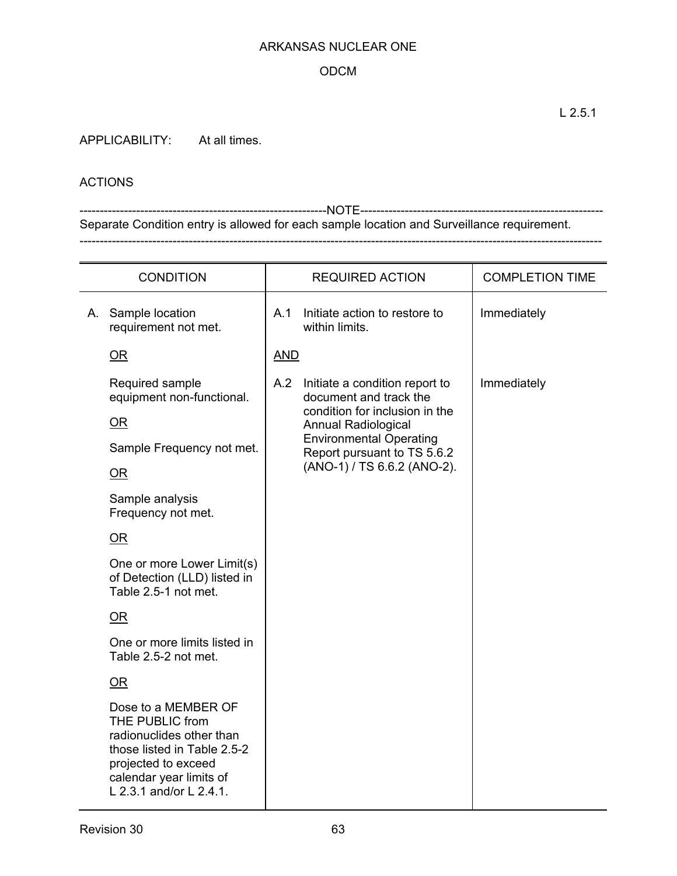### ODCM

APPLICABILITY: At all times.

### ACTIONS

-------------------------------------------------------------NOTE------------------------------------------------------------ Separate Condition entry is allowed for each sample location and Surveillance requirement. ---------------------------------------------------------------------------------------------------------------------------------

| <b>CONDITION</b> |                                                                                                                                                                                |                             | <b>REQUIRED ACTION</b>                                        | <b>COMPLETION TIME</b> |
|------------------|--------------------------------------------------------------------------------------------------------------------------------------------------------------------------------|-----------------------------|---------------------------------------------------------------|------------------------|
|                  | A. Sample location<br>requirement not met.                                                                                                                                     | A.1                         | Initiate action to restore to<br>within limits.               | Immediately            |
|                  | $\overline{\text{OR}}$                                                                                                                                                         | <b>AND</b>                  |                                                               |                        |
|                  | Required sample<br>equipment non-functional.                                                                                                                                   | A.2                         | Initiate a condition report to<br>document and track the      | Immediately            |
|                  | $OR$                                                                                                                                                                           |                             | condition for inclusion in the<br><b>Annual Radiological</b>  |                        |
|                  | Sample Frequency not met.                                                                                                                                                      |                             | <b>Environmental Operating</b><br>Report pursuant to TS 5.6.2 |                        |
|                  | OR                                                                                                                                                                             | (ANO-1) / TS 6.6.2 (ANO-2). |                                                               |                        |
|                  | Sample analysis<br>Frequency not met.                                                                                                                                          |                             |                                                               |                        |
|                  | OR                                                                                                                                                                             |                             |                                                               |                        |
|                  | One or more Lower Limit(s)<br>of Detection (LLD) listed in<br>Table 2.5-1 not met.                                                                                             |                             |                                                               |                        |
|                  | $OR$                                                                                                                                                                           |                             |                                                               |                        |
|                  | One or more limits listed in<br>Table 2.5-2 not met.                                                                                                                           |                             |                                                               |                        |
|                  | OR                                                                                                                                                                             |                             |                                                               |                        |
|                  | Dose to a MEMBER OF<br>THE PUBLIC from<br>radionuclides other than<br>those listed in Table 2.5-2<br>projected to exceed<br>calendar year limits of<br>L 2.3.1 and/or L 2.4.1. |                             |                                                               |                        |

L 2.5.1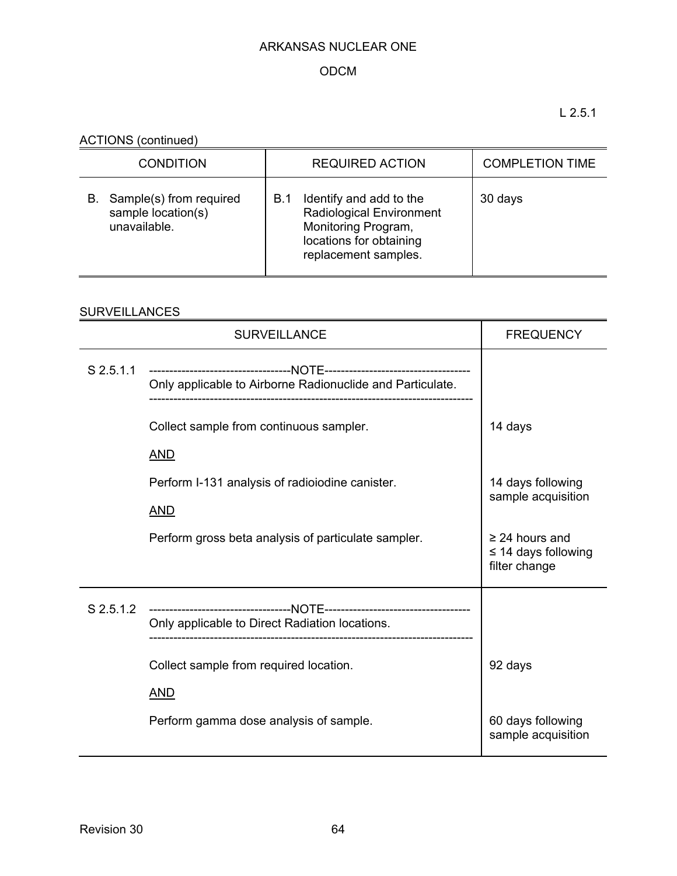# ODCM

L 2.5.1

ACTIONS (continued)

| <b>CONDITION</b>                                                    | <b>REQUIRED ACTION</b>                                                                                                                      | <b>COMPLETION TIME</b> |
|---------------------------------------------------------------------|---------------------------------------------------------------------------------------------------------------------------------------------|------------------------|
| Sample(s) from required<br>В.<br>sample location(s)<br>unavailable. | Identify and add to the<br>B.1<br><b>Radiological Environment</b><br>Monitoring Program,<br>locations for obtaining<br>replacement samples. | 30 days                |

# SURVEILLANCES

|             | <b>SURVEILLANCE</b>                                       | <b>FREQUENCY</b>                                                 |  |
|-------------|-----------------------------------------------------------|------------------------------------------------------------------|--|
| $S$ 2.5.1.1 | Only applicable to Airborne Radionuclide and Particulate. |                                                                  |  |
|             | Collect sample from continuous sampler.                   | 14 days                                                          |  |
|             | <b>AND</b>                                                |                                                                  |  |
|             | Perform I-131 analysis of radioiodine canister.           | 14 days following                                                |  |
|             | <b>AND</b>                                                | sample acquisition                                               |  |
|             | Perform gross beta analysis of particulate sampler.       | $\geq$ 24 hours and<br>$\leq$ 14 days following<br>filter change |  |
| S 2.5.1.2   | Only applicable to Direct Radiation locations.            |                                                                  |  |
|             | Collect sample from required location.                    | 92 days                                                          |  |
|             | <b>AND</b>                                                |                                                                  |  |
|             | Perform gamma dose analysis of sample.                    | 60 days following<br>sample acquisition                          |  |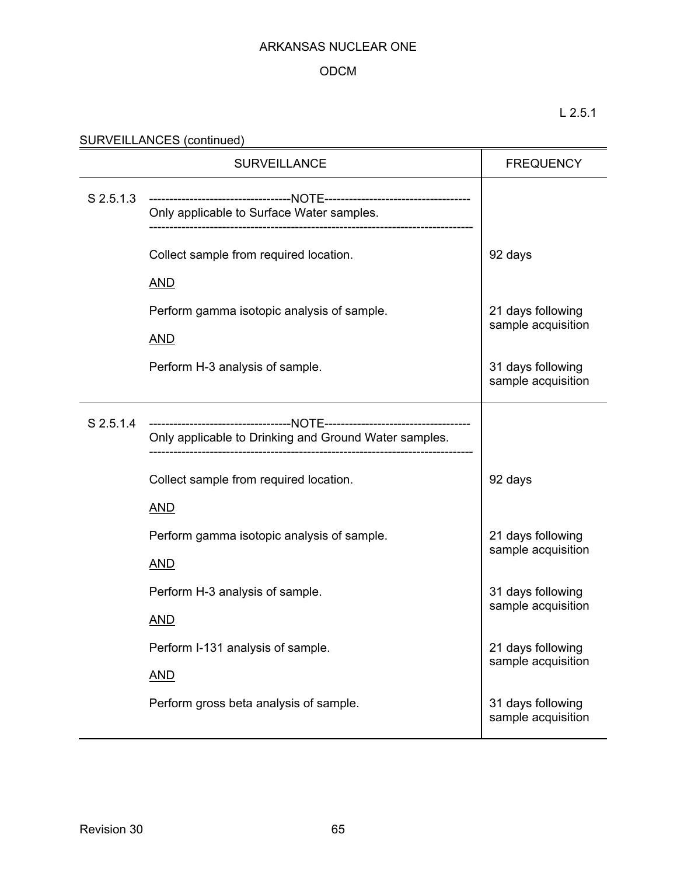### ODCM

L 2.5.1

| SURVEILLANCES (continued) |  |
|---------------------------|--|
|                           |  |

|             | <b>FREQUENCY</b>                                         |                                         |
|-------------|----------------------------------------------------------|-----------------------------------------|
| $S$ 2.5.1.3 | Only applicable to Surface Water samples.                |                                         |
|             | Collect sample from required location.<br><u>AND</u>     | 92 days                                 |
|             | Perform gamma isotopic analysis of sample.<br><b>AND</b> | 21 days following<br>sample acquisition |
|             | Perform H-3 analysis of sample.                          | 31 days following<br>sample acquisition |
| $S$ 2.5.1.4 | Only applicable to Drinking and Ground Water samples.    |                                         |
|             | Collect sample from required location.<br><b>AND</b>     | 92 days                                 |
|             | Perform gamma isotopic analysis of sample.<br><b>AND</b> | 21 days following<br>sample acquisition |
|             | Perform H-3 analysis of sample.<br><b>AND</b>            | 31 days following<br>sample acquisition |
|             | Perform I-131 analysis of sample.<br><b>AND</b>          | 21 days following<br>sample acquisition |
|             | Perform gross beta analysis of sample.                   | 31 days following<br>sample acquisition |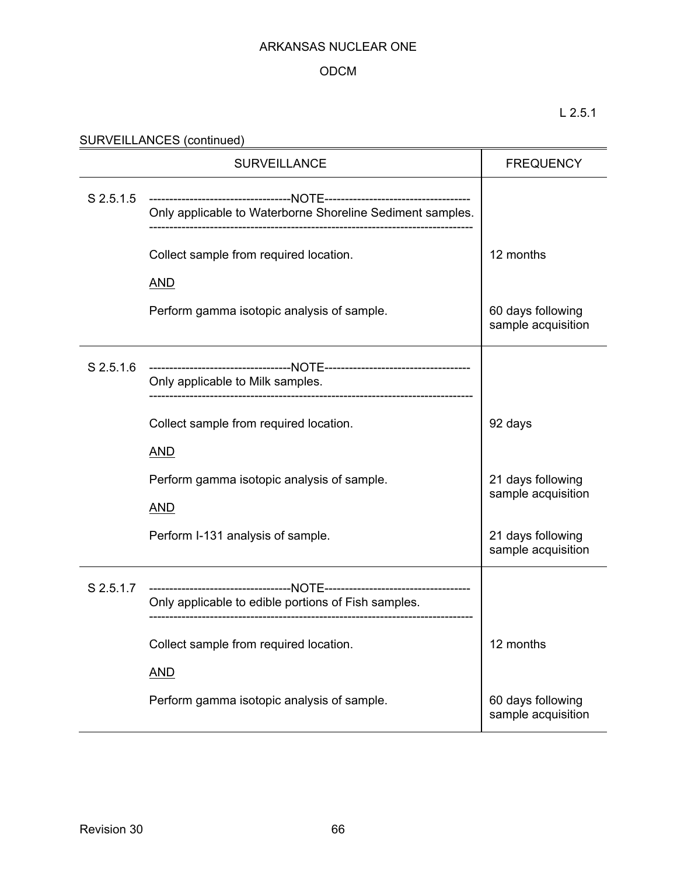# ODCM

# L 2.5.1

# SURVEILLANCES (continued)

|           | <b>SURVEILLANCE</b>                                       | <b>FREQUENCY</b>                        |
|-----------|-----------------------------------------------------------|-----------------------------------------|
| S 2.5.1.5 | Only applicable to Waterborne Shoreline Sediment samples. |                                         |
|           | Collect sample from required location.                    | 12 months                               |
|           | <b>AND</b><br>Perform gamma isotopic analysis of sample.  | 60 days following<br>sample acquisition |
| S 2.5.1.6 | Only applicable to Milk samples.                          |                                         |
|           | Collect sample from required location.                    | 92 days                                 |
|           | <b>AND</b>                                                |                                         |
|           | Perform gamma isotopic analysis of sample.                | 21 days following<br>sample acquisition |
|           | <b>AND</b>                                                |                                         |
|           | Perform I-131 analysis of sample.                         | 21 days following<br>sample acquisition |
| S 2.5.1.7 | Only applicable to edible portions of Fish samples.       |                                         |
|           | Collect sample from required location.                    | 12 months                               |
|           | <b>AND</b>                                                |                                         |
|           | Perform gamma isotopic analysis of sample.                | 60 days following<br>sample acquisition |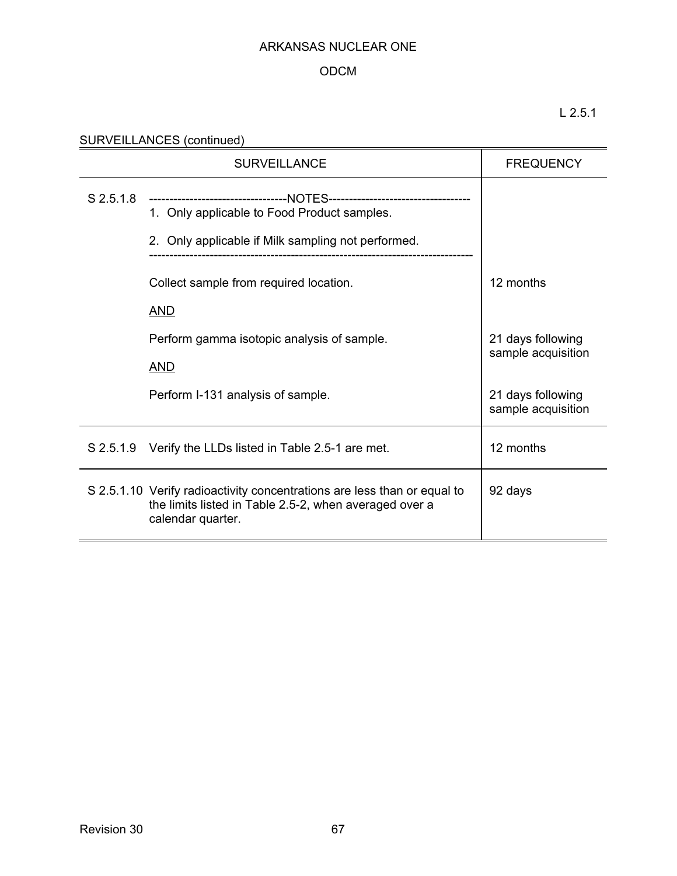# ODCM

L 2.5.1

| SURVEILLANCES (continued) |  |
|---------------------------|--|
|                           |  |

|             | <b>FREQUENCY</b>                                                                                                                                                                |                                         |
|-------------|---------------------------------------------------------------------------------------------------------------------------------------------------------------------------------|-----------------------------------------|
| $S$ 2.5.1.8 | ----------------------------------NOTES-----------------------------------<br>1. Only applicable to Food Product samples.<br>2. Only applicable if Milk sampling not performed. |                                         |
|             | Collect sample from required location.                                                                                                                                          | 12 months                               |
|             | <b>AND</b>                                                                                                                                                                      |                                         |
|             | Perform gamma isotopic analysis of sample.                                                                                                                                      | 21 days following<br>sample acquisition |
|             | <b>AND</b>                                                                                                                                                                      |                                         |
|             | Perform I-131 analysis of sample.                                                                                                                                               | 21 days following<br>sample acquisition |
|             | S 2.5.1.9 Verify the LLDs listed in Table 2.5-1 are met.                                                                                                                        | 12 months                               |
|             | S 2.5.1.10 Verify radioactivity concentrations are less than or equal to<br>the limits listed in Table 2.5-2, when averaged over a<br>calendar quarter.                         | 92 days                                 |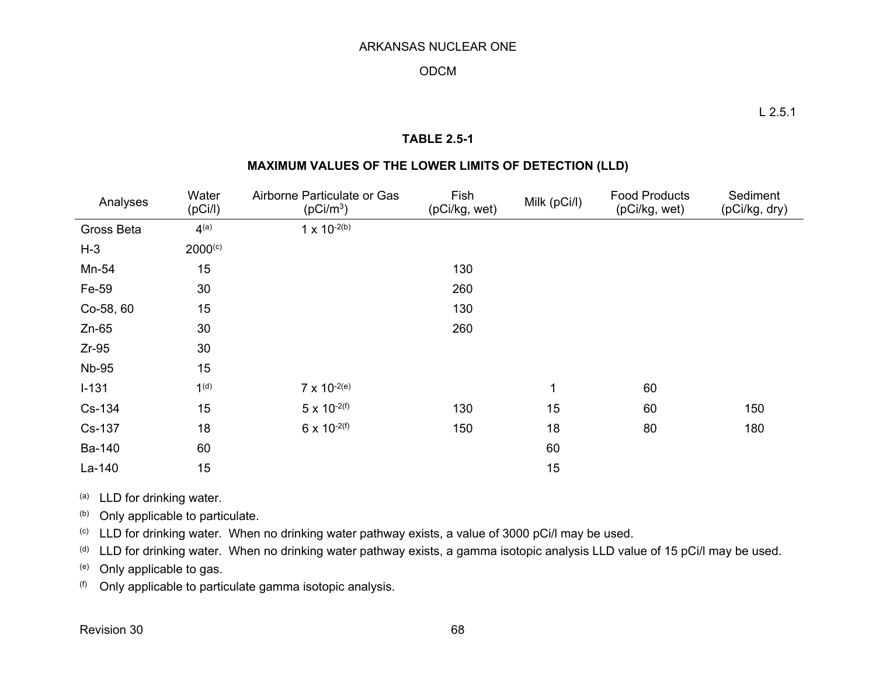### ODCM

### **TABLE 2.5-1**

### **MAXIMUM VALUES OF THE LOWER LIMITS OF DETECTION (LLD)**

| Analyses     | Water<br>(pCi/l) | Airborne Particulate or Gas<br>(pCi/m <sup>3</sup> ) | Fish<br>(pCi/kg, wet) | Milk (pCi/l) | <b>Food Products</b><br>(pCi/kg, wet) | Sediment<br>(pCi/kg, dry) |
|--------------|------------------|------------------------------------------------------|-----------------------|--------------|---------------------------------------|---------------------------|
| Gross Beta   | 4 <sup>(a)</sup> | $1 \times 10^{-2(b)}$                                |                       |              |                                       |                           |
| $H-3$        | $2000^{(c)}$     |                                                      |                       |              |                                       |                           |
| Mn-54        | 15               |                                                      | 130                   |              |                                       |                           |
| Fe-59        | 30               |                                                      | 260                   |              |                                       |                           |
| Co-58, 60    | 15               |                                                      | 130                   |              |                                       |                           |
| $Zn-65$      | 30               |                                                      | 260                   |              |                                       |                           |
| $Zr-95$      | 30               |                                                      |                       |              |                                       |                           |
| <b>Nb-95</b> | 15               |                                                      |                       |              |                                       |                           |
| $I-131$      | 1 <sup>(d)</sup> | $7 \times 10^{-2(e)}$                                |                       | 1            | 60                                    |                           |
| Cs-134       | 15               | $5 \times 10^{-2(f)}$                                | 130                   | 15           | 60                                    | 150                       |
| Cs-137       | 18               | $6 \times 10^{-2(f)}$                                | 150                   | 18           | 80                                    | 180                       |
| Ba-140       | 60               |                                                      |                       | 60           |                                       |                           |
| La-140       | 15               |                                                      |                       | 15           |                                       |                           |

(a) LLD for drinking water.

(b) Only applicable to particulate.

(c) LLD for drinking water. When no drinking water pathway exists, a value of 3000 pCi/l may be used.

(d) LLD for drinking water. When no drinking water pathway exists, a gamma isotopic analysis LLD value of 15 pCi/l may be used.

(e) Only applicable to gas.

 $( f )$  Only applicable to particulate gamma isotopic analysis.

Revision 30 68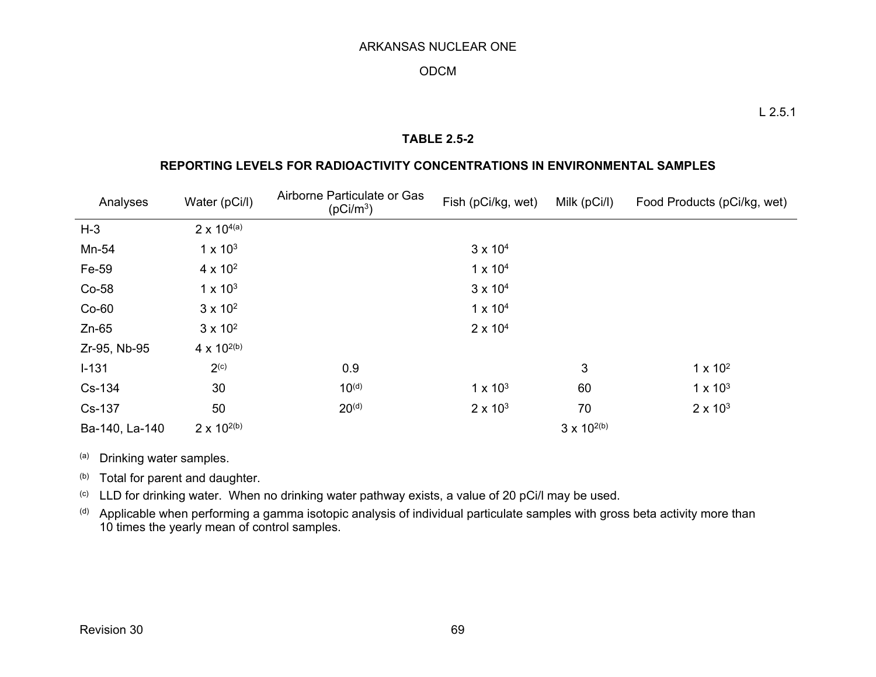### ODCM

### **TABLE 2.5-2**

### **REPORTING LEVELS FOR RADIOACTIVITY CONCENTRATIONS IN ENVIRONMENTAL SAMPLES**

| Analyses       | Water (pCi/l)        | Airborne Particulate or Gas<br>(pCi/m <sup>3</sup> ) | Fish (pCi/kg, wet) | Milk (pCi/l)         | Food Products (pCi/kg, wet) |
|----------------|----------------------|------------------------------------------------------|--------------------|----------------------|-----------------------------|
| $H-3$          | $2 \times 10^{4(a)}$ |                                                      |                    |                      |                             |
| Mn-54          | $1 \times 10^3$      |                                                      | $3 \times 10^{4}$  |                      |                             |
| Fe-59          | $4 \times 10^{2}$    |                                                      | $1 \times 10^{4}$  |                      |                             |
| Co-58          | $1 \times 10^3$      |                                                      | $3 \times 10^{4}$  |                      |                             |
| $Co-60$        | $3 \times 10^2$      |                                                      | $1 \times 10^{4}$  |                      |                             |
| $Zn-65$        | $3 \times 10^2$      |                                                      | $2 \times 10^{4}$  |                      |                             |
| Zr-95, Nb-95   | 4 x $10^{2(b)}$      |                                                      |                    |                      |                             |
| $I - 131$      | 2 <sup>(c)</sup>     | 0.9                                                  |                    | 3                    | $1 \times 10^2$             |
| Cs-134         | 30                   | $10^{(d)}$                                           | $1 \times 10^3$    | 60                   | $1 \times 10^3$             |
| Cs-137         | 50                   | $20^{(d)}$                                           | $2 \times 10^3$    | 70                   | $2 \times 10^3$             |
| Ba-140, La-140 | $2 \times 10^{2(b)}$ |                                                      |                    | $3 \times 10^{2(b)}$ |                             |

(a) Drinking water samples.

(b) Total for parent and daughter.

 $\lvert$ <sup>(c)</sup> LLD for drinking water. When no drinking water pathway exists, a value of 20 pCi/l may be used.

 $^{\text{(d)}}$  Applicable when performing a gamma isotopic analysis of individual particulate samples with gross beta activity more than  $\,$ 10 times the yearly mean of control samples.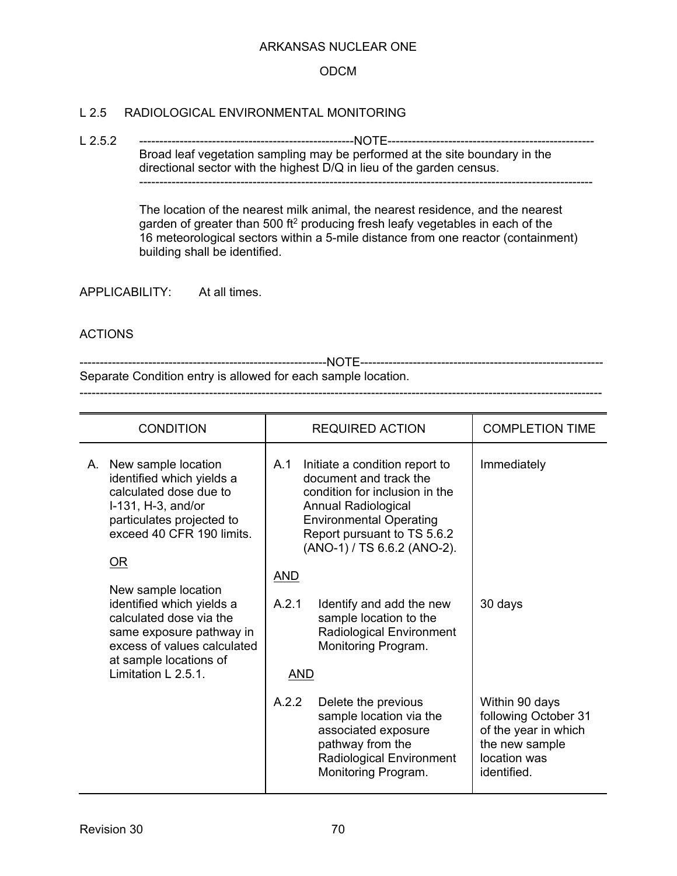### ODCM

### L 2.5 RADIOLOGICAL ENVIRONMENTAL MONITORING

L 2.5.2 -----------------------------------------------------NOTE--------------------------------------------------- Broad leaf vegetation sampling may be performed at the site boundary in the directional sector with the highest D/Q in lieu of the garden census. ----------------------------------------------------------------------------------------------------------------

> The location of the nearest milk animal, the nearest residence, and the nearest garden of greater than 500 ft<sup>2</sup> producing fresh leafy vegetables in each of the 16 meteorological sectors within a 5-mile distance from one reactor (containment) building shall be identified.

APPLICABILITY: At all times.

### ACTIONS

-------------------------------------------------------------NOTE------------------------------------------------------------ Separate Condition entry is allowed for each sample location. ---------------------------------------------------------------------------------------------------------------------------------

| <b>CONDITION</b>                                                                                                                                                                              | <b>REQUIRED ACTION</b>                                                                                                                                                                                                                        | <b>COMPLETION TIME</b>                                                                                          |
|-----------------------------------------------------------------------------------------------------------------------------------------------------------------------------------------------|-----------------------------------------------------------------------------------------------------------------------------------------------------------------------------------------------------------------------------------------------|-----------------------------------------------------------------------------------------------------------------|
| New sample location<br>А.<br>identified which yields a<br>calculated dose due to<br>I-131, H-3, and/or<br>particulates projected to<br>exceed 40 CFR 190 limits.<br>OR<br>New sample location | A.1<br>Initiate a condition report to<br>document and track the<br>condition for inclusion in the<br><b>Annual Radiological</b><br><b>Environmental Operating</b><br>Report pursuant to TS 5.6.2<br>(ANO-1) / TS 6.6.2 (ANO-2).<br><u>AND</u> | Immediately                                                                                                     |
| identified which yields a<br>calculated dose via the<br>same exposure pathway in<br>excess of values calculated<br>at sample locations of<br>Limitation L 2.5.1.                              | A.2.1<br>Identify and add the new<br>sample location to the<br><b>Radiological Environment</b><br>Monitoring Program.<br><u>AND</u>                                                                                                           | 30 days                                                                                                         |
|                                                                                                                                                                                               | A.2.2<br>Delete the previous<br>sample location via the<br>associated exposure<br>pathway from the<br>Radiological Environment<br>Monitoring Program.                                                                                         | Within 90 days<br>following October 31<br>of the year in which<br>the new sample<br>location was<br>identified. |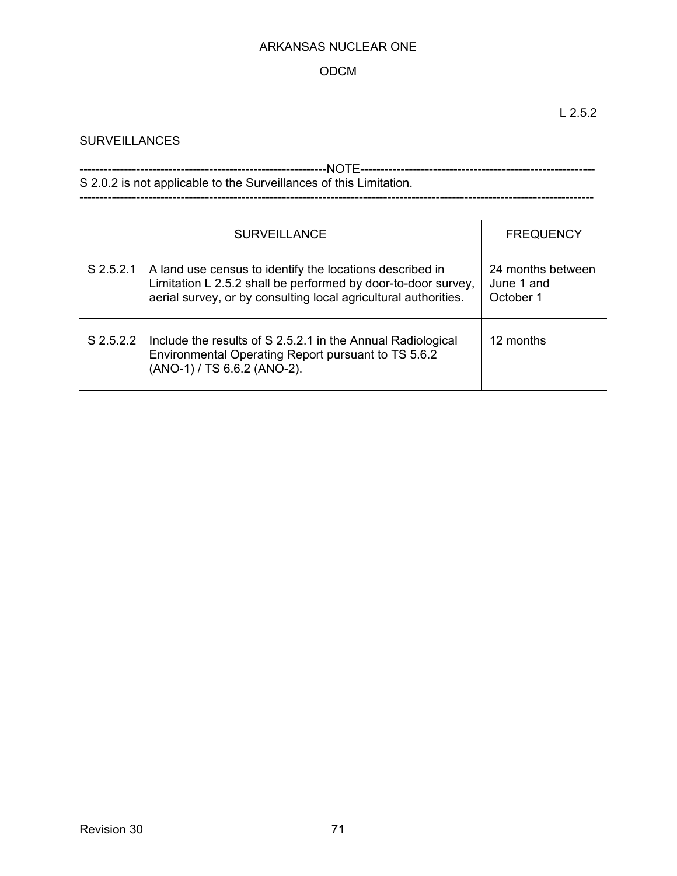# ODCM

# **SURVEILLANCES**

| S 2.0.2 is not applicable to the Surveillances of this Limitation. |
|--------------------------------------------------------------------|

-------------------------------------------------------------------------------------------------------------------------------

| <b>SURVEILLANCE</b> |                                                                                                                                                                                                        | <b>FREQUENCY</b>                             |
|---------------------|--------------------------------------------------------------------------------------------------------------------------------------------------------------------------------------------------------|----------------------------------------------|
|                     | S 2.5.2.1 A land use census to identify the locations described in<br>Limitation L 2.5.2 shall be performed by door-to-door survey,<br>aerial survey, or by consulting local agricultural authorities. | 24 months between<br>June 1 and<br>October 1 |
| $S$ 2.5.2.2         | Include the results of S 2.5.2.1 in the Annual Radiological<br>Environmental Operating Report pursuant to TS 5.6.2<br>(ANO-1) / TS 6.6.2 (ANO-2).                                                      | 12 months                                    |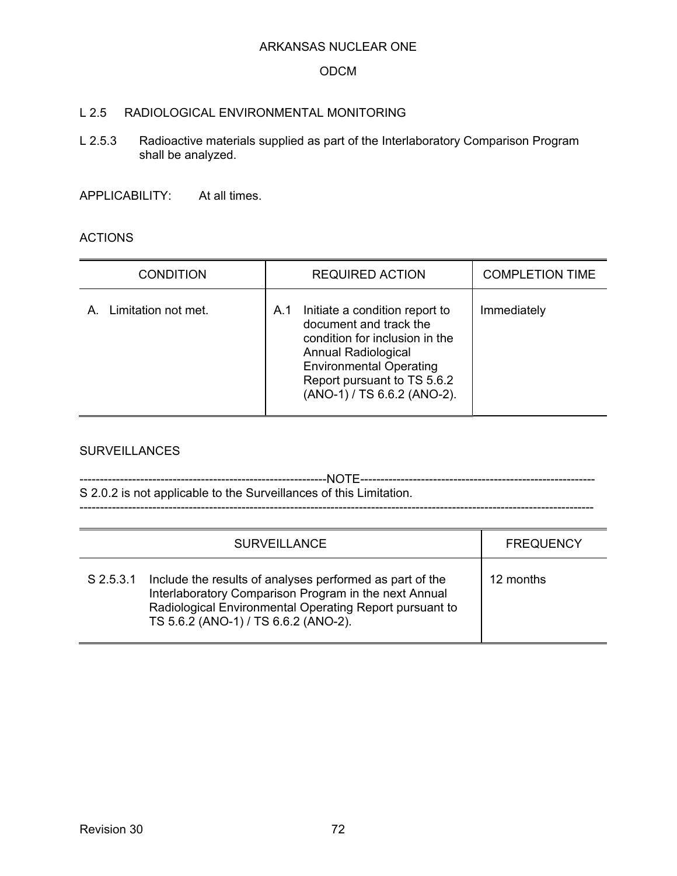#### ODCM

### L 2.5 RADIOLOGICAL ENVIRONMENTAL MONITORING

L 2.5.3 Radioactive materials supplied as part of the Interlaboratory Comparison Program shall be analyzed.

APPLICABILITY: At all times.

### ACTIONS

| <b>CONDITION</b>    | <b>REQUIRED ACTION</b>                                                                                                                                                                                                   | <b>COMPLETION TIME</b> |
|---------------------|--------------------------------------------------------------------------------------------------------------------------------------------------------------------------------------------------------------------------|------------------------|
| Limitation not met. | Initiate a condition report to<br>A.1<br>document and track the<br>condition for inclusion in the<br>Annual Radiological<br><b>Environmental Operating</b><br>Report pursuant to TS 5.6.2<br>(ANO-1) / TS 6.6.2 (ANO-2). | Immediately            |

#### **SURVEILLANCES**

| S 2.0.2 is not applicable to the Surveillances of this Limitation. |
|--------------------------------------------------------------------|
|                                                                    |
|                                                                    |

|             | <b>SURVEILLANCE</b>                                                                                                                                                                                                  | <b>FREQUENCY</b> |
|-------------|----------------------------------------------------------------------------------------------------------------------------------------------------------------------------------------------------------------------|------------------|
| $S$ 2.5.3.1 | Include the results of analyses performed as part of the<br>Interlaboratory Comparison Program in the next Annual<br>Radiological Environmental Operating Report pursuant to<br>TS 5.6.2 (ANO-1) / TS 6.6.2 (ANO-2). | 12 months        |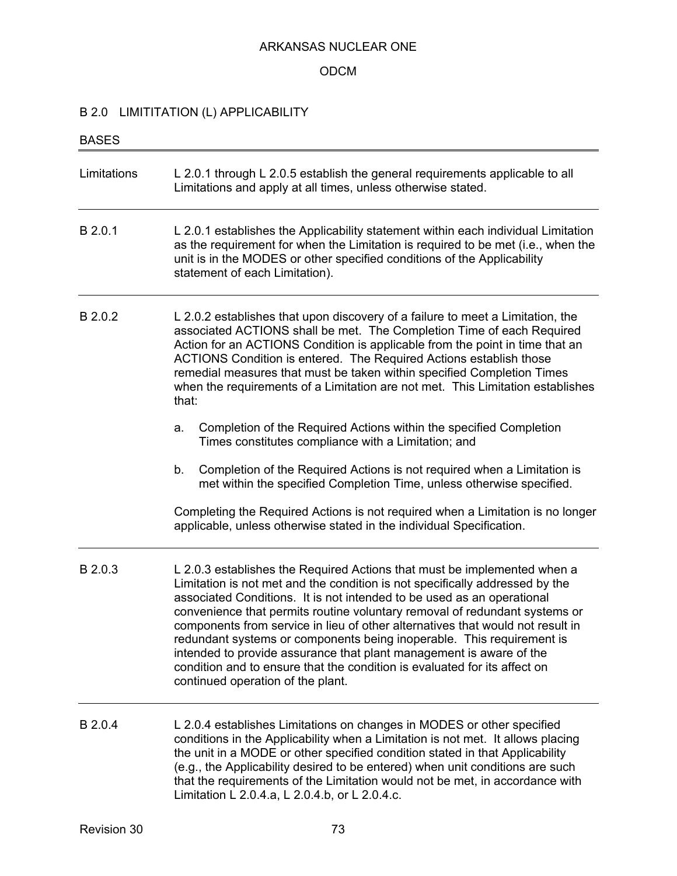#### ODCM

# B 2.0 LIMITITATION (L) APPLICABILITY

| <b>BASES</b> |                                                                                                                                                                                                                                                                                                                                                                                                                                                                                                                                                                                                                                                                      |  |
|--------------|----------------------------------------------------------------------------------------------------------------------------------------------------------------------------------------------------------------------------------------------------------------------------------------------------------------------------------------------------------------------------------------------------------------------------------------------------------------------------------------------------------------------------------------------------------------------------------------------------------------------------------------------------------------------|--|
| Limitations  | L 2.0.1 through L 2.0.5 establish the general requirements applicable to all<br>Limitations and apply at all times, unless otherwise stated.                                                                                                                                                                                                                                                                                                                                                                                                                                                                                                                         |  |
| B 2.0.1      | L 2.0.1 establishes the Applicability statement within each individual Limitation<br>as the requirement for when the Limitation is required to be met (i.e., when the<br>unit is in the MODES or other specified conditions of the Applicability<br>statement of each Limitation).                                                                                                                                                                                                                                                                                                                                                                                   |  |
| B 2.0.2      | L 2.0.2 establishes that upon discovery of a failure to meet a Limitation, the<br>associated ACTIONS shall be met. The Completion Time of each Required<br>Action for an ACTIONS Condition is applicable from the point in time that an<br>ACTIONS Condition is entered. The Required Actions establish those<br>remedial measures that must be taken within specified Completion Times<br>when the requirements of a Limitation are not met. This Limitation establishes<br>that:                                                                                                                                                                                   |  |
|              | Completion of the Required Actions within the specified Completion<br>a.<br>Times constitutes compliance with a Limitation; and                                                                                                                                                                                                                                                                                                                                                                                                                                                                                                                                      |  |
|              | Completion of the Required Actions is not required when a Limitation is<br>b.<br>met within the specified Completion Time, unless otherwise specified.                                                                                                                                                                                                                                                                                                                                                                                                                                                                                                               |  |
|              | Completing the Required Actions is not required when a Limitation is no longer<br>applicable, unless otherwise stated in the individual Specification.                                                                                                                                                                                                                                                                                                                                                                                                                                                                                                               |  |
| B 2.0.3      | L 2.0.3 establishes the Required Actions that must be implemented when a<br>Limitation is not met and the condition is not specifically addressed by the<br>associated Conditions. It is not intended to be used as an operational<br>convenience that permits routine voluntary removal of redundant systems or<br>components from service in lieu of other alternatives that would not result in<br>redundant systems or components being inoperable. This requirement is<br>intended to provide assurance that plant management is aware of the<br>condition and to ensure that the condition is evaluated for its affect on<br>continued operation of the plant. |  |
| B 2.0.4      | L 2.0.4 establishes Limitations on changes in MODES or other specified<br>conditions in the Applicability when a Limitation is not met. It allows placing<br>the unit in a MODE or other specified condition stated in that Applicability<br>(e.g., the Applicability desired to be entered) when unit conditions are such<br>that the requirements of the Limitation would not be met, in accordance with<br>Limitation L 2.0.4.a, L 2.0.4.b, or L 2.0.4.c.                                                                                                                                                                                                         |  |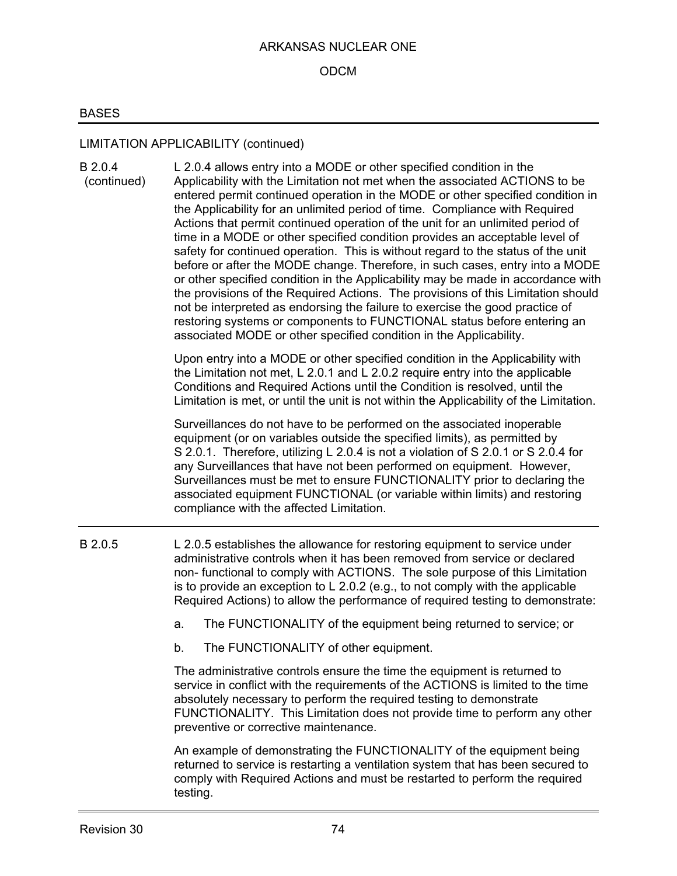## ODCM

## BASES

# LIMITATION APPLICABILITY (continued)

| B 2.0.4<br>(continued) | L 2.0.4 allows entry into a MODE or other specified condition in the<br>Applicability with the Limitation not met when the associated ACTIONS to be<br>entered permit continued operation in the MODE or other specified condition in<br>the Applicability for an unlimited period of time. Compliance with Required<br>Actions that permit continued operation of the unit for an unlimited period of<br>time in a MODE or other specified condition provides an acceptable level of<br>safety for continued operation. This is without regard to the status of the unit<br>before or after the MODE change. Therefore, in such cases, entry into a MODE<br>or other specified condition in the Applicability may be made in accordance with<br>the provisions of the Required Actions. The provisions of this Limitation should<br>not be interpreted as endorsing the failure to exercise the good practice of<br>restoring systems or components to FUNCTIONAL status before entering an<br>associated MODE or other specified condition in the Applicability. |
|------------------------|--------------------------------------------------------------------------------------------------------------------------------------------------------------------------------------------------------------------------------------------------------------------------------------------------------------------------------------------------------------------------------------------------------------------------------------------------------------------------------------------------------------------------------------------------------------------------------------------------------------------------------------------------------------------------------------------------------------------------------------------------------------------------------------------------------------------------------------------------------------------------------------------------------------------------------------------------------------------------------------------------------------------------------------------------------------------|
|                        | Upon entry into a MODE or other specified condition in the Applicability with<br>the Limitation not met, L 2.0.1 and L 2.0.2 require entry into the applicable<br>Conditions and Required Actions until the Condition is resolved, until the<br>Limitation is met, or until the unit is not within the Applicability of the Limitation.                                                                                                                                                                                                                                                                                                                                                                                                                                                                                                                                                                                                                                                                                                                            |
|                        | Surveillances do not have to be performed on the associated inoperable<br>equipment (or on variables outside the specified limits), as permitted by<br>S 2.0.1. Therefore, utilizing L 2.0.4 is not a violation of S 2.0.1 or S 2.0.4 for<br>any Surveillances that have not been performed on equipment. However,<br>Surveillances must be met to ensure FUNCTIONALITY prior to declaring the<br>associated equipment FUNCTIONAL (or variable within limits) and restoring<br>compliance with the affected Limitation.                                                                                                                                                                                                                                                                                                                                                                                                                                                                                                                                            |
| B 2.0.5                | L 2.0.5 establishes the allowance for restoring equipment to service under<br>administrative controls when it has been removed from service or declared<br>non- functional to comply with ACTIONS. The sole purpose of this Limitation<br>is to provide an exception to L 2.0.2 (e.g., to not comply with the applicable<br>Required Actions) to allow the performance of required testing to demonstrate:                                                                                                                                                                                                                                                                                                                                                                                                                                                                                                                                                                                                                                                         |
|                        | The FUNCTIONALITY of the equipment being returned to service; or<br>a.                                                                                                                                                                                                                                                                                                                                                                                                                                                                                                                                                                                                                                                                                                                                                                                                                                                                                                                                                                                             |
|                        | The FUNCTIONALITY of other equipment.<br>b.                                                                                                                                                                                                                                                                                                                                                                                                                                                                                                                                                                                                                                                                                                                                                                                                                                                                                                                                                                                                                        |
|                        | The administrative controls ensure the time the equipment is returned to<br>service in conflict with the requirements of the ACTIONS is limited to the time<br>absolutely necessary to perform the required testing to demonstrate<br>FUNCTIONALITY. This Limitation does not provide time to perform any other<br>preventive or corrective maintenance.                                                                                                                                                                                                                                                                                                                                                                                                                                                                                                                                                                                                                                                                                                           |
|                        | An example of demonstrating the FUNCTIONALITY of the equipment being<br>returned to service is restarting a ventilation system that has been secured to<br>comply with Required Actions and must be restarted to perform the required<br>testing.                                                                                                                                                                                                                                                                                                                                                                                                                                                                                                                                                                                                                                                                                                                                                                                                                  |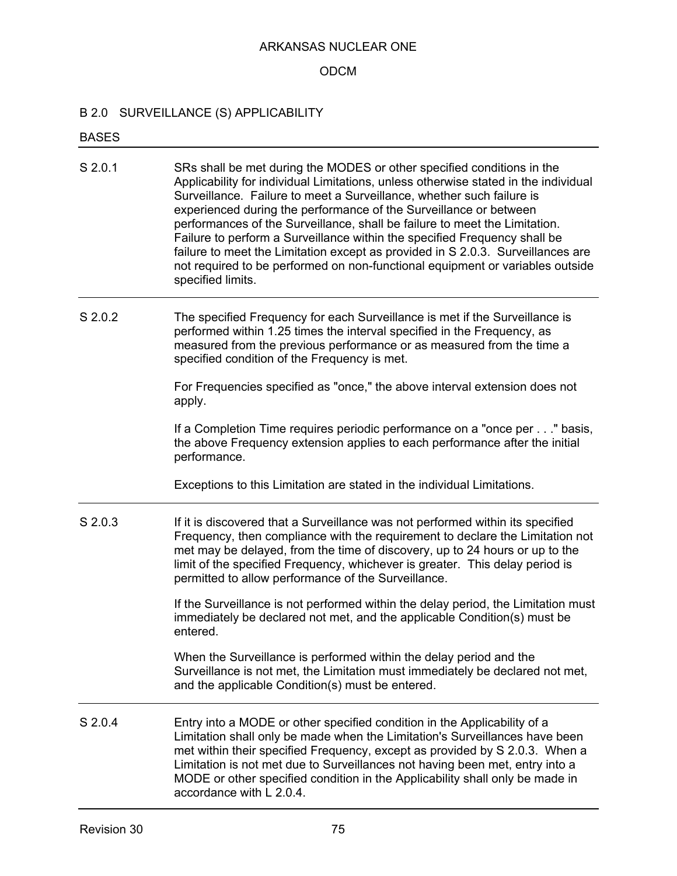### ODCM

### B 2.0 SURVEILLANCE (S) APPLICABILITY

#### BASES

- S 2.0.1 SRs shall be met during the MODES or other specified conditions in the Applicability for individual Limitations, unless otherwise stated in the individual Surveillance. Failure to meet a Surveillance, whether such failure is experienced during the performance of the Surveillance or between performances of the Surveillance, shall be failure to meet the Limitation. Failure to perform a Surveillance within the specified Frequency shall be failure to meet the Limitation except as provided in S 2.0.3. Surveillances are not required to be performed on non-functional equipment or variables outside specified limits.
- S 2.0.2 The specified Frequency for each Surveillance is met if the Surveillance is performed within 1.25 times the interval specified in the Frequency, as measured from the previous performance or as measured from the time a specified condition of the Frequency is met.

For Frequencies specified as "once," the above interval extension does not apply.

If a Completion Time requires periodic performance on a "once per . . ." basis, the above Frequency extension applies to each performance after the initial performance.

Exceptions to this Limitation are stated in the individual Limitations.

S 2.0.3 If it is discovered that a Surveillance was not performed within its specified Frequency, then compliance with the requirement to declare the Limitation not met may be delayed, from the time of discovery, up to 24 hours or up to the limit of the specified Frequency, whichever is greater. This delay period is permitted to allow performance of the Surveillance.

> If the Surveillance is not performed within the delay period, the Limitation must immediately be declared not met, and the applicable Condition(s) must be entered.

When the Surveillance is performed within the delay period and the Surveillance is not met, the Limitation must immediately be declared not met, and the applicable Condition(s) must be entered.

S 2.0.4 Entry into a MODE or other specified condition in the Applicability of a Limitation shall only be made when the Limitation's Surveillances have been met within their specified Frequency, except as provided by S 2.0.3. When a Limitation is not met due to Surveillances not having been met, entry into a MODE or other specified condition in the Applicability shall only be made in accordance with L 2.0.4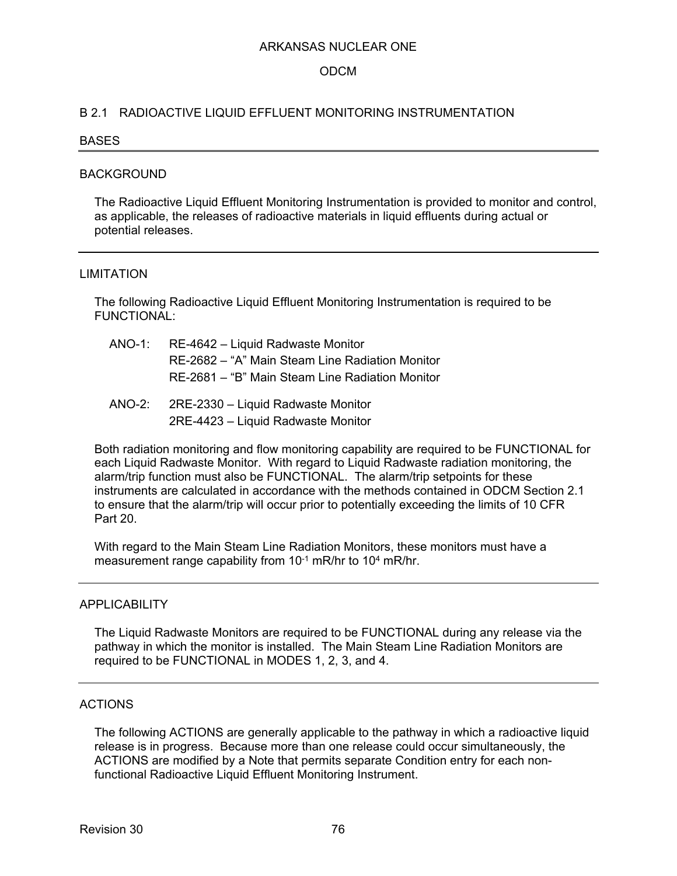### ODCM

#### B 2.1 RADIOACTIVE LIQUID EFFLUENT MONITORING INSTRUMENTATION

#### **BASES**

#### BACKGROUND

The Radioactive Liquid Effluent Monitoring Instrumentation is provided to monitor and control, as applicable, the releases of radioactive materials in liquid effluents during actual or potential releases.

#### LIMITATION

The following Radioactive Liquid Effluent Monitoring Instrumentation is required to be FUNCTIONAL:

| $ANO-1:$ | RE-4642 – Liquid Radwaste Monitor               |
|----------|-------------------------------------------------|
|          | RE-2682 – "A" Main Steam Line Radiation Monitor |
|          | RE-2681 – "B" Main Steam Line Radiation Monitor |

ANO-2: 2RE-2330 – Liquid Radwaste Monitor 2RE-4423 – Liquid Radwaste Monitor

Both radiation monitoring and flow monitoring capability are required to be FUNCTIONAL for each Liquid Radwaste Monitor. With regard to Liquid Radwaste radiation monitoring, the alarm/trip function must also be FUNCTIONAL. The alarm/trip setpoints for these instruments are calculated in accordance with the methods contained in ODCM Section 2.1 to ensure that the alarm/trip will occur prior to potentially exceeding the limits of 10 CFR Part 20.

With regard to the Main Steam Line Radiation Monitors, these monitors must have a measurement range capability from 10<sup>-1</sup> mR/hr to 10<sup>4</sup> mR/hr.

#### APPLICABILITY

The Liquid Radwaste Monitors are required to be FUNCTIONAL during any release via the pathway in which the monitor is installed. The Main Steam Line Radiation Monitors are required to be FUNCTIONAL in MODES 1, 2, 3, and 4.

#### ACTIONS

The following ACTIONS are generally applicable to the pathway in which a radioactive liquid release is in progress. Because more than one release could occur simultaneously, the ACTIONS are modified by a Note that permits separate Condition entry for each nonfunctional Radioactive Liquid Effluent Monitoring Instrument.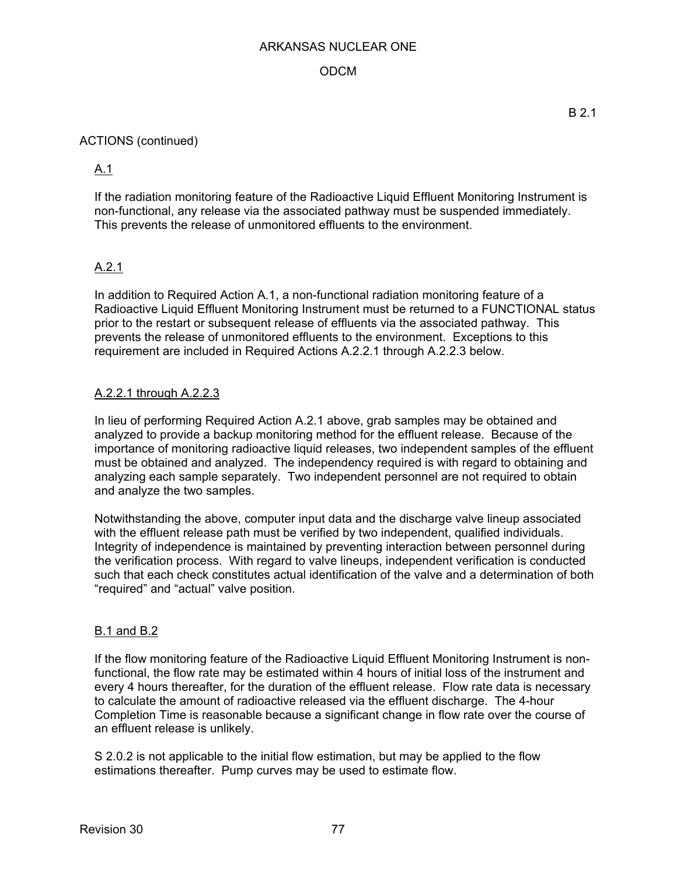## ODCM

### ACTIONS (continued)

## A.1

If the radiation monitoring feature of the Radioactive Liquid Effluent Monitoring Instrument is non-functional, any release via the associated pathway must be suspended immediately. This prevents the release of unmonitored effluents to the environment.

## A.2.1

In addition to Required Action A.1, a non-functional radiation monitoring feature of a Radioactive Liquid Effluent Monitoring Instrument must be returned to a FUNCTIONAL status prior to the restart or subsequent release of effluents via the associated pathway. This prevents the release of unmonitored effluents to the environment. Exceptions to this requirement are included in Required Actions A.2.2.1 through A.2.2.3 below.

## A.2.2.1 through A.2.2.3

In lieu of performing Required Action A.2.1 above, grab samples may be obtained and analyzed to provide a backup monitoring method for the effluent release. Because of the importance of monitoring radioactive liquid releases, two independent samples of the effluent must be obtained and analyzed. The independency required is with regard to obtaining and analyzing each sample separately. Two independent personnel are not required to obtain and analyze the two samples.

Notwithstanding the above, computer input data and the discharge valve lineup associated with the effluent release path must be verified by two independent, qualified individuals. Integrity of independence is maintained by preventing interaction between personnel during the verification process. With regard to valve lineups, independent verification is conducted such that each check constitutes actual identification of the valve and a determination of both "required" and "actual" valve position.

### B.1 and B.2

If the flow monitoring feature of the Radioactive Liquid Effluent Monitoring Instrument is nonfunctional, the flow rate may be estimated within 4 hours of initial loss of the instrument and every 4 hours thereafter, for the duration of the effluent release. Flow rate data is necessary to calculate the amount of radioactive released via the effluent discharge. The 4-hour Completion Time is reasonable because a significant change in flow rate over the course of an effluent release is unlikely.

S 2.0.2 is not applicable to the initial flow estimation, but may be applied to the flow estimations thereafter. Pump curves may be used to estimate flow.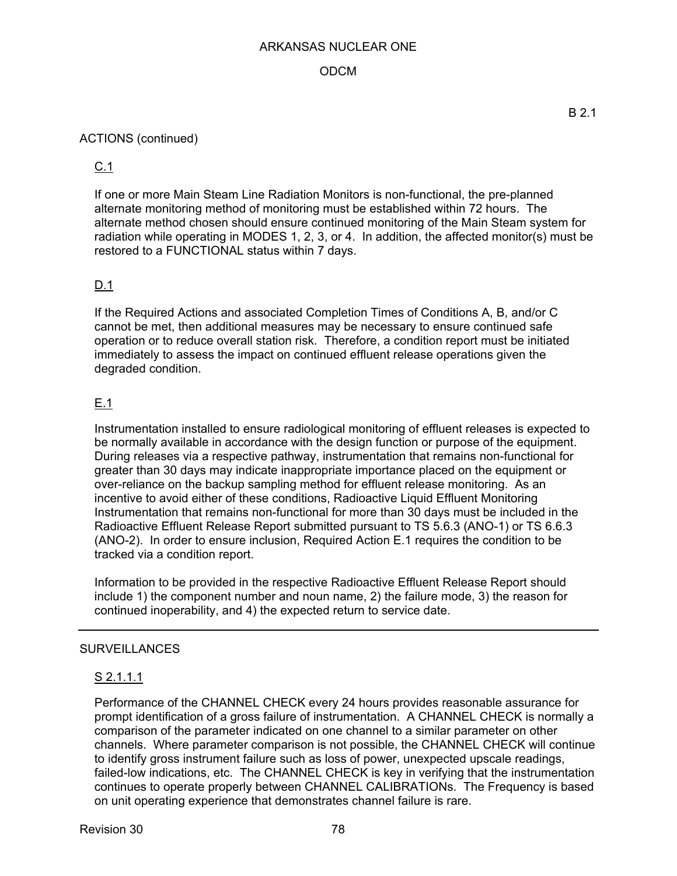## ODCM

### ACTIONS (continued)

## C.1

If one or more Main Steam Line Radiation Monitors is non-functional, the pre-planned alternate monitoring method of monitoring must be established within 72 hours. The alternate method chosen should ensure continued monitoring of the Main Steam system for radiation while operating in MODES 1, 2, 3, or 4. In addition, the affected monitor(s) must be restored to a FUNCTIONAL status within 7 days.

## D.1

If the Required Actions and associated Completion Times of Conditions A, B, and/or C cannot be met, then additional measures may be necessary to ensure continued safe operation or to reduce overall station risk. Therefore, a condition report must be initiated immediately to assess the impact on continued effluent release operations given the degraded condition.

## E.1

Instrumentation installed to ensure radiological monitoring of effluent releases is expected to be normally available in accordance with the design function or purpose of the equipment. During releases via a respective pathway, instrumentation that remains non-functional for greater than 30 days may indicate inappropriate importance placed on the equipment or over-reliance on the backup sampling method for effluent release monitoring. As an incentive to avoid either of these conditions, Radioactive Liquid Effluent Monitoring Instrumentation that remains non-functional for more than 30 days must be included in the Radioactive Effluent Release Report submitted pursuant to TS 5.6.3 (ANO-1) or TS 6.6.3 (ANO-2). In order to ensure inclusion, Required Action E.1 requires the condition to be tracked via a condition report.

Information to be provided in the respective Radioactive Effluent Release Report should include 1) the component number and noun name, 2) the failure mode, 3) the reason for continued inoperability, and 4) the expected return to service date.

### SURVEILLANCES

## S 2.1.1.1

Performance of the CHANNEL CHECK every 24 hours provides reasonable assurance for prompt identification of a gross failure of instrumentation. A CHANNEL CHECK is normally a comparison of the parameter indicated on one channel to a similar parameter on other channels. Where parameter comparison is not possible, the CHANNEL CHECK will continue to identify gross instrument failure such as loss of power, unexpected upscale readings, failed-low indications, etc. The CHANNEL CHECK is key in verifying that the instrumentation continues to operate properly between CHANNEL CALIBRATIONs. The Frequency is based on unit operating experience that demonstrates channel failure is rare.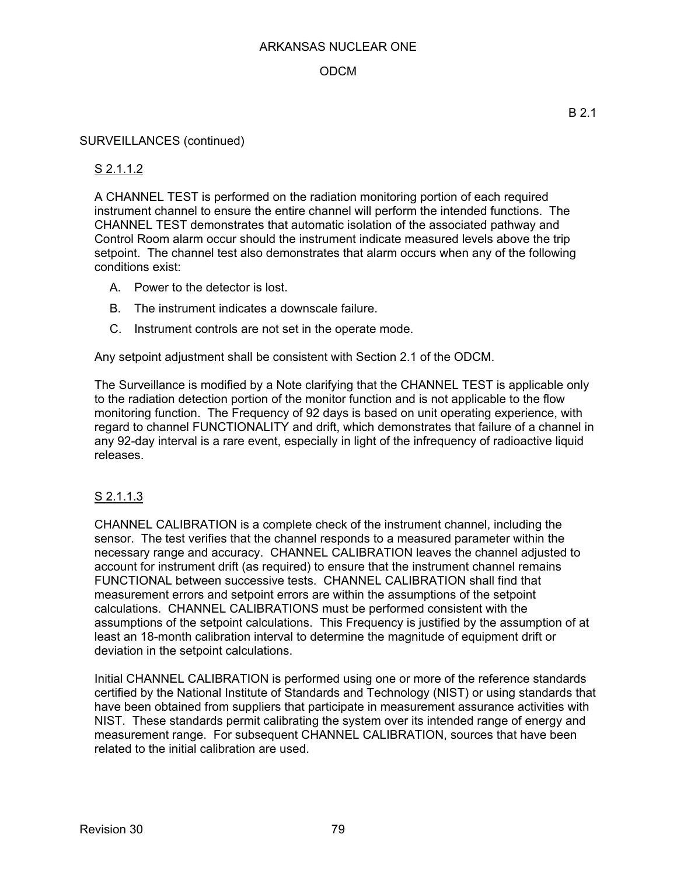## ODCM

#### SURVEILLANCES (continued)

### S 2.1.1.2

A CHANNEL TEST is performed on the radiation monitoring portion of each required instrument channel to ensure the entire channel will perform the intended functions. The CHANNEL TEST demonstrates that automatic isolation of the associated pathway and Control Room alarm occur should the instrument indicate measured levels above the trip setpoint. The channel test also demonstrates that alarm occurs when any of the following conditions exist:

- A. Power to the detector is lost.
- B. The instrument indicates a downscale failure.
- C. Instrument controls are not set in the operate mode.

Any setpoint adjustment shall be consistent with Section 2.1 of the ODCM.

The Surveillance is modified by a Note clarifying that the CHANNEL TEST is applicable only to the radiation detection portion of the monitor function and is not applicable to the flow monitoring function. The Frequency of 92 days is based on unit operating experience, with regard to channel FUNCTIONALITY and drift, which demonstrates that failure of a channel in any 92-day interval is a rare event, especially in light of the infrequency of radioactive liquid releases.

### S 2.1.1.3

CHANNEL CALIBRATION is a complete check of the instrument channel, including the sensor. The test verifies that the channel responds to a measured parameter within the necessary range and accuracy. CHANNEL CALIBRATION leaves the channel adjusted to account for instrument drift (as required) to ensure that the instrument channel remains FUNCTIONAL between successive tests. CHANNEL CALIBRATION shall find that measurement errors and setpoint errors are within the assumptions of the setpoint calculations. CHANNEL CALIBRATIONS must be performed consistent with the assumptions of the setpoint calculations. This Frequency is justified by the assumption of at least an 18-month calibration interval to determine the magnitude of equipment drift or deviation in the setpoint calculations.

Initial CHANNEL CALIBRATION is performed using one or more of the reference standards certified by the National Institute of Standards and Technology (NIST) or using standards that have been obtained from suppliers that participate in measurement assurance activities with NIST. These standards permit calibrating the system over its intended range of energy and measurement range. For subsequent CHANNEL CALIBRATION, sources that have been related to the initial calibration are used.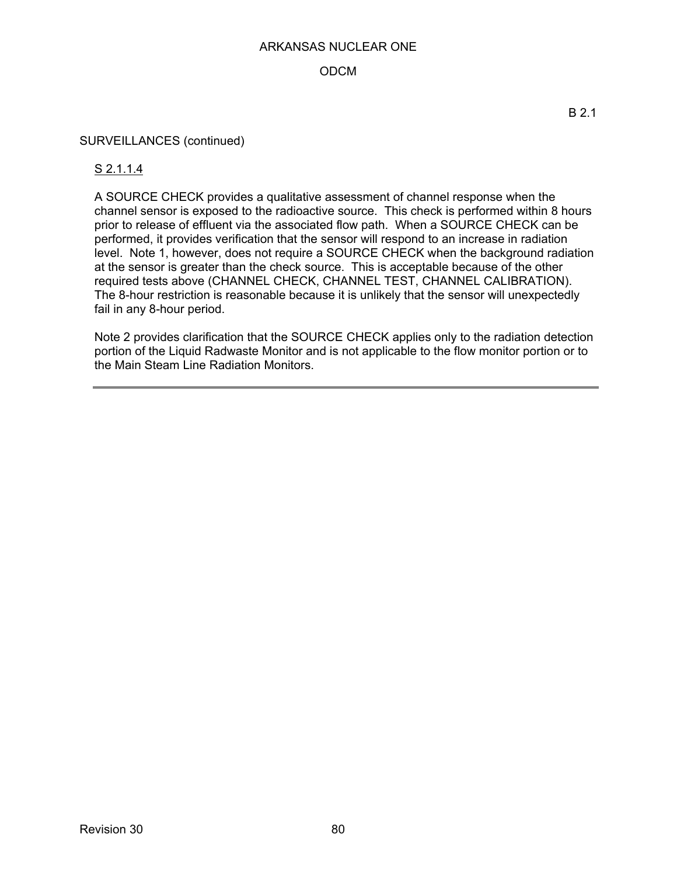## ODCM

#### SURVEILLANCES (continued)

### S 2.1.1.4

A SOURCE CHECK provides a qualitative assessment of channel response when the channel sensor is exposed to the radioactive source. This check is performed within 8 hours prior to release of effluent via the associated flow path. When a SOURCE CHECK can be performed, it provides verification that the sensor will respond to an increase in radiation level. Note 1, however, does not require a SOURCE CHECK when the background radiation at the sensor is greater than the check source. This is acceptable because of the other required tests above (CHANNEL CHECK, CHANNEL TEST, CHANNEL CALIBRATION). The 8-hour restriction is reasonable because it is unlikely that the sensor will unexpectedly fail in any 8-hour period.

Note 2 provides clarification that the SOURCE CHECK applies only to the radiation detection portion of the Liquid Radwaste Monitor and is not applicable to the flow monitor portion or to the Main Steam Line Radiation Monitors.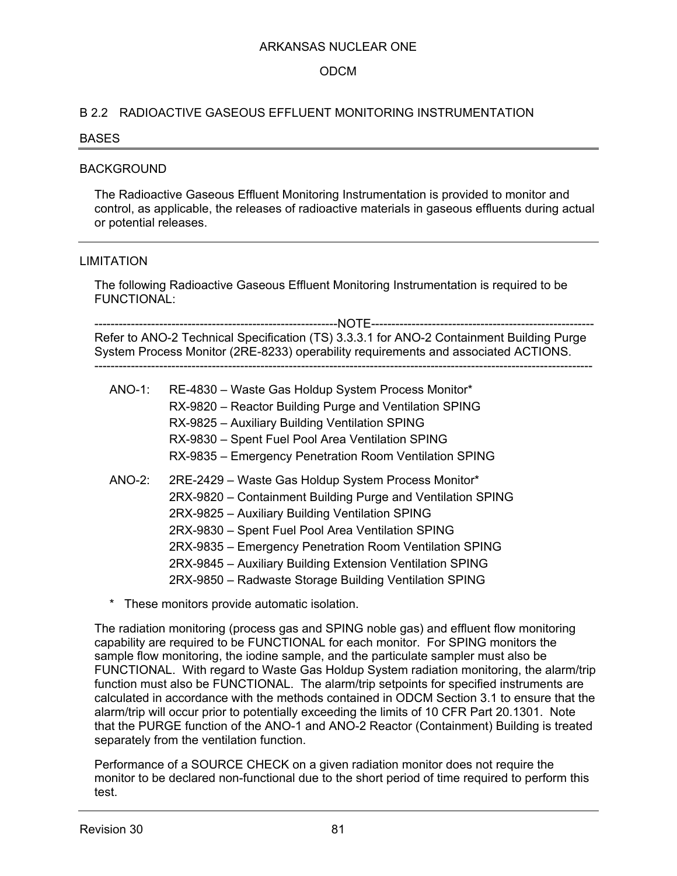### ODCM

### B 2.2 RADIOACTIVE GASEOUS EFFLUENT MONITORING INSTRUMENTATION

#### BASES

#### BACKGROUND

The Radioactive Gaseous Effluent Monitoring Instrumentation is provided to monitor and control, as applicable, the releases of radioactive materials in gaseous effluents during actual or potential releases.

#### LIMITATION

The following Radioactive Gaseous Effluent Monitoring Instrumentation is required to be FUNCTIONAL:

------------------------------------------------------------NOTE------------------------------------------------------- Refer to ANO-2 Technical Specification (TS) 3.3.3.1 for ANO-2 Containment Building Purge System Process Monitor (2RE-8233) operability requirements and associated ACTIONS. ---------------------------------------------------------------------------------------------------------------------------

| <b>ANO-1:</b> | RE-4830 - Waste Gas Holdup System Process Monitor*<br>RX-9820 - Reactor Building Purge and Ventilation SPING<br>RX-9825 - Auxiliary Building Ventilation SPING<br>RX-9830 - Spent Fuel Pool Area Ventilation SPING<br>RX-9835 - Emergency Penetration Room Ventilation SPING                                                                                                                                 |
|---------------|--------------------------------------------------------------------------------------------------------------------------------------------------------------------------------------------------------------------------------------------------------------------------------------------------------------------------------------------------------------------------------------------------------------|
| <b>ANO-2:</b> | 2RE-2429 - Waste Gas Holdup System Process Monitor*<br>2RX-9820 - Containment Building Purge and Ventilation SPING<br>2RX-9825 - Auxiliary Building Ventilation SPING<br>2RX-9830 - Spent Fuel Pool Area Ventilation SPING<br>2RX-9835 – Emergency Penetration Room Ventilation SPING<br>2RX-9845 - Auxiliary Building Extension Ventilation SPING<br>2RX-9850 - Radwaste Storage Building Ventilation SPING |

\* These monitors provide automatic isolation.

The radiation monitoring (process gas and SPING noble gas) and effluent flow monitoring capability are required to be FUNCTIONAL for each monitor. For SPING monitors the sample flow monitoring, the iodine sample, and the particulate sampler must also be FUNCTIONAL. With regard to Waste Gas Holdup System radiation monitoring, the alarm/trip function must also be FUNCTIONAL. The alarm/trip setpoints for specified instruments are calculated in accordance with the methods contained in ODCM Section 3.1 to ensure that the alarm/trip will occur prior to potentially exceeding the limits of 10 CFR Part 20.1301. Note that the PURGE function of the ANO-1 and ANO-2 Reactor (Containment) Building is treated separately from the ventilation function.

Performance of a SOURCE CHECK on a given radiation monitor does not require the monitor to be declared non-functional due to the short period of time required to perform this test.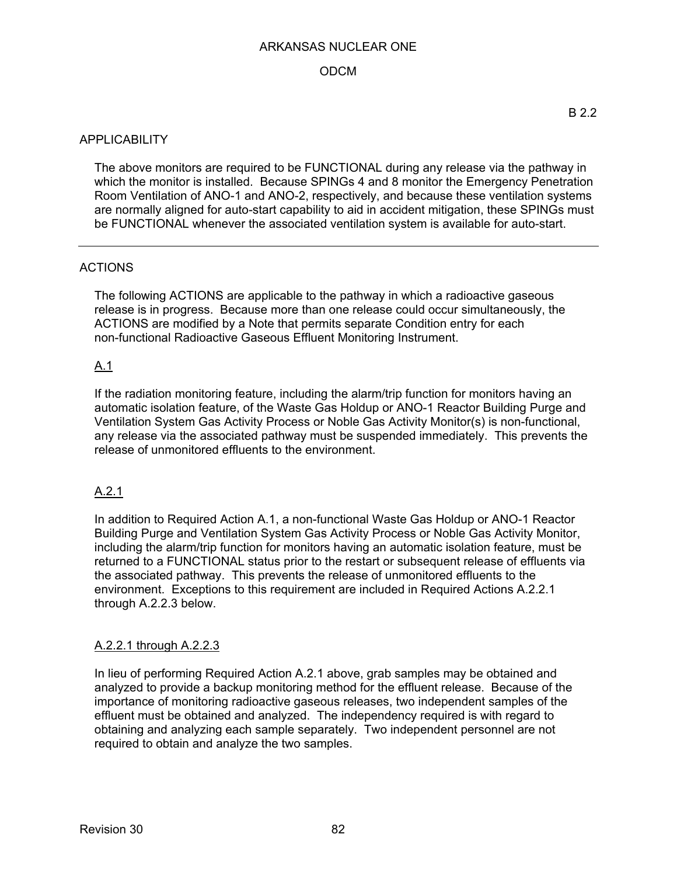## ODCM

### **APPLICABILITY**

The above monitors are required to be FUNCTIONAL during any release via the pathway in which the monitor is installed. Because SPINGs 4 and 8 monitor the Emergency Penetration Room Ventilation of ANO-1 and ANO-2, respectively, and because these ventilation systems are normally aligned for auto-start capability to aid in accident mitigation, these SPINGs must be FUNCTIONAL whenever the associated ventilation system is available for auto-start.

### **ACTIONS**

The following ACTIONS are applicable to the pathway in which a radioactive gaseous release is in progress. Because more than one release could occur simultaneously, the ACTIONS are modified by a Note that permits separate Condition entry for each non-functional Radioactive Gaseous Effluent Monitoring Instrument.

#### A.1

If the radiation monitoring feature, including the alarm/trip function for monitors having an automatic isolation feature, of the Waste Gas Holdup or ANO-1 Reactor Building Purge and Ventilation System Gas Activity Process or Noble Gas Activity Monitor(s) is non-functional, any release via the associated pathway must be suspended immediately. This prevents the release of unmonitored effluents to the environment.

### A.2.1

In addition to Required Action A.1, a non-functional Waste Gas Holdup or ANO-1 Reactor Building Purge and Ventilation System Gas Activity Process or Noble Gas Activity Monitor, including the alarm/trip function for monitors having an automatic isolation feature, must be returned to a FUNCTIONAL status prior to the restart or subsequent release of effluents via the associated pathway. This prevents the release of unmonitored effluents to the environment. Exceptions to this requirement are included in Required Actions A.2.2.1 through A.2.2.3 below.

### A.2.2.1 through A.2.2.3

In lieu of performing Required Action A.2.1 above, grab samples may be obtained and analyzed to provide a backup monitoring method for the effluent release. Because of the importance of monitoring radioactive gaseous releases, two independent samples of the effluent must be obtained and analyzed. The independency required is with regard to obtaining and analyzing each sample separately. Two independent personnel are not required to obtain and analyze the two samples.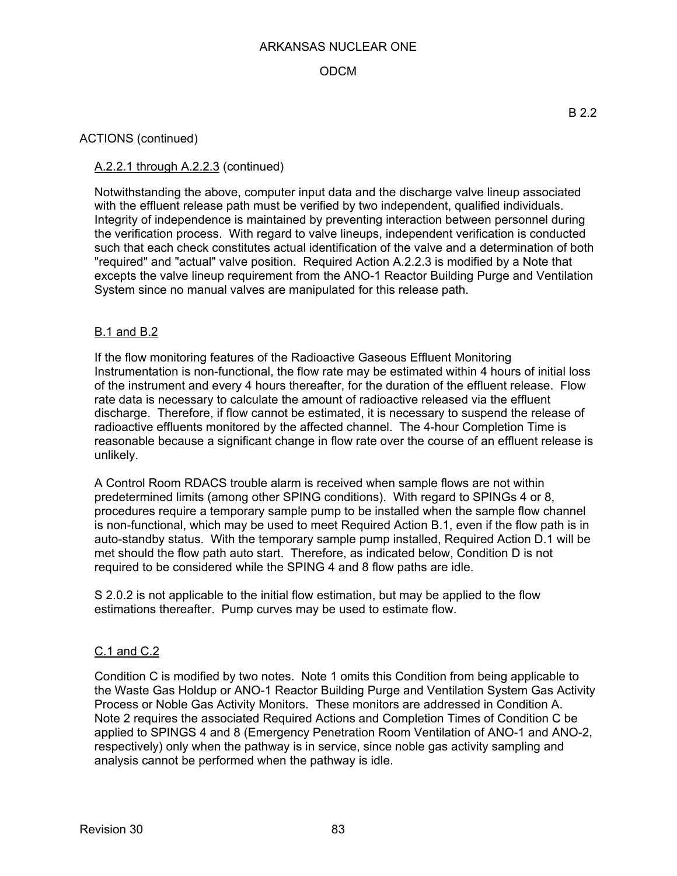## ODCM

### ACTIONS (continued)

## A.2.2.1 through A.2.2.3 (continued)

Notwithstanding the above, computer input data and the discharge valve lineup associated with the effluent release path must be verified by two independent, qualified individuals. Integrity of independence is maintained by preventing interaction between personnel during the verification process. With regard to valve lineups, independent verification is conducted such that each check constitutes actual identification of the valve and a determination of both "required" and "actual" valve position. Required Action A.2.2.3 is modified by a Note that excepts the valve lineup requirement from the ANO-1 Reactor Building Purge and Ventilation System since no manual valves are manipulated for this release path.

#### B.1 and B.2

If the flow monitoring features of the Radioactive Gaseous Effluent Monitoring Instrumentation is non-functional, the flow rate may be estimated within 4 hours of initial loss of the instrument and every 4 hours thereafter, for the duration of the effluent release. Flow rate data is necessary to calculate the amount of radioactive released via the effluent discharge. Therefore, if flow cannot be estimated, it is necessary to suspend the release of radioactive effluents monitored by the affected channel. The 4-hour Completion Time is reasonable because a significant change in flow rate over the course of an effluent release is unlikely.

A Control Room RDACS trouble alarm is received when sample flows are not within predetermined limits (among other SPING conditions). With regard to SPINGs 4 or 8, procedures require a temporary sample pump to be installed when the sample flow channel is non-functional, which may be used to meet Required Action B.1, even if the flow path is in auto-standby status. With the temporary sample pump installed, Required Action D.1 will be met should the flow path auto start. Therefore, as indicated below, Condition D is not required to be considered while the SPING 4 and 8 flow paths are idle.

S 2.0.2 is not applicable to the initial flow estimation, but may be applied to the flow estimations thereafter. Pump curves may be used to estimate flow.

#### C.1 and C.2

Condition C is modified by two notes. Note 1 omits this Condition from being applicable to the Waste Gas Holdup or ANO-1 Reactor Building Purge and Ventilation System Gas Activity Process or Noble Gas Activity Monitors. These monitors are addressed in Condition A. Note 2 requires the associated Required Actions and Completion Times of Condition C be applied to SPINGS 4 and 8 (Emergency Penetration Room Ventilation of ANO-1 and ANO-2, respectively) only when the pathway is in service, since noble gas activity sampling and analysis cannot be performed when the pathway is idle.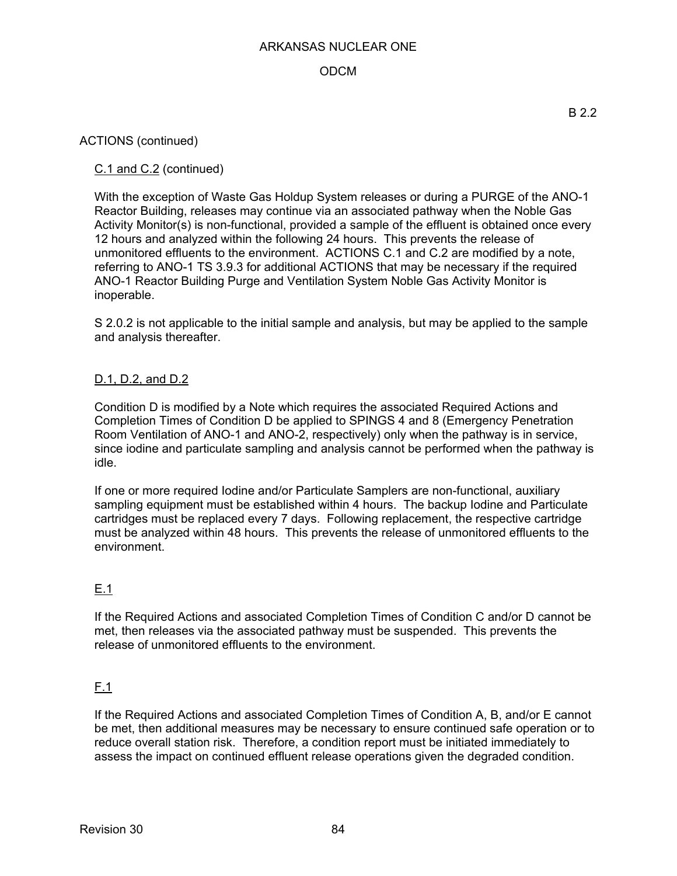## ODCM

#### ACTIONS (continued)

### C.1 and C.2 (continued)

With the exception of Waste Gas Holdup System releases or during a PURGE of the ANO-1 Reactor Building, releases may continue via an associated pathway when the Noble Gas Activity Monitor(s) is non-functional, provided a sample of the effluent is obtained once every 12 hours and analyzed within the following 24 hours. This prevents the release of unmonitored effluents to the environment. ACTIONS C.1 and C.2 are modified by a note, referring to ANO-1 TS 3.9.3 for additional ACTIONS that may be necessary if the required ANO-1 Reactor Building Purge and Ventilation System Noble Gas Activity Monitor is inoperable.

S 2.0.2 is not applicable to the initial sample and analysis, but may be applied to the sample and analysis thereafter.

#### D.1, D.2, and D.2

Condition D is modified by a Note which requires the associated Required Actions and Completion Times of Condition D be applied to SPINGS 4 and 8 (Emergency Penetration Room Ventilation of ANO-1 and ANO-2, respectively) only when the pathway is in service, since iodine and particulate sampling and analysis cannot be performed when the pathway is idle.

If one or more required Iodine and/or Particulate Samplers are non-functional, auxiliary sampling equipment must be established within 4 hours. The backup Iodine and Particulate cartridges must be replaced every 7 days. Following replacement, the respective cartridge must be analyzed within 48 hours. This prevents the release of unmonitored effluents to the environment.

### E.1

If the Required Actions and associated Completion Times of Condition C and/or D cannot be met, then releases via the associated pathway must be suspended. This prevents the release of unmonitored effluents to the environment.

### $E.1$

If the Required Actions and associated Completion Times of Condition A, B, and/or E cannot be met, then additional measures may be necessary to ensure continued safe operation or to reduce overall station risk. Therefore, a condition report must be initiated immediately to assess the impact on continued effluent release operations given the degraded condition.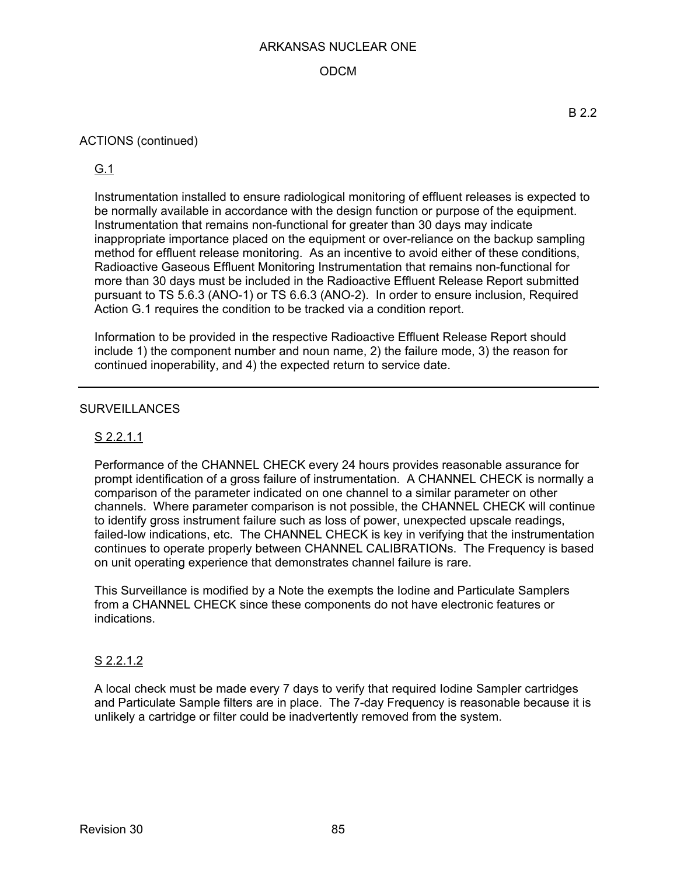## ODCM

### ACTIONS (continued)

## G.1

Instrumentation installed to ensure radiological monitoring of effluent releases is expected to be normally available in accordance with the design function or purpose of the equipment. Instrumentation that remains non-functional for greater than 30 days may indicate inappropriate importance placed on the equipment or over-reliance on the backup sampling method for effluent release monitoring. As an incentive to avoid either of these conditions, Radioactive Gaseous Effluent Monitoring Instrumentation that remains non-functional for more than 30 days must be included in the Radioactive Effluent Release Report submitted pursuant to TS 5.6.3 (ANO-1) or TS 6.6.3 (ANO-2). In order to ensure inclusion, Required Action G.1 requires the condition to be tracked via a condition report.

Information to be provided in the respective Radioactive Effluent Release Report should include 1) the component number and noun name, 2) the failure mode, 3) the reason for continued inoperability, and 4) the expected return to service date.

### **SURVEILLANCES**

## S 2.2.1.1

Performance of the CHANNEL CHECK every 24 hours provides reasonable assurance for prompt identification of a gross failure of instrumentation. A CHANNEL CHECK is normally a comparison of the parameter indicated on one channel to a similar parameter on other channels. Where parameter comparison is not possible, the CHANNEL CHECK will continue to identify gross instrument failure such as loss of power, unexpected upscale readings, failed-low indications, etc. The CHANNEL CHECK is key in verifying that the instrumentation continues to operate properly between CHANNEL CALIBRATIONs. The Frequency is based on unit operating experience that demonstrates channel failure is rare.

This Surveillance is modified by a Note the exempts the Iodine and Particulate Samplers from a CHANNEL CHECK since these components do not have electronic features or indications.

### S 2.2.1.2

A local check must be made every 7 days to verify that required Iodine Sampler cartridges and Particulate Sample filters are in place. The 7-day Frequency is reasonable because it is unlikely a cartridge or filter could be inadvertently removed from the system.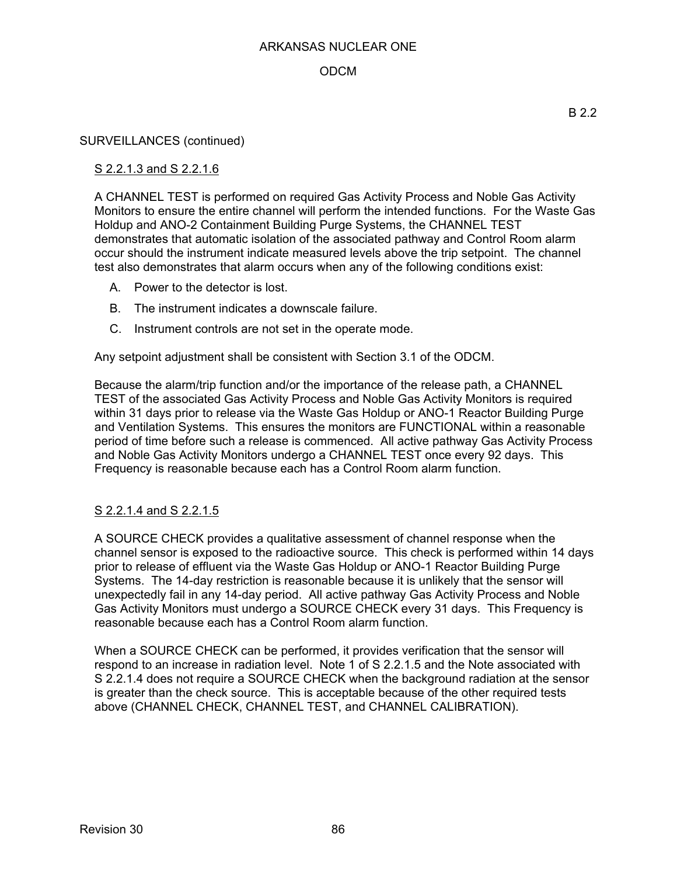## ODCM

#### SURVEILLANCES (continued)

### S 2.2.1.3 and S 2.2.1.6

A CHANNEL TEST is performed on required Gas Activity Process and Noble Gas Activity Monitors to ensure the entire channel will perform the intended functions. For the Waste Gas Holdup and ANO-2 Containment Building Purge Systems, the CHANNEL TEST demonstrates that automatic isolation of the associated pathway and Control Room alarm occur should the instrument indicate measured levels above the trip setpoint. The channel test also demonstrates that alarm occurs when any of the following conditions exist:

- A. Power to the detector is lost.
- B. The instrument indicates a downscale failure.
- C. Instrument controls are not set in the operate mode.

Any setpoint adjustment shall be consistent with Section 3.1 of the ODCM.

Because the alarm/trip function and/or the importance of the release path, a CHANNEL TEST of the associated Gas Activity Process and Noble Gas Activity Monitors is required within 31 days prior to release via the Waste Gas Holdup or ANO-1 Reactor Building Purge and Ventilation Systems. This ensures the monitors are FUNCTIONAL within a reasonable period of time before such a release is commenced. All active pathway Gas Activity Process and Noble Gas Activity Monitors undergo a CHANNEL TEST once every 92 days. This Frequency is reasonable because each has a Control Room alarm function.

### S 2.2.1.4 and S 2.2.1.5

A SOURCE CHECK provides a qualitative assessment of channel response when the channel sensor is exposed to the radioactive source. This check is performed within 14 days prior to release of effluent via the Waste Gas Holdup or ANO-1 Reactor Building Purge Systems. The 14-day restriction is reasonable because it is unlikely that the sensor will unexpectedly fail in any 14-day period. All active pathway Gas Activity Process and Noble Gas Activity Monitors must undergo a SOURCE CHECK every 31 days. This Frequency is reasonable because each has a Control Room alarm function.

When a SOURCE CHECK can be performed, it provides verification that the sensor will respond to an increase in radiation level. Note 1 of S 2.2.1.5 and the Note associated with S 2.2.1.4 does not require a SOURCE CHECK when the background radiation at the sensor is greater than the check source. This is acceptable because of the other required tests above (CHANNEL CHECK, CHANNEL TEST, and CHANNEL CALIBRATION).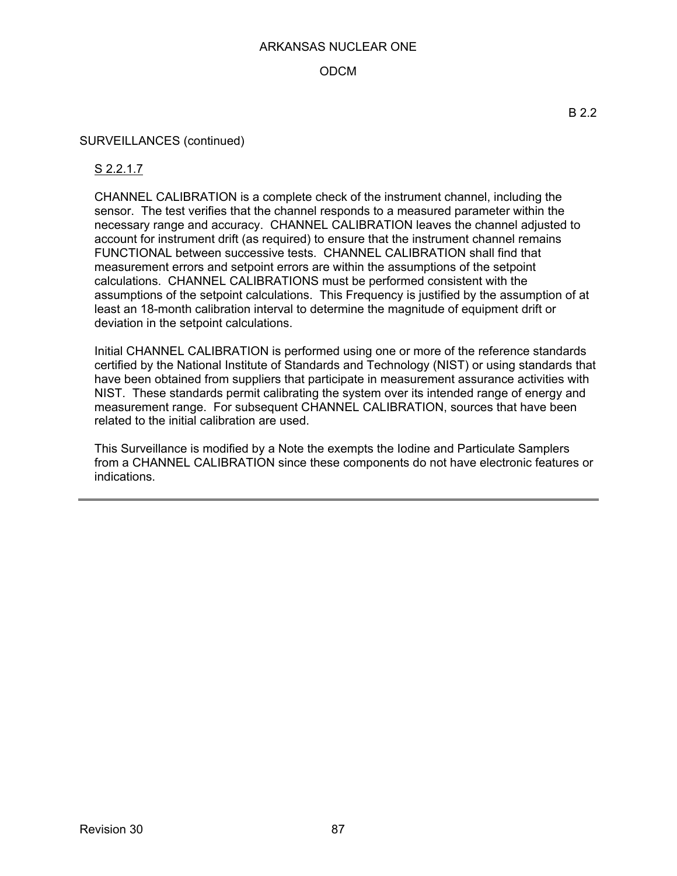### ODCM

#### SURVEILLANCES (continued)

### S 2.2.1.7

CHANNEL CALIBRATION is a complete check of the instrument channel, including the sensor. The test verifies that the channel responds to a measured parameter within the necessary range and accuracy. CHANNEL CALIBRATION leaves the channel adjusted to account for instrument drift (as required) to ensure that the instrument channel remains FUNCTIONAL between successive tests. CHANNEL CALIBRATION shall find that measurement errors and setpoint errors are within the assumptions of the setpoint calculations. CHANNEL CALIBRATIONS must be performed consistent with the assumptions of the setpoint calculations. This Frequency is justified by the assumption of at least an 18-month calibration interval to determine the magnitude of equipment drift or deviation in the setpoint calculations.

Initial CHANNEL CALIBRATION is performed using one or more of the reference standards certified by the National Institute of Standards and Technology (NIST) or using standards that have been obtained from suppliers that participate in measurement assurance activities with NIST. These standards permit calibrating the system over its intended range of energy and measurement range. For subsequent CHANNEL CALIBRATION, sources that have been related to the initial calibration are used.

This Surveillance is modified by a Note the exempts the Iodine and Particulate Samplers from a CHANNEL CALIBRATION since these components do not have electronic features or indications.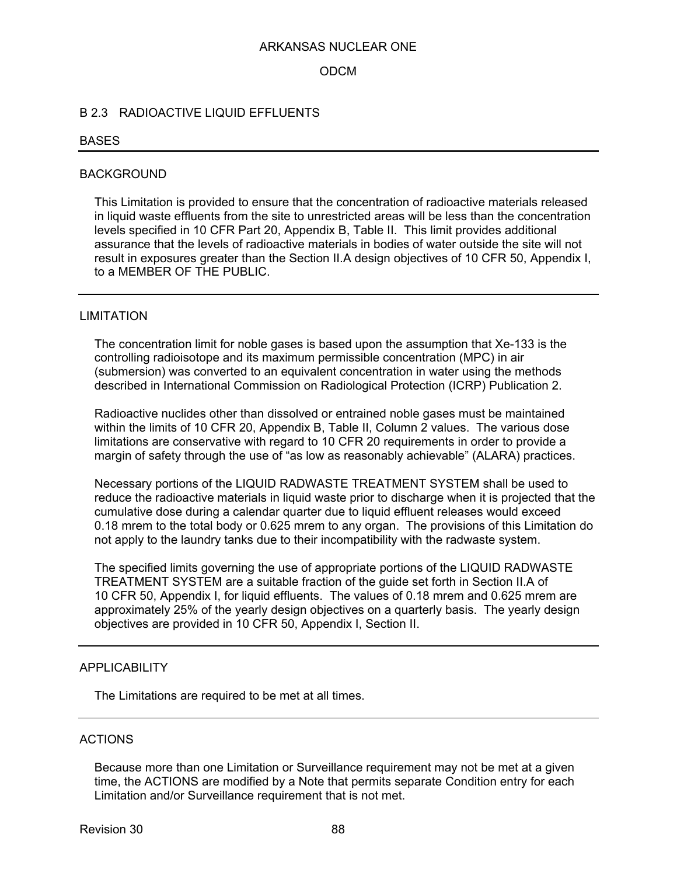#### ODCM

#### B 2.3 RADIOACTIVE LIQUID EFFLUENTS

#### **BASES**

#### BACKGROUND

This Limitation is provided to ensure that the concentration of radioactive materials released in liquid waste effluents from the site to unrestricted areas will be less than the concentration levels specified in 10 CFR Part 20, Appendix B, Table II. This limit provides additional assurance that the levels of radioactive materials in bodies of water outside the site will not result in exposures greater than the Section II.A design objectives of 10 CFR 50, Appendix I, to a MEMBER OF THE PUBLIC.

#### LIMITATION

The concentration limit for noble gases is based upon the assumption that Xe-133 is the controlling radioisotope and its maximum permissible concentration (MPC) in air (submersion) was converted to an equivalent concentration in water using the methods described in International Commission on Radiological Protection (ICRP) Publication 2.

Radioactive nuclides other than dissolved or entrained noble gases must be maintained within the limits of 10 CFR 20, Appendix B, Table II, Column 2 values. The various dose limitations are conservative with regard to 10 CFR 20 requirements in order to provide a margin of safety through the use of "as low as reasonably achievable" (ALARA) practices.

Necessary portions of the LIQUID RADWASTE TREATMENT SYSTEM shall be used to reduce the radioactive materials in liquid waste prior to discharge when it is projected that the cumulative dose during a calendar quarter due to liquid effluent releases would exceed 0.18 mrem to the total body or 0.625 mrem to any organ. The provisions of this Limitation do not apply to the laundry tanks due to their incompatibility with the radwaste system.

The specified limits governing the use of appropriate portions of the LIQUID RADWASTE TREATMENT SYSTEM are a suitable fraction of the guide set forth in Section II.A of 10 CFR 50, Appendix I, for liquid effluents. The values of 0.18 mrem and 0.625 mrem are approximately 25% of the yearly design objectives on a quarterly basis. The yearly design objectives are provided in 10 CFR 50, Appendix I, Section II.

#### APPLICABILITY

The Limitations are required to be met at all times.

#### ACTIONS

Because more than one Limitation or Surveillance requirement may not be met at a given time, the ACTIONS are modified by a Note that permits separate Condition entry for each Limitation and/or Surveillance requirement that is not met.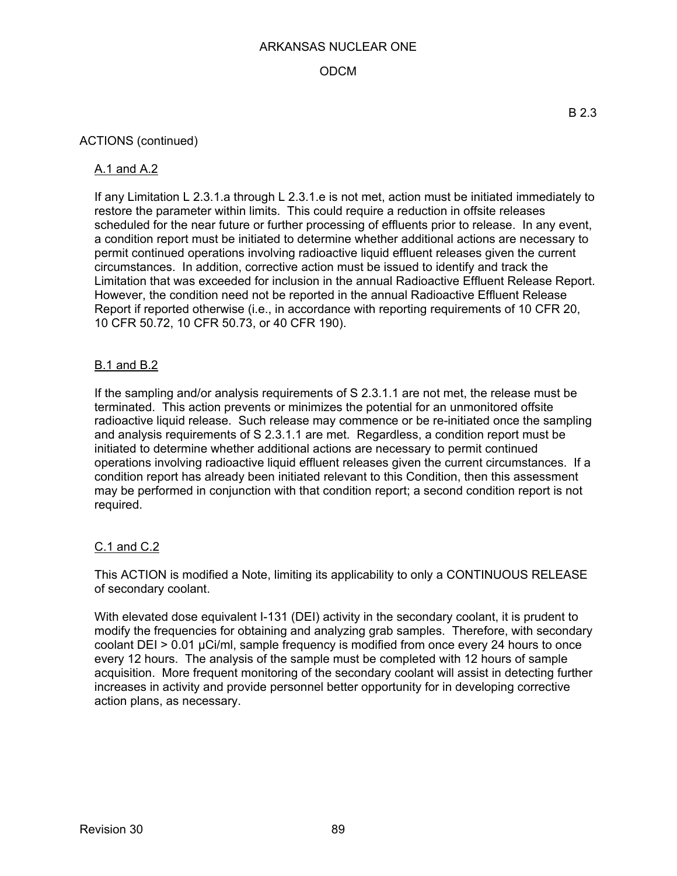## ODCM

### ACTIONS (continued)

#### A.1 and A.2

If any Limitation L 2.3.1.a through L 2.3.1.e is not met, action must be initiated immediately to restore the parameter within limits. This could require a reduction in offsite releases scheduled for the near future or further processing of effluents prior to release. In any event, a condition report must be initiated to determine whether additional actions are necessary to permit continued operations involving radioactive liquid effluent releases given the current circumstances. In addition, corrective action must be issued to identify and track the Limitation that was exceeded for inclusion in the annual Radioactive Effluent Release Report. However, the condition need not be reported in the annual Radioactive Effluent Release Report if reported otherwise (i.e., in accordance with reporting requirements of 10 CFR 20, 10 CFR 50.72, 10 CFR 50.73, or 40 CFR 190).

### B.1 and B.2

If the sampling and/or analysis requirements of S 2.3.1.1 are not met, the release must be terminated. This action prevents or minimizes the potential for an unmonitored offsite radioactive liquid release. Such release may commence or be re-initiated once the sampling and analysis requirements of S 2.3.1.1 are met. Regardless, a condition report must be initiated to determine whether additional actions are necessary to permit continued operations involving radioactive liquid effluent releases given the current circumstances. If a condition report has already been initiated relevant to this Condition, then this assessment may be performed in conjunction with that condition report; a second condition report is not required.

### C.1 and C.2

This ACTION is modified a Note, limiting its applicability to only a CONTINUOUS RELEASE of secondary coolant.

With elevated dose equivalent I-131 (DEI) activity in the secondary coolant, it is prudent to modify the frequencies for obtaining and analyzing grab samples. Therefore, with secondary coolant DEI > 0.01 µCi/ml, sample frequency is modified from once every 24 hours to once every 12 hours. The analysis of the sample must be completed with 12 hours of sample acquisition. More frequent monitoring of the secondary coolant will assist in detecting further increases in activity and provide personnel better opportunity for in developing corrective action plans, as necessary.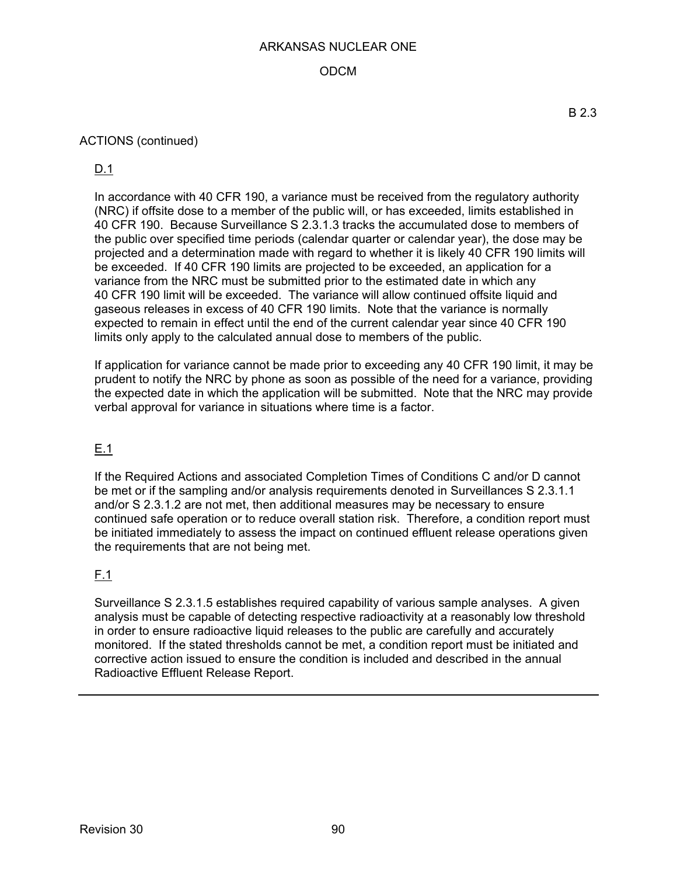## ODCM

### ACTIONS (continued)

## D.1

In accordance with 40 CFR 190, a variance must be received from the regulatory authority (NRC) if offsite dose to a member of the public will, or has exceeded, limits established in 40 CFR 190. Because Surveillance S 2.3.1.3 tracks the accumulated dose to members of the public over specified time periods (calendar quarter or calendar year), the dose may be projected and a determination made with regard to whether it is likely 40 CFR 190 limits will be exceeded. If 40 CFR 190 limits are projected to be exceeded, an application for a variance from the NRC must be submitted prior to the estimated date in which any 40 CFR 190 limit will be exceeded. The variance will allow continued offsite liquid and gaseous releases in excess of 40 CFR 190 limits. Note that the variance is normally expected to remain in effect until the end of the current calendar year since 40 CFR 190 limits only apply to the calculated annual dose to members of the public.

If application for variance cannot be made prior to exceeding any 40 CFR 190 limit, it may be prudent to notify the NRC by phone as soon as possible of the need for a variance, providing the expected date in which the application will be submitted. Note that the NRC may provide verbal approval for variance in situations where time is a factor.

## E.1

If the Required Actions and associated Completion Times of Conditions C and/or D cannot be met or if the sampling and/or analysis requirements denoted in Surveillances S 2.3.1.1 and/or S 2.3.1.2 are not met, then additional measures may be necessary to ensure continued safe operation or to reduce overall station risk. Therefore, a condition report must be initiated immediately to assess the impact on continued effluent release operations given the requirements that are not being met.

## F.1

Surveillance S 2.3.1.5 establishes required capability of various sample analyses. A given analysis must be capable of detecting respective radioactivity at a reasonably low threshold in order to ensure radioactive liquid releases to the public are carefully and accurately monitored. If the stated thresholds cannot be met, a condition report must be initiated and corrective action issued to ensure the condition is included and described in the annual Radioactive Effluent Release Report.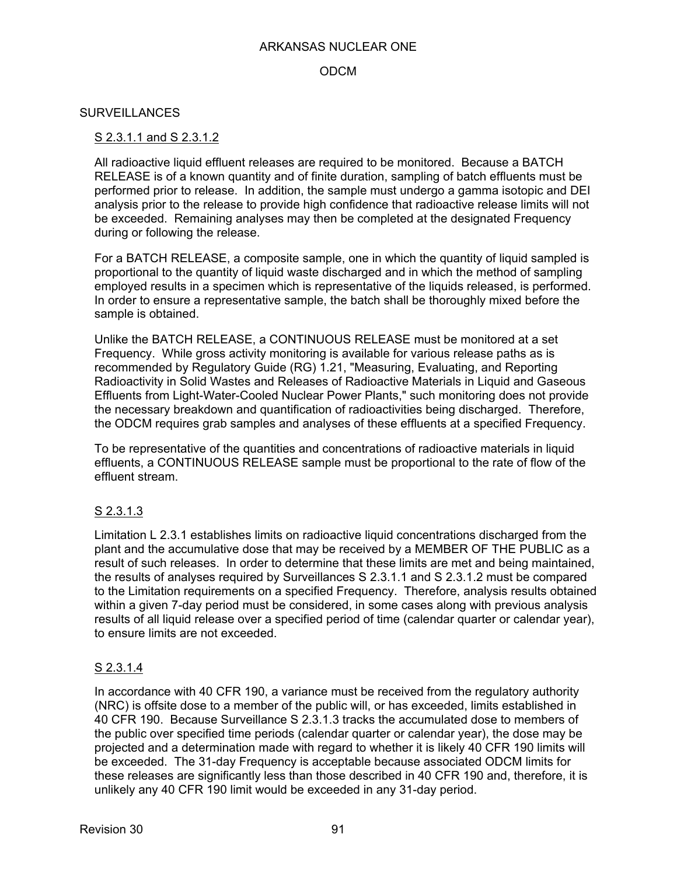### ODCM

#### **SURVEILLANCES**

#### S 2.3.1.1 and S 2.3.1.2

All radioactive liquid effluent releases are required to be monitored. Because a BATCH RELEASE is of a known quantity and of finite duration, sampling of batch effluents must be performed prior to release. In addition, the sample must undergo a gamma isotopic and DEI analysis prior to the release to provide high confidence that radioactive release limits will not be exceeded. Remaining analyses may then be completed at the designated Frequency during or following the release.

For a BATCH RELEASE, a composite sample, one in which the quantity of liquid sampled is proportional to the quantity of liquid waste discharged and in which the method of sampling employed results in a specimen which is representative of the liquids released, is performed. In order to ensure a representative sample, the batch shall be thoroughly mixed before the sample is obtained.

Unlike the BATCH RELEASE, a CONTINUOUS RELEASE must be monitored at a set Frequency. While gross activity monitoring is available for various release paths as is recommended by Regulatory Guide (RG) 1.21, "Measuring, Evaluating, and Reporting Radioactivity in Solid Wastes and Releases of Radioactive Materials in Liquid and Gaseous Effluents from Light-Water-Cooled Nuclear Power Plants," such monitoring does not provide the necessary breakdown and quantification of radioactivities being discharged. Therefore, the ODCM requires grab samples and analyses of these effluents at a specified Frequency.

To be representative of the quantities and concentrations of radioactive materials in liquid effluents, a CONTINUOUS RELEASE sample must be proportional to the rate of flow of the effluent stream.

### S 2.3.1.3

Limitation L 2.3.1 establishes limits on radioactive liquid concentrations discharged from the plant and the accumulative dose that may be received by a MEMBER OF THE PUBLIC as a result of such releases. In order to determine that these limits are met and being maintained, the results of analyses required by Surveillances S 2.3.1.1 and S 2.3.1.2 must be compared to the Limitation requirements on a specified Frequency. Therefore, analysis results obtained within a given 7-day period must be considered, in some cases along with previous analysis results of all liquid release over a specified period of time (calendar quarter or calendar year), to ensure limits are not exceeded.

### S 2.3.1.4

In accordance with 40 CFR 190, a variance must be received from the regulatory authority (NRC) is offsite dose to a member of the public will, or has exceeded, limits established in 40 CFR 190. Because Surveillance S 2.3.1.3 tracks the accumulated dose to members of the public over specified time periods (calendar quarter or calendar year), the dose may be projected and a determination made with regard to whether it is likely 40 CFR 190 limits will be exceeded. The 31-day Frequency is acceptable because associated ODCM limits for these releases are significantly less than those described in 40 CFR 190 and, therefore, it is unlikely any 40 CFR 190 limit would be exceeded in any 31-day period.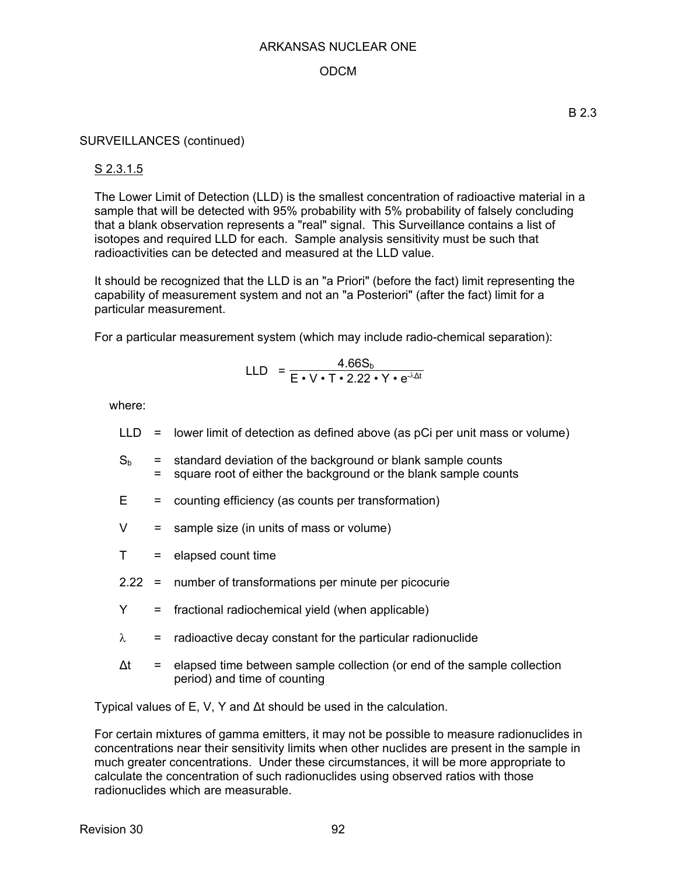## ODCM

### SURVEILLANCES (continued)

### S 2.3.1.5

The Lower Limit of Detection (LLD) is the smallest concentration of radioactive material in a sample that will be detected with 95% probability with 5% probability of falsely concluding that a blank observation represents a "real" signal. This Surveillance contains a list of isotopes and required LLD for each. Sample analysis sensitivity must be such that radioactivities can be detected and measured at the LLD value.

It should be recognized that the LLD is an "a Priori" (before the fact) limit representing the capability of measurement system and not an "a Posteriori" (after the fact) limit for a particular measurement.

For a particular measurement system (which may include radio-chemical separation):

$$
LLD = \frac{4.66S_b}{E \cdot V \cdot T \cdot 2.22 \cdot Y \cdot e^{\lambda \Delta t}}
$$

where:

- $LLD =$  lower limit of detection as defined above (as pCi per unit mass or volume)
- $S_b$  = standard deviation of the background or blank sample counts = square root of either the background or the blank sample counts
- $E =$  counting efficiency (as counts per transformation)
- $V =$  sample size (in units of mass or volume)
- $T =$  elapsed count time
- 2.22 = number of transformations per minute per picocurie
- $Y =$  fractional radiochemical vield (when applicable)
- $\lambda$  = radioactive decay constant for the particular radionuclide
- $\Delta t$  = elapsed time between sample collection (or end of the sample collection period) and time of counting

Typical values of E, V, Y and Δt should be used in the calculation.

For certain mixtures of gamma emitters, it may not be possible to measure radionuclides in concentrations near their sensitivity limits when other nuclides are present in the sample in much greater concentrations. Under these circumstances, it will be more appropriate to calculate the concentration of such radionuclides using observed ratios with those radionuclides which are measurable.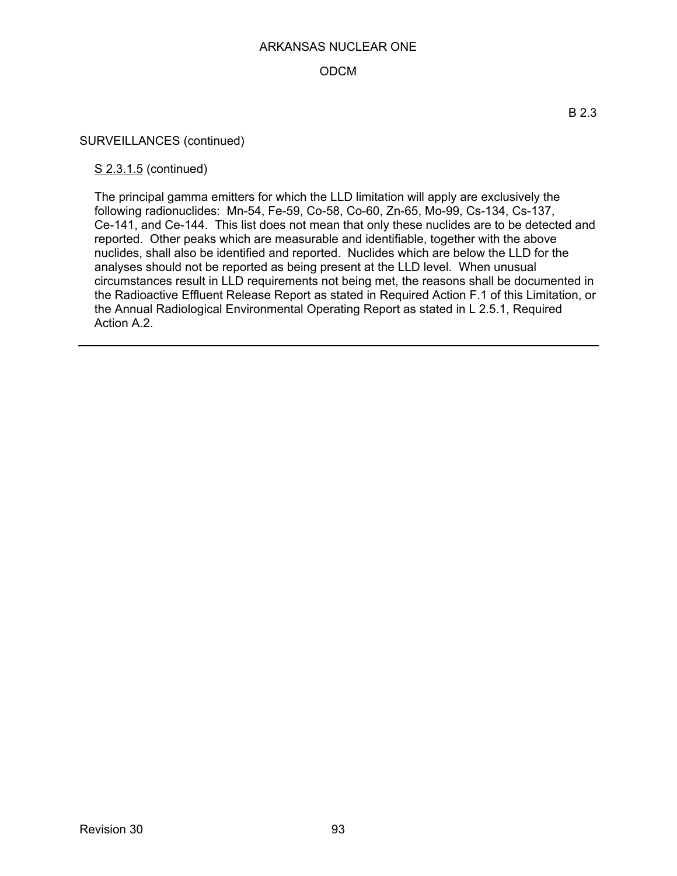## ODCM

#### SURVEILLANCES (continued)

#### S 2.3.1.5 (continued)

The principal gamma emitters for which the LLD limitation will apply are exclusively the following radionuclides: Mn-54, Fe-59, Co-58, Co-60, Zn-65, Mo-99, Cs-134, Cs-137, Ce-141, and Ce-144. This list does not mean that only these nuclides are to be detected and reported. Other peaks which are measurable and identifiable, together with the above nuclides, shall also be identified and reported. Nuclides which are below the LLD for the analyses should not be reported as being present at the LLD level. When unusual circumstances result in LLD requirements not being met, the reasons shall be documented in the Radioactive Effluent Release Report as stated in Required Action F.1 of this Limitation, or the Annual Radiological Environmental Operating Report as stated in L 2.5.1, Required Action A.2.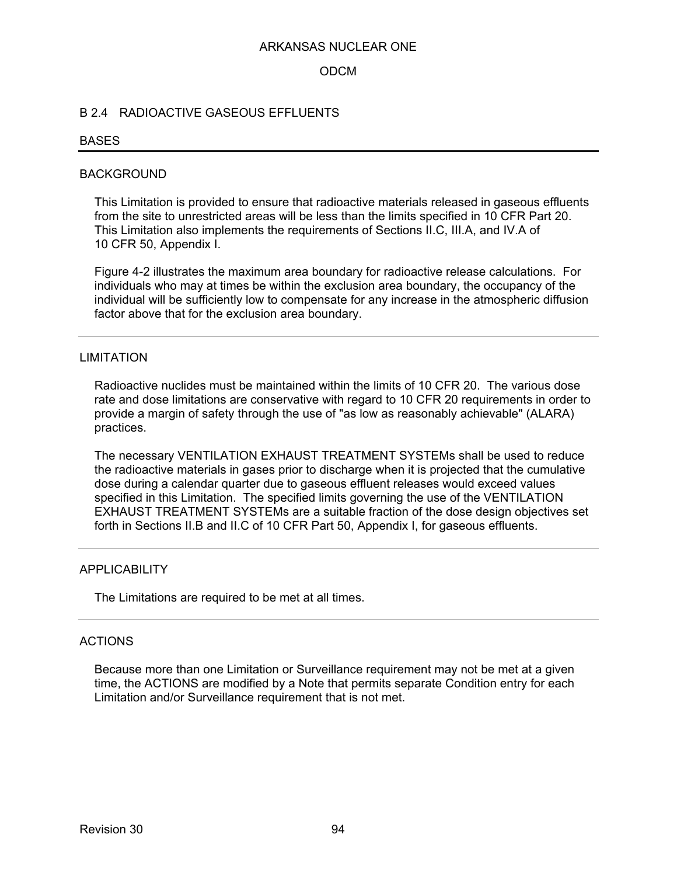#### ODCM

#### B 2.4 RADIOACTIVE GASEOUS EFFLUENTS

#### **BASES**

#### BACKGROUND

This Limitation is provided to ensure that radioactive materials released in gaseous effluents from the site to unrestricted areas will be less than the limits specified in 10 CFR Part 20. This Limitation also implements the requirements of Sections II.C, III.A, and IV.A of 10 CFR 50, Appendix I.

Figure 4-2 illustrates the maximum area boundary for radioactive release calculations. For individuals who may at times be within the exclusion area boundary, the occupancy of the individual will be sufficiently low to compensate for any increase in the atmospheric diffusion factor above that for the exclusion area boundary.

#### LIMITATION

Radioactive nuclides must be maintained within the limits of 10 CFR 20. The various dose rate and dose limitations are conservative with regard to 10 CFR 20 requirements in order to provide a margin of safety through the use of "as low as reasonably achievable" (ALARA) practices.

The necessary VENTILATION EXHAUST TREATMENT SYSTEMs shall be used to reduce the radioactive materials in gases prior to discharge when it is projected that the cumulative dose during a calendar quarter due to gaseous effluent releases would exceed values specified in this Limitation. The specified limits governing the use of the VENTILATION EXHAUST TREATMENT SYSTEMs are a suitable fraction of the dose design objectives set forth in Sections II.B and II.C of 10 CFR Part 50, Appendix I, for gaseous effluents.

#### APPLICABILITY

The Limitations are required to be met at all times.

## ACTIONS

Because more than one Limitation or Surveillance requirement may not be met at a given time, the ACTIONS are modified by a Note that permits separate Condition entry for each Limitation and/or Surveillance requirement that is not met.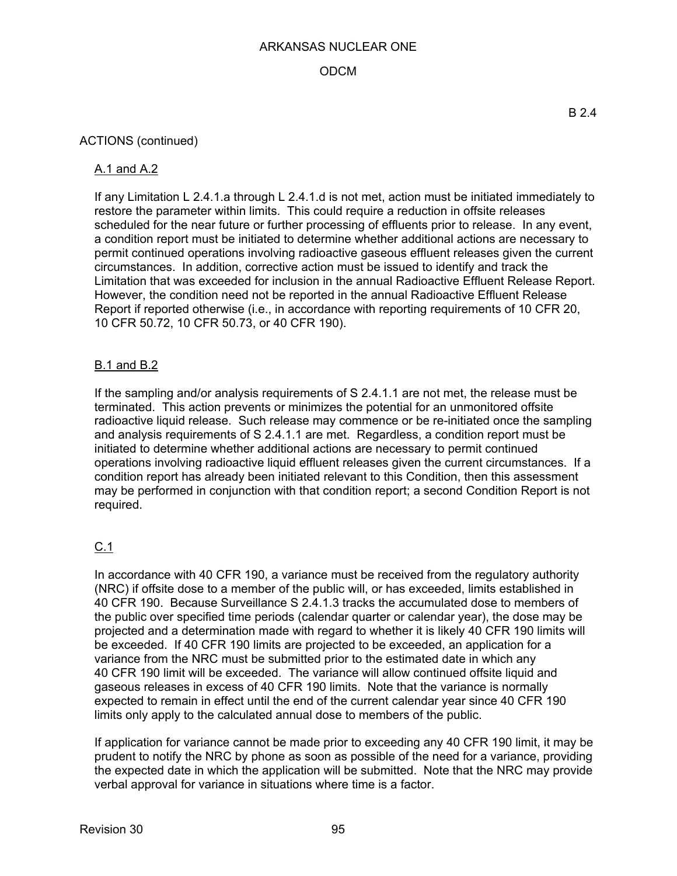## ODCM

### ACTIONS (continued)

### A.1 and A.2

If any Limitation L 2.4.1.a through L 2.4.1.d is not met, action must be initiated immediately to restore the parameter within limits. This could require a reduction in offsite releases scheduled for the near future or further processing of effluents prior to release. In any event, a condition report must be initiated to determine whether additional actions are necessary to permit continued operations involving radioactive gaseous effluent releases given the current circumstances. In addition, corrective action must be issued to identify and track the Limitation that was exceeded for inclusion in the annual Radioactive Effluent Release Report. However, the condition need not be reported in the annual Radioactive Effluent Release Report if reported otherwise (i.e., in accordance with reporting requirements of 10 CFR 20, 10 CFR 50.72, 10 CFR 50.73, or 40 CFR 190).

## B.1 and B.2

If the sampling and/or analysis requirements of S 2.4.1.1 are not met, the release must be terminated. This action prevents or minimizes the potential for an unmonitored offsite radioactive liquid release. Such release may commence or be re-initiated once the sampling and analysis requirements of S 2.4.1.1 are met. Regardless, a condition report must be initiated to determine whether additional actions are necessary to permit continued operations involving radioactive liquid effluent releases given the current circumstances. If a condition report has already been initiated relevant to this Condition, then this assessment may be performed in conjunction with that condition report; a second Condition Report is not required.

## $C.1$

In accordance with 40 CFR 190, a variance must be received from the regulatory authority (NRC) if offsite dose to a member of the public will, or has exceeded, limits established in 40 CFR 190. Because Surveillance S 2.4.1.3 tracks the accumulated dose to members of the public over specified time periods (calendar quarter or calendar year), the dose may be projected and a determination made with regard to whether it is likely 40 CFR 190 limits will be exceeded. If 40 CFR 190 limits are projected to be exceeded, an application for a variance from the NRC must be submitted prior to the estimated date in which any 40 CFR 190 limit will be exceeded. The variance will allow continued offsite liquid and gaseous releases in excess of 40 CFR 190 limits. Note that the variance is normally expected to remain in effect until the end of the current calendar year since 40 CFR 190 limits only apply to the calculated annual dose to members of the public.

If application for variance cannot be made prior to exceeding any 40 CFR 190 limit, it may be prudent to notify the NRC by phone as soon as possible of the need for a variance, providing the expected date in which the application will be submitted. Note that the NRC may provide verbal approval for variance in situations where time is a factor.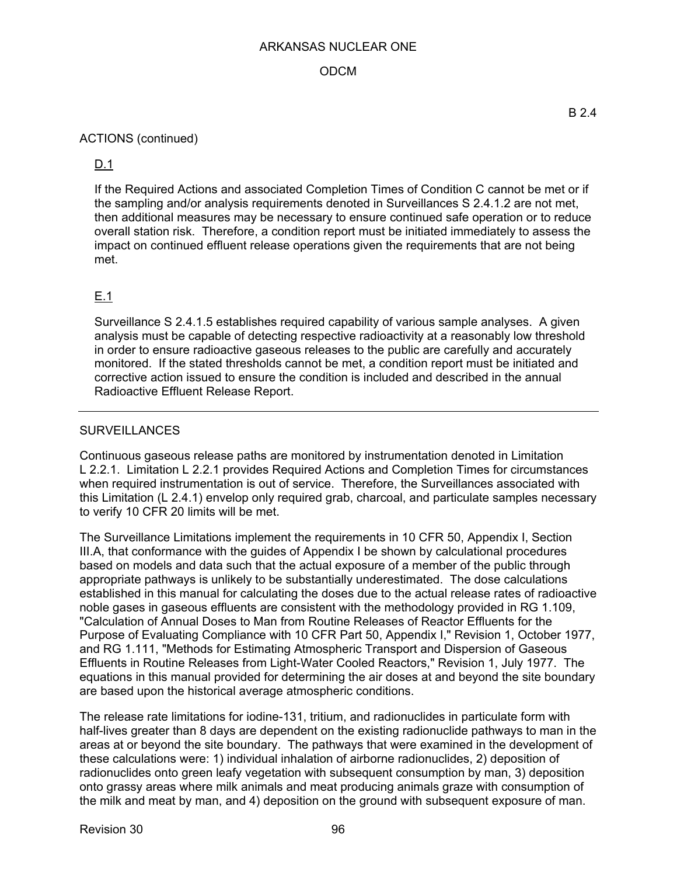## ODCM

### ACTIONS (continued)

## D.1

If the Required Actions and associated Completion Times of Condition C cannot be met or if the sampling and/or analysis requirements denoted in Surveillances S 2.4.1.2 are not met, then additional measures may be necessary to ensure continued safe operation or to reduce overall station risk. Therefore, a condition report must be initiated immediately to assess the impact on continued effluent release operations given the requirements that are not being met.

## E.1

Surveillance S 2.4.1.5 establishes required capability of various sample analyses. A given analysis must be capable of detecting respective radioactivity at a reasonably low threshold in order to ensure radioactive gaseous releases to the public are carefully and accurately monitored. If the stated thresholds cannot be met, a condition report must be initiated and corrective action issued to ensure the condition is included and described in the annual Radioactive Effluent Release Report.

## **SURVEILLANCES**

Continuous gaseous release paths are monitored by instrumentation denoted in Limitation L 2.2.1. Limitation L 2.2.1 provides Required Actions and Completion Times for circumstances when required instrumentation is out of service. Therefore, the Surveillances associated with this Limitation (L 2.4.1) envelop only required grab, charcoal, and particulate samples necessary to verify 10 CFR 20 limits will be met.

The Surveillance Limitations implement the requirements in 10 CFR 50, Appendix I, Section III.A, that conformance with the guides of Appendix I be shown by calculational procedures based on models and data such that the actual exposure of a member of the public through appropriate pathways is unlikely to be substantially underestimated. The dose calculations established in this manual for calculating the doses due to the actual release rates of radioactive noble gases in gaseous effluents are consistent with the methodology provided in RG 1.109, "Calculation of Annual Doses to Man from Routine Releases of Reactor Effluents for the Purpose of Evaluating Compliance with 10 CFR Part 50, Appendix I," Revision 1, October 1977, and RG 1.111, "Methods for Estimating Atmospheric Transport and Dispersion of Gaseous Effluents in Routine Releases from Light-Water Cooled Reactors," Revision 1, July 1977. The equations in this manual provided for determining the air doses at and beyond the site boundary are based upon the historical average atmospheric conditions.

The release rate limitations for iodine-131, tritium, and radionuclides in particulate form with half-lives greater than 8 days are dependent on the existing radionuclide pathways to man in the areas at or beyond the site boundary. The pathways that were examined in the development of these calculations were: 1) individual inhalation of airborne radionuclides, 2) deposition of radionuclides onto green leafy vegetation with subsequent consumption by man, 3) deposition onto grassy areas where milk animals and meat producing animals graze with consumption of the milk and meat by man, and 4) deposition on the ground with subsequent exposure of man.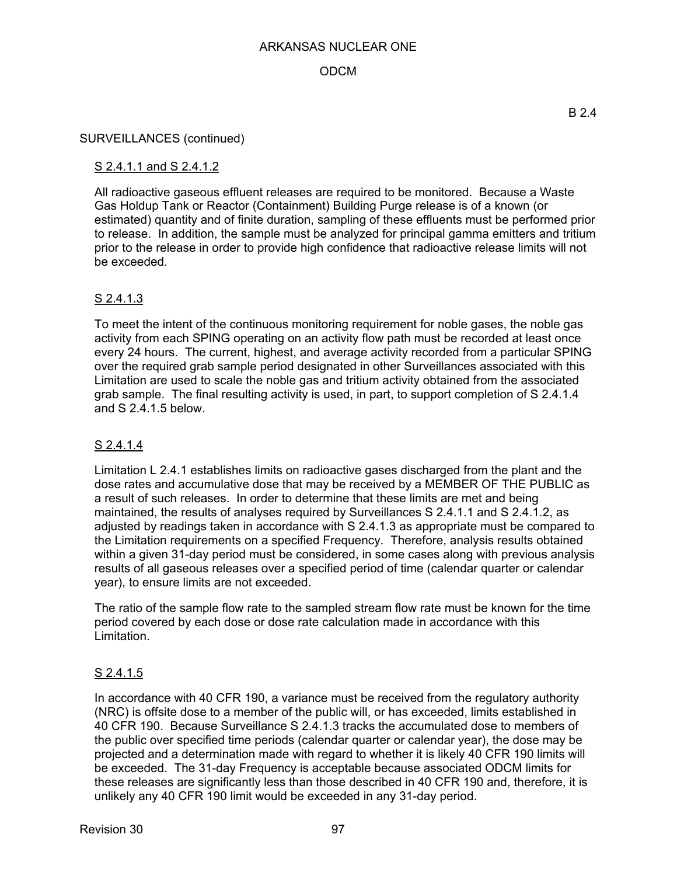## ODCM

#### SURVEILLANCES (continued)

## S 2.4.1.1 and S 2.4.1.2

All radioactive gaseous effluent releases are required to be monitored. Because a Waste Gas Holdup Tank or Reactor (Containment) Building Purge release is of a known (or estimated) quantity and of finite duration, sampling of these effluents must be performed prior to release. In addition, the sample must be analyzed for principal gamma emitters and tritium prior to the release in order to provide high confidence that radioactive release limits will not be exceeded.

## S 2.4.1.3

To meet the intent of the continuous monitoring requirement for noble gases, the noble gas activity from each SPING operating on an activity flow path must be recorded at least once every 24 hours. The current, highest, and average activity recorded from a particular SPING over the required grab sample period designated in other Surveillances associated with this Limitation are used to scale the noble gas and tritium activity obtained from the associated grab sample. The final resulting activity is used, in part, to support completion of S 2.4.1.4 and S 2.4.1.5 below.

### S 2.4.1.4

Limitation L 2.4.1 establishes limits on radioactive gases discharged from the plant and the dose rates and accumulative dose that may be received by a MEMBER OF THE PUBLIC as a result of such releases. In order to determine that these limits are met and being maintained, the results of analyses required by Surveillances S 2.4.1.1 and S 2.4.1.2, as adjusted by readings taken in accordance with S 2.4.1.3 as appropriate must be compared to the Limitation requirements on a specified Frequency. Therefore, analysis results obtained within a given 31-day period must be considered, in some cases along with previous analysis results of all gaseous releases over a specified period of time (calendar quarter or calendar year), to ensure limits are not exceeded.

The ratio of the sample flow rate to the sampled stream flow rate must be known for the time period covered by each dose or dose rate calculation made in accordance with this Limitation.

## S 2.4.1.5

In accordance with 40 CFR 190, a variance must be received from the regulatory authority (NRC) is offsite dose to a member of the public will, or has exceeded, limits established in 40 CFR 190. Because Surveillance S 2.4.1.3 tracks the accumulated dose to members of the public over specified time periods (calendar quarter or calendar year), the dose may be projected and a determination made with regard to whether it is likely 40 CFR 190 limits will be exceeded. The 31-day Frequency is acceptable because associated ODCM limits for these releases are significantly less than those described in 40 CFR 190 and, therefore, it is unlikely any 40 CFR 190 limit would be exceeded in any 31-day period.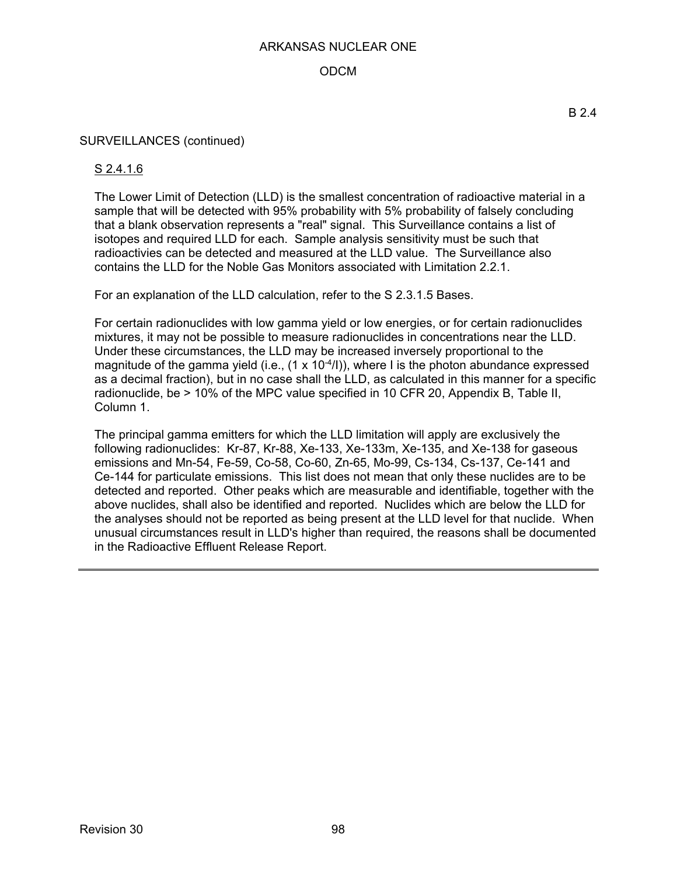## ODCM

### SURVEILLANCES (continued)

### S 2.4.1.6

The Lower Limit of Detection (LLD) is the smallest concentration of radioactive material in a sample that will be detected with 95% probability with 5% probability of falsely concluding that a blank observation represents a "real" signal. This Surveillance contains a list of isotopes and required LLD for each. Sample analysis sensitivity must be such that radioactivies can be detected and measured at the LLD value. The Surveillance also contains the LLD for the Noble Gas Monitors associated with Limitation 2.2.1.

For an explanation of the LLD calculation, refer to the S 2.3.1.5 Bases.

For certain radionuclides with low gamma yield or low energies, or for certain radionuclides mixtures, it may not be possible to measure radionuclides in concentrations near the LLD. Under these circumstances, the LLD may be increased inversely proportional to the magnitude of the gamma yield (i.e.,  $(1 \times 10^{-4}$ /l)), where I is the photon abundance expressed as a decimal fraction), but in no case shall the LLD, as calculated in this manner for a specific radionuclide, be > 10% of the MPC value specified in 10 CFR 20, Appendix B, Table II, Column 1.

The principal gamma emitters for which the LLD limitation will apply are exclusively the following radionuclides: Kr-87, Kr-88, Xe-133, Xe-133m, Xe-135, and Xe-138 for gaseous emissions and Mn-54, Fe-59, Co-58, Co-60, Zn-65, Mo-99, Cs-134, Cs-137, Ce-141 and Ce-144 for particulate emissions. This list does not mean that only these nuclides are to be detected and reported. Other peaks which are measurable and identifiable, together with the above nuclides, shall also be identified and reported. Nuclides which are below the LLD for the analyses should not be reported as being present at the LLD level for that nuclide. When unusual circumstances result in LLD's higher than required, the reasons shall be documented in the Radioactive Effluent Release Report.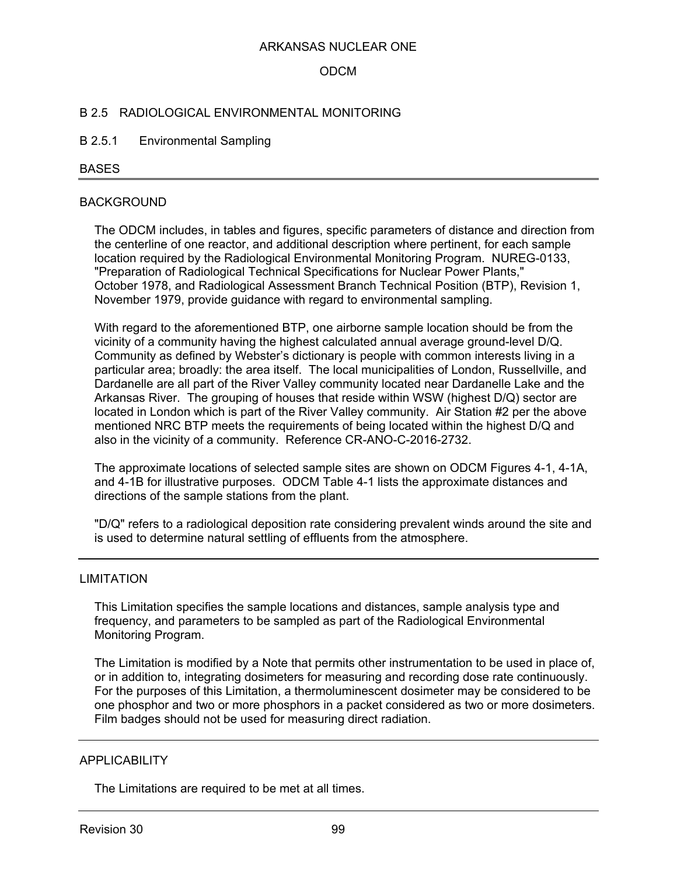### ODCM

#### B 2.5 RADIOLOGICAL ENVIRONMENTAL MONITORING

#### B 2.5.1 Environmental Sampling

#### BASES

#### BACKGROUND

The ODCM includes, in tables and figures, specific parameters of distance and direction from the centerline of one reactor, and additional description where pertinent, for each sample location required by the Radiological Environmental Monitoring Program. NUREG-0133, "Preparation of Radiological Technical Specifications for Nuclear Power Plants," October 1978, and Radiological Assessment Branch Technical Position (BTP), Revision 1, November 1979, provide guidance with regard to environmental sampling.

With regard to the aforementioned BTP, one airborne sample location should be from the vicinity of a community having the highest calculated annual average ground-level D/Q. Community as defined by Webster's dictionary is people with common interests living in a particular area; broadly: the area itself. The local municipalities of London, Russellville, and Dardanelle are all part of the River Valley community located near Dardanelle Lake and the Arkansas River. The grouping of houses that reside within WSW (highest D/Q) sector are located in London which is part of the River Valley community. Air Station #2 per the above mentioned NRC BTP meets the requirements of being located within the highest D/Q and also in the vicinity of a community. Reference CR-ANO-C-2016-2732.

The approximate locations of selected sample sites are shown on ODCM Figures 4-1, 4-1A, and 4-1B for illustrative purposes. ODCM Table 4-1 lists the approximate distances and directions of the sample stations from the plant.

"D/Q" refers to a radiological deposition rate considering prevalent winds around the site and is used to determine natural settling of effluents from the atmosphere.

#### LIMITATION

This Limitation specifies the sample locations and distances, sample analysis type and frequency, and parameters to be sampled as part of the Radiological Environmental Monitoring Program.

The Limitation is modified by a Note that permits other instrumentation to be used in place of, or in addition to, integrating dosimeters for measuring and recording dose rate continuously. For the purposes of this Limitation, a thermoluminescent dosimeter may be considered to be one phosphor and two or more phosphors in a packet considered as two or more dosimeters. Film badges should not be used for measuring direct radiation.

### APPLICABILITY

The Limitations are required to be met at all times.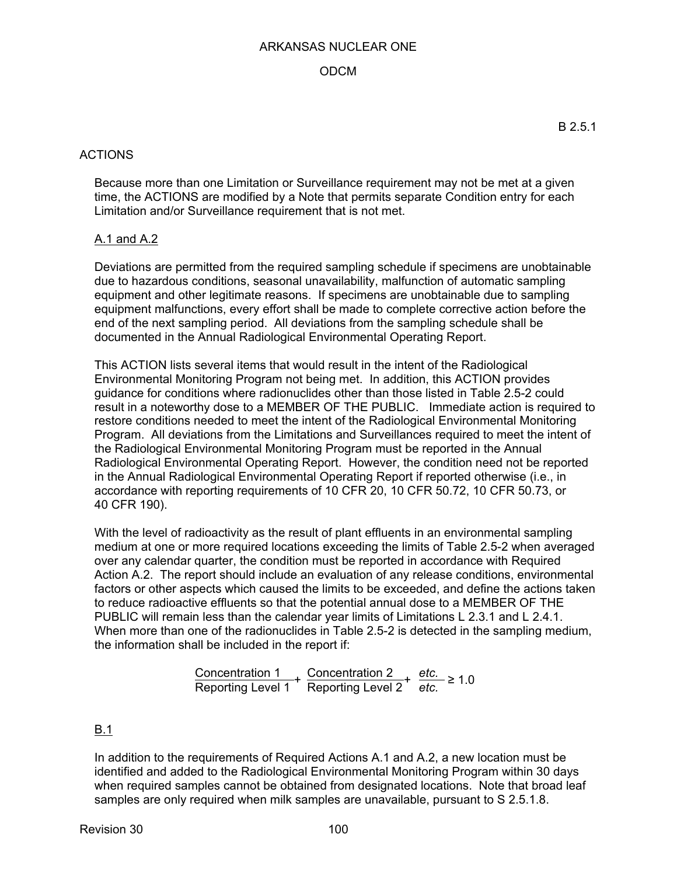### ODCM

## ACTIONS

Because more than one Limitation or Surveillance requirement may not be met at a given time, the ACTIONS are modified by a Note that permits separate Condition entry for each Limitation and/or Surveillance requirement that is not met.

### A.1 and A.2

Deviations are permitted from the required sampling schedule if specimens are unobtainable due to hazardous conditions, seasonal unavailability, malfunction of automatic sampling equipment and other legitimate reasons. If specimens are unobtainable due to sampling equipment malfunctions, every effort shall be made to complete corrective action before the end of the next sampling period. All deviations from the sampling schedule shall be documented in the Annual Radiological Environmental Operating Report.

This ACTION lists several items that would result in the intent of the Radiological Environmental Monitoring Program not being met. In addition, this ACTION provides guidance for conditions where radionuclides other than those listed in Table 2.5-2 could result in a noteworthy dose to a MEMBER OF THE PUBLIC. Immediate action is required to restore conditions needed to meet the intent of the Radiological Environmental Monitoring Program. All deviations from the Limitations and Surveillances required to meet the intent of the Radiological Environmental Monitoring Program must be reported in the Annual Radiological Environmental Operating Report. However, the condition need not be reported in the Annual Radiological Environmental Operating Report if reported otherwise (i.e., in accordance with reporting requirements of 10 CFR 20, 10 CFR 50.72, 10 CFR 50.73, or 40 CFR 190).

With the level of radioactivity as the result of plant effluents in an environmental sampling medium at one or more required locations exceeding the limits of Table 2.5-2 when averaged over any calendar quarter, the condition must be reported in accordance with Required Action A.2. The report should include an evaluation of any release conditions, environmental factors or other aspects which caused the limits to be exceeded, and define the actions taken to reduce radioactive effluents so that the potential annual dose to a MEMBER OF THE PUBLIC will remain less than the calendar year limits of Limitations L 2.3.1 and L 2.4.1. When more than one of the radionuclides in Table 2.5-2 is detected in the sampling medium, the information shall be included in the report if:

$$
\frac{\text{Concentration 1}}{\text{Reporting Level 1}} + \frac{\text{Concentration 2}}{\text{Reporting Level 2}} + \frac{\text{etc.}}{\text{etc.}} \ge 1.0
$$

## B.1

In addition to the requirements of Required Actions A.1 and A.2, a new location must be identified and added to the Radiological Environmental Monitoring Program within 30 days when required samples cannot be obtained from designated locations. Note that broad leaf samples are only required when milk samples are unavailable, pursuant to S 2.5.1.8.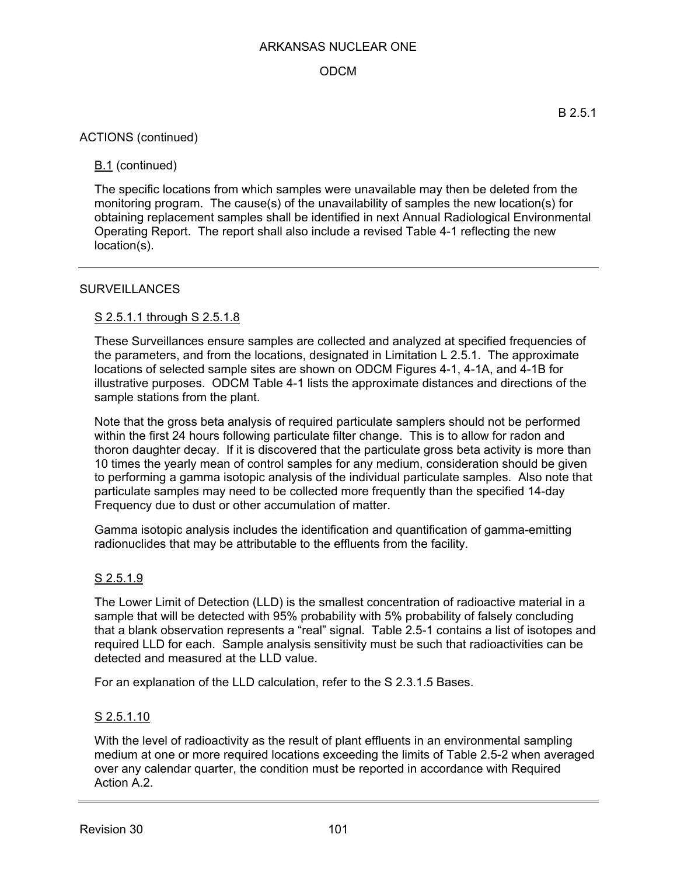## ODCM

### ACTIONS (continued)

## B.1 (continued)

The specific locations from which samples were unavailable may then be deleted from the monitoring program. The cause(s) of the unavailability of samples the new location(s) for obtaining replacement samples shall be identified in next Annual Radiological Environmental Operating Report. The report shall also include a revised Table 4-1 reflecting the new location(s).

### **SURVEILLANCES**

### S 2.5.1.1 through S 2.5.1.8

These Surveillances ensure samples are collected and analyzed at specified frequencies of the parameters, and from the locations, designated in Limitation L 2.5.1. The approximate locations of selected sample sites are shown on ODCM Figures 4-1, 4-1A, and 4-1B for illustrative purposes. ODCM Table 4-1 lists the approximate distances and directions of the sample stations from the plant.

Note that the gross beta analysis of required particulate samplers should not be performed within the first 24 hours following particulate filter change. This is to allow for radon and thoron daughter decay. If it is discovered that the particulate gross beta activity is more than 10 times the yearly mean of control samples for any medium, consideration should be given to performing a gamma isotopic analysis of the individual particulate samples. Also note that particulate samples may need to be collected more frequently than the specified 14-day Frequency due to dust or other accumulation of matter.

Gamma isotopic analysis includes the identification and quantification of gamma-emitting radionuclides that may be attributable to the effluents from the facility.

## S 2.5.1.9

The Lower Limit of Detection (LLD) is the smallest concentration of radioactive material in a sample that will be detected with 95% probability with 5% probability of falsely concluding that a blank observation represents a "real" signal. Table 2.5-1 contains a list of isotopes and required LLD for each. Sample analysis sensitivity must be such that radioactivities can be detected and measured at the LLD value.

For an explanation of the LLD calculation, refer to the S 2.3.1.5 Bases.

### S 2.5.1.10

With the level of radioactivity as the result of plant effluents in an environmental sampling medium at one or more required locations exceeding the limits of Table 2.5-2 when averaged over any calendar quarter, the condition must be reported in accordance with Required Action A.2.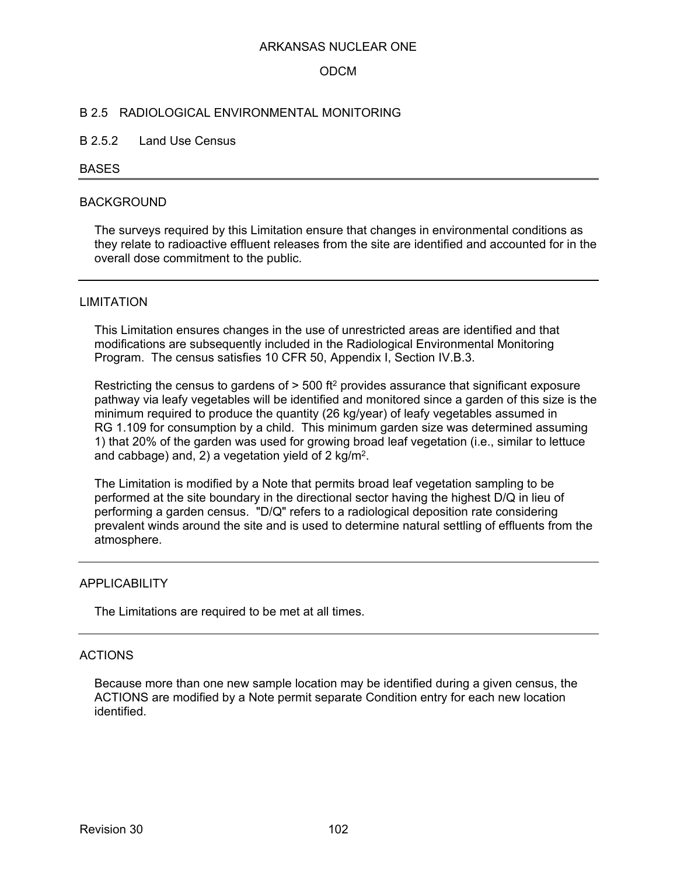#### ODCM

#### B 2.5 RADIOLOGICAL ENVIRONMENTAL MONITORING

#### B 2.5.2 Land Use Census

#### BASES

#### BACKGROUND

The surveys required by this Limitation ensure that changes in environmental conditions as they relate to radioactive effluent releases from the site are identified and accounted for in the overall dose commitment to the public.

#### LIMITATION

This Limitation ensures changes in the use of unrestricted areas are identified and that modifications are subsequently included in the Radiological Environmental Monitoring Program. The census satisfies 10 CFR 50, Appendix I, Section IV.B.3.

Restricting the census to gardens of > 500 ft<sup>2</sup> provides assurance that significant exposure pathway via leafy vegetables will be identified and monitored since a garden of this size is the minimum required to produce the quantity (26 kg/year) of leafy vegetables assumed in RG 1.109 for consumption by a child. This minimum garden size was determined assuming 1) that 20% of the garden was used for growing broad leaf vegetation (i.e., similar to lettuce and cabbage) and, 2) a vegetation yield of 2 kg/m2.

The Limitation is modified by a Note that permits broad leaf vegetation sampling to be performed at the site boundary in the directional sector having the highest D/Q in lieu of performing a garden census. "D/Q" refers to a radiological deposition rate considering prevalent winds around the site and is used to determine natural settling of effluents from the atmosphere.

#### **APPLICABILITY**

The Limitations are required to be met at all times.

#### ACTIONS

Because more than one new sample location may be identified during a given census, the ACTIONS are modified by a Note permit separate Condition entry for each new location identified.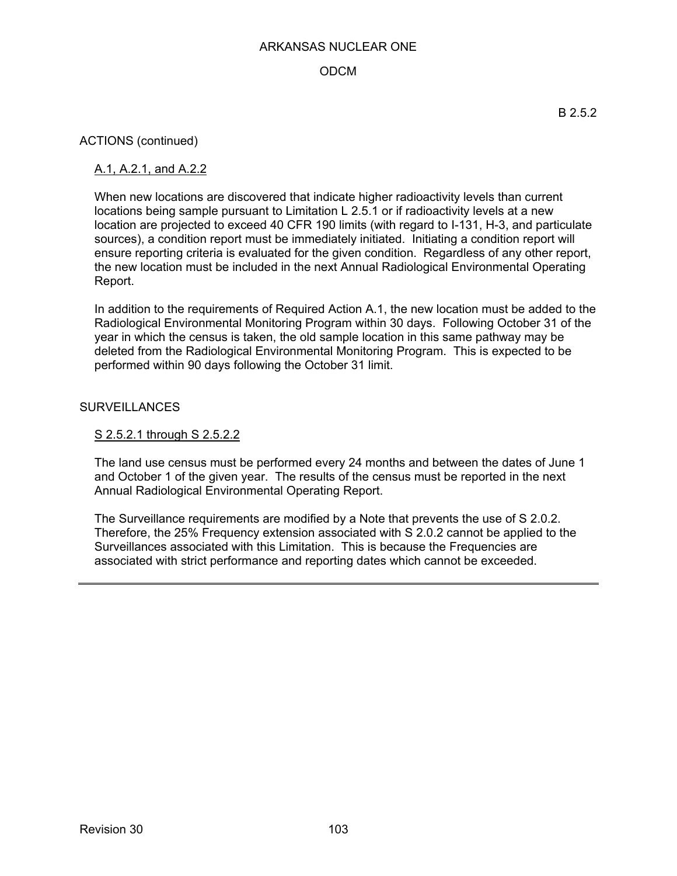## ODCM

ACTIONS (continued)

### A.1, A.2.1, and A.2.2

When new locations are discovered that indicate higher radioactivity levels than current locations being sample pursuant to Limitation L 2.5.1 or if radioactivity levels at a new location are projected to exceed 40 CFR 190 limits (with regard to I-131, H-3, and particulate sources), a condition report must be immediately initiated. Initiating a condition report will ensure reporting criteria is evaluated for the given condition. Regardless of any other report, the new location must be included in the next Annual Radiological Environmental Operating Report.

In addition to the requirements of Required Action A.1, the new location must be added to the Radiological Environmental Monitoring Program within 30 days. Following October 31 of the year in which the census is taken, the old sample location in this same pathway may be deleted from the Radiological Environmental Monitoring Program. This is expected to be performed within 90 days following the October 31 limit.

### **SURVEILLANCES**

#### S 2.5.2.1 through S 2.5.2.2

The land use census must be performed every 24 months and between the dates of June 1 and October 1 of the given year. The results of the census must be reported in the next Annual Radiological Environmental Operating Report.

The Surveillance requirements are modified by a Note that prevents the use of S 2.0.2. Therefore, the 25% Frequency extension associated with S 2.0.2 cannot be applied to the Surveillances associated with this Limitation. This is because the Frequencies are associated with strict performance and reporting dates which cannot be exceeded.